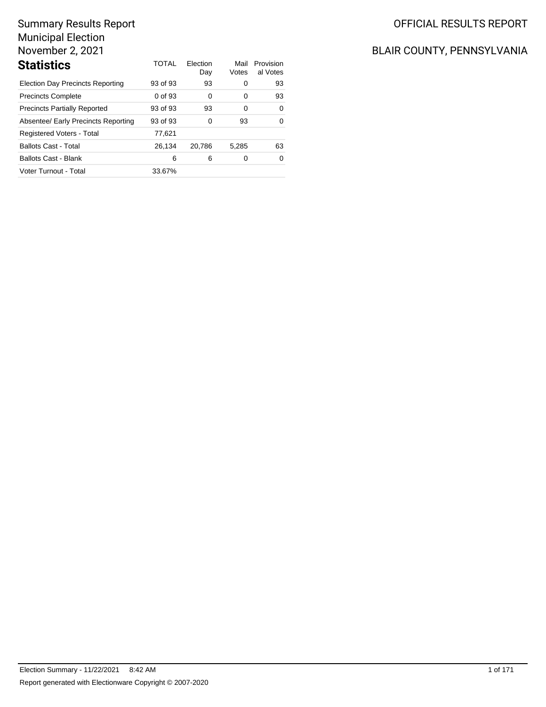| <b>Statistics</b>                       | TOTAL    | Flection<br>Day | Mail<br>Votes | Provision<br>al Votes |
|-----------------------------------------|----------|-----------------|---------------|-----------------------|
| <b>Election Day Precincts Reporting</b> | 93 of 93 | 93              | 0             | 93                    |
| <b>Precincts Complete</b>               | 0 of 93  | 0               | 0             | 93                    |
| <b>Precincts Partially Reported</b>     | 93 of 93 | 93              | 0             | $\Omega$              |
| Absentee/ Early Precincts Reporting     | 93 of 93 | 0               | 93            | $\Omega$              |
| Registered Voters - Total               | 77,621   |                 |               |                       |
| <b>Ballots Cast - Total</b>             | 26.134   | 20.786          | 5.285         | 63                    |
| <b>Ballots Cast - Blank</b>             | 6        | 6               | 0             | $\Omega$              |
| Voter Turnout - Total                   | 33.67%   |                 |               |                       |

## OFFICIAL RESULTS REPORT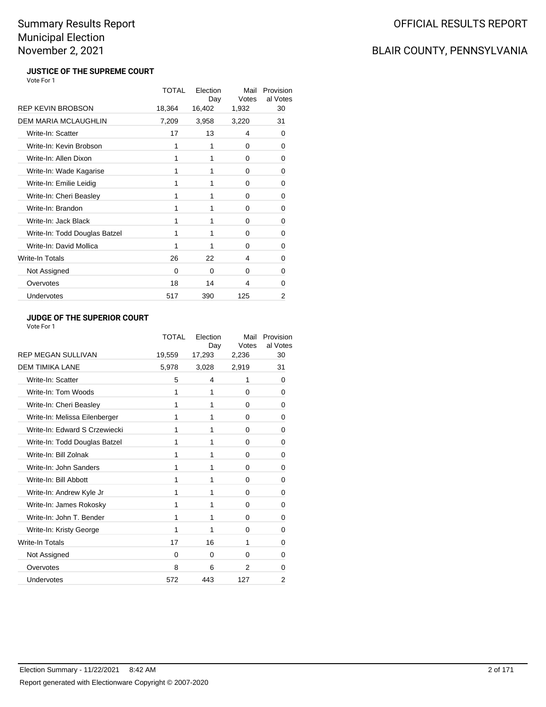## BLAIR COUNTY, PENNSYLVANIA

#### **JUSTICE OF THE SUPREME COURT** Vote For 1

|                               | <b>TOTAL</b> | Election<br>Day | Mail<br>Votes | Provision<br>al Votes |
|-------------------------------|--------------|-----------------|---------------|-----------------------|
| <b>REP KEVIN BROBSON</b>      | 18,364       | 16,402          | 1,932         | 30                    |
| <b>DEM MARIA MCLAUGHLIN</b>   | 7,209        | 3,958           | 3,220         | 31                    |
| Write-In: Scatter             | 17           | 13              | 4             | 0                     |
| Write-In: Kevin Brobson       | 1            | 1               | 0             | 0                     |
| Write-In: Allen Dixon         | 1            | 1               | 0             | 0                     |
| Write-In: Wade Kagarise       | 1            | 1               | 0             | 0                     |
| Write-In: Emilie Leidig       | 1            | 1               | 0             | 0                     |
| Write-In: Cheri Beasley       | 1            | 1               | $\Omega$      | 0                     |
| Write-In: Brandon             | 1            | 1               | $\Omega$      | $\Omega$              |
| Write-In: Jack Black          | 1            | 1               | 0             | 0                     |
| Write-In: Todd Douglas Batzel | 1            | 1               | 0             | 0                     |
| Write-In: David Mollica       | 1            | 1               | 0             | 0                     |
| Write-In Totals               | 26           | 22              | 4             | 0                     |
| Not Assigned                  | 0            | $\Omega$        | $\Omega$      | 0                     |
| Overvotes                     | 18           | 14              | 4             | $\Omega$              |
| Undervotes                    | 517          | 390             | 125           | 2                     |

### **JUDGE OF THE SUPERIOR COURT**

|                               | <b>TOTAL</b> | Election<br>Day | Mail<br>Votes | Provision<br>al Votes |
|-------------------------------|--------------|-----------------|---------------|-----------------------|
| <b>REP MEGAN SULLIVAN</b>     | 19,559       | 17,293          | 2,236         | 30                    |
| <b>DEM TIMIKA LANE</b>        | 5,978        | 3,028           | 2,919         | 31                    |
| Write-In: Scatter             | 5            | 4               | 1             | 0                     |
| Write-In: Tom Woods           | 1            | 1               | 0             | 0                     |
| Write-In: Cheri Beasley       | 1            | 1               | 0             | 0                     |
| Write-In: Melissa Eilenberger | 1            | 1               | 0             | $\Omega$              |
| Write-In: Edward S Crzewiecki | 1            | 1               | $\Omega$      | 0                     |
| Write-In: Todd Douglas Batzel | 1            | 1               | $\Omega$      | 0                     |
| Write-In: Bill Zolnak         | 1            | 1               | 0             | 0                     |
| Write-In: John Sanders        | 1            | 1               | 0             | 0                     |
| Write-In: Bill Abbott         | 1            | 1               | 0             | 0                     |
| Write-In: Andrew Kyle Jr      | 1            | 1               | 0             | 0                     |
| Write-In: James Rokosky       | 1            | 1               | $\Omega$      | 0                     |
| Write-In: John T. Bender      | 1            | 1               | $\Omega$      | 0                     |
| Write-In: Kristy George       | 1            | 1               | 0             | 0                     |
| Write-In Totals               | 17           | 16              | 1             | 0                     |
| Not Assigned                  | 0            | 0               | 0             | 0                     |
| Overvotes                     | 8            | 6               | 2             | 0                     |
| Undervotes                    | 572          | 443             | 127           | 2                     |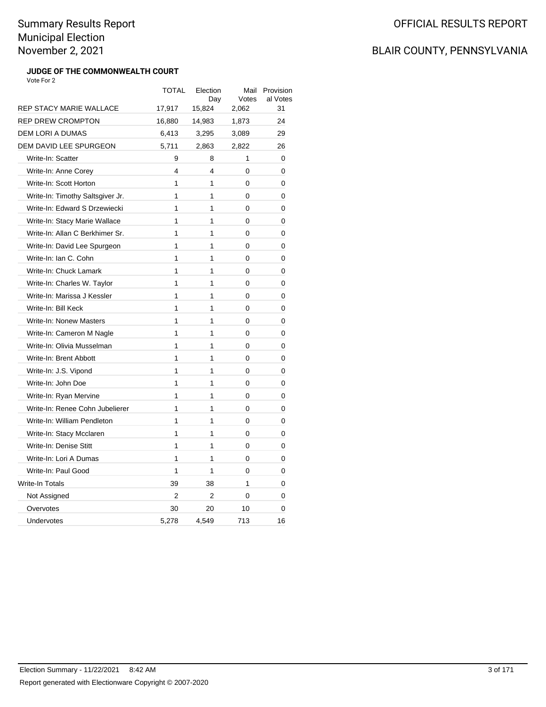#### **JUDGE OF THE COMMONWEALTH COURT** Vote For 2

|                                  | TOTAL          | Election<br>Day | Mail<br>Votes | Provision<br>al Votes |
|----------------------------------|----------------|-----------------|---------------|-----------------------|
| <b>REP STACY MARIE WALLACE</b>   | 17,917         | 15,824          | 2,062         | 31                    |
| <b>REP DREW CROMPTON</b>         | 16,880         | 14,983          | 1,873         | 24                    |
| <b>DEM LORI A DUMAS</b>          | 6,413          | 3,295           | 3,089         | 29                    |
| DEM DAVID LEE SPURGEON           | 5,711          | 2,863           | 2,822         | 26                    |
| Write-In: Scatter                | 9              | 8               | 1             | 0                     |
| Write-In: Anne Corey             | 4              | 4               | 0             | 0                     |
| Write-In: Scott Horton           | 1              | 1               | 0             | 0                     |
| Write-In: Timothy Saltsgiver Jr. | 1              | 1               | 0             | 0                     |
| Write-In: Edward S Drzewiecki    | 1              | 1               | 0             | 0                     |
| Write-In: Stacy Marie Wallace    | 1              | 1               | 0             | 0                     |
| Write-In: Allan C Berkhimer Sr.  | 1              | 1               | 0             | 0                     |
| Write-In: David Lee Spurgeon     | 1              | 1               | 0             | 0                     |
| Write-In: Ian C. Cohn            | 1              | 1               | 0             | 0                     |
| Write-In: Chuck Lamark           | 1              | 1               | 0             | 0                     |
| Write-In: Charles W. Taylor      | 1              | 1               | 0             | 0                     |
| Write-In: Marissa J Kessler      | 1              | 1               | 0             | 0                     |
| Write-In: Bill Keck              | 1              | 1               | 0             | 0                     |
| <b>Write-In: Nonew Masters</b>   | 1              | 1               | 0             | 0                     |
| Write-In: Cameron M Nagle        | 1              | 1               | 0             | 0                     |
| Write-In: Olivia Musselman       | 1              | 1               | 0             | 0                     |
| Write-In: Brent Abbott           | 1              | 1               | 0             | 0                     |
| Write-In: J.S. Vipond            | 1              | 1               | 0             | 0                     |
| Write-In: John Doe               | 1              | 1               | 0             | 0                     |
| Write-In: Ryan Mervine           | 1              | 1               | 0             | 0                     |
| Write-In: Renee Cohn Jubelierer  | 1              | 1               | 0             | 0                     |
| Write-In: William Pendleton      | 1              | 1               | 0             | 0                     |
| Write-In: Stacy Mcclaren         | 1              | 1               | 0             | 0                     |
| Write-In: Denise Stitt           | 1              | 1               | 0             | 0                     |
| Write-In: Lori A Dumas           | 1              | 1               | 0             | 0                     |
| Write-In: Paul Good              | 1              | 1               | 0             | 0                     |
| <b>Write-In Totals</b>           | 39             | 38              | 1             | 0                     |
| Not Assigned                     | $\overline{2}$ | $\overline{2}$  | 0             | 0                     |
| Overvotes                        | 30             | 20              | 10            | 0                     |
| Undervotes                       | 5,278          | 4,549           | 713           | 16                    |
|                                  |                |                 |               |                       |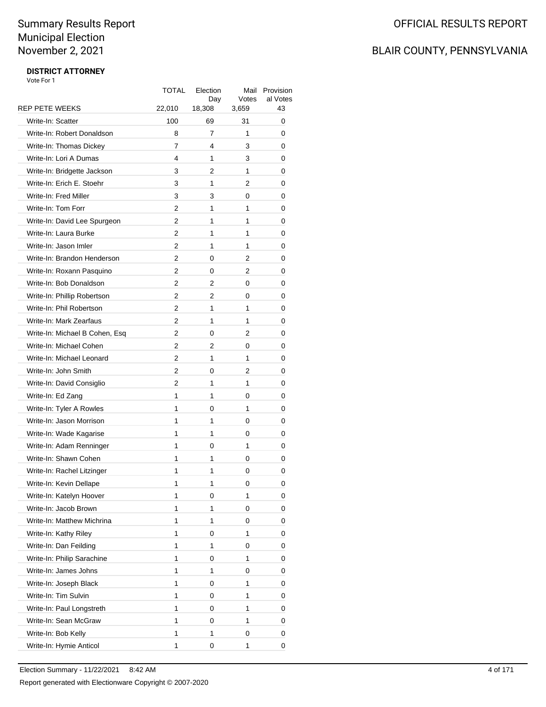### BLAIR COUNTY, PENNSYLVANIA

|                                | TOTAL  | Election<br>Day | Mail<br>Votes | Provision<br>al Votes |
|--------------------------------|--------|-----------------|---------------|-----------------------|
| <b>REP PETE WEEKS</b>          | 22,010 | 18,308          | 3,659         | 43                    |
| Write-In: Scatter              | 100    | 69              | 31            | 0                     |
| Write-In: Robert Donaldson     | 8      | 7               | 1             | 0                     |
| Write-In: Thomas Dickey        | 7      | 4               | 3             | 0                     |
| Write-In: Lori A Dumas         | 4      | 1               | 3             | 0                     |
| Write-In: Bridgette Jackson    | 3      | 2               | 1             | 0                     |
| Write-In: Erich E. Stoehr      | 3      | 1               | 2             | 0                     |
| Write-In: Fred Miller          | 3      | 3               | 0             | 0                     |
| Write-In: Tom Forr             | 2      | 1               | 1             | 0                     |
| Write-In: David Lee Spurgeon   | 2      | 1               | 1             | 0                     |
| Write-In: Laura Burke          | 2      | 1               | 1             | 0                     |
| Write-In: Jason Imler          | 2      | 1               | 1             | 0                     |
| Write-In: Brandon Henderson    | 2      | 0               | 2             | 0                     |
| Write-In: Roxann Pasquino      | 2      | 0               | 2             | 0                     |
| Write-In: Bob Donaldson        | 2      | 2               | 0             | 0                     |
| Write-In: Phillip Robertson    | 2      | $\overline{2}$  | 0             | 0                     |
| Write-In: Phil Robertson       | 2      | 1               | 1             | 0                     |
| Write-In: Mark Zearfaus        | 2      | 1               | 1             | 0                     |
| Write-In: Michael B Cohen, Esq | 2      | 0               | 2             | 0                     |
| Write-In: Michael Cohen        | 2      | 2               | 0             | 0                     |
| Write-In: Michael Leonard      | 2      | 1               | 1             | 0                     |
| Write-In: John Smith           | 2      | 0               | 2             | 0                     |
| Write-In: David Consiglio      | 2      | 1               | 1             | 0                     |
| Write-In: Ed Zang              | 1      | 1               | 0             | 0                     |
| Write-In: Tyler A Rowles       | 1      | 0               | 1             | 0                     |
| Write-In: Jason Morrison       | 1      | 1               | 0             | 0                     |
| Write-In: Wade Kagarise        | 1      | 1               | 0             | 0                     |
| Write-In: Adam Renninger       | 1      | 0               | 1             | 0                     |
| Write-In: Shawn Cohen          | 1      | 1               | 0             | 0                     |
| Write-In: Rachel Litzinger     | 1      | 1               | 0             | 0                     |
| Write-In: Kevin Dellape        | 1      | 1               | 0             | 0                     |
| Write-In: Katelyn Hoover       | 1      | 0               | 1             | 0                     |
| Write-In: Jacob Brown          | 1      | 1               | 0             | 0                     |
| Write-In: Matthew Michrina     | 1      | 1               | 0             | 0                     |
| Write-In: Kathy Riley          | 1      | 0               | 1             | 0                     |
| Write-In: Dan Feilding         | 1      | 1               | 0             | 0                     |
| Write-In: Philip Sarachine     | 1      | 0               | 1             | 0                     |
| Write-In: James Johns          | 1      | 1               | 0             | 0                     |
| Write-In: Joseph Black         | 1      | 0               | 1             | 0                     |
| Write-In: Tim Sulvin           | 1      | 0               | 1             | 0                     |
| Write-In: Paul Longstreth      | 1      | 0               | 1             | 0                     |
| Write-In: Sean McGraw          | 1      | 0               | 1             | 0                     |
| Write-In: Bob Kelly            | 1      | 1               | 0             | 0                     |
| Write-In: Hymie Anticol        | 1      | 0               | 1             | 0                     |
|                                |        |                 |               |                       |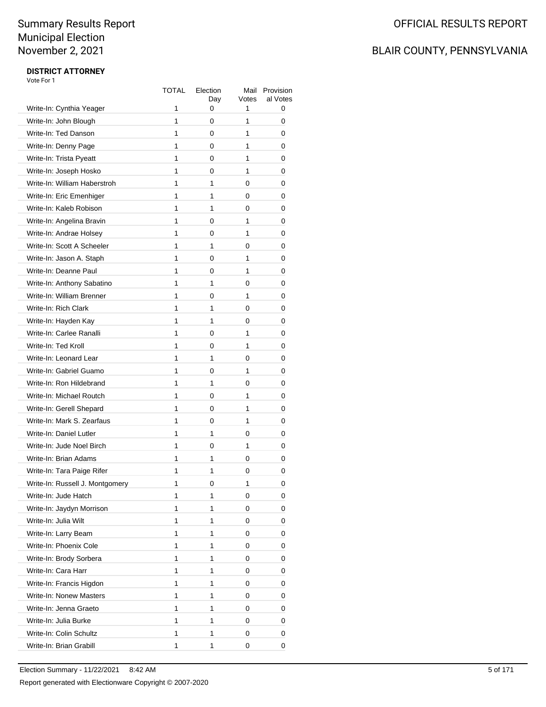### BLAIR COUNTY, PENNSYLVANIA

|                                 | TOTAL | Election<br>Day | Mail<br>Votes | Provision<br>al Votes |
|---------------------------------|-------|-----------------|---------------|-----------------------|
| Write-In: Cynthia Yeager        | 1     | 0               | 1             | 0                     |
| Write-In: John Blough           | 1     | 0               | 1             | 0                     |
| Write-In: Ted Danson            | 1     | 0               | 1             | 0                     |
| Write-In: Denny Page            | 1     | 0               | 1             | 0                     |
| Write-In: Trista Pyeatt         | 1     | 0               | 1             | 0                     |
| Write-In: Joseph Hosko          | 1     | 0               | 1             | 0                     |
| Write-In: William Haberstroh    | 1     | 1               | 0             | 0                     |
| Write-In: Eric Emenhiger        | 1     | 1               | 0             | 0                     |
| Write-In: Kaleb Robison         | 1     | 1               | 0             | 0                     |
| Write-In: Angelina Bravin       | 1     | 0               | 1             | 0                     |
| Write-In: Andrae Holsey         | 1     | 0               | 1             | 0                     |
| Write-In: Scott A Scheeler      | 1     | 1               | 0             | 0                     |
| Write-In: Jason A. Staph        | 1     | 0               | 1             | 0                     |
| Write-In: Deanne Paul           | 1     | 0               | 1             | 0                     |
| Write-In: Anthony Sabatino      | 1     | 1               | 0             | 0                     |
| Write-In: William Brenner       | 1     | 0               | 1             | 0                     |
| Write-In: Rich Clark            | 1     | 1               | 0             | 0                     |
| Write-In: Hayden Kay            | 1     | 1               | 0             | 0                     |
| Write-In: Carlee Ranalli        | 1     | 0               | 1             | 0                     |
| Write-In: Ted Kroll             | 1     | 0               | 1             | 0                     |
| Write-In: Leonard Lear          | 1     | 1               | 0             | 0                     |
| Write-In: Gabriel Guamo         | 1     | 0               | 1             | 0                     |
| Write-In: Ron Hildebrand        | 1     | 1               | 0             | 0                     |
| Write-In: Michael Routch        | 1     | 0               | 1             | 0                     |
| Write-In: Gerell Shepard        | 1     | 0               | 1             | 0                     |
| Write-In: Mark S. Zearfaus      | 1     | 0               | 1             | 0                     |
| Write-In: Daniel Lutler         | 1     | 1               | 0             | 0                     |
| Write-In: Jude Noel Birch       | 1     | 0               | 1             | 0                     |
| Write-In: Brian Adams           | 1     | 1               | 0             | 0                     |
| Write-In: Tara Paige Rifer      | 1     | 1               | 0             | 0                     |
| Write-In: Russell J. Montgomery | 1     | 0               | 1             | 0                     |
| Write-In: Jude Hatch            | 1     | 1               | 0             | 0                     |
| Write-In: Jaydyn Morrison       | 1     | 1               | 0             | 0                     |
| Write-In: Julia Wilt            | 1     | 1               | 0             | 0                     |
| Write-In: Larry Beam            | 1     | 1               | 0             | 0                     |
| Write-In: Phoenix Cole          | 1     | 1               | 0             | 0                     |
| Write-In: Brody Sorbera         | 1     | 1               | 0             | 0                     |
| Write-In: Cara Harr             | 1     | 1               | 0             | 0                     |
| Write-In: Francis Higdon        | 1     | 1               | 0             | 0                     |
| Write-In: Nonew Masters         | 1     | 1               | 0             | 0                     |
| Write-In: Jenna Graeto          | 1     | 1               | 0             | 0                     |
| Write-In: Julia Burke           | 1     | 1               | 0             | 0                     |
| Write-In: Colin Schultz         | 1     | 1               | 0             | 0                     |
| Write-In: Brian Grabill         | 1     | 1               | 0             | 0                     |
|                                 |       |                 |               |                       |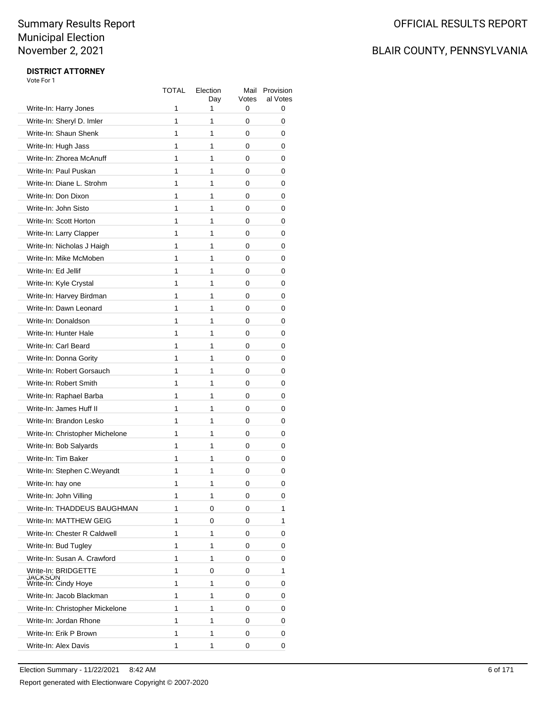## BLAIR COUNTY, PENNSYLVANIA

|                                 | TOTAL | Election<br>Day | Mail<br>Votes | Provision<br>al Votes |
|---------------------------------|-------|-----------------|---------------|-----------------------|
| Write-In: Harry Jones           | 1     | 1               | 0             | 0                     |
| Write-In: Sheryl D. Imler       | 1     | 1               | 0             | 0                     |
| Write-In: Shaun Shenk           | 1     | 1               | 0             | 0                     |
| Write-In: Hugh Jass             | 1     | 1               | 0             | 0                     |
| Write-In: Zhorea McAnuff        | 1     | 1               | 0             | 0                     |
| Write-In: Paul Puskan           | 1     | 1               | 0             | 0                     |
| Write-In: Diane L. Strohm       | 1     | 1               | 0             | 0                     |
| Write-In: Don Dixon             | 1     | 1               | 0             | 0                     |
| Write-In: John Sisto            | 1     | 1               | 0             | 0                     |
| Write-In: Scott Horton          | 1     | 1               | 0             | 0                     |
| Write-In: Larry Clapper         | 1     | 1               | 0             | 0                     |
| Write-In: Nicholas J Haigh      | 1     | 1               | 0             | 0                     |
| Write-In: Mike McMoben          | 1     | 1               | 0             | 0                     |
| Write-In: Ed Jellif             | 1     | 1               | 0             | 0                     |
| Write-In: Kyle Crystal          | 1     | 1               | 0             | 0                     |
| Write-In: Harvey Birdman        | 1     | 1               | 0             | 0                     |
| Write-In: Dawn Leonard          | 1     | 1               | 0             | 0                     |
| Write-In: Donaldson             | 1     | 1               | 0             | 0                     |
| Write-In: Hunter Hale           | 1     | 1               | 0             | 0                     |
| Write-In: Carl Beard            | 1     | 1               | 0             | 0                     |
| Write-In: Donna Gority          | 1     | 1               | 0             | 0                     |
| Write-In: Robert Gorsauch       | 1     | 1               | 0             | 0                     |
| Write-In: Robert Smith          | 1     | 1               | 0             | 0                     |
| Write-In: Raphael Barba         | 1     | 1               | 0             | 0                     |
| Write-In: James Huff II         | 1     | 1               | 0             | 0                     |
| Write-In: Brandon Lesko         | 1     | 1               | 0             | 0                     |
| Write-In: Christopher Michelone | 1     | 1               | 0             | 0                     |
| Write-In: Bob Salyards          | 1     | 1               | 0             | 0                     |
| Write-In: Tim Baker             | 1     | 1               | 0             | 0                     |
| Write-In: Stephen C.Weyandt     | 1     | 1               | 0             | 0                     |
| Write-In: hay one               | 1     | 1               | 0             | 0                     |
| Write-In: John Villing          | 1     | 1               | 0             | 0                     |
| Write-In: THADDEUS BAUGHMAN     | 1     | 0               | 0             | 1                     |
| Write-In: MATTHEW GEIG          | 1     | 0               | 0             | 1                     |
| Write-In: Chester R Caldwell    | 1     | 1               | 0             | 0                     |
| Write-In: Bud Tugley            | 1     | 1               | 0             | 0                     |
| Write-In: Susan A. Crawford     | 1     | 1               | 0             | 0                     |
| Write-In: BRIDGETTE             | 1     | 0               | 0             | 1                     |
| JACKSON<br>Write-In: Cindy Hoye | 1     | 1               | 0             | 0                     |
| Write-In: Jacob Blackman        | 1     | 1               | 0             | 0                     |
| Write-In: Christopher Mickelone | 1     | 1               | 0             | 0                     |
| Write-In: Jordan Rhone          | 1     | 1               | 0             | 0                     |
| Write-In: Erik P Brown          | 1     | 1               | 0             | 0                     |
| Write-In: Alex Davis            | 1     | 1               | 0             | 0                     |
|                                 |       |                 |               |                       |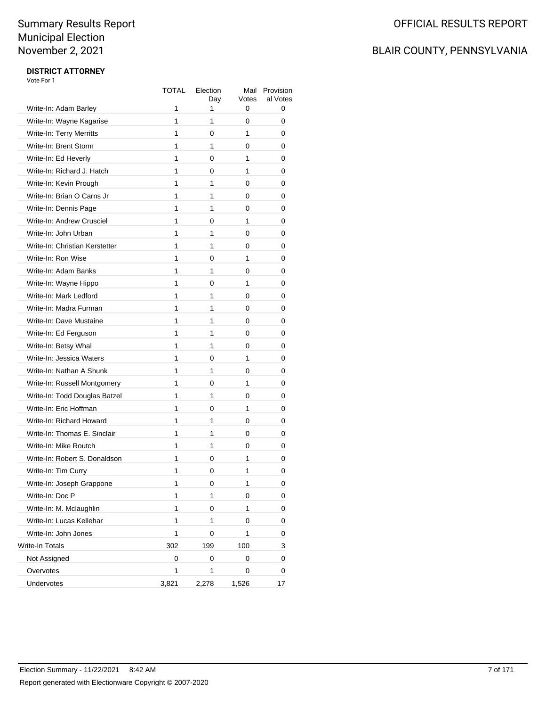### BLAIR COUNTY, PENNSYLVANIA

|                                | TOTAL | Election<br>Day | Mail<br>Votes | Provision<br>al Votes |
|--------------------------------|-------|-----------------|---------------|-----------------------|
| Write-In: Adam Barley          | 1     | 1               | 0             | 0                     |
| Write-In: Wayne Kagarise       | 1     | 1               | 0             | 0                     |
| Write-In: Terry Merritts       | 1     | 0               | 1             | 0                     |
| Write-In: Brent Storm          | 1     | 1               | 0             | 0                     |
| Write-In: Ed Heverly           | 1     | 0               | 1             | 0                     |
| Write-In: Richard J. Hatch     | 1     | 0               | 1             | 0                     |
| Write-In: Kevin Prough         | 1     | 1               | 0             | 0                     |
| Write-In: Brian O Carns Jr     | 1     | 1               | 0             | 0                     |
| Write-In: Dennis Page          | 1     | 1               | 0             | 0                     |
| Write-In: Andrew Crusciel      | 1     | 0               | 1             | 0                     |
| Write-In: John Urban           | 1     | 1               | 0             | 0                     |
| Write-In: Christian Kerstetter | 1     | 1               | 0             | 0                     |
| Write-In: Ron Wise             | 1     | 0               | 1             | 0                     |
| Write-In: Adam Banks           | 1     | 1               | 0             | 0                     |
| Write-In: Wayne Hippo          | 1     | 0               | 1             | 0                     |
| Write-In: Mark Ledford         | 1     | 1               | 0             | 0                     |
| Write-In: Madra Furman         | 1     | 1               | 0             | 0                     |
| Write-In: Dave Mustaine        | 1     | 1               | 0             | 0                     |
| Write-In: Ed Ferguson          | 1     | 1               | 0             | 0                     |
| Write-In: Betsy Whal           | 1     | 1               | 0             | 0                     |
| Write-In: Jessica Waters       | 1     | 0               | 1             | 0                     |
| Write-In: Nathan A Shunk       | 1     | 1               | 0             | 0                     |
| Write-In: Russell Montgomery   | 1     | 0               | 1             | 0                     |
| Write-In: Todd Douglas Batzel  | 1     | 1               | 0             | 0                     |
| Write-In: Eric Hoffman         | 1     | 0               | 1             | 0                     |
| Write-In: Richard Howard       | 1     | 1               | 0             | 0                     |
| Write-In: Thomas E. Sinclair   | 1     | 1               | 0             | 0                     |
| Write-In: Mike Routch          | 1     | 1               | 0             | 0                     |
| Write-In: Robert S. Donaldson  | 1     | 0               | 1             | 0                     |
| Write-In: Tim Curry            | 1     | 0               | 1             | 0                     |
| Write-In: Joseph Grappone      | 1     | 0               | 1             | 0                     |
| Write-In: Doc P                | 1     | 1               | 0             | 0                     |
| Write-In: M. Mclaughlin        | 1     | 0               | 1             | 0                     |
| Write-In: Lucas Kellehar       | 1     | 1               | 0             | 0                     |
| Write-In: John Jones           | 1     | 0               | 1             | 0                     |
| Write-In Totals                | 302   | 199             | 100           | 3                     |
| Not Assigned                   | 0     | 0               | 0             | 0                     |
| Overvotes                      | 1     | 1               | 0             | 0                     |
| Undervotes                     | 3,821 | 2,278           | 1,526         | 17                    |
|                                |       |                 |               |                       |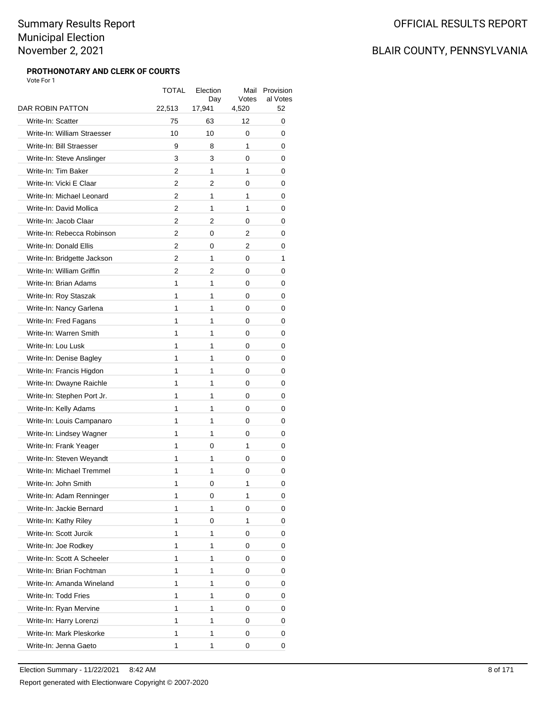#### **PROTHONOTARY AND CLERK OF COURTS** Vote For 1

| DAR ROBIN PATTON            | <b>TOTAL</b><br>22,513 | Election<br>Day<br>17,941 | Mail<br>Votes<br>4,520 | Provision<br>al Votes<br>52 |
|-----------------------------|------------------------|---------------------------|------------------------|-----------------------------|
| Write-In: Scatter           | 75                     | 63                        | 12                     | 0                           |
| Write-In: William Straesser | 10                     | 10                        | 0                      | 0                           |
| Write-In: Bill Straesser    | 9                      | 8                         | 1                      | 0                           |
| Write-In: Steve Anslinger   | 3                      | 3                         | 0                      | 0                           |
| Write-In: Tim Baker         | 2                      | 1                         | 1                      | 0                           |
| Write-In: Vicki E Claar     | 2                      | 2                         | 0                      | 0                           |
| Write-In: Michael Leonard   | 2                      | 1                         | 1                      | 0                           |
| Write-In: David Mollica     | 2                      | 1                         | 1                      | 0                           |
| Write-In: Jacob Claar       | 2                      | 2                         | 0                      | 0                           |
| Write-In: Rebecca Robinson  | 2                      | 0                         | 2                      | 0                           |
| Write-In: Donald Ellis      | 2                      | 0                         | 2                      | 0                           |
| Write-In: Bridgette Jackson | 2                      | 1                         | 0                      | 1                           |
| Write-In: William Griffin   | 2                      | 2                         | 0                      | 0                           |
| Write-In: Brian Adams       | 1                      | 1                         | 0                      | 0                           |
| Write-In: Roy Staszak       | 1                      | 1                         | 0                      | 0                           |
| Write-In: Nancy Garlena     | 1                      | 1                         | 0                      | 0                           |
| Write-In: Fred Fagans       | 1                      | 1                         | 0                      | 0                           |
| Write-In: Warren Smith      | 1                      | 1                         | 0                      | 0                           |
| Write-In: Lou Lusk          | 1                      | 1                         | 0                      | 0                           |
| Write-In: Denise Bagley     | 1                      | 1                         | 0                      | 0                           |
| Write-In: Francis Higdon    | 1                      | 1                         | 0                      | 0                           |
| Write-In: Dwayne Raichle    | 1                      | 1                         | 0                      | 0                           |
| Write-In: Stephen Port Jr.  | 1                      | 1                         | 0                      | 0                           |
| Write-In: Kelly Adams       | 1                      | 1                         | 0                      | 0                           |
| Write-In: Louis Campanaro   | 1                      | 1                         | 0                      | 0                           |
| Write-In: Lindsey Wagner    | 1                      | 1                         | 0                      | 0                           |
| Write-In: Frank Yeager      | 1                      | 0                         | 1                      | 0                           |
| Write-In: Steven Weyandt    | 1                      | 1                         | 0                      | 0                           |
| Write-In: Michael Tremmel   | 1                      | 1                         | 0                      | 0                           |
| Write-In: John Smith        | 1                      | 0                         | 1                      | 0                           |
| Write-In: Adam Renninger    | 1                      | 0                         | 1                      | 0                           |
| Write-In: Jackie Bernard    | 1                      | 1                         | 0                      | 0                           |
| Write-In: Kathy Riley       | 1                      | 0                         | 1                      | 0                           |
| Write-In: Scott Jurcik      | 1                      | 1                         | 0                      | 0                           |
| Write-In: Joe Rodkey        | 1                      | 1                         | 0                      | 0                           |
| Write-In: Scott A Scheeler  | 1                      | 1                         | 0                      | 0                           |
| Write-In: Brian Fochtman    | 1                      | 1                         | 0                      | 0                           |
| Write-In: Amanda Wineland   | 1                      | 1                         | 0                      | 0                           |
| Write-In: Todd Fries        | 1                      | 1                         | 0                      | 0                           |
| Write-In: Ryan Mervine      | 1                      | 1                         | 0                      | 0                           |
| Write-In: Harry Lorenzi     | 1                      | 1                         | 0                      | 0                           |
| Write-In: Mark Pleskorke    | 1                      | 1                         | 0                      | 0                           |
| Write-In: Jenna Gaeto       | 1                      | 1                         | 0                      | 0                           |
|                             |                        |                           |                        |                             |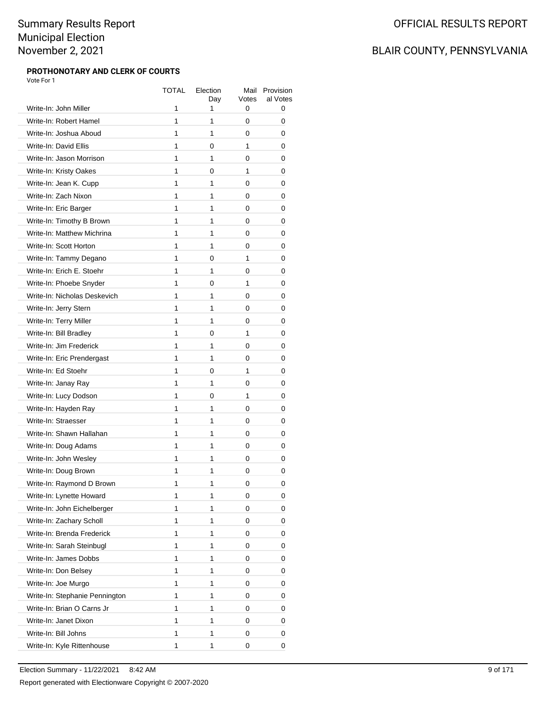#### **PROTHONOTARY AND CLERK OF COURTS** Vote For 1

|                                | TOTAL        | Election<br>Day | Mail<br>Votes | Provision<br>al Votes |
|--------------------------------|--------------|-----------------|---------------|-----------------------|
| Write-In: John Miller          | 1            | 1               | 0             | 0                     |
| Write-In: Robert Hamel         | 1            | 1               | 0             | 0                     |
| Write-In: Joshua Aboud         | $\mathbf{1}$ | 1               | 0             | 0                     |
| Write-In: David Ellis          | 1            | 0               | 1             | 0                     |
| Write-In: Jason Morrison       | 1            | 1               | 0             | 0                     |
| Write-In: Kristy Oakes         | 1            | 0               | 1             | 0                     |
| Write-In: Jean K. Cupp         | 1            | 1               | 0             | 0                     |
| Write-In: Zach Nixon           | 1            | 1               | 0             | 0                     |
| Write-In: Eric Barger          | $\mathbf{1}$ | 1               | 0             | 0                     |
| Write-In: Timothy B Brown      | 1            | 1               | 0             | 0                     |
| Write-In: Matthew Michrina     | 1            | 1               | 0             | 0                     |
| Write-In: Scott Horton         | 1            | 1               | 0             | 0                     |
| Write-In: Tammy Degano         | 1            | 0               | 1             | 0                     |
| Write-In: Erich E. Stoehr      | 1            | 1               | 0             | 0                     |
| Write-In: Phoebe Snyder        | $\mathbf{1}$ | 0               | 1             | 0                     |
| Write-In: Nicholas Deskevich   | 1            | 1               | 0             | 0                     |
| Write-In: Jerry Stern          | 1            | 1               | 0             | 0                     |
| Write-In: Terry Miller         | 1            | 1               | 0             | 0                     |
| Write-In: Bill Bradley         | 1            | 0               | 1             | 0                     |
| Write-In: Jim Frederick        | 1            | 1               | 0             | 0                     |
| Write-In: Eric Prendergast     | $\mathbf{1}$ | 1               | 0             | 0                     |
| Write-In: Ed Stoehr            | 1            | 0               | 1             | 0                     |
| Write-In: Janay Ray            | 1            | 1               | 0             | 0                     |
| Write-In: Lucy Dodson          | 1            | 0               | 1             | 0                     |
| Write-In: Hayden Ray           | 1            | 1               | 0             | 0                     |
| Write-In: Straesser            | 1            | 1               | 0             | 0                     |
| Write-In: Shawn Hallahan       | 1            | 1               | 0             | 0                     |
| Write-In: Doug Adams           | 1            | 1               | 0             | 0                     |
| Write-In: John Wesley          | 1            | 1               | 0             | 0                     |
| Write-In: Doug Brown           | 1            | 1               | 0             | 0                     |
| Write-In: Raymond D Brown      | 1            | 1               | 0             | 0                     |
| Write-In: Lynette Howard       | 1            | 1               | 0             | 0                     |
| Write-In: John Eichelberger    | 1            | 1               | 0             | 0                     |
| Write-In: Zachary Scholl       | 1            | 1               | 0             | 0                     |
| Write-In: Brenda Frederick     | 1            | 1               | 0             | 0                     |
| Write-In: Sarah Steinbugl      | 1            | 1               | 0             | 0                     |
| Write-In: James Dobbs          | 1            | 1               | 0             | 0                     |
| Write-In: Don Belsey           | 1            | 1               | 0             | 0                     |
| Write-In: Joe Murgo            | 1            | 1               | 0             | 0                     |
| Write-In: Stephanie Pennington | 1            | 1               | 0             | 0                     |
| Write-In: Brian O Carns Jr     | 1            | 1               | 0             | 0                     |
| Write-In: Janet Dixon          | 1            | 1               | 0             | 0                     |
| Write-In: Bill Johns           | 1            | 1               | 0             | 0                     |
| Write-In: Kyle Rittenhouse     | 1            | 1               | 0             | 0                     |
|                                |              |                 |               |                       |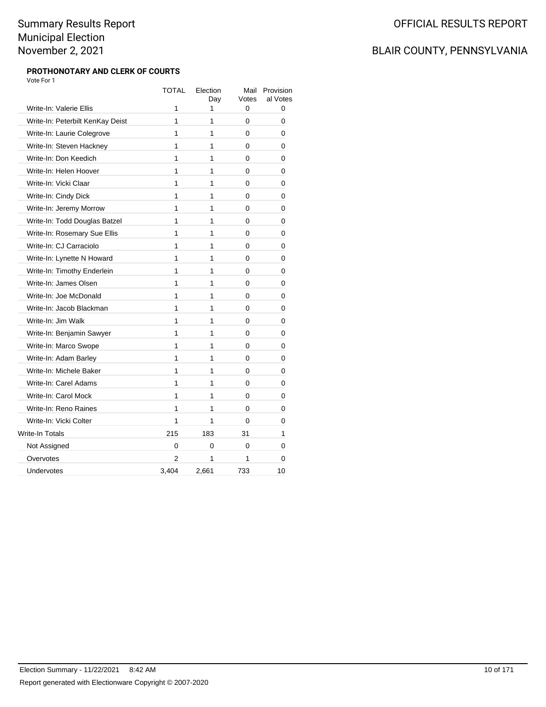#### **PROTHONOTARY AND CLERK OF COURTS** Vote For 1

|                                  | <b>TOTAL</b> | Election<br>Day | Mail<br>Votes | Provision<br>al Votes |
|----------------------------------|--------------|-----------------|---------------|-----------------------|
| Write-In: Valerie Ellis          | 1            | 1               | 0             | 0                     |
| Write-In: Peterbilt KenKay Deist | 1            | 1               | 0             | 0                     |
| Write-In: Laurie Colegrove       | 1            | 1               | $\Omega$      | 0                     |
| Write-In: Steven Hackney         | 1            | 1               | 0             | 0                     |
| Write-In: Don Keedich            | 1            | 1               | 0             | 0                     |
| Write-In: Helen Hoover           | 1            | 1               | 0             | 0                     |
| Write-In: Vicki Claar            | 1            | 1               | 0             | 0                     |
| Write-In: Cindy Dick             | 1            | 1               | 0             | 0                     |
| Write-In: Jeremy Morrow          | 1            | 1               | 0             | 0                     |
| Write-In: Todd Douglas Batzel    | 1            | 1               | 0             | 0                     |
| Write-In: Rosemary Sue Ellis     | 1            | 1               | 0             | 0                     |
| Write-In: CJ Carraciolo          | 1            | 1               | 0             | 0                     |
| Write-In: Lynette N Howard       | 1            | 1               | 0             | 0                     |
| Write-In: Timothy Enderlein      | 1            | 1               | 0             | 0                     |
| Write-In: James Olsen            | 1            | 1               | 0             | 0                     |
| Write-In: Joe McDonald           | 1            | 1               | 0             | 0                     |
| Write-In: Jacob Blackman         | 1            | 1               | 0             | 0                     |
| Write-In: Jim Walk               | 1            | 1               | 0             | 0                     |
| Write-In: Benjamin Sawyer        | 1            | 1               | 0             | 0                     |
| Write-In: Marco Swope            | 1            | 1               | $\Omega$      | 0                     |
| Write-In: Adam Barley            | 1            | 1               | 0             | 0                     |
| Write-In: Michele Baker          | 1            | 1               | 0             | 0                     |
| Write-In: Carel Adams            | 1            | 1               | 0             | 0                     |
| Write-In: Carol Mock             | 1            | 1               | 0             | 0                     |
| Write-In: Reno Raines            | 1            | 1               | $\Omega$      | 0                     |
| Write-In: Vicki Colter           | 1            | 1               | 0             | 0                     |
| <b>Write-In Totals</b>           | 215          | 183             | 31            | 1                     |
| Not Assigned                     | 0            | 0               | $\Omega$      | 0                     |
| Overvotes                        | 2            | 1               | 1             | 0                     |
| Undervotes                       | 3,404        | 2,661           | 733           | 10                    |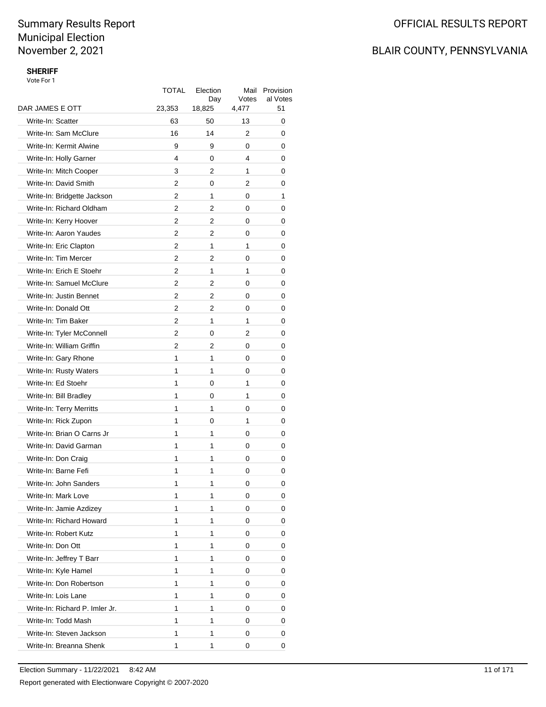## OFFICIAL RESULTS REPORT

## BLAIR COUNTY, PENNSYLVANIA

### **SHERIFF**

| DAR JAMES E OTT<br>51<br>23,353<br>18,825<br>4,477<br>Write-In: Scatter<br>50<br>13<br>63<br>0<br>Write-In: Sam McClure<br>16<br>14<br>2<br>0<br>Write-In: Kermit Alwine<br>9<br>9<br>0<br>0<br>Write-In: Holly Garner<br>4<br>0<br>4<br>0<br>Write-In: Mitch Cooper<br>3<br>2<br>1<br>0<br>Write-In: David Smith<br>2<br>0<br>2<br>0<br>$\overline{2}$<br>Write-In: Bridgette Jackson<br>1<br>0<br>1<br>Write-In: Richard Oldham<br>2<br>2<br>0<br>0<br>Write-In: Kerry Hoover<br>2<br>2<br>0<br>0<br>$\overline{2}$<br>Write-In: Aaron Yaudes<br>2<br>0<br>0<br>2<br>1<br>Write-In: Eric Clapton<br>1<br>0<br>Write-In: Tim Mercer<br>2<br>2<br>0<br>0<br>$\overline{2}$<br>Write-In: Erich E Stoehr<br>1<br>1<br>0<br>Write-In: Samuel McClure<br>$\overline{2}$<br>2<br>0<br>0<br>Write-In: Justin Bennet<br>2<br>2<br>0<br>0<br>$\overline{2}$<br>Write-In: Donald Ott<br>2<br>0<br>0<br>2<br>1<br>Write-In: Tim Baker<br>1<br>0<br>Write-In: Tyler McConnell<br>2<br>2<br>0<br>0<br>Write-In: William Griffin<br>2<br>2<br>0<br>0<br>1<br>Write-In: Gary Rhone<br>1<br>0<br>0<br>Write-In: Rusty Waters<br>1<br>1<br>0<br>0<br>Write-In: Ed Stoehr<br>1<br>0<br>1<br>0<br>1<br>1<br>Write-In: Bill Bradley<br>0<br>0<br>Write-In: Terry Merritts<br>1<br>1<br>0<br>0<br>Write-In: Rick Zupon<br>1<br>0<br>1<br>0<br>1<br>Write-In: Brian O Carns Jr<br>1<br>0<br>0<br>Write-In: David Garman<br>1<br>1<br>0<br>0<br>Write-In: Don Craig<br>1<br>1<br>0<br>0<br>1<br>Write-In: Barne Fefi<br>1<br>0<br>0<br>Write-In: John Sanders<br>1<br>1<br>0<br>0<br>Write-In: Mark Love<br>1<br>1<br>0<br>0<br>1<br>Write-In: Jamie Azdizey<br>1<br>0<br>0<br>Write-In: Richard Howard<br>1<br>1<br>0<br>0<br>Write-In: Robert Kutz<br>1<br>1<br>0<br>0<br>Write-In: Don Ott<br>1<br>1<br>0<br>0<br>Write-In: Jeffrey T Barr<br>1<br>1<br>0<br>0<br>Write-In: Kyle Hamel<br>1<br>1<br>0<br>0<br>1<br>Write-In: Don Robertson<br>1<br>0<br>0<br>Write-In: Lois Lane<br>1<br>1<br>0<br>0<br>Write-In: Richard P. Imler Jr.<br>1<br>1<br>0<br>0<br>Write-In: Todd Mash<br>1<br>1<br>0<br>0<br>Write-In: Steven Jackson<br>1<br>1<br>0<br>0<br>Write-In: Breanna Shenk<br>1<br>1<br>0<br>0 | TOTAL | Election<br>Day | Mail<br>Votes | Provision<br>al Votes |
|-----------------------------------------------------------------------------------------------------------------------------------------------------------------------------------------------------------------------------------------------------------------------------------------------------------------------------------------------------------------------------------------------------------------------------------------------------------------------------------------------------------------------------------------------------------------------------------------------------------------------------------------------------------------------------------------------------------------------------------------------------------------------------------------------------------------------------------------------------------------------------------------------------------------------------------------------------------------------------------------------------------------------------------------------------------------------------------------------------------------------------------------------------------------------------------------------------------------------------------------------------------------------------------------------------------------------------------------------------------------------------------------------------------------------------------------------------------------------------------------------------------------------------------------------------------------------------------------------------------------------------------------------------------------------------------------------------------------------------------------------------------------------------------------------------------------------------------------------------------------------------------------------------------------------------------------------------------------------------------------------------------------------------------------------------------------------------------------------------------------------------------------------------------------------------------|-------|-----------------|---------------|-----------------------|
|                                                                                                                                                                                                                                                                                                                                                                                                                                                                                                                                                                                                                                                                                                                                                                                                                                                                                                                                                                                                                                                                                                                                                                                                                                                                                                                                                                                                                                                                                                                                                                                                                                                                                                                                                                                                                                                                                                                                                                                                                                                                                                                                                                                   |       |                 |               |                       |
|                                                                                                                                                                                                                                                                                                                                                                                                                                                                                                                                                                                                                                                                                                                                                                                                                                                                                                                                                                                                                                                                                                                                                                                                                                                                                                                                                                                                                                                                                                                                                                                                                                                                                                                                                                                                                                                                                                                                                                                                                                                                                                                                                                                   |       |                 |               |                       |
|                                                                                                                                                                                                                                                                                                                                                                                                                                                                                                                                                                                                                                                                                                                                                                                                                                                                                                                                                                                                                                                                                                                                                                                                                                                                                                                                                                                                                                                                                                                                                                                                                                                                                                                                                                                                                                                                                                                                                                                                                                                                                                                                                                                   |       |                 |               |                       |
|                                                                                                                                                                                                                                                                                                                                                                                                                                                                                                                                                                                                                                                                                                                                                                                                                                                                                                                                                                                                                                                                                                                                                                                                                                                                                                                                                                                                                                                                                                                                                                                                                                                                                                                                                                                                                                                                                                                                                                                                                                                                                                                                                                                   |       |                 |               |                       |
|                                                                                                                                                                                                                                                                                                                                                                                                                                                                                                                                                                                                                                                                                                                                                                                                                                                                                                                                                                                                                                                                                                                                                                                                                                                                                                                                                                                                                                                                                                                                                                                                                                                                                                                                                                                                                                                                                                                                                                                                                                                                                                                                                                                   |       |                 |               |                       |
|                                                                                                                                                                                                                                                                                                                                                                                                                                                                                                                                                                                                                                                                                                                                                                                                                                                                                                                                                                                                                                                                                                                                                                                                                                                                                                                                                                                                                                                                                                                                                                                                                                                                                                                                                                                                                                                                                                                                                                                                                                                                                                                                                                                   |       |                 |               |                       |
|                                                                                                                                                                                                                                                                                                                                                                                                                                                                                                                                                                                                                                                                                                                                                                                                                                                                                                                                                                                                                                                                                                                                                                                                                                                                                                                                                                                                                                                                                                                                                                                                                                                                                                                                                                                                                                                                                                                                                                                                                                                                                                                                                                                   |       |                 |               |                       |
|                                                                                                                                                                                                                                                                                                                                                                                                                                                                                                                                                                                                                                                                                                                                                                                                                                                                                                                                                                                                                                                                                                                                                                                                                                                                                                                                                                                                                                                                                                                                                                                                                                                                                                                                                                                                                                                                                                                                                                                                                                                                                                                                                                                   |       |                 |               |                       |
|                                                                                                                                                                                                                                                                                                                                                                                                                                                                                                                                                                                                                                                                                                                                                                                                                                                                                                                                                                                                                                                                                                                                                                                                                                                                                                                                                                                                                                                                                                                                                                                                                                                                                                                                                                                                                                                                                                                                                                                                                                                                                                                                                                                   |       |                 |               |                       |
|                                                                                                                                                                                                                                                                                                                                                                                                                                                                                                                                                                                                                                                                                                                                                                                                                                                                                                                                                                                                                                                                                                                                                                                                                                                                                                                                                                                                                                                                                                                                                                                                                                                                                                                                                                                                                                                                                                                                                                                                                                                                                                                                                                                   |       |                 |               |                       |
|                                                                                                                                                                                                                                                                                                                                                                                                                                                                                                                                                                                                                                                                                                                                                                                                                                                                                                                                                                                                                                                                                                                                                                                                                                                                                                                                                                                                                                                                                                                                                                                                                                                                                                                                                                                                                                                                                                                                                                                                                                                                                                                                                                                   |       |                 |               |                       |
|                                                                                                                                                                                                                                                                                                                                                                                                                                                                                                                                                                                                                                                                                                                                                                                                                                                                                                                                                                                                                                                                                                                                                                                                                                                                                                                                                                                                                                                                                                                                                                                                                                                                                                                                                                                                                                                                                                                                                                                                                                                                                                                                                                                   |       |                 |               |                       |
|                                                                                                                                                                                                                                                                                                                                                                                                                                                                                                                                                                                                                                                                                                                                                                                                                                                                                                                                                                                                                                                                                                                                                                                                                                                                                                                                                                                                                                                                                                                                                                                                                                                                                                                                                                                                                                                                                                                                                                                                                                                                                                                                                                                   |       |                 |               |                       |
|                                                                                                                                                                                                                                                                                                                                                                                                                                                                                                                                                                                                                                                                                                                                                                                                                                                                                                                                                                                                                                                                                                                                                                                                                                                                                                                                                                                                                                                                                                                                                                                                                                                                                                                                                                                                                                                                                                                                                                                                                                                                                                                                                                                   |       |                 |               |                       |
|                                                                                                                                                                                                                                                                                                                                                                                                                                                                                                                                                                                                                                                                                                                                                                                                                                                                                                                                                                                                                                                                                                                                                                                                                                                                                                                                                                                                                                                                                                                                                                                                                                                                                                                                                                                                                                                                                                                                                                                                                                                                                                                                                                                   |       |                 |               |                       |
|                                                                                                                                                                                                                                                                                                                                                                                                                                                                                                                                                                                                                                                                                                                                                                                                                                                                                                                                                                                                                                                                                                                                                                                                                                                                                                                                                                                                                                                                                                                                                                                                                                                                                                                                                                                                                                                                                                                                                                                                                                                                                                                                                                                   |       |                 |               |                       |
|                                                                                                                                                                                                                                                                                                                                                                                                                                                                                                                                                                                                                                                                                                                                                                                                                                                                                                                                                                                                                                                                                                                                                                                                                                                                                                                                                                                                                                                                                                                                                                                                                                                                                                                                                                                                                                                                                                                                                                                                                                                                                                                                                                                   |       |                 |               |                       |
|                                                                                                                                                                                                                                                                                                                                                                                                                                                                                                                                                                                                                                                                                                                                                                                                                                                                                                                                                                                                                                                                                                                                                                                                                                                                                                                                                                                                                                                                                                                                                                                                                                                                                                                                                                                                                                                                                                                                                                                                                                                                                                                                                                                   |       |                 |               |                       |
|                                                                                                                                                                                                                                                                                                                                                                                                                                                                                                                                                                                                                                                                                                                                                                                                                                                                                                                                                                                                                                                                                                                                                                                                                                                                                                                                                                                                                                                                                                                                                                                                                                                                                                                                                                                                                                                                                                                                                                                                                                                                                                                                                                                   |       |                 |               |                       |
|                                                                                                                                                                                                                                                                                                                                                                                                                                                                                                                                                                                                                                                                                                                                                                                                                                                                                                                                                                                                                                                                                                                                                                                                                                                                                                                                                                                                                                                                                                                                                                                                                                                                                                                                                                                                                                                                                                                                                                                                                                                                                                                                                                                   |       |                 |               |                       |
|                                                                                                                                                                                                                                                                                                                                                                                                                                                                                                                                                                                                                                                                                                                                                                                                                                                                                                                                                                                                                                                                                                                                                                                                                                                                                                                                                                                                                                                                                                                                                                                                                                                                                                                                                                                                                                                                                                                                                                                                                                                                                                                                                                                   |       |                 |               |                       |
|                                                                                                                                                                                                                                                                                                                                                                                                                                                                                                                                                                                                                                                                                                                                                                                                                                                                                                                                                                                                                                                                                                                                                                                                                                                                                                                                                                                                                                                                                                                                                                                                                                                                                                                                                                                                                                                                                                                                                                                                                                                                                                                                                                                   |       |                 |               |                       |
|                                                                                                                                                                                                                                                                                                                                                                                                                                                                                                                                                                                                                                                                                                                                                                                                                                                                                                                                                                                                                                                                                                                                                                                                                                                                                                                                                                                                                                                                                                                                                                                                                                                                                                                                                                                                                                                                                                                                                                                                                                                                                                                                                                                   |       |                 |               |                       |
|                                                                                                                                                                                                                                                                                                                                                                                                                                                                                                                                                                                                                                                                                                                                                                                                                                                                                                                                                                                                                                                                                                                                                                                                                                                                                                                                                                                                                                                                                                                                                                                                                                                                                                                                                                                                                                                                                                                                                                                                                                                                                                                                                                                   |       |                 |               |                       |
|                                                                                                                                                                                                                                                                                                                                                                                                                                                                                                                                                                                                                                                                                                                                                                                                                                                                                                                                                                                                                                                                                                                                                                                                                                                                                                                                                                                                                                                                                                                                                                                                                                                                                                                                                                                                                                                                                                                                                                                                                                                                                                                                                                                   |       |                 |               |                       |
|                                                                                                                                                                                                                                                                                                                                                                                                                                                                                                                                                                                                                                                                                                                                                                                                                                                                                                                                                                                                                                                                                                                                                                                                                                                                                                                                                                                                                                                                                                                                                                                                                                                                                                                                                                                                                                                                                                                                                                                                                                                                                                                                                                                   |       |                 |               |                       |
|                                                                                                                                                                                                                                                                                                                                                                                                                                                                                                                                                                                                                                                                                                                                                                                                                                                                                                                                                                                                                                                                                                                                                                                                                                                                                                                                                                                                                                                                                                                                                                                                                                                                                                                                                                                                                                                                                                                                                                                                                                                                                                                                                                                   |       |                 |               |                       |
|                                                                                                                                                                                                                                                                                                                                                                                                                                                                                                                                                                                                                                                                                                                                                                                                                                                                                                                                                                                                                                                                                                                                                                                                                                                                                                                                                                                                                                                                                                                                                                                                                                                                                                                                                                                                                                                                                                                                                                                                                                                                                                                                                                                   |       |                 |               |                       |
|                                                                                                                                                                                                                                                                                                                                                                                                                                                                                                                                                                                                                                                                                                                                                                                                                                                                                                                                                                                                                                                                                                                                                                                                                                                                                                                                                                                                                                                                                                                                                                                                                                                                                                                                                                                                                                                                                                                                                                                                                                                                                                                                                                                   |       |                 |               |                       |
|                                                                                                                                                                                                                                                                                                                                                                                                                                                                                                                                                                                                                                                                                                                                                                                                                                                                                                                                                                                                                                                                                                                                                                                                                                                                                                                                                                                                                                                                                                                                                                                                                                                                                                                                                                                                                                                                                                                                                                                                                                                                                                                                                                                   |       |                 |               |                       |
|                                                                                                                                                                                                                                                                                                                                                                                                                                                                                                                                                                                                                                                                                                                                                                                                                                                                                                                                                                                                                                                                                                                                                                                                                                                                                                                                                                                                                                                                                                                                                                                                                                                                                                                                                                                                                                                                                                                                                                                                                                                                                                                                                                                   |       |                 |               |                       |
|                                                                                                                                                                                                                                                                                                                                                                                                                                                                                                                                                                                                                                                                                                                                                                                                                                                                                                                                                                                                                                                                                                                                                                                                                                                                                                                                                                                                                                                                                                                                                                                                                                                                                                                                                                                                                                                                                                                                                                                                                                                                                                                                                                                   |       |                 |               |                       |
|                                                                                                                                                                                                                                                                                                                                                                                                                                                                                                                                                                                                                                                                                                                                                                                                                                                                                                                                                                                                                                                                                                                                                                                                                                                                                                                                                                                                                                                                                                                                                                                                                                                                                                                                                                                                                                                                                                                                                                                                                                                                                                                                                                                   |       |                 |               |                       |
|                                                                                                                                                                                                                                                                                                                                                                                                                                                                                                                                                                                                                                                                                                                                                                                                                                                                                                                                                                                                                                                                                                                                                                                                                                                                                                                                                                                                                                                                                                                                                                                                                                                                                                                                                                                                                                                                                                                                                                                                                                                                                                                                                                                   |       |                 |               |                       |
|                                                                                                                                                                                                                                                                                                                                                                                                                                                                                                                                                                                                                                                                                                                                                                                                                                                                                                                                                                                                                                                                                                                                                                                                                                                                                                                                                                                                                                                                                                                                                                                                                                                                                                                                                                                                                                                                                                                                                                                                                                                                                                                                                                                   |       |                 |               |                       |
|                                                                                                                                                                                                                                                                                                                                                                                                                                                                                                                                                                                                                                                                                                                                                                                                                                                                                                                                                                                                                                                                                                                                                                                                                                                                                                                                                                                                                                                                                                                                                                                                                                                                                                                                                                                                                                                                                                                                                                                                                                                                                                                                                                                   |       |                 |               |                       |
|                                                                                                                                                                                                                                                                                                                                                                                                                                                                                                                                                                                                                                                                                                                                                                                                                                                                                                                                                                                                                                                                                                                                                                                                                                                                                                                                                                                                                                                                                                                                                                                                                                                                                                                                                                                                                                                                                                                                                                                                                                                                                                                                                                                   |       |                 |               |                       |
|                                                                                                                                                                                                                                                                                                                                                                                                                                                                                                                                                                                                                                                                                                                                                                                                                                                                                                                                                                                                                                                                                                                                                                                                                                                                                                                                                                                                                                                                                                                                                                                                                                                                                                                                                                                                                                                                                                                                                                                                                                                                                                                                                                                   |       |                 |               |                       |
|                                                                                                                                                                                                                                                                                                                                                                                                                                                                                                                                                                                                                                                                                                                                                                                                                                                                                                                                                                                                                                                                                                                                                                                                                                                                                                                                                                                                                                                                                                                                                                                                                                                                                                                                                                                                                                                                                                                                                                                                                                                                                                                                                                                   |       |                 |               |                       |
|                                                                                                                                                                                                                                                                                                                                                                                                                                                                                                                                                                                                                                                                                                                                                                                                                                                                                                                                                                                                                                                                                                                                                                                                                                                                                                                                                                                                                                                                                                                                                                                                                                                                                                                                                                                                                                                                                                                                                                                                                                                                                                                                                                                   |       |                 |               |                       |
|                                                                                                                                                                                                                                                                                                                                                                                                                                                                                                                                                                                                                                                                                                                                                                                                                                                                                                                                                                                                                                                                                                                                                                                                                                                                                                                                                                                                                                                                                                                                                                                                                                                                                                                                                                                                                                                                                                                                                                                                                                                                                                                                                                                   |       |                 |               |                       |
|                                                                                                                                                                                                                                                                                                                                                                                                                                                                                                                                                                                                                                                                                                                                                                                                                                                                                                                                                                                                                                                                                                                                                                                                                                                                                                                                                                                                                                                                                                                                                                                                                                                                                                                                                                                                                                                                                                                                                                                                                                                                                                                                                                                   |       |                 |               |                       |
|                                                                                                                                                                                                                                                                                                                                                                                                                                                                                                                                                                                                                                                                                                                                                                                                                                                                                                                                                                                                                                                                                                                                                                                                                                                                                                                                                                                                                                                                                                                                                                                                                                                                                                                                                                                                                                                                                                                                                                                                                                                                                                                                                                                   |       |                 |               |                       |
|                                                                                                                                                                                                                                                                                                                                                                                                                                                                                                                                                                                                                                                                                                                                                                                                                                                                                                                                                                                                                                                                                                                                                                                                                                                                                                                                                                                                                                                                                                                                                                                                                                                                                                                                                                                                                                                                                                                                                                                                                                                                                                                                                                                   |       |                 |               |                       |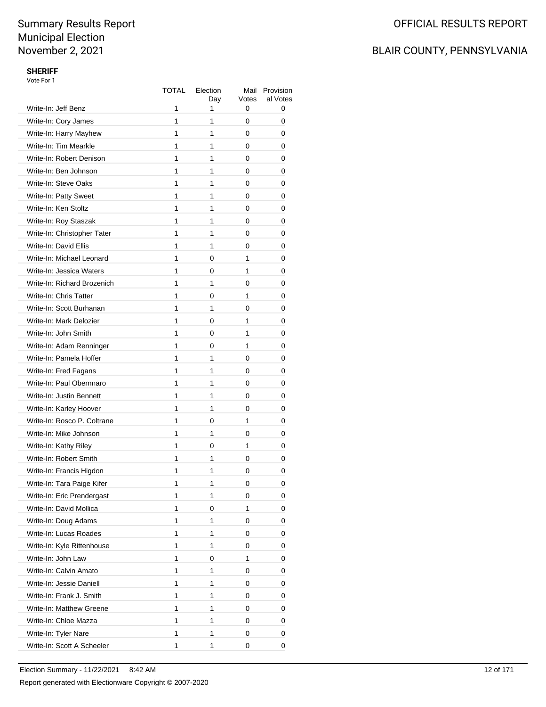## BLAIR COUNTY, PENNSYLVANIA

### **SHERIFF**

| Write-In: Jeff Benz         | TOTAL<br>1 | Election<br>Day<br>1 | Mail<br>Votes<br>0 | Provision<br>al Votes<br>0 |
|-----------------------------|------------|----------------------|--------------------|----------------------------|
| Write-In: Cory James        | 1          | 1                    | 0                  | 0                          |
| Write-In: Harry Mayhew      | 1          | 1                    | 0                  | 0                          |
| Write-In: Tim Mearkle       | 1          | 1                    | 0                  | 0                          |
| Write-In: Robert Denison    | 1          | 1                    | 0                  | 0                          |
| Write-In: Ben Johnson       | 1          | 1                    | 0                  | 0                          |
| Write-In: Steve Oaks        | 1          | 1                    | 0                  | 0                          |
| Write-In: Patty Sweet       | 1          | 1                    | 0                  | 0                          |
| Write-In: Ken Stoltz        | 1          | 1                    | 0                  | 0                          |
| Write-In: Roy Staszak       | 1          | 1                    | 0                  | 0                          |
| Write-In: Christopher Tater | 1          | 1                    | 0                  | 0                          |
| Write-In: David Ellis       | 1          | 1                    | 0                  | 0                          |
| Write-In: Michael Leonard   | 1          | 0                    | 1                  | 0                          |
| Write-In: Jessica Waters    | 1          | 0                    | 1                  | 0                          |
| Write-In: Richard Brozenich | 1          | 1                    | 0                  | 0                          |
| Write-In: Chris Tatter      | 1          | 0                    | 1                  | 0                          |
| Write-In: Scott Burhanan    | 1          | 1                    | 0                  | 0                          |
| Write-In: Mark Delozier     | 1          | 0                    | 1                  | 0                          |
| Write-In: John Smith        | 1          | 0                    | 1                  | 0                          |
| Write-In: Adam Renninger    | 1          | 0                    | 1                  | 0                          |
| Write-In: Pamela Hoffer     | 1          | 1                    | 0                  | 0                          |
| Write-In: Fred Fagans       | 1          | 1                    | 0                  | 0                          |
| Write-In: Paul Obernnaro    | 1          | 1                    | 0                  | 0                          |
| Write-In: Justin Bennett    | 1          | 1                    | 0                  | 0                          |
| Write-In: Karley Hoover     | 1          | 1                    | 0                  | 0                          |
| Write-In: Rosco P. Coltrane | 1          | 0                    | 1                  | 0                          |
| Write-In: Mike Johnson      | 1          | 1                    | 0                  | 0                          |
| Write-In: Kathy Riley       | 1          | 0                    | 1                  | 0                          |
| Write-In: Robert Smith      | 1          | 1                    | 0                  | 0                          |
| Write-In: Francis Higdon    | 1          | 1                    | 0                  | 0                          |
| Write-In: Tara Paige Kifer  | 1          | 1                    | 0                  | 0                          |
| Write-In: Eric Prendergast  | 1          | 1                    | 0                  | 0                          |
| Write-In: David Mollica     | 1          | 0                    | 1                  | 0                          |
| Write-In: Doug Adams        | 1          | 1                    | 0                  | 0                          |
| Write-In: Lucas Roades      | 1          | 1                    | 0                  | 0                          |
| Write-In: Kyle Rittenhouse  | 1          | 1                    | 0                  | 0                          |
| Write-In: John Law          | 1          | 0                    | 1                  | 0                          |
| Write-In: Calvin Amato      | 1          | 1                    | 0                  | 0                          |
| Write-In: Jessie Daniell    | 1          | 1                    | 0                  | 0                          |
| Write-In: Frank J. Smith    | 1          | 1                    | 0                  | 0                          |
| Write-In: Matthew Greene    | 1          | 1                    | 0                  | 0                          |
| Write-In: Chloe Mazza       | 1          | 1                    | 0                  | 0                          |
| Write-In: Tyler Nare        | 1          | 1                    | 0                  | 0                          |
| Write-In: Scott A Scheeler  | 1          | 1                    | 0                  | 0                          |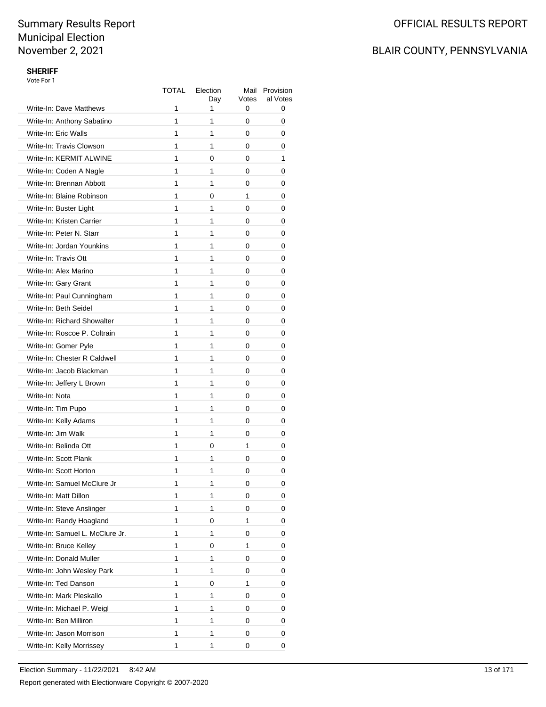## BLAIR COUNTY, PENNSYLVANIA

### **SHERIFF**

|                                 | TOTAL | Election<br>Day | Mail<br>Votes | Provision<br>al Votes |
|---------------------------------|-------|-----------------|---------------|-----------------------|
| Write-In: Dave Matthews         | 1     | 1               | 0             | 0                     |
| Write-In: Anthony Sabatino      | 1     | 1               | 0             | 0                     |
| Write-In: Eric Walls            | 1     | 1               | 0             | 0                     |
| Write-In: Travis Clowson        | 1     | 1               | 0             | 0                     |
| Write-In: KERMIT ALWINE         | 1     | 0               | 0             | 1                     |
| Write-In: Coden A Nagle         | 1     | 1               | 0             | 0                     |
| Write-In: Brennan Abbott        | 1     | 1               | 0             | 0                     |
| Write-In: Blaine Robinson       | 1     | 0               | 1             | 0                     |
| Write-In: Buster Light          | 1     | 1               | 0             | 0                     |
| Write-In: Kristen Carrier       | 1     | 1               | 0             | 0                     |
| Write-In: Peter N. Starr        | 1     | 1               | 0             | 0                     |
| Write-In: Jordan Younkins       | 1     | 1               | 0             | 0                     |
| Write-In: Travis Ott            | 1     | 1               | 0             | 0                     |
| Write-In: Alex Marino           | 1     | 1               | 0             | 0                     |
| Write-In: Gary Grant            | 1     | 1               | 0             | 0                     |
| Write-In: Paul Cunningham       | 1     | 1               | 0             | 0                     |
| Write-In: Beth Seidel           | 1     | 1               | 0             | 0                     |
| Write-In: Richard Showalter     | 1     | 1               | 0             | 0                     |
| Write-In: Roscoe P. Coltrain    | 1     | 1               | 0             | 0                     |
| Write-In: Gomer Pyle            | 1     | 1               | 0             | 0                     |
| Write-In: Chester R Caldwell    | 1     | 1               | 0             | 0                     |
| Write-In: Jacob Blackman        | 1     | 1               | 0             | 0                     |
| Write-In: Jeffery L Brown       | 1     | 1               | 0             | 0                     |
| Write-In: Nota                  | 1     | 1               | 0             | 0                     |
| Write-In: Tim Pupo              | 1     | 1               | 0             | 0                     |
| Write-In: Kelly Adams           | 1     | 1               | 0             | 0                     |
| Write-In: Jim Walk              | 1     | 1               | 0             | 0                     |
| Write-In: Belinda Ott           | 1     | 0               | 1             | 0                     |
| Write-In: Scott Plank           | 1     | 1               | 0             | 0                     |
| Write-In: Scott Horton          | 1     | 1               | 0             | 0                     |
| Write-In: Samuel McClure Jr     | 1     | 1               | 0             | 0                     |
| Write-In: Matt Dillon           | 1     | 1               | 0             | 0                     |
| Write-In: Steve Anslinger       | 1     | 1               | 0             | 0                     |
| Write-In: Randy Hoagland        | 1     | 0               | 1             | 0                     |
| Write-In: Samuel L. McClure Jr. | 1     | 1               | 0             | 0                     |
| Write-In: Bruce Kelley          | 1     | 0               | 1             | 0                     |
| Write-In: Donald Muller         | 1     | 1               | 0             | 0                     |
| Write-In: John Wesley Park      | 1     | 1               | 0             | 0                     |
| Write-In: Ted Danson            | 1     | 0               | 1             | 0                     |
| Write-In: Mark Pleskallo        | 1     | 1               | 0             | 0                     |
| Write-In: Michael P. Weigl      | 1     | 1               | 0             | 0                     |
| Write-In: Ben Milliron          | 1     | 1               | 0             | 0                     |
| Write-In: Jason Morrison        | 1     | 1               | 0             | 0                     |
| Write-In: Kelly Morrissey       | 1     | 1               | 0             | 0                     |
|                                 |       |                 |               |                       |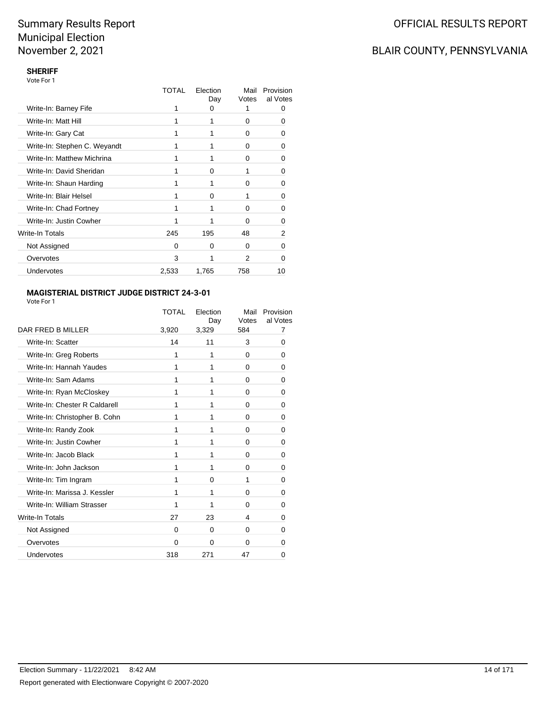## BLAIR COUNTY, PENNSYLVANIA

### **SHERIFF**

| Vote For 1 |
|------------|
|------------|

|                              | TOTAL    | Election<br>Day | Mail<br>Votes | Provision<br>al Votes |
|------------------------------|----------|-----------------|---------------|-----------------------|
| Write-In: Barney Fife        |          | 0               | 1             |                       |
| Write-In: Matt Hill          |          |                 | 0             | 0                     |
| Write-In: Gary Cat           |          |                 | 0             | O                     |
| Write-In: Stephen C. Weyandt |          |                 | 0             | 0                     |
| Write-In: Matthew Michrina   | 1        |                 | 0             | 0                     |
| Write-In: David Sheridan     |          | O               |               | 0                     |
| Write-In: Shaun Harding      | 1        |                 | 0             | 0                     |
| Write-In: Blair Helsel       | 1        | $\Omega$        |               | 0                     |
| Write-In: Chad Fortney       | 1        |                 | 0             | 0                     |
| Write-In: Justin Cowher      | 1        |                 | ŋ             | 0                     |
| Write-In Totals              | 245      | 195             | 48            | 2                     |
| Not Assigned                 | $\Omega$ | $\Omega$        | $\Omega$      | ∩                     |
| Overvotes                    | 3        |                 | 2             | n                     |
| <b>Undervotes</b>            | 2,533    | 1,765           | 758           | 10                    |

### **MAGISTERIAL DISTRICT JUDGE DISTRICT 24-3-01**

|                               | TOTAL    | Election<br>Day | Mail<br>Votes | Provision<br>al Votes |
|-------------------------------|----------|-----------------|---------------|-----------------------|
| DAR FRED B MILLER             | 3,920    | 3,329           | 584           | 7                     |
| Write-In: Scatter             | 14       | 11              | 3             | 0                     |
| Write-In: Greg Roberts        | 1        | 1               | 0             | 0                     |
| Write-In: Hannah Yaudes       | 1        | 1               | 0             | 0                     |
| Write-In: Sam Adams           | 1        | 1               | 0             | 0                     |
| Write-In: Ryan McCloskey      | 1        | 1               | $\Omega$      | 0                     |
| Write-In: Chester R Caldarell | 1        | 1               | 0             | 0                     |
| Write-In: Christopher B. Cohn | 1        | 1               | 0             | 0                     |
| Write-In: Randy Zook          | 1        | 1               | 0             | 0                     |
| Write-In: Justin Cowher       | 1        | 1               | 0             | 0                     |
| Write-In: Jacob Black         | 1        | 1               | $\Omega$      | 0                     |
| Write-In: John Jackson        | 1        | 1               | 0             | 0                     |
| Write-In: Tim Ingram          | 1        | 0               | 1             | 0                     |
| Write-In: Marissa J. Kessler  | 1        | 1               | 0             | 0                     |
| Write-In: William Strasser    | 1        | 1               | 0             | 0                     |
| <b>Write-In Totals</b>        | 27       | 23              | 4             | 0                     |
| Not Assigned                  | $\Omega$ | $\Omega$        | 0             | 0                     |
| Overvotes                     | $\Omega$ | $\Omega$        | $\Omega$      | O                     |
| Undervotes                    | 318      | 271             | 47            | 0                     |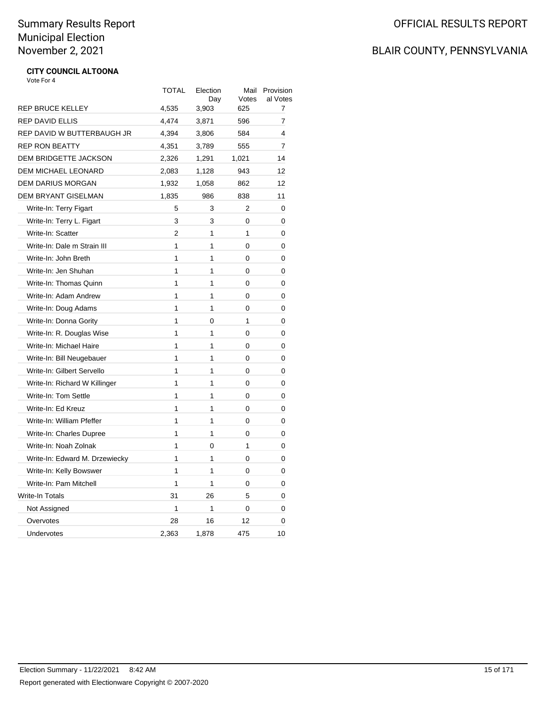## BLAIR COUNTY, PENNSYLVANIA

#### **CITY COUNCIL ALTOONA** Vote For 4

|                                | TOTAL        | Election<br>Day | Mail<br>Votes  | Provision<br>al Votes |
|--------------------------------|--------------|-----------------|----------------|-----------------------|
| <b>REP BRUCE KELLEY</b>        | 4,535        | 3,903           | 625            | 7                     |
| <b>REP DAVID ELLIS</b>         | 4,474        | 3,871           | 596            | 7                     |
| REP DAVID W BUTTERBAUGH JR     | 4,394        | 3,806           | 584            | 4                     |
| <b>REP RON BEATTY</b>          | 4,351        | 3,789           | 555            | 7                     |
| DEM BRIDGETTE JACKSON          | 2,326        | 1,291           | 1,021          | 14                    |
| DEM MICHAEL LEONARD            | 2,083        | 1,128           | 943            | 12                    |
| <b>DEM DARIUS MORGAN</b>       | 1,932        | 1,058           | 862            | 12                    |
| <b>DEM BRYANT GISELMAN</b>     | 1,835        | 986             | 838            | 11                    |
| Write-In: Terry Figart         | 5            | 3               | 2              | 0                     |
| Write-In: Terry L. Figart      | 3            | 3               | 0              | 0                     |
| Write-In: Scatter              | 2            | 1               | 1              | 0                     |
| Write-In: Dale m Strain III    | $\mathbf{1}$ | 1               | 0              | 0                     |
| Write-In: John Breth           | 1            | 1               | 0              | 0                     |
| Write-In: Jen Shuhan           | $\mathbf{1}$ | 1               | 0              | 0                     |
| Write-In: Thomas Quinn         | $\mathbf{1}$ | 1               | 0              | 0                     |
| Write-In: Adam Andrew          | $\mathbf{1}$ | 1               | 0              | 0                     |
| Write-In: Doug Adams           | $\mathbf{1}$ | 1               | 0              | 0                     |
| Write-In: Donna Gority         | $\mathbf{1}$ | 0               | 1              | 0                     |
| Write-In: R. Douglas Wise      | $\mathbf{1}$ | 1               | 0              | 0                     |
| Write-In: Michael Haire        | $\mathbf{1}$ | 1               | 0              | 0                     |
| Write-In: Bill Neugebauer      | 1            | 1               | 0              | 0                     |
| Write-In: Gilbert Servello     | 1            | 1               | $\overline{0}$ | 0                     |
| Write-In: Richard W Killinger  | 1            | 1               | 0              | 0                     |
| Write-In: Tom Settle           | 1            | $\mathbf{1}$    | 0              | 0                     |
| Write-In: Ed Kreuz             | 1            | 1               | 0              | 0                     |
| Write-In: William Pfeffer      | 1            | 1               | 0              | 0                     |
| Write-In: Charles Dupree       | 1            | 1               | 0              | 0                     |
| Write-In: Noah Zolnak          | 1            | 0               | 1              | 0                     |
| Write-In: Edward M. Drzewiecky | $\mathbf{1}$ | 1               | 0              | 0                     |
| Write-In: Kelly Bowswer        | $\mathbf{1}$ | 1               | 0              | 0                     |
| Write-In: Pam Mitchell         | $\mathbf{1}$ | 1               | 0              | 0                     |
| <b>Write-In Totals</b>         | 31           | 26              | 5              | 0                     |
| Not Assigned                   | 1            | 1               | 0              | 0                     |
| Overvotes                      | 28           | 16              | 12             | 0                     |
| Undervotes                     | 2,363        | 1,878           | 475            | 10                    |
|                                |              |                 |                |                       |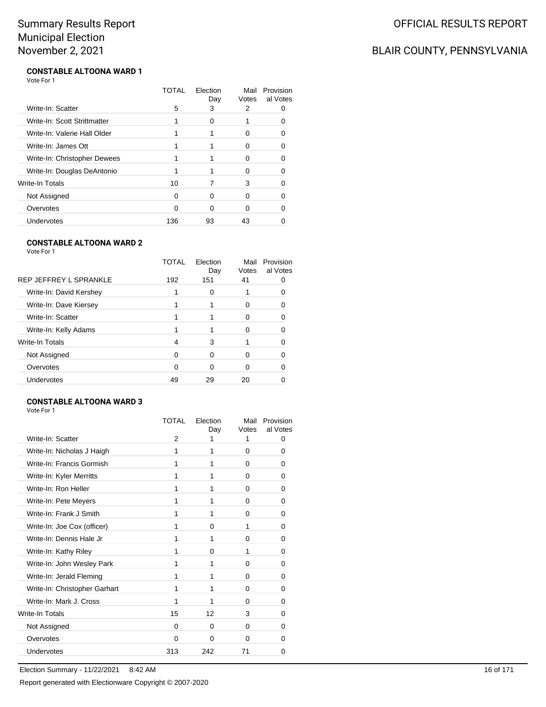## BLAIR COUNTY, PENNSYLVANIA

#### **CONSTABLE ALTOONA WARD 1** Vote For 1

|                              | TOTAL | Election<br>Day | Mail<br>Votes | Provision<br>al Votes |
|------------------------------|-------|-----------------|---------------|-----------------------|
| Write-In: Scatter            | 5     | 3               | 2             |                       |
| Write-In: Scott Strittmatter |       | ∩               |               |                       |
| Write-In: Valerie Hall Older |       |                 | O             |                       |
| Write-In: James Ott          |       |                 | O             |                       |
| Write-In: Christopher Dewees |       |                 | 0             | O                     |
| Write-In: Douglas DeAntonio  |       |                 | ∩             |                       |
| Write-In Totals              | 10    |                 | 3             |                       |
| Not Assigned                 | 0     | ∩               | 0             |                       |
| Overvotes                    | O     | ∩               | O             |                       |
| Undervotes                   | 136   | 93              | 43            |                       |

### **CONSTABLE ALTOONA WARD 2**

Vote For 1

|                         | TOTAL | Election<br>Day | Mail<br>Votes | Provision<br>al Votes |
|-------------------------|-------|-----------------|---------------|-----------------------|
| REP JEFFREY L SPRANKLE  | 192   | 151             | 41            |                       |
| Write-In: David Kershey |       | 0               |               |                       |
| Write-In: Dave Kiersey  |       |                 |               |                       |
| Write-In: Scatter       |       |                 | 0             |                       |
| Write-In: Kelly Adams   |       |                 |               |                       |
| Write-In Totals         | 4     | 3               |               |                       |
| Not Assigned            | 0     | 0               | 0             |                       |
| Overvotes               | ∩     | 0               |               |                       |
| Undervotes              | 49    | 29              | 20            |                       |
|                         |       |                 |               |                       |

### **CONSTABLE ALTOONA WARD 3**

Vote For 1

| TOTAL    | Flection<br>Day | Mail<br>Votes | Provision<br>al Votes |
|----------|-----------------|---------------|-----------------------|
| 2        |                 | 1             | 0                     |
| 1        | 1               | 0             | 0                     |
| 1        | 1               | 0             | 0                     |
| 1        | 1               | $\Omega$      | 0                     |
| 1        | 1               | 0             | 0                     |
| 1        | 1               | 0             | 0                     |
| 1        | 1               | 0             | 0                     |
| 1        | 0               | 1             | 0                     |
| 1        | 1               | 0             | 0                     |
| 1        | 0               | 1             | 0                     |
| 1        | 1               | 0             | 0                     |
| 1        | 1               | 0             | 0                     |
| 1        | 1               | 0             | 0                     |
| 1        | 1               | 0             | 0                     |
| 15       | 12              | 3             | 0                     |
| 0        | 0               | $\Omega$      | 0                     |
| $\Omega$ | $\Omega$        | $\Omega$      | 0                     |
| 313      | 242             | 71            | 0                     |
|          |                 |               |                       |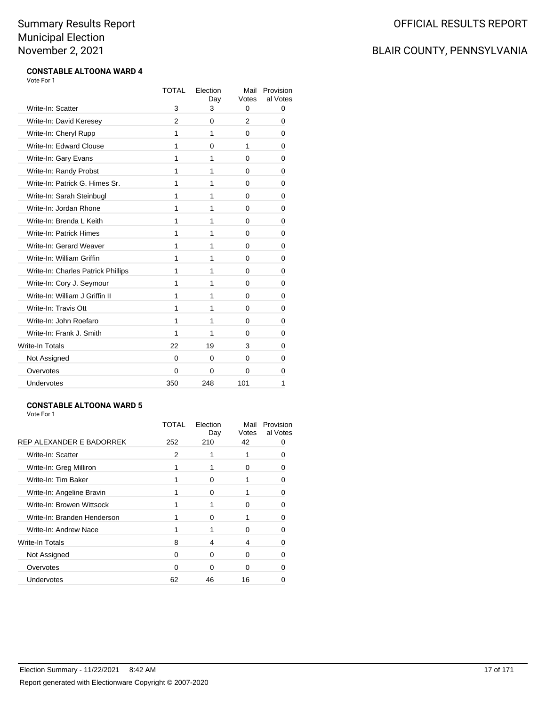### BLAIR COUNTY, PENNSYLVANIA

#### **CONSTABLE ALTOONA WARD 4** Vote For 1

|                                    | TOTAL          | Election<br>Day | Mail<br>Votes | Provision<br>al Votes |
|------------------------------------|----------------|-----------------|---------------|-----------------------|
| Write-In: Scatter                  | 3              | 3               | 0             | 0                     |
| Write-In: David Keresey            | $\overline{2}$ | 0               | 2             | 0                     |
| Write-In: Cheryl Rupp              | 1              | 1               | 0             | 0                     |
| Write-In: Edward Clouse            | 1              | $\Omega$        | 1             | 0                     |
| Write-In: Gary Evans               | 1              | 1               | 0             | 0                     |
| Write-In: Randy Probst             | 1              | 1               | 0             | 0                     |
| Write-In: Patrick G. Himes Sr.     | 1              | 1               | 0             | 0                     |
| Write-In: Sarah Steinbugl          | 1              | 1               | 0             | 0                     |
| Write-In: Jordan Rhone             | 1              | 1               | 0             | 0                     |
| Write-In: Brenda L Keith           | 1              | 1               | 0             | 0                     |
| Write-In: Patrick Himes            | 1              | 1               | 0             | 0                     |
| Write-In: Gerard Weaver            | 1              | 1               | $\Omega$      | 0                     |
| Write-In: William Griffin          | 1              | 1               | 0             | 0                     |
| Write-In: Charles Patrick Phillips | 1              | 1               | 0             | 0                     |
| Write-In: Cory J. Seymour          | 1              | 1               | 0             | 0                     |
| Write-In: William J Griffin II     | 1              | 1               | 0             | 0                     |
| Write-In: Travis Ott               | 1              | 1               | 0             | 0                     |
| Write-In: John Roefaro             | 1              | 1               | 0             | 0                     |
| Write-In: Frank J. Smith           | 1              | 1               | 0             | 0                     |
| <b>Write-In Totals</b>             | 22             | 19              | 3             | 0                     |
| Not Assigned                       | $\Omega$       | $\Omega$        | 0             | 0                     |
| Overvotes                          | 0              | 0               | 0             | 0                     |
| Undervotes                         | 350            | 248             | 101           | 1                     |

### **CONSTABLE ALTOONA WARD 5**

| REP ALEXANDER E BADORREK    | TOTAL<br>252 | Election<br>Day<br>210 | Mail<br>Votes<br>42 | Provision<br>al Votes |
|-----------------------------|--------------|------------------------|---------------------|-----------------------|
| Write-In: Scatter           | 2            |                        |                     |                       |
|                             |              |                        |                     | 0                     |
| Write-In: Greg Milliron     |              |                        | 0                   | 0                     |
| Write-In: Tim Baker         |              | ∩                      |                     |                       |
| Write-In: Angeline Bravin   |              | 0                      |                     |                       |
| Write-In: Browen Wittsock   |              |                        | 0                   | 0                     |
| Write-In: Branden Henderson |              | ∩                      |                     | 0                     |
| Write-In: Andrew Nace       |              |                        | 0                   |                       |
| Write-In Totals             | 8            | 4                      | 4                   |                       |
| Not Assigned                | 0            | 0                      | 0                   | 0                     |
| Overvotes                   | 0            | ∩                      | O                   |                       |
| Undervotes                  | 62           | 46                     | 16                  |                       |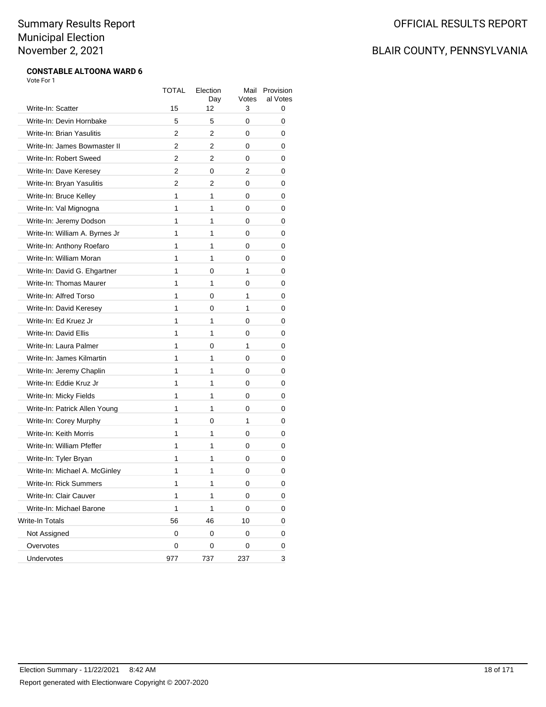### BLAIR COUNTY, PENNSYLVANIA

#### **CONSTABLE ALTOONA WARD 6** Vote For 1

|                                | TOTAL          | Election<br>Day | Mail<br>Votes | Provision<br>al Votes |
|--------------------------------|----------------|-----------------|---------------|-----------------------|
| Write-In: Scatter              | 15             | 12              | 3             | 0                     |
| Write-In: Devin Hornbake       | 5              | 5               | 0             | 0                     |
| Write-In: Brian Yasulitis      | 2              | 2               | 0             | 0                     |
| Write-In: James Bowmaster II   | $\overline{2}$ | 2               | 0             | 0                     |
| Write-In: Robert Sweed         | 2              | 2               | 0             | 0                     |
| Write-In: Dave Keresey         | 2              | 0               | 2             | 0                     |
| Write-In: Bryan Yasulitis      | 2              | 2               | 0             | 0                     |
| Write-In: Bruce Kelley         | 1              | 1               | 0             | 0                     |
| Write-In: Val Mignogna         | 1              | 1               | 0             | 0                     |
| Write-In: Jeremy Dodson        | 1              | 1               | 0             | 0                     |
| Write-In: William A. Byrnes Jr | 1              | 1               | 0             | 0                     |
| Write-In: Anthony Roefaro      | 1              | 1               | 0             | 0                     |
| Write-In: William Moran        | 1              | 1               | 0             | 0                     |
| Write-In: David G. Ehgartner   | 1              | 0               | 1             | 0                     |
| Write-In: Thomas Maurer        | 1              | 1               | 0             | 0                     |
| Write-In: Alfred Torso         | 1              | 0               | 1             | 0                     |
| Write-In: David Keresey        | 1              | 0               | 1             | 0                     |
| Write-In: Ed Kruez Jr          | 1              | 1               | 0             | 0                     |
| Write-In: David Ellis          | 1              | 1               | 0             | 0                     |
| Write-In: Laura Palmer         | 1              | 0               | 1             | 0                     |
| Write-In: James Kilmartin      | 1              | 1               | 0             | 0                     |
| Write-In: Jeremy Chaplin       | 1              | 1               | 0             | 0                     |
| Write-In: Eddie Kruz Jr        | 1              | 1               | 0             | 0                     |
| Write-In: Micky Fields         | 1              | 1               | 0             | 0                     |
| Write-In: Patrick Allen Young  | 1              | 1               | 0             | 0                     |
| Write-In: Corey Murphy         | 1              | 0               | 1             | 0                     |
| Write-In: Keith Morris         | 1              | 1               | 0             | 0                     |
| Write-In: William Pfeffer      | 1              | 1               | 0             | 0                     |
| Write-In: Tyler Bryan          | 1              | 1               | 0             | 0                     |
| Write-In: Michael A. McGinley  | 1              | 1               | 0             | 0                     |
| Write-In: Rick Summers         | 1              | 1               | 0             | 0                     |
| Write-In: Clair Cauver         | 1              | 1               | 0             | 0                     |
| Write-In: Michael Barone       | 1              | 1               | 0             | 0                     |
| Write-In Totals                | 56             | 46              | 10            | 0                     |
| Not Assigned                   | 0              | 0               | 0             | 0                     |
| Overvotes                      | 0              | 0               | 0             | 0                     |
| Undervotes                     | 977            | 737             | 237           | 3                     |
|                                |                |                 |               |                       |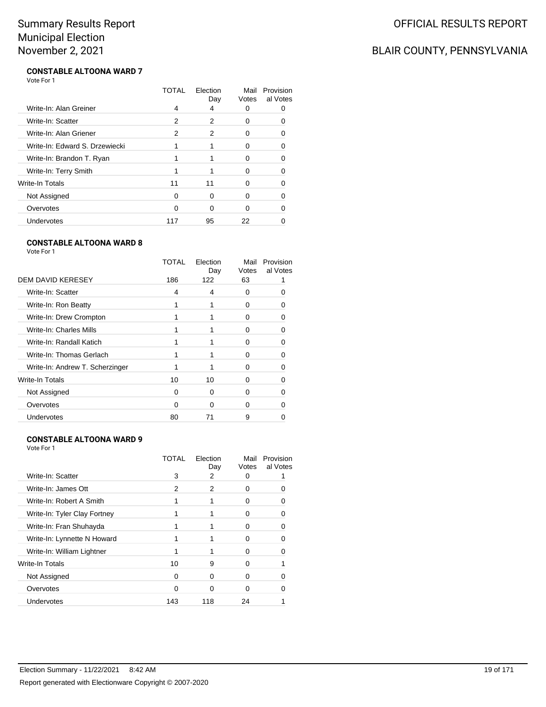## BLAIR COUNTY, PENNSYLVANIA

#### **CONSTABLE ALTOONA WARD 7** Vote For 1

|                                | TOTAL | Election<br>Day | Mail<br>Votes | Provision<br>al Votes |
|--------------------------------|-------|-----------------|---------------|-----------------------|
| Write-In: Alan Greiner         | 4     | 4               | 0             |                       |
| Write-In: Scatter              | 2     | 2               | 0             |                       |
| Write-In: Alan Griener         | 2     | 2               | 0             |                       |
| Write-In: Edward S. Drzewiecki |       |                 | O             |                       |
| Write-In: Brandon T. Ryan      |       |                 | 0             | O                     |
| Write-In: Terry Smith          |       |                 | ∩             |                       |
| Write-In Totals                | 11    | 11              | O             |                       |
| Not Assigned                   | 0     | O               | ŋ             |                       |
| Overvotes                      | O     | ∩               | O             |                       |
| Undervotes                     | 117   | 95              | 22            |                       |

### **CONSTABLE ALTOONA WARD 8**

Vote For 1

|                                 | TOTAL | Election<br>Day | Mail<br>Votes | Provision<br>al Votes |
|---------------------------------|-------|-----------------|---------------|-----------------------|
| DEM DAVID KERESEY               | 186   | 122             | 63            |                       |
| Write-In: Scatter               | 4     | 4               | 0             |                       |
| Write-In: Ron Beatty            |       | 1               | O             |                       |
| Write-In: Drew Crompton         |       |                 | 0             |                       |
| Write-In: Charles Mills         |       |                 | 0             |                       |
| Write-In: Randall Katich        |       |                 | O             |                       |
| Write-In: Thomas Gerlach        |       |                 | ი             |                       |
| Write-In: Andrew T. Scherzinger |       |                 | O             |                       |
| Write-In Totals                 | 10    | 10              | O             |                       |
| Not Assigned                    | 0     | 0               | 0             |                       |
| Overvotes                       | ŋ     | ∩               | 0             |                       |
| Undervotes                      | 80    | 71              | 9             |                       |
|                                 |       |                 |               |                       |

### **CONSTABLE ALTOONA WARD 9**

Vote For 1

|                              | TOTAL | Election<br>Day | Mail<br>Votes | Provision<br>al Votes |
|------------------------------|-------|-----------------|---------------|-----------------------|
| Write-In: Scatter            | 3     | 2               | O             |                       |
| Write-In: James Ott          | 2     | 2               | O             |                       |
| Write-In: Robert A Smith     |       |                 | O             |                       |
| Write-In: Tyler Clay Fortney |       |                 | O             |                       |
| Write-In: Fran Shuhayda      |       |                 | O             |                       |
| Write-In: Lynnette N Howard  |       |                 | ∩             |                       |
| Write-In: William Lightner   |       |                 | O             |                       |
| Write-In Totals              | 10    | 9               | ŋ             |                       |
| Not Assigned                 | O     | ∩               | O             |                       |
| Overvotes                    | O     | ∩               | ∩             |                       |
| Undervotes                   | 143   | 118             | 24            |                       |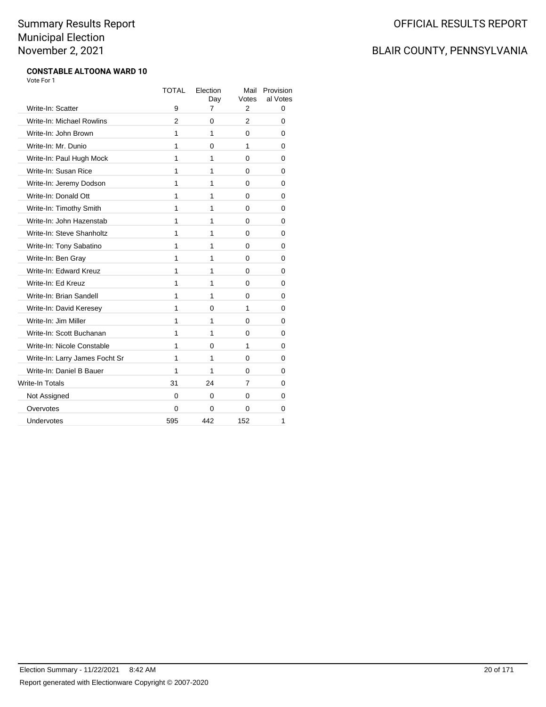### BLAIR COUNTY, PENNSYLVANIA

#### **CONSTABLE ALTOONA WARD 10** Vote For 1

|                                | <b>TOTAL</b> | Election<br>Day | Mail<br>Votes | Provision<br>al Votes |
|--------------------------------|--------------|-----------------|---------------|-----------------------|
| Write-In: Scatter              | 9            | 7               | 2             | 0                     |
| Write-In: Michael Rowlins      | 2            | 0               | 2             | 0                     |
| Write-In: John Brown           | 1            | 1               | 0             | 0                     |
| Write-In: Mr. Dunio            | 1            | 0               | 1             | 0                     |
| Write-In: Paul Hugh Mock       | 1            | 1               | 0             | 0                     |
| Write-In: Susan Rice           | 1            | 1               | 0             | 0                     |
| Write-In: Jeremy Dodson        | 1            | 1               | 0             | 0                     |
| Write-In: Donald Ott           | 1            | 1               | 0             | 0                     |
| Write-In: Timothy Smith        | 1            | 1               | 0             | 0                     |
| Write-In: John Hazenstab       | 1            | 1               | 0             | 0                     |
| Write-In: Steve Shanholtz      | 1            | 1               | 0             | 0                     |
| Write-In: Tony Sabatino        | 1            | 1               | 0             | 0                     |
| Write-In: Ben Gray             | 1            | 1               | 0             | 0                     |
| Write-In: Edward Kreuz         | 1            | 1               | 0             | 0                     |
| Write-In: Ed Kreuz             | 1            | 1               | 0             | 0                     |
| Write-In: Brian Sandell        | 1            | 1               | 0             | 0                     |
| Write-In: David Keresey        | 1            | 0               | 1             | 0                     |
| Write-In: Jim Miller           | 1            | 1               | 0             | 0                     |
| Write-In: Scott Buchanan       | 1            | 1               | $\Omega$      | 0                     |
| Write-In: Nicole Constable     | 1            | 0               | 1             | 0                     |
| Write-In: Larry James Focht Sr | 1            | 1               | 0             | 0                     |
| Write-In: Daniel B Bauer       | 1            | 1               | 0             | 0                     |
| Write-In Totals                | 31           | 24              | 7             | 0                     |
| Not Assigned                   | 0            | 0               | 0             | 0                     |
| Overvotes                      | 0            | 0               | 0             | 0                     |
| Undervotes                     | 595          | 442             | 152           | 1                     |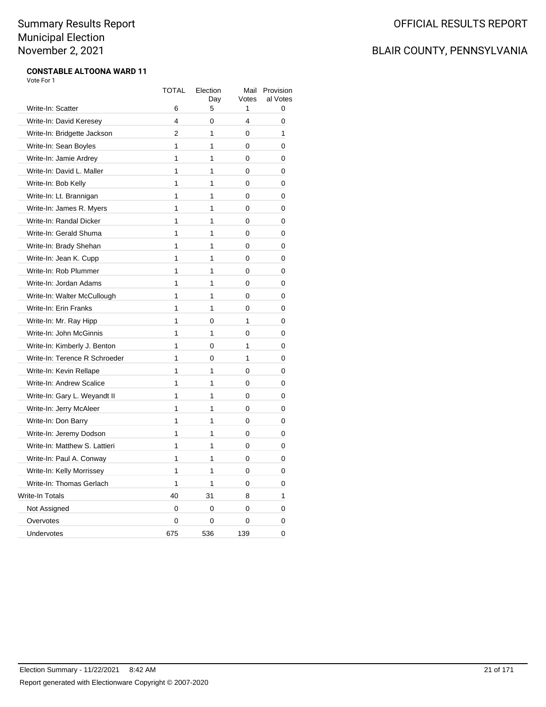### BLAIR COUNTY, PENNSYLVANIA

#### **CONSTABLE ALTOONA WARD 11** Vote For 1

|                               | <b>TOTAL</b>   | Election<br>Day | Mail<br>Votes | Provision<br>al Votes |
|-------------------------------|----------------|-----------------|---------------|-----------------------|
| Write-In: Scatter             | 6              | 5               | 1             | 0                     |
| Write-In: David Keresey       | 4              | 0               | 4             | 0                     |
| Write-In: Bridgette Jackson   | $\mathfrak{p}$ | 1               | 0             | 1                     |
| Write-In: Sean Boyles         | 1              | 1               | 0             | 0                     |
| Write-In: Jamie Ardrey        | 1              | 1               | 0             | 0                     |
| Write-In: David L. Maller     | 1              | 1               | 0             | 0                     |
| Write-In: Bob Kelly           | 1              | 1               | 0             | 0                     |
| Write-In: Lt. Brannigan       | 1              | 1               | 0             | 0                     |
| Write-In: James R. Myers      | 1              | 1               | 0             | 0                     |
| Write-In: Randal Dicker       | $\overline{1}$ | $\mathbf{1}$    | 0             | 0                     |
| Write-In: Gerald Shuma        | 1              | 1               | 0             | 0                     |
| Write-In: Brady Shehan        | 1              | 1               | 0             | 0                     |
| Write-In: Jean K. Cupp        | 1              | 1               | 0             | 0                     |
| Write-In: Rob Plummer         | 1              | 1               | 0             | 0                     |
| Write-In: Jordan Adams        | 1              | 1               | 0             | 0                     |
| Write-In: Walter McCullough   | 1              | 1               | 0             | 0                     |
| Write-In: Erin Franks         | 1              | 1               | 0             | 0                     |
| Write-In: Mr. Ray Hipp        | 1              | 0               | 1             | 0                     |
| Write-In: John McGinnis       | $\mathbf{1}$   | 1               | 0             | 0                     |
| Write-In: Kimberly J. Benton  | 1              | $\Omega$        | $\mathbf{1}$  | 0                     |
| Write-In: Terence R Schroeder | 1              | 0               | 1             | 0                     |
| Write-In: Kevin Rellape       | 1              | 1               | 0             | 0                     |
| Write-In: Andrew Scalice      | 1              | 1               | 0             | 0                     |
| Write-In: Gary L. Weyandt II  | 1              | 1               | 0             | 0                     |
| Write-In: Jerry McAleer       | 1              | 1               | 0             | 0                     |
| Write-In: Don Barry           | 1              | $\mathbf{1}$    | 0             | 0                     |
| Write-In: Jeremy Dodson       | 1              | 1               | 0             | 0                     |
| Write-In: Matthew S. Lattieri | $\overline{1}$ | 1               | 0             | 0                     |
| Write-In: Paul A. Conway      | 1              | 1               | 0             | 0                     |
| Write-In: Kelly Morrissey     | 1              | 1               | 0             | 0                     |
| Write-In: Thomas Gerlach      | 1              | 1               | 0             | 0                     |
| Write-In Totals               | 40             | 31              | 8             | 1                     |
| Not Assigned                  | 0              | 0               | 0             | 0                     |
| Overvotes                     | 0              | 0               | 0             | 0                     |
| Undervotes                    | 675            | 536             | 139           | 0                     |
|                               |                |                 |               |                       |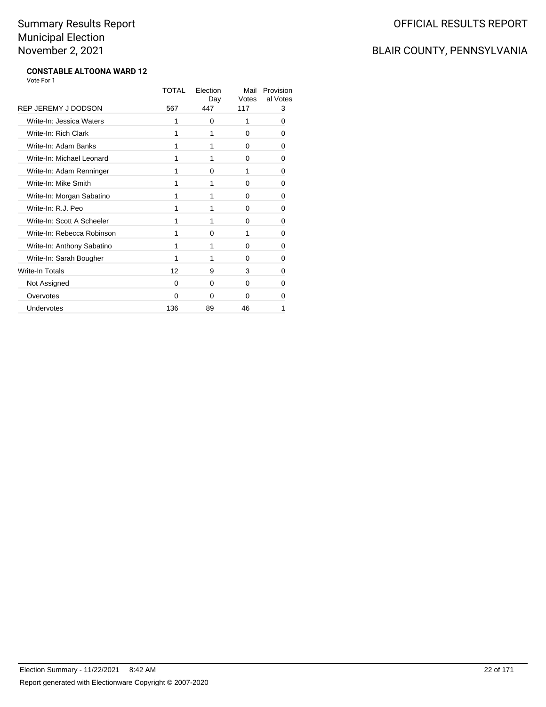## BLAIR COUNTY, PENNSYLVANIA

#### **CONSTABLE ALTOONA WARD 12** Vote For 1

|                            | TOTAL | Election<br>Day | Mail<br>Votes | Provision<br>al Votes |
|----------------------------|-------|-----------------|---------------|-----------------------|
| REP JEREMY J DODSON        | 567   | 447             | 117           | 3                     |
| Write-In: Jessica Waters   | 1     | 0               | 1             | 0                     |
| Write-In: Rich Clark       | 1     | 1               | 0             | 0                     |
| Write-In: Adam Banks       | 1     | 1               | 0             | 0                     |
| Write-In: Michael Leonard  | 1     | 1               | 0             | 0                     |
| Write-In: Adam Renninger   | 1     | 0               | 1             | 0                     |
| Write-In: Mike Smith       | 1     | 1               | $\Omega$      | 0                     |
| Write-In: Morgan Sabatino  | 1     | 1               | $\Omega$      | 0                     |
| Write-In: R.J. Peo         | 1     | 1               | $\Omega$      | 0                     |
| Write-In: Scott A Scheeler | 1     | 1               | $\Omega$      | 0                     |
| Write-In: Rebecca Robinson | 1     | $\Omega$        | 1             | 0                     |
| Write-In: Anthony Sabatino | 1     | 1               | $\Omega$      | 0                     |
| Write-In: Sarah Bougher    | 1     | 1               | $\Omega$      | 0                     |
| Write-In Totals            | 12    | 9               | 3             | 0                     |
| Not Assigned               | 0     | $\Omega$        | 0             | 0                     |
| Overvotes                  | 0     | $\Omega$        | $\Omega$      | n                     |
| Undervotes                 | 136   | 89              | 46            | 1                     |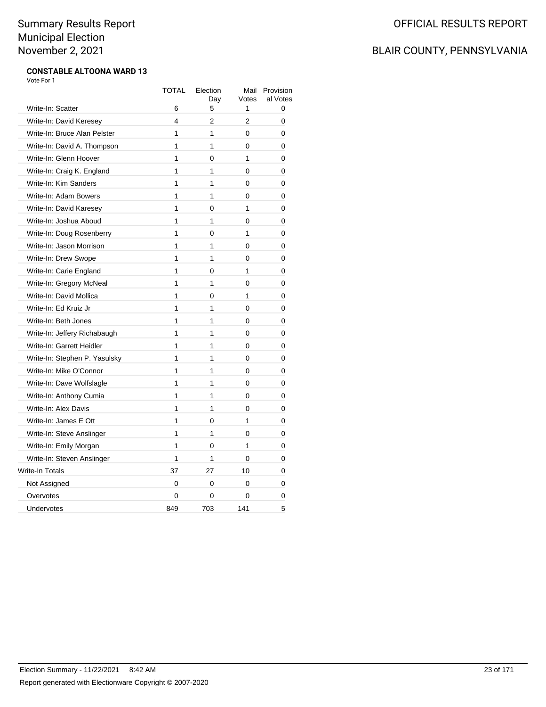### BLAIR COUNTY, PENNSYLVANIA

#### **CONSTABLE ALTOONA WARD 13** Vote For 1

|                               | <b>TOTAL</b>            | Election<br>Day | Mail<br>Votes  | Provision<br>al Votes |
|-------------------------------|-------------------------|-----------------|----------------|-----------------------|
| Write-In: Scatter             | 6                       | 5               | 1              | 0                     |
| Write-In: David Keresey       | $\overline{\mathbf{4}}$ | $\overline{2}$  | $\overline{2}$ | $\mathbf{0}$          |
| Write-In: Bruce Alan Pelster  | 1                       | 1               | 0              | 0                     |
| Write-In: David A. Thompson   | 1                       | 1               | 0              | 0                     |
| Write-In: Glenn Hoover        | 1                       | 0               | 1              | 0                     |
| Write-In: Craig K. England    | 1                       | 1               | 0              | 0                     |
| Write-In: Kim Sanders         | 1                       | 1               | 0              | 0                     |
| Write-In: Adam Bowers         | 1                       | 1               | 0              | 0                     |
| Write-In: David Karesey       | 1                       | 0               | 1              | 0                     |
| Write-In: Joshua Aboud        | 1                       | 1               | 0              | 0                     |
| Write-In: Doug Rosenberry     | 1                       | 0               | 1              | 0                     |
| Write-In: Jason Morrison      | 1                       | 1               | 0              | 0                     |
| Write-In: Drew Swope          | 1                       | 1               | 0              | 0                     |
| Write-In: Carie England       | 1                       | 0               | 1              | 0                     |
| Write-In: Gregory McNeal      | 1                       | 1               | 0              | 0                     |
| Write-In: David Mollica       | 1                       | 0               | $\mathbf{1}$   | 0                     |
| Write-In: Ed Kruiz Jr         | 1                       | 1               | 0              | 0                     |
| Write-In: Beth Jones          | 1                       | 1               | 0              | 0                     |
| Write-In: Jeffery Richabaugh  | 1                       | 1               | 0              | 0                     |
| Write-In: Garrett Heidler     | 1                       | 1               | 0              | 0                     |
| Write-In: Stephen P. Yasulsky | 1                       | 1               | 0              | 0                     |
| Write-In: Mike O'Connor       | 1                       | 1               | 0              | 0                     |
| Write-In: Dave Wolfslagle     | 1                       | 1               | 0              | 0                     |
| Write-In: Anthony Cumia       | 1                       | 1               | 0              | 0                     |
| Write-In: Alex Davis          | 1                       | 1               | 0              | 0                     |
| Write-In: James E Ott         | 1                       | $\Omega$        | 1              | 0                     |
| Write-In: Steve Anslinger     | 1                       | 1               | 0              | 0                     |
| Write-In: Emily Morgan        | 1                       | 0               | 1              | 0                     |
| Write-In: Steven Anslinger    | 1                       | 1               | 0              | 0                     |
| <b>Write-In Totals</b>        | 37                      | 27              | 10             | 0                     |
| Not Assigned                  | 0                       | 0               | 0              | 0                     |
| Overvotes                     | 0                       | 0               | 0              | 0                     |
| Undervotes                    | 849                     | 703             | 141            | 5                     |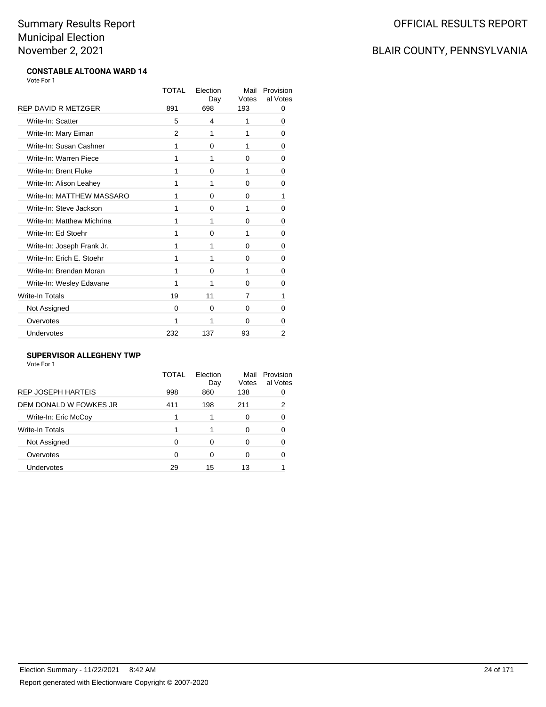### BLAIR COUNTY, PENNSYLVANIA

#### **CONSTABLE ALTOONA WARD 14** Vote For 1

|                            | <b>TOTAL</b> | Election<br>Day | Mail<br>Votes | Provision<br>al Votes |
|----------------------------|--------------|-----------------|---------------|-----------------------|
| <b>REP DAVID R METZGER</b> | 891          | 698             | 193           | 0                     |
| Write-In: Scatter          | 5            | 4               | 1             | 0                     |
| Write-In: Mary Eiman       | 2            | 1               | 1             | 0                     |
| Write-In: Susan Cashner    | 1            | 0               | 1             | 0                     |
| Write-In: Warren Piece     | 1            | 1               | 0             | 0                     |
| Write-In: Brent Fluke      | 1            | 0               | 1             | 0                     |
| Write-In: Alison Leahey    | 1            | 1               | 0             | 0                     |
| Write-In: MATTHEW MASSARO  | 1            | $\Omega$        | 0             | 1                     |
| Write-In: Steve Jackson    | 1            | 0               | 1             | 0                     |
| Write-In: Matthew Michrina | 1            | 1               | 0             | 0                     |
| Write-In: Ed Stoehr        | 1            | 0               | 1             | 0                     |
| Write-In: Joseph Frank Jr. | 1            | 1               | 0             | 0                     |
| Write-In: Erich E. Stoehr  | 1            | 1               | 0             | 0                     |
| Write-In: Brendan Moran    | 1            | 0               | 1             | 0                     |
| Write-In: Wesley Edavane   | 1            | 1               | 0             | 0                     |
| Write-In Totals            | 19           | 11              | 7             | 1                     |
| Not Assigned               | 0            | 0               | 0             | 0                     |
| Overvotes                  | 1            | 1               | 0             | 0                     |
| Undervotes                 | 232          | 137             | 93            | 2                     |

### **SUPERVISOR ALLEGHENY TWP**

| Vote For 1 |  |
|------------|--|
|------------|--|

|                           | TOTAL | Election<br>Day | Mail<br>Votes | Provision<br>al Votes |
|---------------------------|-------|-----------------|---------------|-----------------------|
| <b>REP JOSEPH HARTEIS</b> | 998   | 860             | 138           |                       |
| DEM DONALD W FOWKES JR    | 411   | 198             | 211           | 2                     |
| Write-In: Eric McCoy      |       |                 | 0             | ∩                     |
| Write-In Totals           |       |                 |               |                       |
| Not Assigned              | 0     | 0               | O             |                       |
| Overvotes                 | 0     | 0               |               |                       |
| Undervotes                | 29    | 15              | 13            |                       |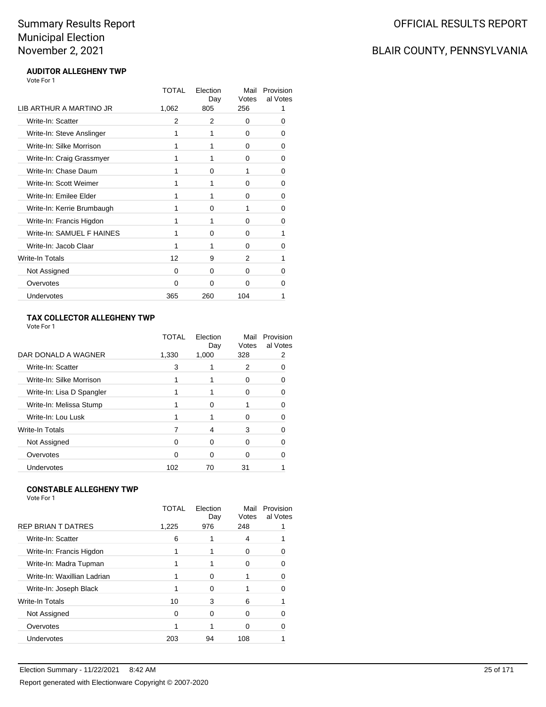### BLAIR COUNTY, PENNSYLVANIA

#### **AUDITOR ALLEGHENY TWP** Vote For 1

|                            | TOTAL    | Election<br>Day | Mail<br>Votes | Provision<br>al Votes |
|----------------------------|----------|-----------------|---------------|-----------------------|
| LIB ARTHUR A MARTINO JR    | 1,062    | 805             | 256           | 1                     |
| Write-In: Scatter          | 2        | 2               | 0             | 0                     |
| Write-In: Steve Anslinger  | 1        | 1               | 0             | O                     |
| Write-In: Silke Morrison   | 1        | 1               | $\Omega$      | 0                     |
| Write-In: Craig Grassmyer  | 1        | 1               | 0             | 0                     |
| Write-In: Chase Daum       | 1        | 0               | 1             | 0                     |
| Write-In: Scott Weimer     | 1        | 1               | 0             | 0                     |
| Write-In: Emilee Elder     | 1        | 1               | $\Omega$      | 0                     |
| Write-In: Kerrie Brumbaugh | 1        | $\Omega$        | 1             | 0                     |
| Write-In: Francis Higdon   | 1        | 1               | 0             | 0                     |
| Write-In: SAMUEL F HAINES  | 1        | $\Omega$        | $\Omega$      | 1                     |
| Write-In: Jacob Claar      | 1        | 1               | $\Omega$      | $\Omega$              |
| Write-In Totals            | 12       | 9               | 2             | 1                     |
| Not Assigned               | 0        | $\Omega$        | $\Omega$      | 0                     |
| Overvotes                  | $\Omega$ | $\Omega$        | $\Omega$      | 0                     |
| Undervotes                 | 365      | 260             | 104           | 1                     |

### **TAX COLLECTOR ALLEGHENY TWP**

Vote For 1

|                           | TOTAI | Election<br>Day | Mail<br>Votes | Provision<br>al Votes |
|---------------------------|-------|-----------------|---------------|-----------------------|
| DAR DONALD A WAGNER       | 1,330 | 1,000           | 328           | 2                     |
| Write-In: Scatter         | 3     |                 | 2             |                       |
| Write-In: Silke Morrison  |       |                 | 0             | Ω                     |
| Write-In: Lisa D Spangler |       |                 | O             |                       |
| Write-In: Melissa Stump   |       | <sup>0</sup>    |               |                       |
| Write-In: Lou Lusk        |       |                 | 0             | 0                     |
| Write-In Totals           |       | 4               | 3             |                       |
| Not Assigned              | 0     | $\Omega$        | O             |                       |
| Overvotes                 | O     | $\Omega$        | O             |                       |
| Undervotes                | 102   | 70              | 31            |                       |
|                           |       |                 |               |                       |

### **CONSTABLE ALLEGHENY TWP**

|                             | TOTAI | Election<br>Day | Mail<br>Votes | Provision<br>al Votes |
|-----------------------------|-------|-----------------|---------------|-----------------------|
| <b>REP BRIAN T DATRES</b>   | 1,225 | 976             | 248           |                       |
| Write-In: Scatter           | 6     |                 | 4             |                       |
| Write-In: Francis Higdon    |       |                 |               |                       |
| Write-In: Madra Tupman      |       |                 | O             |                       |
| Write-In: Waxillian Ladrian |       | O               |               |                       |
| Write-In: Joseph Black      |       | 0               |               |                       |
| Write-In Totals             | 10    | 3               | 6             |                       |
| Not Assigned                | 0     | 0               | 0             |                       |
| Overvotes                   |       |                 | 0             |                       |
| Undervotes                  | 203   | 94              | 108           |                       |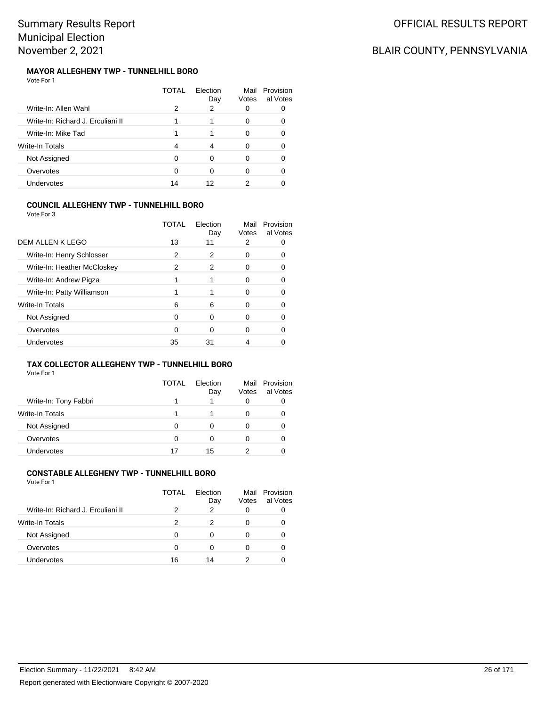## BLAIR COUNTY, PENNSYLVANIA

#### **MAYOR ALLEGHENY TWP - TUNNELHILL BORO** Vote For 1

|                                   | TOTAL | Flection<br>Day | Mail<br>Votes | Provision<br>al Votes |
|-----------------------------------|-------|-----------------|---------------|-----------------------|
| Write-In: Allen Wahl              | 2     | 2               | 0             |                       |
| Write-In: Richard J. Erculiani II |       |                 | 0             |                       |
| Write-In: Mike Tad                |       |                 | 0             | Ω                     |
| Write-In Totals                   | 4     |                 | 0             |                       |
| Not Assigned                      | n     | ∩               | 0             |                       |
| Overvotes                         |       | ∩               | 0             |                       |
| Undervotes                        | 14    | 12              | າ             |                       |

### **COUNCIL ALLEGHENY TWP - TUNNELHILL BORO**

|                             | TOTAL | Election<br>Day | Mail<br>Votes | Provision<br>al Votes |
|-----------------------------|-------|-----------------|---------------|-----------------------|
| DEM ALLEN K LEGO            | 13    | 11              | 2             |                       |
| Write-In: Henry Schlosser   | 2     | 2               | O             |                       |
| Write-In: Heather McCloskey | 2     | 2               | O             |                       |
| Write-In: Andrew Pigza      |       |                 |               |                       |
| Write-In: Patty Williamson  |       |                 | Ω             |                       |
| Write-In Totals             | 6     | 6               | Ω             |                       |
| Not Assigned                | ∩     | 0               | O             |                       |
| Overvotes                   | 0     | 0               | 0             |                       |
| Undervotes                  | 35    | 31              |               |                       |

### **TAX COLLECTOR ALLEGHENY TWP - TUNNELHILL BORO**

Vote For 1

|                        | TOTAL | Flection<br>Day | Mail<br>Votes | Provision<br>al Votes |
|------------------------|-------|-----------------|---------------|-----------------------|
| Write-In: Tony Fabbri  |       |                 | 0             |                       |
| <b>Write-In Totals</b> |       |                 | O             |                       |
| Not Assigned           | Ω     |                 | O             |                       |
| Overvotes              | 0     | 0               | O             |                       |
| <b>Undervotes</b>      | 17    | 15              |               |                       |

#### **CONSTABLE ALLEGHENY TWP - TUNNELHILL BORO** Vote For 1

| 1 J J J J J J                     |       |                 |               |                       |
|-----------------------------------|-------|-----------------|---------------|-----------------------|
|                                   | TOTAL | Election<br>Day | Mail<br>Votes | Provision<br>al Votes |
| Write-In: Richard J. Erculiani II | 2     | 2               |               |                       |
| <b>Write-In Totals</b>            | 2     | 2               | 0             |                       |
| Not Assigned                      | 0     | 0               |               |                       |
| Overvotes                         | 0     | ∩               |               |                       |
| Undervotes                        | 16    | 14              |               |                       |
|                                   |       |                 |               |                       |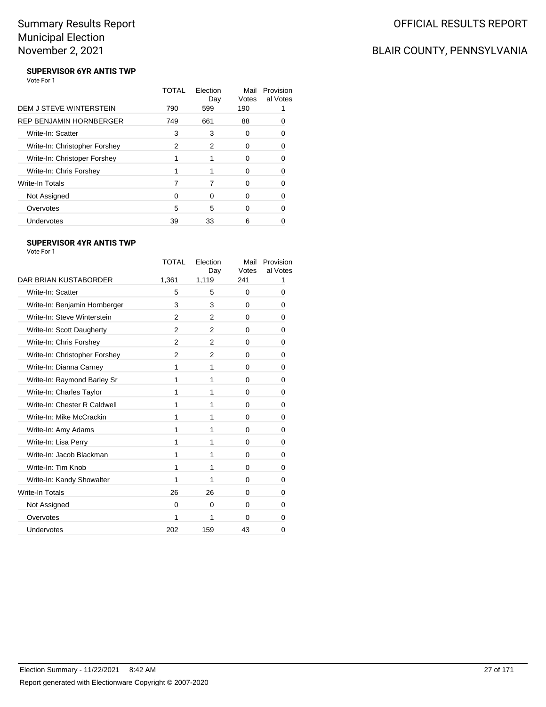## BLAIR COUNTY, PENNSYLVANIA

#### **SUPERVISOR 6YR ANTIS TWP** Vote For 1

|                                | TOTAL | Election<br>Day | Mail<br>Votes | Provision<br>al Votes |
|--------------------------------|-------|-----------------|---------------|-----------------------|
| DEM J STEVE WINTERSTEIN        | 790   | 599             | 190           |                       |
| <b>REP BENJAMIN HORNBERGER</b> | 749   | 661             | 88            |                       |
| Write-In: Scatter              | 3     | 3               | 0             |                       |
| Write-In: Christopher Forshey  | 2     | 2               | O             |                       |
| Write-In: Christoper Forshey   |       |                 | 0             | O                     |
| Write-In: Chris Forshey        |       |                 | ∩             |                       |
| Write-In Totals                |       |                 | O             |                       |
| Not Assigned                   | 0     | 0               | 0             | 0                     |
| Overvotes                      | 5     | 5               | ∩             |                       |
| Undervotes                     | 39    | 33              | 6             |                       |

### **SUPERVISOR 4YR ANTIS TWP**

|                               | TOTAL         | Election<br>Day | Mail<br>Votes | Provision<br>al Votes |
|-------------------------------|---------------|-----------------|---------------|-----------------------|
| DAR BRIAN KUSTABORDER         | 1,361         | 1,119           | 241           | 1                     |
| Write-In: Scatter             | 5             | 5               | $\Omega$      | 0                     |
| Write-In: Benjamin Hornberger | 3             | 3               | $\Omega$      | 0                     |
| Write-In: Steve Winterstein   | 2             | 2               | $\Omega$      | 0                     |
| Write-In: Scott Daugherty     | 2             | 2               | $\Omega$      | 0                     |
| Write-In: Chris Forshey       | 2             | 2               | 0             | 0                     |
| Write-In: Christopher Forshey | $\mathcal{P}$ | 2               | 0             | 0                     |
| Write-In: Dianna Carney       | 1             | 1               | 0             | 0                     |
| Write-In: Raymond Barley Sr   | 1             | 1               | $\Omega$      | 0                     |
| Write-In: Charles Taylor      | 1             | 1               | $\Omega$      | 0                     |
| Write-In: Chester R Caldwell  | 1             | 1               | 0             | 0                     |
| Write-In: Mike McCrackin      | 1             | 1               | $\Omega$      | 0                     |
| Write-In: Amy Adams           | 1             | 1               | $\Omega$      | 0                     |
| Write-In: Lisa Perry          | 1             | 1               | 0             | 0                     |
| Write-In: Jacob Blackman      | 1             | 1               | $\Omega$      | 0                     |
| Write-In: Tim Knob            | 1             | 1               | $\Omega$      | 0                     |
| Write-In: Kandy Showalter     | 1             | 1               | 0             | 0                     |
| <b>Write-In Totals</b>        | 26            | 26              | $\Omega$      | 0                     |
| Not Assigned                  | $\Omega$      | $\Omega$        | $\Omega$      | 0                     |
| Overvotes                     | 1             | 1               | 0             | 0                     |
| Undervotes                    | 202           | 159             | 43            | 0                     |
|                               |               |                 |               |                       |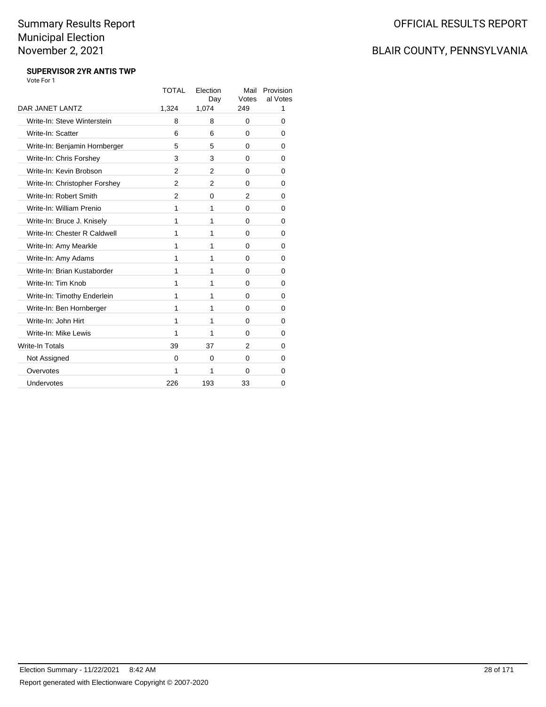### BLAIR COUNTY, PENNSYLVANIA

#### **SUPERVISOR 2YR ANTIS TWP** Vote For 1

|                               | <b>TOTAL</b>   | Election<br>Day | Mail<br>Votes | Provision<br>al Votes |
|-------------------------------|----------------|-----------------|---------------|-----------------------|
| DAR JANET LANTZ               | 1,324          | 1,074           | 249           | 1                     |
| Write-In: Steve Winterstein   | 8              | 8               | $\Omega$      | 0                     |
| Write-In: Scatter             | 6              | 6               | $\Omega$      | 0                     |
| Write-In: Benjamin Hornberger | 5              | 5               | $\Omega$      | 0                     |
| Write-In: Chris Forshey       | 3              | 3               | $\Omega$      | 0                     |
| Write-In: Kevin Brobson       | $\overline{2}$ | 2               | 0             | 0                     |
| Write-In: Christopher Forshey | $\overline{2}$ | $\overline{2}$  | $\Omega$      | 0                     |
| Write-In: Robert Smith        | 2              | $\Omega$        | 2             | 0                     |
| Write-In: William Prenio      | 1              | 1               | 0             | 0                     |
| Write-In: Bruce J. Knisely    | 1              | 1               | 0             | 0                     |
| Write-In: Chester R Caldwell  | 1              | 1               | $\Omega$      | 0                     |
| Write-In: Amy Mearkle         | 1              | 1               | $\Omega$      | 0                     |
| Write-In: Amy Adams           | 1              | 1               | $\Omega$      | 0                     |
| Write-In: Brian Kustaborder   | 1              | 1               | 0             | 0                     |
| Write-In: Tim Knob            | 1              | 1               | 0             | 0                     |
| Write-In: Timothy Enderlein   | 1              | 1               | $\Omega$      | 0                     |
| Write-In: Ben Hornberger      | 1              | 1               | 0             | 0                     |
| Write-In: John Hirt           | 1              | 1               | $\Omega$      | 0                     |
| Write-In: Mike Lewis          | 1              | 1               | $\Omega$      | 0                     |
| Write-In Totals               | 39             | 37              | $\mathcal{P}$ | 0                     |
| Not Assigned                  | $\Omega$       | $\Omega$        | $\Omega$      | 0                     |
| Overvotes                     | 1              | 1               | $\Omega$      | 0                     |
| Undervotes                    | 226            | 193             | 33            | 0                     |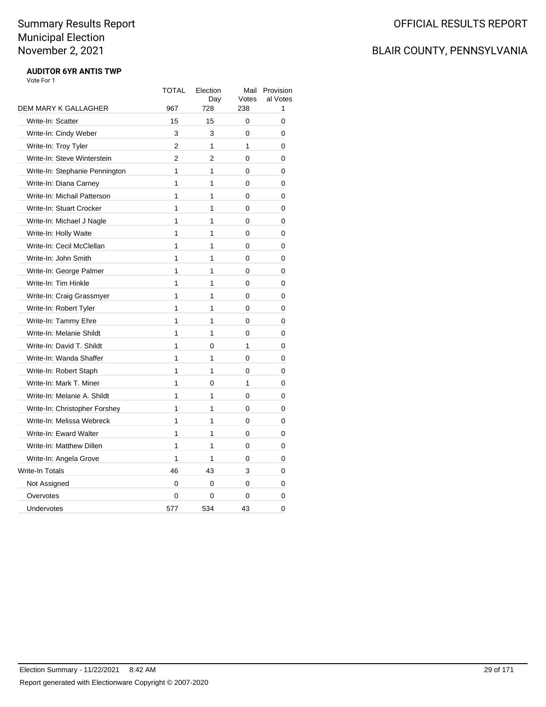## BLAIR COUNTY, PENNSYLVANIA

#### **AUDITOR 6YR ANTIS TWP** Vote For 1

|                                | <b>TOTAL</b>   | Election<br>Day | Mail<br>Votes | Provision<br>al Votes |
|--------------------------------|----------------|-----------------|---------------|-----------------------|
| DEM MARY K GALLAGHER           | 967            | 728             | 238           | 1                     |
| Write-In: Scatter              | 15             | 15              | 0             | 0                     |
| Write-In: Cindy Weber          | 3              | 3               | $\Omega$      | 0                     |
| Write-In: Troy Tyler           | 2              | 1               | 1             | 0                     |
| Write-In: Steve Winterstein    | $\overline{2}$ | $\overline{2}$  | 0             | 0                     |
| Write-In: Stephanie Pennington | 1              | 1               | $\Omega$      | 0                     |
| Write-In: Diana Carney         | 1              | 1               | $\Omega$      | 0                     |
| Write-In: Michail Patterson    | 1              | 1               | 0             | 0                     |
| Write-In: Stuart Crocker       | 1              | 1               | 0             | 0                     |
| Write-In: Michael J Nagle      | 1              | 1               | $\Omega$      | 0                     |
| Write-In: Holly Waite          | 1              | 1               | 0             | 0                     |
| Write-In: Cecil McClellan      | 1              | 1               | 0             | 0                     |
| Write-In: John Smith           | 1              | 1               | 0             | 0                     |
| Write-In: George Palmer        | 1              | 1               | 0             | 0                     |
| Write-In: Tim Hinkle           | 1              | 1               | 0             | 0                     |
| Write-In: Craig Grassmyer      | 1              | 1               | $\Omega$      | 0                     |
| Write-In: Robert Tyler         | 1              | 1               | 0             | 0                     |
| Write-In: Tammy Ehre           | 1              | 1               | $\Omega$      | 0                     |
| Write-In: Melanie Shildt       | 1              | $\mathbf{1}$    | $\Omega$      | 0                     |
| Write-In: David T. Shildt      | 1              | 0               | 1             | 0                     |
| Write-In: Wanda Shaffer        | 1              | 1               | $\Omega$      | 0                     |
| Write-In: Robert Staph         | 1              | 1               | 0             | 0                     |
| Write-In: Mark T. Miner        | 1              | 0               | 1             | 0                     |
| Write-In: Melanie A. Shildt    | 1              | 1               | 0             | 0                     |
| Write-In: Christopher Forshey  | 1              | 1               | 0             | 0                     |
| Write-In: Melissa Webreck      | 1              | 1               | 0             | 0                     |
| Write-In: Eward Walter         | 1              | 1               | $\Omega$      | 0                     |
| Write-In: Matthew Dillen       | 1              | 1               | 0             | 0                     |
| Write-In: Angela Grove         | 1              | 1               | 0             | 0                     |
| Write-In Totals                | 46             | 43              | 3             | 0                     |
| Not Assigned                   | 0              | 0               | 0             | 0                     |
| Overvotes                      | 0              | 0               | 0             | 0                     |
| Undervotes                     | 577            | 534             | 43            | 0                     |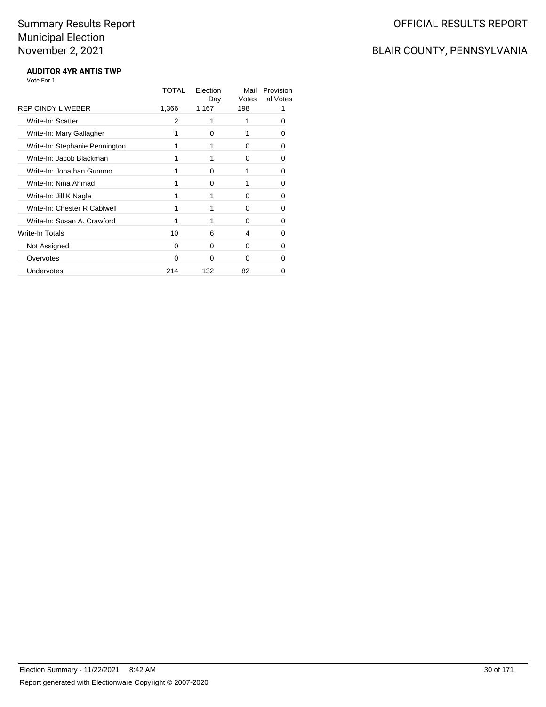## BLAIR COUNTY, PENNSYLVANIA

#### **AUDITOR 4YR ANTIS TWP** Vote For 1

| TOTAL | Election<br>Day | Mail<br>Votes | Provision<br>al Votes |
|-------|-----------------|---------------|-----------------------|
| 1,366 | 1,167           | 198           |                       |
| 2     | 1               | 1             | Ω                     |
|       | 0               |               | 0                     |
| 1     | 1               | 0             | 0                     |
| 1     | 1               | 0             | 0                     |
|       | 0               | 1             | ŋ                     |
|       | 0               |               | ŋ                     |
| 1     | 1               | 0             | ŋ                     |
| 1     | 1               | $\Omega$      | 0                     |
|       |                 | 0             | 0                     |
| 10    | 6               | 4             | ŋ                     |
| 0     | 0               | $\Omega$      | 0                     |
| 0     | 0               | $\Omega$      | 0                     |
| 214   | 132             | 82            | 0                     |
|       |                 |               |                       |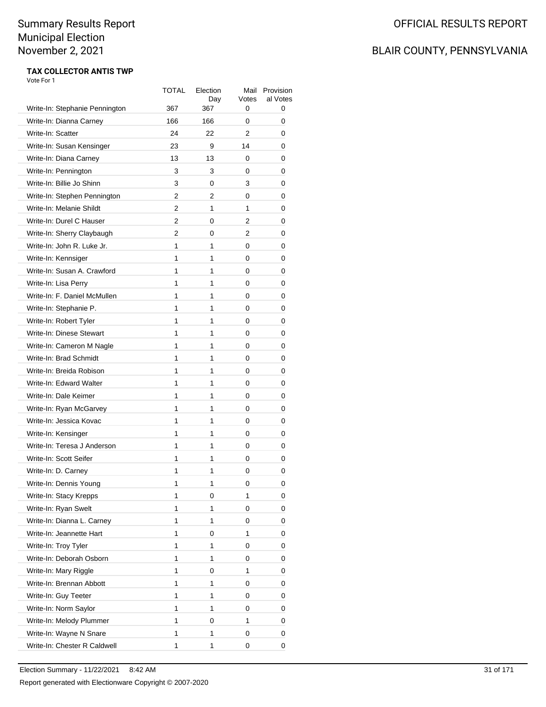## BLAIR COUNTY, PENNSYLVANIA

#### **TAX COLLECTOR ANTIS TWP** Vote For 1

|                                                           | TOTAL<br>367 | Election<br>Day<br>367 | Mail<br>Votes<br>0 | Provision<br>al Votes<br>0 |
|-----------------------------------------------------------|--------------|------------------------|--------------------|----------------------------|
| Write-In: Stephanie Pennington<br>Write-In: Dianna Carney | 166          | 166                    | 0                  | 0                          |
| Write-In: Scatter                                         | 24           | 22                     | 2                  | 0                          |
| Write-In: Susan Kensinger                                 | 23           | 9                      | 14                 | 0                          |
|                                                           | 13           |                        |                    |                            |
| Write-In: Diana Carney                                    |              | 13                     | 0                  | 0                          |
| Write-In: Pennington<br>Write-In: Billie Jo Shinn         | 3            | 3                      | 0                  | 0                          |
|                                                           | 3            | 0                      | 3                  | 0                          |
| Write-In: Stephen Pennington                              | 2            | 2<br>1                 | 0                  | 0                          |
| Write-In: Melanie Shildt                                  | 2            |                        | 1                  | 0                          |
| Write-In: Durel C Hauser                                  | 2            | 0                      | 2                  | 0                          |
| Write-In: Sherry Claybaugh                                | 2            | 0                      | 2                  | 0                          |
| Write-In: John R. Luke Jr.                                | 1            | 1                      | 0                  | 0                          |
| Write-In: Kennsiger                                       | 1            | 1                      | 0                  | 0                          |
| Write-In: Susan A. Crawford                               | 1            | 1                      | 0                  | 0                          |
| Write-In: Lisa Perry                                      | 1            | 1                      | 0                  | 0                          |
| Write-In: F. Daniel McMullen                              | 1            | 1                      | 0                  | 0                          |
| Write-In: Stephanie P.                                    | 1            | 1                      | 0                  | 0                          |
| Write-In: Robert Tyler                                    | 1            | 1                      | 0                  | 0                          |
| Write-In: Dinese Stewart                                  | 1            | 1                      | 0                  | 0                          |
| Write-In: Cameron M Nagle                                 | 1            | 1                      | 0                  | 0                          |
| Write-In: Brad Schmidt                                    | 1            | 1                      | 0                  | 0                          |
| Write-In: Breida Robison                                  | 1            | 1                      | 0                  | 0                          |
| Write-In: Edward Walter                                   | 1            | 1                      | 0                  | 0                          |
| Write-In: Dale Keimer                                     | 1            | 1                      | 0                  | 0                          |
| Write-In: Ryan McGarvey                                   | 1            | 1                      | 0                  | 0                          |
| Write-In: Jessica Kovac                                   | 1            | 1                      | 0                  | 0                          |
| Write-In: Kensinger                                       | 1            | 1                      | 0                  | 0                          |
| Write-In: Teresa J Anderson                               | 1            | 1                      | 0                  | 0                          |
| Write-In: Scott Seifer                                    | 1            | 1                      | 0                  | 0                          |
| Write-In: D. Carney                                       | 1            | 1                      | 0                  | 0                          |
| Write-In: Dennis Young                                    | 1            | 1                      | 0                  | 0                          |
| Write-In: Stacy Krepps                                    | 1            | 0                      | 1                  | 0                          |
| Write-In: Ryan Swelt                                      | 1            | 1                      | 0                  | 0                          |
| Write-In: Dianna L. Carney                                | 1            | 1                      | 0                  | 0                          |
| Write-In: Jeannette Hart                                  | 1            | 0                      | 1                  | 0                          |
| Write-In: Troy Tyler                                      | 1            | 1                      | 0                  | 0                          |
| Write-In: Deborah Osborn                                  | 1            | 1                      | 0                  | 0                          |
| Write-In: Mary Riggle                                     | 1            | 0                      | 1                  | 0                          |
| Write-In: Brennan Abbott                                  | 1            | 1                      | 0                  | 0                          |
| Write-In: Guy Teeter                                      | 1            | 1                      | 0                  | 0                          |
| Write-In: Norm Saylor                                     | 1            | 1                      | 0                  | 0                          |
| Write-In: Melody Plummer                                  | 1            | 0                      | 1                  | 0                          |
| Write-In: Wayne N Snare                                   | 1            | 1                      | 0                  | 0                          |
| Write-In: Chester R Caldwell                              | 1            | 1                      | 0                  | 0                          |
|                                                           |              |                        |                    |                            |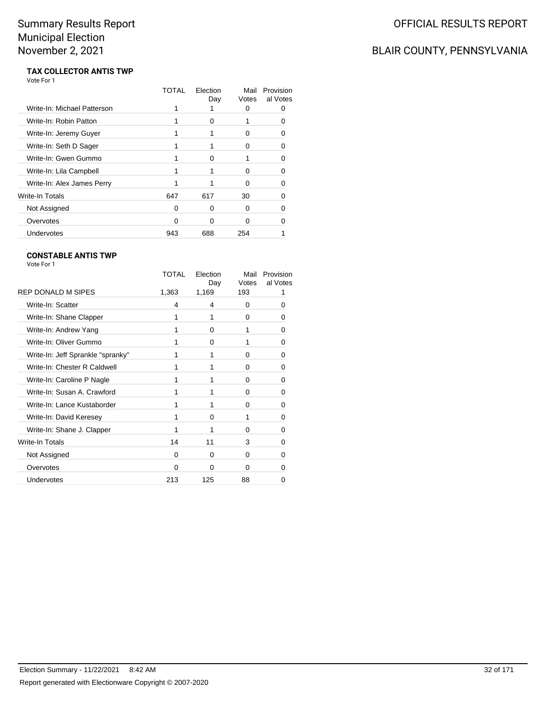## BLAIR COUNTY, PENNSYLVANIA

#### **TAX COLLECTOR ANTIS TWP** Vote For 1

|                             | TOTAL | Flection<br>Day | Mail<br>Votes | Provision<br>al Votes |
|-----------------------------|-------|-----------------|---------------|-----------------------|
| Write-In: Michael Patterson |       |                 | 0             |                       |
| Write-In: Robin Patton      |       | 0               |               |                       |
| Write-In: Jeremy Guyer      |       |                 | O             |                       |
| Write-In: Seth D Sager      |       |                 | 0             |                       |
| Write-In: Gwen Gummo        |       | ∩               |               |                       |
| Write-In: Lila Campbell     |       |                 | ŋ             |                       |
| Write-In: Alex James Perry  |       |                 | ŋ             |                       |
| Write-In Totals             | 647   | 617             | 30            |                       |
| Not Assigned                | O     | 0               | 0             |                       |
| Overvotes                   | n     | ∩               | ∩             |                       |
| Undervotes                  | 943   | 688             | 254           |                       |
|                             |       |                 |               |                       |

### **CONSTABLE ANTIS TWP**

|                                   | TOTAL | Election<br>Day | Mail<br>Votes | Provision<br>al Votes |
|-----------------------------------|-------|-----------------|---------------|-----------------------|
| <b>REP DONALD M SIPES</b>         | 1,363 | 1,169           | 193           |                       |
| Write-In: Scatter                 | 4     | 4               | 0             | 0                     |
| Write-In: Shane Clapper           |       | 1               | 0             | 0                     |
| Write-In: Andrew Yang             | 1     | $\Omega$        | 1             | 0                     |
| Write-In: Oliver Gummo            |       | 0               | 1             | 0                     |
| Write-In: Jeff Sprankle "spranky" |       | 1               | $\Omega$      | 0                     |
| Write-In: Chester R Caldwell      |       | 1               | 0             | 0                     |
| Write-In: Caroline P Nagle        | 1     | 1               | 0             | 0                     |
| Write-In: Susan A. Crawford       |       | 1               | 0             | 0                     |
| Write-In: Lance Kustaborder       | 1     | 1               | $\Omega$      | 0                     |
| Write-In: David Keresey           |       | 0               | 1             | 0                     |
| Write-In: Shane J. Clapper        |       | 1               | 0             | 0                     |
| Write-In Totals                   | 14    | 11              | 3             | 0                     |
| Not Assigned                      | 0     | $\Omega$        | 0             | 0                     |
| Overvotes                         | 0     | 0               | 0             | 0                     |
| Undervotes                        | 213   | 125             | 88            | 0                     |
|                                   |       |                 |               |                       |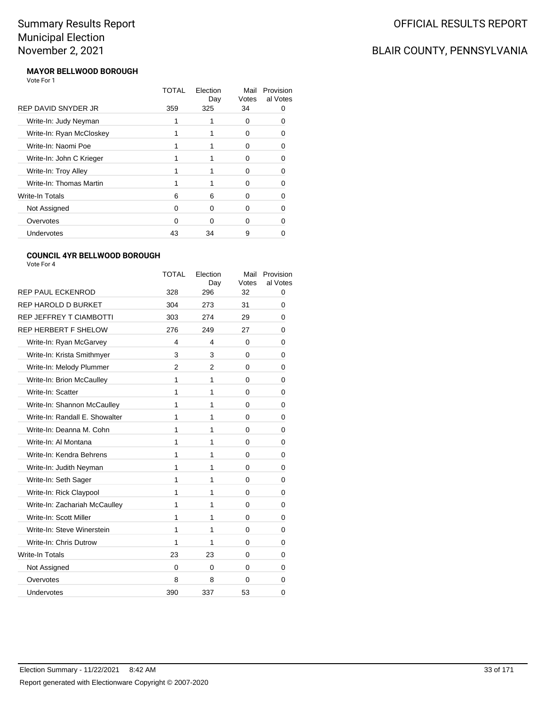## BLAIR COUNTY, PENNSYLVANIA

#### **MAYOR BELLWOOD BOROUGH** Vote For 1

|                          | TOTAL | Election<br>Day | Mail<br>Votes | Provision<br>al Votes |
|--------------------------|-------|-----------------|---------------|-----------------------|
| REP DAVID SNYDER JR      | 359   | 325             | 34            |                       |
| Write-In: Judy Neyman    |       |                 | 0             |                       |
| Write-In: Ryan McCloskey |       |                 | O             |                       |
| Write-In: Naomi Poe      |       |                 | O             |                       |
| Write-In: John C Krieger |       |                 | O             |                       |
| Write-In: Troy Alley     |       |                 | O             |                       |
| Write-In: Thomas Martin  |       |                 | n             |                       |
| Write-In Totals          | 6     | 6               | O             |                       |
| Not Assigned             | 0     | 0               | O             |                       |
| Overvotes                | 0     | ∩               | O             |                       |
| Undervotes               | 43    | 34              | 9             |                       |

### **COUNCIL 4YR BELLWOOD BOROUGH**

|                                | <b>TOTAL</b>   | Election<br>Day | Mail<br>Votes | Provision<br>al Votes |
|--------------------------------|----------------|-----------------|---------------|-----------------------|
| <b>REP PAUL ECKENROD</b>       | 328            | 296             | 32            | 0                     |
| REP HAROLD D BURKET            | 304            | 273             | 31            | 0                     |
| <b>REP JEFFREY T CIAMBOTTI</b> | 303            | 274             | 29            | 0                     |
| <b>REP HERBERT F SHELOW</b>    | 276            | 249             | 27            | 0                     |
| Write-In: Ryan McGarvey        | 4              | 4               | 0             | 0                     |
| Write-In: Krista Smithmyer     | 3              | 3               | 0             | 0                     |
| Write-In: Melody Plummer       | $\overline{2}$ | 2               | $\Omega$      | 0                     |
| Write-In: Brion McCaulley      | 1              | 1               | 0             | 0                     |
| Write-In: Scatter              | 1              | 1               | $\Omega$      | 0                     |
| Write-In: Shannon McCaulley    | 1              | 1               | 0             | 0                     |
| Write-In: Randall E. Showalter | 1              | 1               | 0             | 0                     |
| Write-In: Deanna M. Cohn       | 1              | 1               | 0             | 0                     |
| Write-In: Al Montana           | 1              | 1               | 0             | 0                     |
| Write-In: Kendra Behrens       | 1              | 1               | 0             | 0                     |
| Write-In: Judith Neyman        | 1              | 1               | 0             | 0                     |
| Write-In: Seth Sager           | 1              | 1               | 0             | 0                     |
| Write-In: Rick Claypool        | 1              | 1               | 0             | 0                     |
| Write-In: Zachariah McCaulley  | 1              | 1               | 0             | 0                     |
| Write-In: Scott Miller         | 1              | 1               | 0             | 0                     |
| Write-In: Steve Winerstein     | 1              | 1               | 0             | 0                     |
| Write-In: Chris Dutrow         | 1              | 1               | 0             | 0                     |
| Write-In Totals                | 23             | 23              | 0             | 0                     |
| Not Assigned                   | $\Omega$       | $\Omega$        | 0             | 0                     |
| Overvotes                      | 8              | 8               | 0             | 0                     |
| Undervotes                     | 390            | 337             | 53            | 0                     |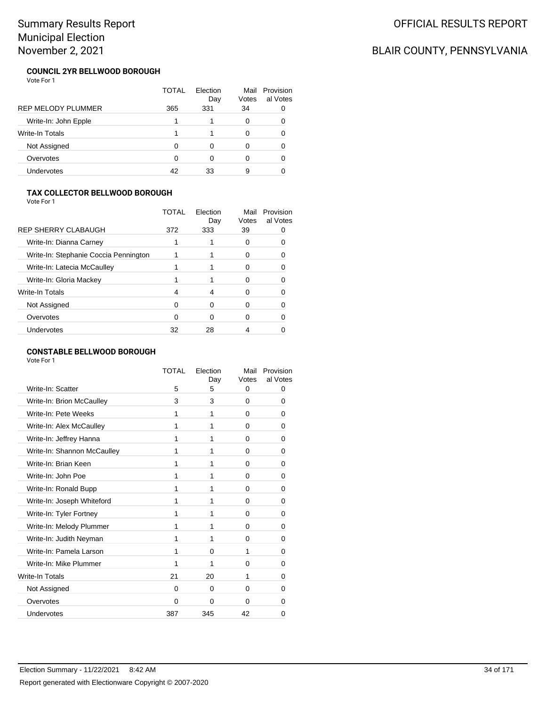## BLAIR COUNTY, PENNSYLVANIA

#### **COUNCIL 2YR BELLWOOD BOROUGH** Vote For 1

|                           | TOTAL | Election<br>Day | Mail<br>Votes | Provision<br>al Votes |
|---------------------------|-------|-----------------|---------------|-----------------------|
| <b>REP MELODY PLUMMER</b> | 365   | 331             | 34            |                       |
| Write-In: John Epple      |       |                 | 0             |                       |
| <b>Write-In Totals</b>    |       |                 | 0             |                       |
| Not Assigned              | ∩     | ∩               | 0             |                       |
| Overvotes                 |       | ∩               | 0             |                       |
| Undervotes                | 42    | 33              | 9             |                       |

### **TAX COLLECTOR BELLWOOD BOROUGH**

Vote For 1

|                                       | TOTAI | Election<br>Day | Mail<br>Votes | Provision<br>al Votes |
|---------------------------------------|-------|-----------------|---------------|-----------------------|
| <b>REP SHERRY CLABAUGH</b>            | 372   | 333             | 39            |                       |
| Write-In: Dianna Carney               |       |                 |               |                       |
| Write-In: Stephanie Coccia Pennington |       |                 |               |                       |
| Write-In: Latecia McCaulley           |       |                 |               |                       |
| Write-In: Gloria Mackey               |       |                 |               |                       |
| Write-In Totals                       |       | 4               |               |                       |
| Not Assigned                          | ∩     | O               |               |                       |
| Overvotes                             | 0     | 0               |               |                       |
| Undervotes                            | 32    | 28              |               |                       |
|                                       |       |                 |               |                       |

### **CONSTABLE BELLWOOD BOROUGH**

|                             | TOTAL | Election<br>Day | Mail<br>Votes | Provision<br>al Votes |
|-----------------------------|-------|-----------------|---------------|-----------------------|
| Write-In: Scatter           | 5     | 5               | 0             | 0                     |
| Write-In: Brion McCaulley   | 3     | 3               | 0             | 0                     |
| Write-In: Pete Weeks        | 1     | 1               | 0             | 0                     |
| Write-In: Alex McCaulley    | 1     | 1               | 0             | 0                     |
| Write-In: Jeffrey Hanna     | 1     | 1               | 0             | 0                     |
| Write-In: Shannon McCaulley | 1     | 1               | 0             | 0                     |
| Write-In: Brian Keen        | 1     | 1               | 0             | 0                     |
| Write-In: John Poe          | 1     | 1               | 0             | 0                     |
| Write-In: Ronald Bupp       | 1     | 1               | 0             | 0                     |
| Write-In: Joseph Whiteford  | 1     | 1               | 0             | 0                     |
| Write-In: Tyler Fortney     | 1     | 1               | 0             | 0                     |
| Write-In: Melody Plummer    | 1     | 1               | 0             | 0                     |
| Write-In: Judith Neyman     | 1     | 1               | 0             | 0                     |
| Write-In: Pamela Larson     | 1     | $\Omega$        | 1             | 0                     |
| Write-In: Mike Plummer      | 1     | 1               | 0             | 0                     |
| <b>Write-In Totals</b>      | 21    | 20              | 1             | 0                     |
| Not Assigned                | 0     | $\Omega$        | 0             | 0                     |
| Overvotes                   | 0     | 0               | 0             | 0                     |
| Undervotes                  | 387   | 345             | 42            | 0                     |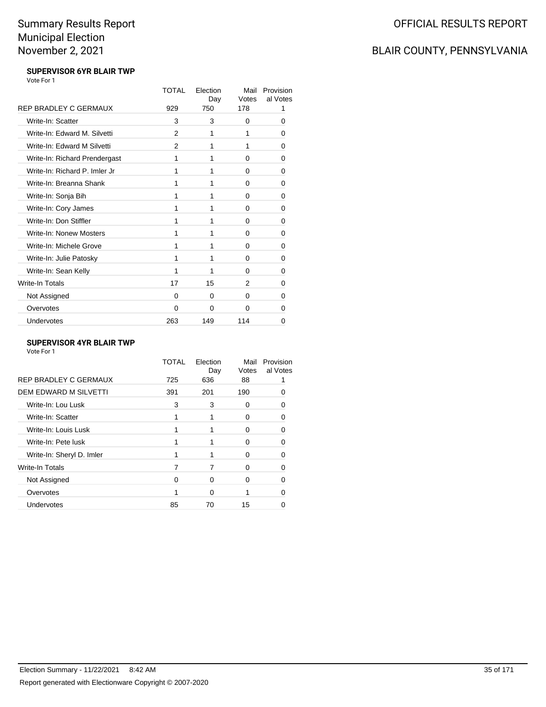### BLAIR COUNTY, PENNSYLVANIA

#### **SUPERVISOR 6YR BLAIR TWP** Vote For 1

|                               | TOTAL    | Election<br>Day | Mail<br>Votes | Provision<br>al Votes |
|-------------------------------|----------|-----------------|---------------|-----------------------|
| REP BRADLEY C GERMAUX         | 929      | 750             | 178           | 1                     |
| Write-In: Scatter             | 3        | 3               | 0             | 0                     |
| Write-In: Edward M. Silvetti  | 2        | 1               | 1             | 0                     |
| Write-In: Edward M Silvetti   | 2        | 1               | 1             | 0                     |
| Write-In: Richard Prendergast | 1        | 1               | 0             | 0                     |
| Write-In: Richard P. Imler Jr | 1        | 1               | 0             | 0                     |
| Write-In: Breanna Shank       | 1        | 1               | 0             | 0                     |
| Write-In: Sonja Bih           | 1        | 1               | 0             | 0                     |
| Write-In: Cory James          | 1        | 1               | 0             | 0                     |
| Write-In: Don Stiffler        | 1        | 1               | 0             | 0                     |
| Write-In: Nonew Mosters       | 1        | 1               | 0             | 0                     |
| Write-In: Michele Grove       | 1        | 1               | 0             | 0                     |
| Write-In: Julie Patosky       | 1        | 1               | 0             | 0                     |
| Write-In: Sean Kelly          | 1        | 1               | 0             | 0                     |
| Write-In Totals               | 17       | 15              | 2             | 0                     |
| Not Assigned                  | 0        | 0               | 0             | 0                     |
| Overvotes                     | $\Omega$ | 0               | 0             | 0                     |
| Undervotes                    | 263      | 149             | 114           | 0                     |

### **SUPERVISOR 4YR BLAIR TWP**

|                              | TOTAL    | Election<br>Day | Mail<br>Votes | Provision<br>al Votes |
|------------------------------|----------|-----------------|---------------|-----------------------|
| <b>REP BRADLEY C GERMAUX</b> | 725      | 636             | 88            |                       |
| <b>DEM EDWARD M SILVETTI</b> | 391      | 201             | 190           |                       |
| Write-In: Lou Lusk           | 3        | 3               | 0             |                       |
| Write-In: Scatter            |          |                 | 0             |                       |
| Write-In: Louis Lusk         |          |                 | 0             |                       |
| Write-In: Pete lusk          |          |                 | 0             |                       |
| Write-In: Sheryl D. Imler    |          |                 | 0             |                       |
| <b>Write-In Totals</b>       | 7        |                 | 0             |                       |
| Not Assigned                 | $\Omega$ | $\Omega$        | 0             |                       |
| Overvotes                    |          | $\Omega$        |               |                       |
| <b>Undervotes</b>            | 85       | 70              | 15            |                       |
|                              |          |                 |               |                       |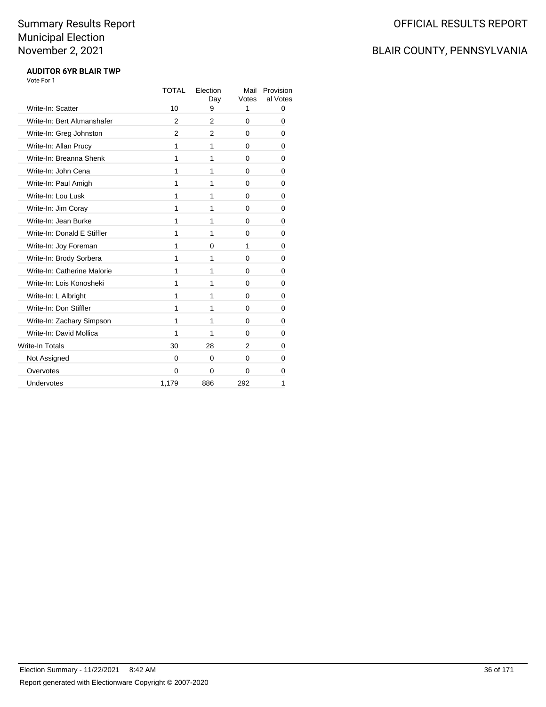## BLAIR COUNTY, PENNSYLVANIA

#### **AUDITOR 6YR BLAIR TWP** Vote For 1

|                             | <b>TOTAL</b>   | Election<br>Day | Mail<br>Votes | Provision<br>al Votes |
|-----------------------------|----------------|-----------------|---------------|-----------------------|
| Write-In: Scatter           | 10             | 9               | 1             | 0                     |
| Write-In: Bert Altmanshafer | $\overline{2}$ | 2               | 0             | 0                     |
| Write-In: Greg Johnston     | $\overline{2}$ | 2               | 0             | 0                     |
| Write-In: Allan Prucy       | 1              | 1               | 0             | 0                     |
| Write-In: Breanna Shenk     | 1              | 1               | 0             | 0                     |
| Write-In: John Cena         | 1              | 1               | 0             | 0                     |
| Write-In: Paul Amigh        | 1              | 1               | 0             | 0                     |
| Write-In: Lou Lusk          | 1              | 1               | 0             | 0                     |
| Write-In: Jim Coray         | 1              | 1               | 0             | 0                     |
| Write-In: Jean Burke        | 1              | 1               | $\Omega$      | 0                     |
| Write-In: Donald E Stiffler | 1              | 1               | 0             | 0                     |
| Write-In: Joy Foreman       | 1              | $\Omega$        | 1             | 0                     |
| Write-In: Brody Sorbera     | 1              | 1               | 0             | 0                     |
| Write-In: Catherine Malorie | 1              | 1               | 0             | 0                     |
| Write-In: Lois Konosheki    | 1              | 1               | 0             | 0                     |
| Write-In: L Albright        | 1              | 1               | 0             | 0                     |
| Write-In: Don Stiffler      | 1              | 1               | 0             | 0                     |
| Write-In: Zachary Simpson   | 1              | 1               | 0             | 0                     |
| Write-In: David Mollica     | 1              | 1               | 0             | 0                     |
| Write-In Totals             | 30             | 28              | 2             | 0                     |
| Not Assigned                | 0              | $\Omega$        | 0             | 0                     |
| Overvotes                   | $\mathbf{0}$   | $\Omega$        | 0             | 0                     |
| Undervotes                  | 1,179          | 886             | 292           | 1                     |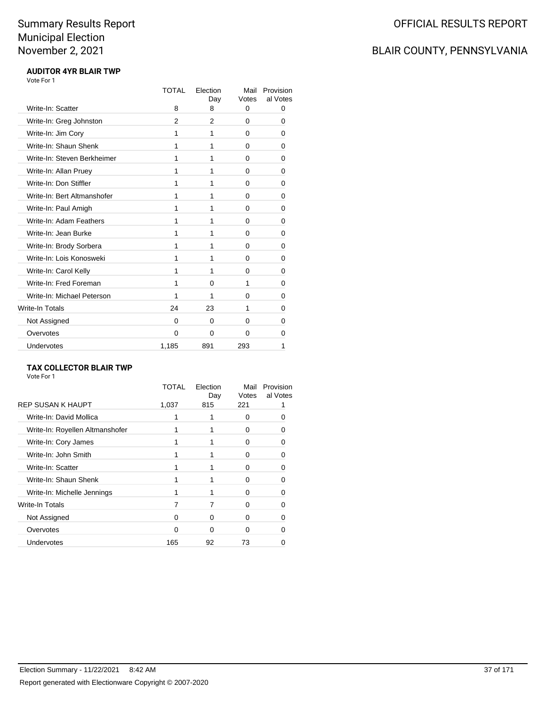# BLAIR COUNTY, PENNSYLVANIA

#### **AUDITOR 4YR BLAIR TWP** Vote For 1

|                             | <b>TOTAL</b> | Election<br>Day | Mail<br>Votes | Provision<br>al Votes |
|-----------------------------|--------------|-----------------|---------------|-----------------------|
| Write-In: Scatter           | 8            | 8               | 0             | 0                     |
| Write-In: Greg Johnston     | 2            | 2               | 0             | 0                     |
| Write-In: Jim Cory          | 1            | 1               | 0             | 0                     |
| Write-In: Shaun Shenk       | 1            | 1               | 0             | 0                     |
| Write-In: Steven Berkheimer | 1            | 1               | 0             | 0                     |
| Write-In: Allan Pruey       | 1            | 1               | 0             | 0                     |
| Write-In: Don Stiffler      | 1            | 1               | 0             | 0                     |
| Write-In: Bert Altmanshofer | 1            | 1               | 0             | 0                     |
| Write-In: Paul Amigh        | 1            | 1               | 0             | 0                     |
| Write-In: Adam Feathers     | 1            | 1               | 0             | 0                     |
| Write-In: Jean Burke        | 1            | 1               | 0             | 0                     |
| Write-In: Brody Sorbera     | 1            | 1               | 0             | 0                     |
| Write-In: Lois Konosweki    | 1            | 1               | 0             | 0                     |
| Write-In: Carol Kelly       | 1            | 1               | 0             | 0                     |
| Write-In: Fred Foreman      | 1            | 0               | 1             | 0                     |
| Write-In: Michael Peterson  | 1            | 1               | 0             | 0                     |
| Write-In Totals             | 24           | 23              | 1             | 0                     |
| Not Assigned                | 0            | 0               | 0             | 0                     |
| Overvotes                   | $\Omega$     | $\Omega$        | 0             | 0                     |
| Undervotes                  | 1,185        | 891             | 293           | 1                     |

#### **TAX COLLECTOR BLAIR TWP**

| Vote For 1 |  |  |
|------------|--|--|
|            |  |  |

|                                 | TOTAL | Election<br>Day | Mail<br>Votes | Provision<br>al Votes |
|---------------------------------|-------|-----------------|---------------|-----------------------|
| REP SUSAN K HAUPT               | 1,037 | 815             | 221           |                       |
| Write-In: David Mollica         |       |                 | 0             |                       |
| Write-In: Royellen Altmanshofer |       |                 | 0             |                       |
| Write-In: Cory James            |       |                 | O             | n                     |
| Write-In: John Smith            |       |                 | O             |                       |
| Write-In: Scatter               |       |                 | O             |                       |
| Write-In: Shaun Shenk           |       |                 | U             |                       |
| Write-In: Michelle Jennings     |       |                 | 0             |                       |
| <b>Write-In Totals</b>          |       |                 | O             |                       |
| Not Assigned                    | O     | ∩               | O             |                       |
| Overvotes                       | O     | ∩               | O             |                       |
| <b>Undervotes</b>               | 165   | 92              | 73            |                       |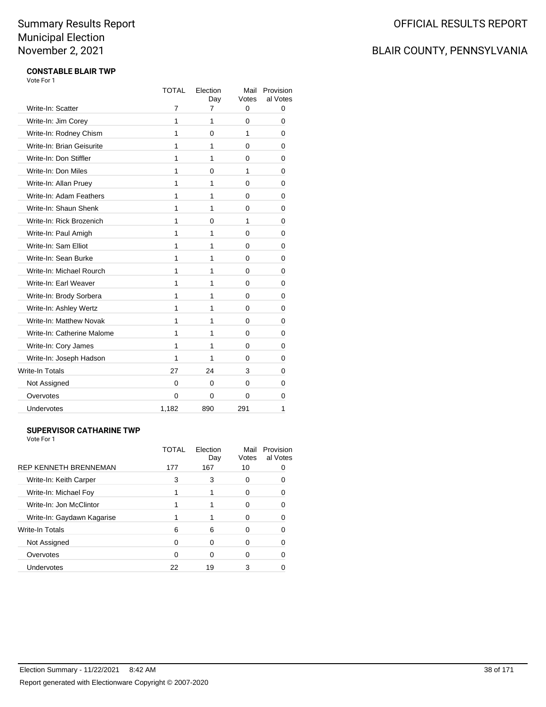# BLAIR COUNTY, PENNSYLVANIA

#### **CONSTABLE BLAIR TWP** Vote For 1

|                            | <b>TOTAL</b> | Election<br>Day | Mail<br>Votes | Provision<br>al Votes |
|----------------------------|--------------|-----------------|---------------|-----------------------|
| Write-In: Scatter          | 7            | $\overline{7}$  | 0             | 0                     |
| Write-In: Jim Corey        | 1            | 1               | 0             | 0                     |
| Write-In: Rodney Chism     | 1            | 0               | 1             | 0                     |
| Write-In: Brian Geisurite  | 1            | 1               | 0             | 0                     |
| Write-In: Don Stiffler     | 1            | 1               | 0             | 0                     |
| Write-In: Don Miles        | 1            | 0               | 1             | 0                     |
| Write-In: Allan Pruey      | 1            | 1               | 0             | 0                     |
| Write-In: Adam Feathers    | 1            | 1               | 0             | 0                     |
| Write-In: Shaun Shenk      | 1            | 1               | 0             | 0                     |
| Write-In: Rick Brozenich   | 1            | 0               | 1             | 0                     |
| Write-In: Paul Amigh       | 1            | 1               | 0             | 0                     |
| Write-In: Sam Elliot       | 1            | 1               | 0             | 0                     |
| Write-In: Sean Burke       | 1            | 1               | 0             | 0                     |
| Write-In: Michael Rourch   | 1            | 1               | 0             | 0                     |
| Write-In: Earl Weaver      | 1            | 1               | 0             | 0                     |
| Write-In: Brody Sorbera    | 1            | 1               | 0             | 0                     |
| Write-In: Ashley Wertz     | 1            | 1               | 0             | 0                     |
| Write-In: Matthew Novak    | 1            | 1               | 0             | 0                     |
| Write-In: Catherine Malome | 1            | 1               | 0             | 0                     |
| Write-In: Cory James       | 1            | 1               | 0             | 0                     |
| Write-In: Joseph Hadson    | 1            | 1               | 0             | 0                     |
| Write-In Totals            | 27           | 24              | 3             | 0                     |
| Not Assigned               | 0            | 0               | 0             | 0                     |
| Overvotes                  | 0            | $\Omega$        | 0             | 0                     |
| <b>Undervotes</b>          | 1,182        | 890             | 291           | 1                     |
|                            |              |                 |               |                       |

#### **SUPERVISOR CATHARINE TWP**

| Vote For 1 |  |
|------------|--|
|            |  |

|                              | TOTAL | Election<br>Day | Mail<br>Votes | Provision<br>al Votes |
|------------------------------|-------|-----------------|---------------|-----------------------|
| <b>REP KENNETH BRENNEMAN</b> | 177   | 167             | 10            |                       |
| Write-In: Keith Carper       | 3     | 3               | O             |                       |
| Write-In: Michael Foy        |       |                 | O             |                       |
| Write-In: Jon McClintor      |       |                 |               |                       |
| Write-In: Gaydawn Kagarise   |       |                 | n             |                       |
| Write-In Totals              | 6     | 6               | O             |                       |
| Not Assigned                 |       | U               |               |                       |
| Overvotes                    | 0     | ∩               |               |                       |
| Undervotes                   | 22    | 19              | 3             |                       |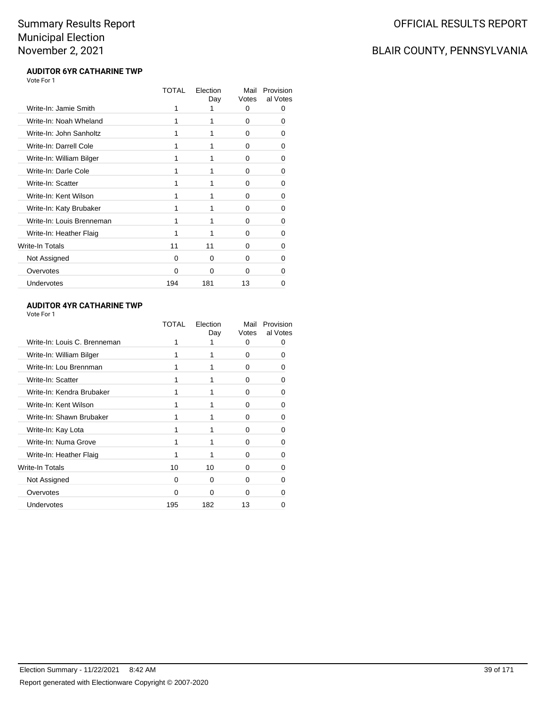## BLAIR COUNTY, PENNSYLVANIA

#### **AUDITOR 6YR CATHARINE TWP** Vote For 1

|                           | TOTAL | Election<br>Day | Mail<br>Votes | Provision<br>al Votes |
|---------------------------|-------|-----------------|---------------|-----------------------|
| Write-In: Jamie Smith     | 1     | 1               | 0             | 0                     |
| Write-In: Noah Wheland    | 1     |                 | 0             | 0                     |
| Write-In: John Sanholtz   | 1     |                 | 0             | $\Omega$              |
| Write-In: Darrell Cole    | 1     |                 | 0             | 0                     |
| Write-In: William Bilger  | 1     |                 | $\Omega$      | 0                     |
| Write-In: Darle Cole      | 1     |                 | $\Omega$      | 0                     |
| Write-In: Scatter         | 1     | 1               | 0             | 0                     |
| Write-In: Kent Wilson     | 1     |                 | 0             | 0                     |
| Write-In: Katy Brubaker   | 1     |                 | 0             | ŋ                     |
| Write-In: Louis Brenneman | 1     | 1               | 0             | 0                     |
| Write-In: Heather Flaig   | 1     | 1               | 0             | 0                     |
| Write-In Totals           | 11    | 11              | 0             | 0                     |
| Not Assigned              | 0     | 0               | 0             | 0                     |
| Overvotes                 | 0     | $\Omega$        | 0             | O                     |
| Undervotes                | 194   | 181             | 13            |                       |
|                           |       |                 |               |                       |

#### **AUDITOR 4YR CATHARINE TWP**

|                              | TOTAL    | Election<br>Day | Mail<br>Votes | Provision<br>al Votes |
|------------------------------|----------|-----------------|---------------|-----------------------|
| Write-In: Louis C. Brenneman |          |                 | 0             | Ω                     |
| Write-In: William Bilger     |          |                 | 0             | Ω                     |
| Write-In: Lou Brennman       |          |                 | 0             | O                     |
| Write-In: Scatter            |          |                 | <sup>0</sup>  | 0                     |
| Write-In: Kendra Brubaker    |          |                 | 0             | ŋ                     |
| Write-In: Kent Wilson        |          |                 | <sup>0</sup>  | O                     |
| Write-In: Shawn Brubaker     |          |                 | 0             | ∩                     |
| Write-In: Kay Lota           |          |                 | $\Omega$      | n                     |
| Write-In: Numa Grove         |          |                 | 0             | ŋ                     |
| Write-In: Heather Flaig      |          |                 | 0             | O                     |
| Write-In Totals              | 10       | 10              | 0             | O                     |
| Not Assigned                 | $\Omega$ | $\Omega$        | $\Omega$      | O                     |
| Overvotes                    | ŋ        | 0               | <sup>0</sup>  |                       |
| Undervotes                   | 195      | 182             | 13            |                       |
|                              |          |                 |               |                       |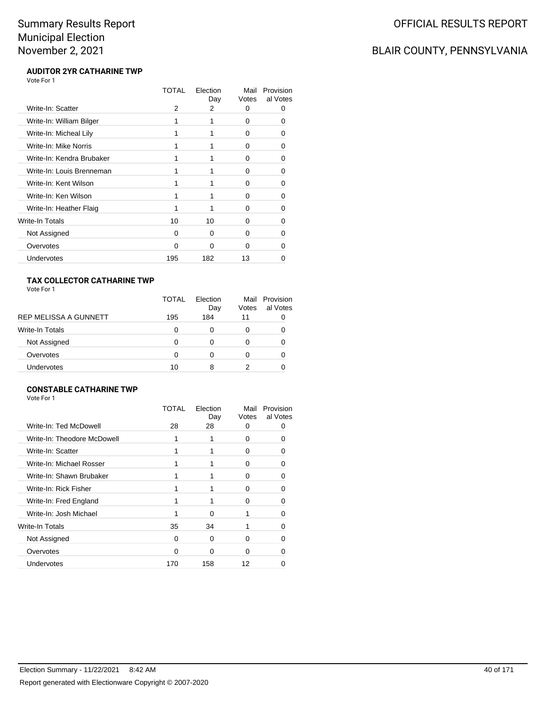# BLAIR COUNTY, PENNSYLVANIA

#### **AUDITOR 2YR CATHARINE TWP** Vote For 1

|                           | TOTAL    | Election<br>Day | Mail<br>Votes | Provision<br>al Votes |
|---------------------------|----------|-----------------|---------------|-----------------------|
| Write-In: Scatter         | 2        | 2               | 0             | O                     |
| Write-In: William Bilger  |          |                 | 0             | Ω                     |
| Write-In: Micheal Lily    | 1        |                 | $\Omega$      | 0                     |
| Write-In: Mike Norris     |          |                 | 0             | O                     |
| Write-In: Kendra Brubaker |          |                 | U             | 0                     |
| Write-In: Louis Brenneman | 1        |                 | 0             | O                     |
| Write-In: Kent Wilson     |          |                 | 0             | O                     |
| Write-In: Ken Wilson      |          |                 | 0             | 0                     |
| Write-In: Heather Flaig   |          |                 | 0             | O                     |
| <b>Write-In Totals</b>    | 10       | 10              | U             |                       |
| Not Assigned              | $\Omega$ | $\Omega$        | 0             | O                     |
| Overvotes                 | $\Omega$ | $\Omega$        | U             |                       |
| Undervotes                | 195      | 182             | 13            |                       |

#### **TAX COLLECTOR CATHARINE TWP**

| Vote For 1 |  |
|------------|--|
|------------|--|

|                        | TOTAL | Flection<br>Day | Votes | Mail Provision<br>al Votes |
|------------------------|-------|-----------------|-------|----------------------------|
| REP MELISSA A GUNNETT  | 195   | 184             | 11    |                            |
| <b>Write-In Totals</b> | 0     | 0               | 0     |                            |
| Not Assigned           | 0     | O               | 0     |                            |
| Overvotes              | 0     | Ω               | O     |                            |
| Undervotes             | 10    | 8               |       |                            |

#### **CONSTABLE CATHARINE TWP**

|                             | TOTAL | Election<br>Day | Mail<br>Votes | Provision<br>al Votes |
|-----------------------------|-------|-----------------|---------------|-----------------------|
| Write-In: Ted McDowell      | 28    | 28              | 0             |                       |
| Write-In: Theodore McDowell |       |                 | 0             |                       |
| Write-In: Scatter           |       |                 | $^{(1)}$      |                       |
| Write-In: Michael Rosser    |       |                 | $\mathbf{I}$  |                       |
| Write-In: Shawn Brubaker    |       |                 | 0             |                       |
| Write-In: Rick Fisher       |       |                 | 0             |                       |
| Write-In: Fred England      |       |                 | 0             |                       |
| Write-In: Josh Michael      |       | 0               |               |                       |
| <b>Write-In Totals</b>      | 35    | 34              |               |                       |
| Not Assigned                | O     | 0               | 0             |                       |
| Overvotes                   | ∩     | ∩               | O             |                       |
| <b>Undervotes</b>           | 170   | 158             | 12            |                       |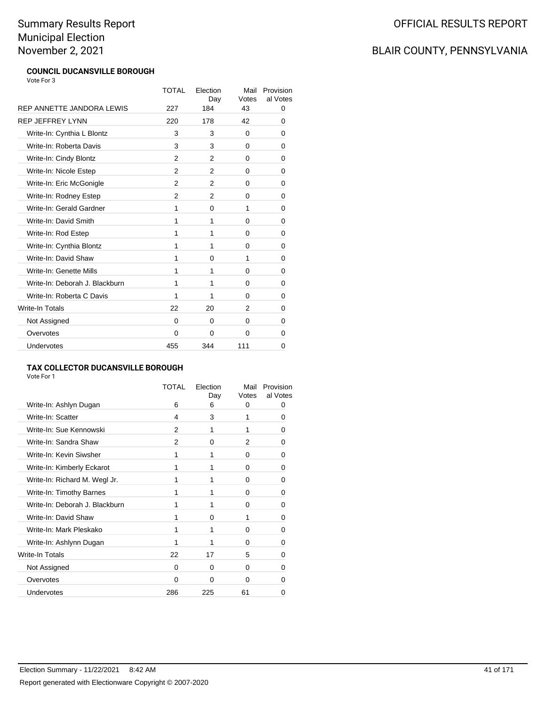# OFFICIAL RESULTS REPORT

# BLAIR COUNTY, PENNSYLVANIA

#### **COUNCIL DUCANSVILLE BOROUGH** Vote For 3

|                                | <b>TOTAL</b>   | Election<br>Day | Mail<br>Votes | Provision<br>al Votes |
|--------------------------------|----------------|-----------------|---------------|-----------------------|
| REP ANNETTE JANDORA LEWIS      | 227            | 184             | 43            | 0                     |
| <b>REP JEFFREY LYNN</b>        | 220            | 178             | 42            | 0                     |
| Write-In: Cynthia L Blontz     | 3              | 3               | $\Omega$      | 0                     |
| Write-In: Roberta Davis        | 3              | 3               | 0             | 0                     |
| Write-In: Cindy Blontz         | $\overline{2}$ | 2               | 0             | 0                     |
| Write-In: Nicole Estep         | 2              | 2               | 0             | 0                     |
| Write-In: Eric McGonigle       | 2              | 2               | 0             | 0                     |
| Write-In: Rodney Estep         | 2              | 2               | 0             | 0                     |
| Write-In: Gerald Gardner       | 1              | $\Omega$        | 1             | 0                     |
| Write-In: David Smith          | 1              | 1               | 0             | 0                     |
| Write-In: Rod Estep            | 1              | 1               | 0             | 0                     |
| Write-In: Cynthia Blontz       | 1              | 1               | 0             | 0                     |
| Write-In: David Shaw           | 1              | 0               | 1             | 0                     |
| Write-In: Genette Mills        | 1              | 1               | 0             | 0                     |
| Write-In: Deborah J. Blackburn | 1              | 1               | 0             | 0                     |
| Write-In: Roberta C Davis      | 1              | 1               | 0             | 0                     |
| Write-In Totals                | 22             | 20              | 2             | 0                     |
| Not Assigned                   | 0              | 0               | 0             | 0                     |
| Overvotes                      | 0              | $\Omega$        | $\Omega$      | 0                     |
| Undervotes                     | 455            | 344             | 111           | 0                     |

#### **TAX COLLECTOR DUCANSVILLE BOROUGH**

|                                | <b>TOTAL</b> | Election<br>Day | Mail<br>Votes | Provision<br>al Votes |
|--------------------------------|--------------|-----------------|---------------|-----------------------|
| Write-In: Ashlyn Dugan         | 6            | 6               | 0             | 0                     |
| Write-In: Scatter              | 4            | 3               | 1             | O                     |
| Write-In: Sue Kennowski        | 2            | 1               | 1             | ŋ                     |
| Write-In: Sandra Shaw          | 2            | 0               | 2             | 0                     |
| Write-In: Kevin Siwsher        | 1            | 1               | 0             | O                     |
| Write-In: Kimberly Eckarot     | 1            | 1               | 0             | 0                     |
| Write-In: Richard M. Wegl Jr.  | 1            | 1               | 0             | 0                     |
| Write-In: Timothy Barnes       | 1            | 1               | 0             | O                     |
| Write-In: Deborah J. Blackburn | 1            | 1               | 0             | 0                     |
| Write-In: David Shaw           | 1            | $\Omega$        | 1             | 0                     |
| Write-In: Mark Pleskako        | 1            | 1               | 0             | ŋ                     |
| Write-In: Ashlynn Dugan        |              | 1               | 0             | 0                     |
| Write-In Totals                | 22           | 17              | 5             | 0                     |
| Not Assigned                   | $\Omega$     | 0               | 0             | O                     |
| Overvotes                      | $\Omega$     | $\Omega$        | 0             |                       |
| Undervotes                     | 286          | 225             | 61            | 0                     |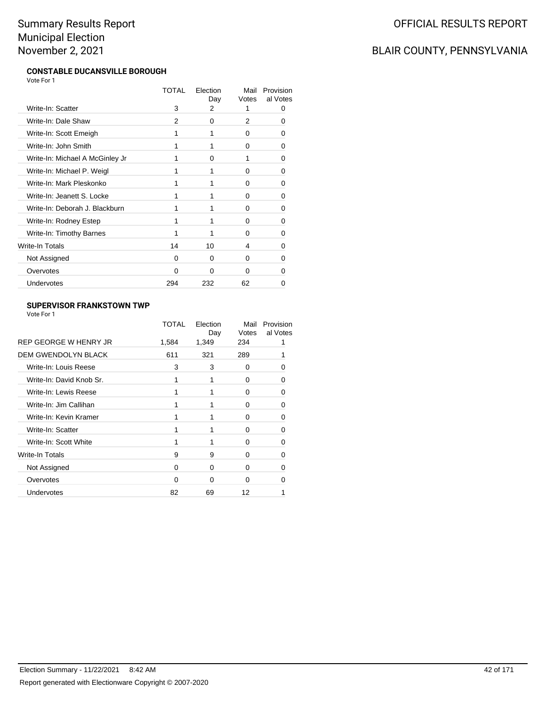# BLAIR COUNTY, PENNSYLVANIA

#### **CONSTABLE DUCANSVILLE BOROUGH** Vote For 1

|                                 | <b>TOTAL</b> | Flection<br>Day | Mail<br>Votes | Provision<br>al Votes |
|---------------------------------|--------------|-----------------|---------------|-----------------------|
| Write-In: Scatter               | 3            | 2               | 1             | Ω                     |
| Write-In: Dale Shaw             | 2            | 0               | 2             | 0                     |
| Write-In: Scott Emeigh          | 1            |                 | 0             | 0                     |
| Write-In: John Smith            | 1            |                 | 0             | 0                     |
| Write-In: Michael A McGinley Jr |              | $\Omega$        | 1             | 0                     |
| Write-In: Michael P. Weigl      | 1            |                 | 0             | 0                     |
| Write-In: Mark Pleskonko        | 1            |                 | 0             | 0                     |
| Write-In: Jeanett S. Locke      | 1            |                 | 0             | 0                     |
| Write-In: Deborah J. Blackburn  | 1            |                 | $\Omega$      | O                     |
| Write-In: Rodney Estep          | 1            | 1               | 0             | 0                     |
| Write-In: Timothy Barnes        | 1            | 1               | 0             | 0                     |
| <b>Write-In Totals</b>          | 14           | 10              | 4             | 0                     |
| Not Assigned                    | 0            | 0               | 0             | ŋ                     |
| Overvotes                       | 0            | $\Omega$        | 0             | n                     |
| Undervotes                      | 294          | 232             | 62            |                       |
|                                 |              |                 |               |                       |

#### **SUPERVISOR FRANKSTOWN TWP**

|                            | TOTAL | Election<br>Day | Mail<br>Votes | Provision<br>al Votes |
|----------------------------|-------|-----------------|---------------|-----------------------|
| REP GEORGE W HENRY JR      | 1,584 | 1,349           | 234           |                       |
| <b>DEM GWENDOLYN BLACK</b> | 611   | 321             | 289           |                       |
| Write-In: Louis Reese      | 3     | 3               | 0             | Ω                     |
| Write-In: David Knob Sr.   | 1     |                 | 0             | n                     |
| Write-In: Lewis Reese      | 1     |                 | 0             | 0                     |
| Write-In: Jim Callihan     |       |                 | 0             | 0                     |
| Write-In: Kevin Kramer     | 1     |                 | $\Omega$      | O                     |
| Write-In: Scatter          |       |                 | 0             | 0                     |
| Write-In: Scott White      |       |                 | 0             | 0                     |
| Write-In Totals            | 9     | 9               | 0             | 0                     |
| Not Assigned               | 0     | 0               | 0             | Ω                     |
| Overvotes                  | n     | O               | ∩             |                       |
| Undervotes                 | 82    | 69              | 12            |                       |
|                            |       |                 |               |                       |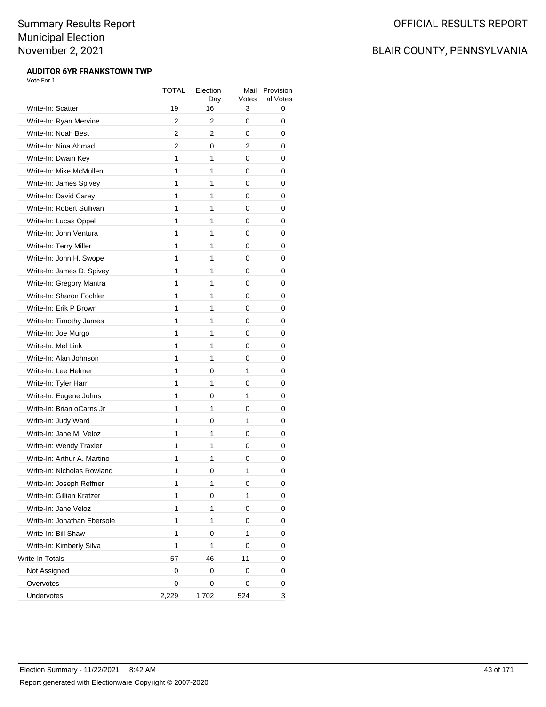## BLAIR COUNTY, PENNSYLVANIA

#### **AUDITOR 6YR FRANKSTOWN TWP** Vote For 1

|                             | TOTAL | Election<br>Day | Mail<br>Votes | Provision<br>al Votes |
|-----------------------------|-------|-----------------|---------------|-----------------------|
| Write-In: Scatter           | 19    | 16              | 3             | 0                     |
| Write-In: Ryan Mervine      | 2     | 2               | 0             | 0                     |
| Write-In: Noah Best         | 2     | 2               | 0             | 0                     |
| Write-In: Nina Ahmad        | 2     | 0               | 2             | 0                     |
| Write-In: Dwain Key         | 1     | 1               | 0             | 0                     |
| Write-In: Mike McMullen     | 1     | 1               | 0             | 0                     |
| Write-In: James Spivey      | 1     | 1               | 0             | 0                     |
| Write-In: David Carey       | 1     | 1               | 0             | 0                     |
| Write-In: Robert Sullivan   | 1     | 1               | 0             | 0                     |
| Write-In: Lucas Oppel       | 1     | 1               | 0             | 0                     |
| Write-In: John Ventura      | 1     | 1               | 0             | 0                     |
| Write-In: Terry Miller      | 1     | 1               | 0             | 0                     |
| Write-In: John H. Swope     | 1     | 1               | 0             | 0                     |
| Write-In: James D. Spivey   | 1     | 1               | 0             | 0                     |
| Write-In: Gregory Mantra    | 1     | 1               | 0             | 0                     |
| Write-In: Sharon Fochler    | 1     | 1               | 0             | 0                     |
| Write-In: Erik P Brown      | 1     | 1               | 0             | 0                     |
| Write-In: Timothy James     | 1     | 1               | 0             | 0                     |
| Write-In: Joe Murgo         | 1     | 1               | 0             | 0                     |
| Write-In: Mel Link          | 1     | 1               | 0             | 0                     |
| Write-In: Alan Johnson      | 1     | 1               | 0             | 0                     |
| Write-In: Lee Helmer        | 1     | 0               | 1             | 0                     |
| Write-In: Tyler Harn        | 1     | 1               | 0             | 0                     |
| Write-In: Eugene Johns      | 1     | 0               | 1             | 0                     |
| Write-In: Brian oCarns Jr   | 1     | 1               | 0             | 0                     |
| Write-In: Judy Ward         | 1     | 0               | 1             | 0                     |
| Write-In: Jane M. Veloz     | 1     | 1               | 0             | 0                     |
| Write-In: Wendy Traxler     | 1     | 1               | 0             | 0                     |
| Write-In: Arthur A. Martino | 1     | 1               | 0             | 0                     |
| Write-In: Nicholas Rowland  | 1     | 0               | 1             | 0                     |
| Write-In: Joseph Reffner    | 1     | 1               | 0             | 0                     |
| Write-In: Gillian Kratzer   | 1     | 0               | 1             | 0                     |
| Write-In: Jane Veloz        | 1     | 1               | 0             | 0                     |
| Write-In: Jonathan Ebersole | 1     | 1               | 0             | 0                     |
| Write-In: Bill Shaw         | 1     | 0               | 1             | 0                     |
| Write-In: Kimberly Silva    | 1     | 1               | 0             | 0                     |
| <b>Write-In Totals</b>      | 57    | 46              | 11            | 0                     |
| Not Assigned                | 0     | 0               | 0             | 0                     |
| Overvotes                   | 0     | 0               | 0             | 0                     |
| Undervotes                  | 2,229 | 1,702           | 524           | 3                     |
|                             |       |                 |               |                       |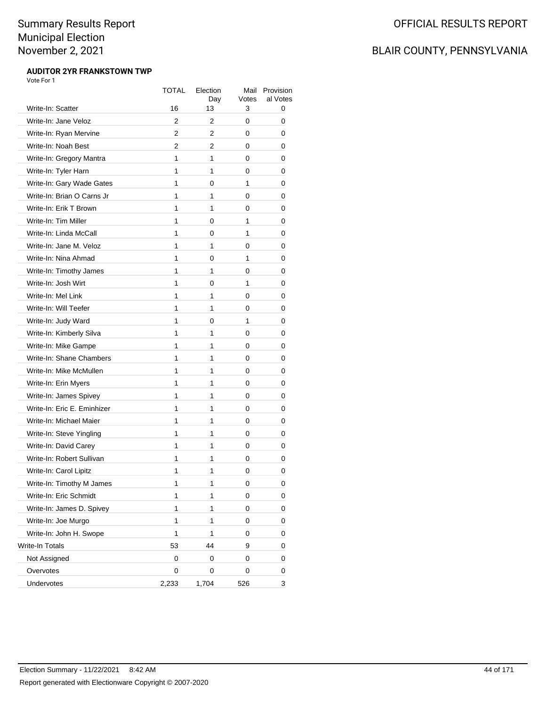# OFFICIAL RESULTS REPORT

# BLAIR COUNTY, PENNSYLVANIA

#### **AUDITOR 2YR FRANKSTOWN TWP** Vote For 1

|                             | TOTAL          | Election<br>Day | Mail<br>Votes | Provision<br>al Votes |
|-----------------------------|----------------|-----------------|---------------|-----------------------|
| Write-In: Scatter           | 16             | 13              | 3             | 0                     |
| Write-In: Jane Veloz        | $\overline{2}$ | 2               | 0             | 0                     |
| Write-In: Ryan Mervine      | 2              | 2               | 0             | 0                     |
| Write-In: Noah Best         | 2              | 2               | 0             | 0                     |
| Write-In: Gregory Mantra    | 1              | 1               | 0             | 0                     |
| Write-In: Tyler Harn        | 1              | 1               | 0             | 0                     |
| Write-In: Gary Wade Gates   | 1              | 0               | 1             | 0                     |
| Write-In: Brian O Carns Jr  | 1              | 1               | 0             | 0                     |
| Write-In: Erik T Brown      | 1              | 1               | 0             | 0                     |
| Write-In: Tim Miller        | 1              | 0               | 1             | 0                     |
| Write-In: Linda McCall      | 1              | 0               | 1             | 0                     |
| Write-In: Jane M. Veloz     | 1              | 1               | 0             | 0                     |
| Write-In: Nina Ahmad        | 1              | 0               | 1             | 0                     |
| Write-In: Timothy James     | 1              | 1               | 0             | 0                     |
| Write-In: Josh Wirt         | 1              | 0               | 1             | 0                     |
| Write-In: Mel Link          | 1              | 1               | 0             | 0                     |
| Write-In: Will Teefer       | 1              | 1               | 0             | 0                     |
| Write-In: Judy Ward         | 1              | 0               | 1             | 0                     |
| Write-In: Kimberly Silva    | 1              | 1               | 0             | 0                     |
| Write-In: Mike Gampe        | 1              | 1               | 0             | 0                     |
| Write-In: Shane Chambers    | 1              | 1               | 0             | 0                     |
| Write-In: Mike McMullen     | 1              | 1               | 0             | 0                     |
| Write-In: Erin Myers        | 1              | 1               | 0             | 0                     |
| Write-In: James Spivey      | 1              | 1               | 0             | 0                     |
| Write-In: Eric E. Eminhizer | 1              | 1               | 0             | 0                     |
| Write-In: Michael Maier     | 1              | 1               | 0             | 0                     |
| Write-In: Steve Yingling    | 1              | 1               | 0             | 0                     |
| Write-In: David Carey       | 1              | 1               | 0             | 0                     |
| Write-In: Robert Sullivan   | 1              | 1               | 0             | 0                     |
| Write-In: Carol Lipitz      | 1              | 1               | 0             | 0                     |
| Write-In: Timothy M James   | 1              | 1               | 0             | 0                     |
| Write-In: Eric Schmidt      | 1              | 1               | 0             | 0                     |
| Write-In: James D. Spivey   | 1              | 1               | 0             | 0                     |
| Write-In: Joe Murgo         | 1              | 1               | 0             | 0                     |
| Write-In: John H. Swope     | 1              | 1               | 0             | 0                     |
| Write-In Totals             | 53             | 44              | 9             | 0                     |
| Not Assigned                | 0              | 0               | 0             | 0                     |
| Overvotes                   | 0              | 0               | 0             | 0                     |
| Undervotes                  | 2,233          | 1,704           | 526           | 3                     |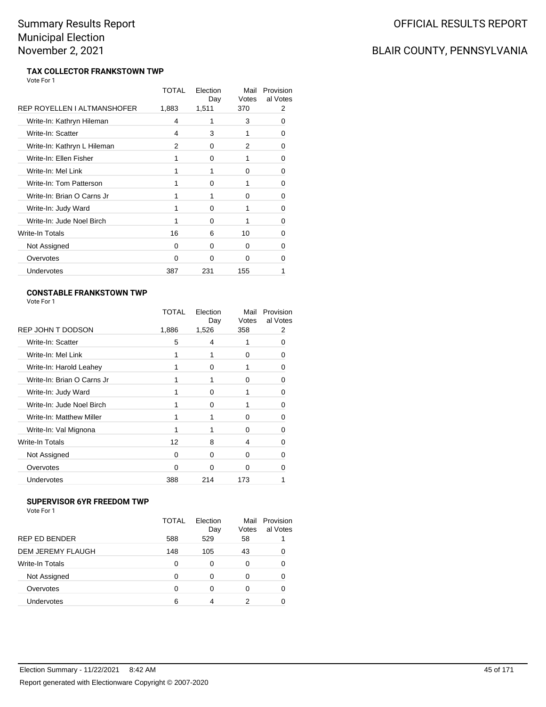# BLAIR COUNTY, PENNSYLVANIA

#### **TAX COLLECTOR FRANKSTOWN TWP** Vote For 1

|                             | TOTAL    | Election<br>Day | Mail<br>Votes | Provision<br>al Votes |
|-----------------------------|----------|-----------------|---------------|-----------------------|
| REP ROYELLEN I ALTMANSHOFER | 1,883    | 1,511           | 370           | 2                     |
| Write-In: Kathryn Hileman   | 4        | 1               | 3             | 0                     |
| Write-In: Scatter           | 4        | 3               | 1             | O                     |
| Write-In: Kathryn L Hileman | 2        | $\Omega$        | 2             | 0                     |
| Write-In: Ellen Fisher      | 1        | $\Omega$        | 1             | O                     |
| Write-In: Mel Link          | 1        |                 | 0             | 0                     |
| Write-In: Tom Patterson     | 1        | $\Omega$        | 1             | 0                     |
| Write-In: Brian O Carns Jr  | 1        |                 | 0             | 0                     |
| Write-In: Judy Ward         | 1        | 0               | 1             | O                     |
| Write-In: Jude Noel Birch   |          | $\Omega$        |               | O                     |
| Write-In Totals             | 16       | 6               | 10            | O                     |
| Not Assigned                | $\Omega$ | $\Omega$        | 0             | O                     |
| Overvotes                   | 0        | 0               | 0             | O                     |
| Undervotes                  | 387      | 231             | 155           |                       |
|                             |          |                 |               |                       |

#### **CONSTABLE FRANKSTOWN TWP** Vote For 1

|                            | TOTAL | Election<br>Day | Mail<br>Votes | Provision<br>al Votes |
|----------------------------|-------|-----------------|---------------|-----------------------|
| REP JOHN T DODSON          | 1,886 | 1,526           | 358           | 2                     |
| Write-In: Scatter          | 5     | 4               |               | 0                     |
| Write-In: Mel Link         |       |                 | 0             | Ω                     |
| Write-In: Harold Leahey    |       | 0               |               | 0                     |
| Write-In: Brian O Carns Jr |       |                 | 0             | n                     |
| Write-In: Judy Ward        | 1     | $\Omega$        | 1             | 0                     |
| Write-In: Jude Noel Birch  |       | 0               |               | 0                     |
| Write-In: Matthew Miller   | 1     |                 | O             | 0                     |
| Write-In: Val Mignona      |       |                 | $\Omega$      | 0                     |
| <b>Write-In Totals</b>     | 12    | 8               | 4             | 0                     |
| Not Assigned               | 0     | $\Omega$        | 0             | O                     |
| Overvotes                  | ŋ     | 0               | O             |                       |
| Undervotes                 | 388   | 214             | 173           |                       |

#### **SUPERVISOR 6YR FREEDOM TWP**

| <u> Jil Livedje v in inlledvin i m</u><br>Vote For 1 |              |                 |               |                       |
|------------------------------------------------------|--------------|-----------------|---------------|-----------------------|
|                                                      | <b>TOTAL</b> | Election<br>Day | Mail<br>Votes | Provision<br>al Votes |
| <b>REP ED BENDER</b>                                 | 588          | 529             | 58            |                       |
| DEM JEREMY FLAUGH                                    | 148          | 105             | 43            | ∩                     |
| Write-In Totals                                      | $\Omega$     | 0               | 0             | 0                     |
| Not Assigned                                         | $\Omega$     | 0               | $\Omega$      | 0                     |
| Overvotes                                            | O            |                 | 0             |                       |
| Undervotes                                           | 6            |                 |               |                       |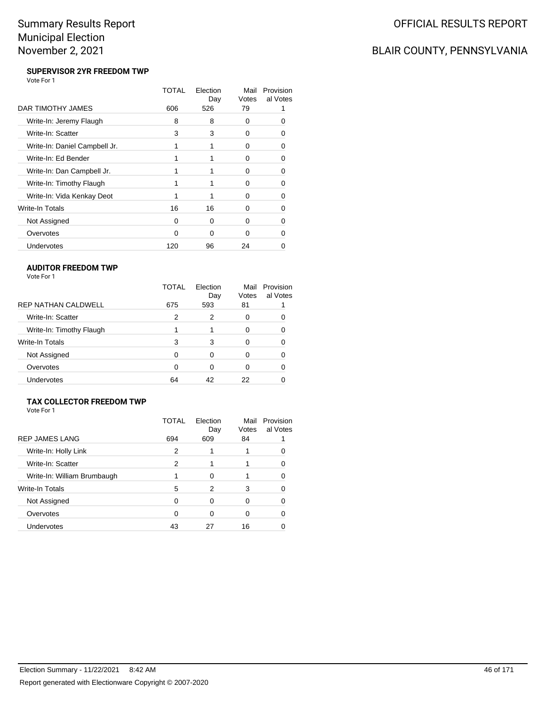# BLAIR COUNTY, PENNSYLVANIA

#### **SUPERVISOR 2YR FREEDOM TWP** Vote For 1

|                               | TOTAL | Election<br>Day | Mail<br>Votes | Provision<br>al Votes |
|-------------------------------|-------|-----------------|---------------|-----------------------|
| DAR TIMOTHY JAMES             | 606   | 526             | 79            |                       |
| Write-In: Jeremy Flaugh       | 8     | 8               | 0             |                       |
| Write-In: Scatter             | 3     | 3               | 0             | O                     |
| Write-In: Daniel Campbell Jr. |       |                 | 0             | n                     |
| Write-In: Ed Bender           |       |                 | 0             | Ω                     |
| Write-In: Dan Campbell Jr.    |       |                 | U             | O                     |
| Write-In: Timothy Flaugh      |       |                 | O             |                       |
| Write-In: Vida Kenkay Deot    | 1     |                 | 0             | n                     |
| Write-In Totals               | 16    | 16              | 0             | O                     |
| Not Assigned                  | 0     | 0               | O             |                       |
| Overvotes                     | 0     | ∩               | O             |                       |
| Undervotes                    | 120   | 96              | 24            |                       |

#### **AUDITOR FREEDOM TWP**

| Vote For 1 |  |
|------------|--|
|------------|--|

|                            | TOTAL | Election<br>Day | Mail<br>Votes | Provision<br>al Votes |
|----------------------------|-------|-----------------|---------------|-----------------------|
| <b>REP NATHAN CALDWELL</b> | 675   | 593             | 81            |                       |
| Write-In: Scatter          | 2     | 2               | O             |                       |
| Write-In: Timothy Flaugh   |       |                 | 0             |                       |
| Write-In Totals            | 3     | 3               | O             |                       |
| Not Assigned               | 0     | 0               | 0             |                       |
| Overvotes                  | 0     | 0               | 0             |                       |
| <b>Undervotes</b>          | 64    | 42              | 22            |                       |

#### **TAX COLLECTOR FREEDOM TWP** Vote For 1

|                             | TOTAL | Flection<br>Day | Mail<br>Votes | Provision<br>al Votes |
|-----------------------------|-------|-----------------|---------------|-----------------------|
| <b>REP JAMES LANG</b>       | 694   | 609             | 84            |                       |
| Write-In: Holly Link        | 2     |                 |               |                       |
| Write-In: Scatter           | 2     |                 |               | 0                     |
| Write-In: William Brumbaugh |       | 0               |               |                       |
| <b>Write-In Totals</b>      | 5     | 2               | 3             | 0                     |
| Not Assigned                | 0     | 0               | 0             | 0                     |
| Overvotes                   | 0     | 0               | 0             | 0                     |
| Undervotes                  | 43    | 27              | 16            |                       |
|                             |       |                 |               |                       |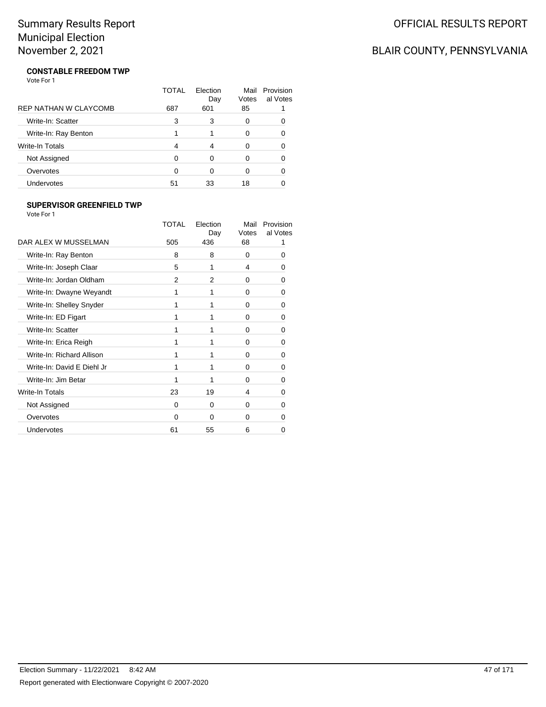# BLAIR COUNTY, PENNSYLVANIA

#### **CONSTABLE FREEDOM TWP** Vote For 1

|                              | TOTAL | Flection<br>Day | Mail<br>Votes | Provision<br>al Votes |
|------------------------------|-------|-----------------|---------------|-----------------------|
| <b>REP NATHAN W CLAYCOMB</b> | 687   | 601             | 85            |                       |
| Write-In: Scatter            | 3     | 3               | 0             |                       |
| Write-In: Ray Benton         |       |                 | 0             | ∩                     |
| Write-In Totals              | 4     | 4               | O             |                       |
| Not Assigned                 | 0     | ∩               | O             | O                     |
| Overvotes                    | 0     | ∩               | O             |                       |
| Undervotes                   | 51    | 33              | 18            |                       |

#### **SUPERVISOR GREENFIELD TWP**

| Vote For 1                 |              |                 |               |                       |
|----------------------------|--------------|-----------------|---------------|-----------------------|
|                            | <b>TOTAL</b> | Flection<br>Day | Mail<br>Votes | Provision<br>al Votes |
| DAR ALEX W MUSSELMAN       | 505          | 436             | 68            |                       |
| Write-In: Ray Benton       | 8            | 8               | 0             | $\Omega$              |
| Write-In: Joseph Claar     | 5            | 1               | 4             | O                     |
| Write-In: Jordan Oldham    | 2            | 2               | 0             | 0                     |
| Write-In: Dwayne Weyandt   | 1            | 1               | 0             | 0                     |
| Write-In: Shelley Snyder   | 1            | 1               | 0             | 0                     |
| Write-In: ED Figart        | 1            | 1               | 0             | 0                     |
| Write-In: Scatter          | 1            | 1               | 0             | 0                     |
| Write-In: Erica Reigh      | 1            | 1               | 0             | 0                     |
| Write-In: Richard Allison  | 1            | 1               | 0             | 0                     |
| Write-In: David E Diehl Jr | 1            | 1               | $\Omega$      | 0                     |
| Write-In: Jim Betar        | 1            | 1               | $\Omega$      | 0                     |
| Write-In Totals            | 23           | 19              | 4             | 0                     |
| Not Assigned               | $\Omega$     | $\Omega$        | $\Omega$      | 0                     |
| Overvotes                  | 0            | O               | $\Omega$      | O                     |
| Undervotes                 | 61           | 55              | 6             | 0                     |

Election Summary - 11/22/2021 8:42 AM 47 of 171 Report generated with Electionware Copyright © 2007-2020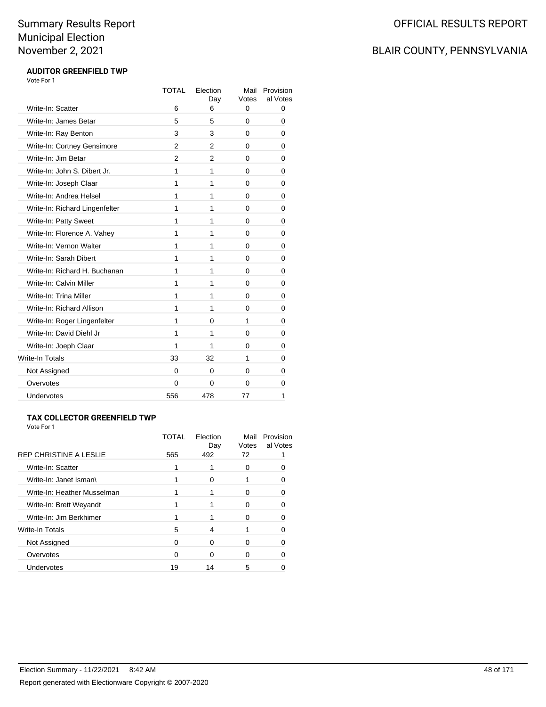## BLAIR COUNTY, PENNSYLVANIA

#### **AUDITOR GREENFIELD TWP** Vote For 1

|                                | <b>TOTAL</b>   | Election<br>Day | Mail<br>Votes | Provision<br>al Votes |
|--------------------------------|----------------|-----------------|---------------|-----------------------|
| Write-In: Scatter              | 6              | 6               | 0             | 0                     |
| Write-In: James Betar          | 5              | 5               | 0             | 0                     |
| Write-In: Ray Benton           | 3              | 3               | 0             | 0                     |
| Write-In: Cortney Gensimore    | 2              | $\overline{2}$  | 0             | 0                     |
| Write-In: Jim Betar            | $\overline{2}$ | $\overline{2}$  | 0             | 0                     |
| Write-In: John S. Dibert Jr.   | 1              | 1               | 0             | 0                     |
| Write-In: Joseph Claar         | 1              | 1               | 0             | 0                     |
| Write-In: Andrea Helsel        | 1              | 1               | 0             | 0                     |
| Write-In: Richard Lingenfelter | 1              | 1               | 0             | 0                     |
| Write-In: Patty Sweet          | 1              | 1               | 0             | 0                     |
| Write-In: Florence A. Vahey    | 1              | 1               | 0             | 0                     |
| Write-In: Vernon Walter        | 1              | 1               | 0             | 0                     |
| Write-In: Sarah Dibert         | 1              | 1               | 0             | 0                     |
| Write-In: Richard H. Buchanan  | 1              | 1               | 0             | 0                     |
| Write-In: Calvin Miller        | 1              | 1               | 0             | 0                     |
| Write-In: Trina Miller         | 1              | 1               | 0             | 0                     |
| Write-In: Richard Allison      | 1              | 1               | 0             | 0                     |
| Write-In: Roger Lingenfelter   | 1              | $\Omega$        | 1             | 0                     |
| Write-In: David Diehl Jr       | 1              | 1               | 0             | 0                     |
| Write-In: Joeph Claar          | 1              | 1               | 0             | 0                     |
| <b>Write-In Totals</b>         | 33             | 32              | 1             | 0                     |
| Not Assigned                   | $\Omega$       | 0               | 0             | 0                     |
| Overvotes                      | 0              | 0               | 0             | 0                     |
| <b>Undervotes</b>              | 556            | 478             | 77            | 1                     |

#### **TAX COLLECTOR GREENFIELD TWP**

|                               | TOTAI | Election<br>Day | Mail<br>Votes | Provision<br>al Votes |
|-------------------------------|-------|-----------------|---------------|-----------------------|
| <b>REP CHRISTINE A LESLIE</b> | 565   | 492             | 72            |                       |
| Write-In: Scatter             |       |                 | O             |                       |
| Write-In: Janet Isman\        |       | ∩               |               |                       |
| Write-In: Heather Musselman   |       |                 |               |                       |
| Write-In: Brett Weyandt       |       |                 |               |                       |
| Write-In: Jim Berkhimer       |       |                 |               |                       |
| <b>Write-In Totals</b>        | 5     | 4               |               |                       |
| Not Assigned                  | n     | ∩               |               |                       |
| Overvotes                     |       | ŋ               |               |                       |
| <b>Undervotes</b>             | 19    | 14              | 5             |                       |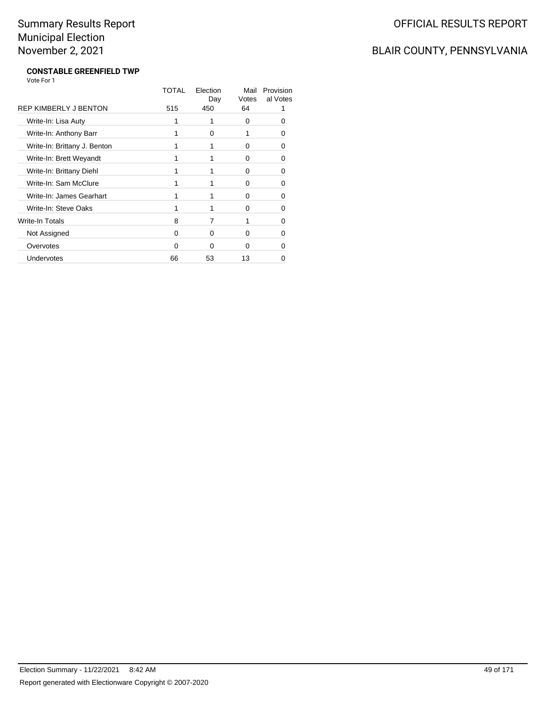# BLAIR COUNTY, PENNSYLVANIA

#### **CONSTABLE GREENFIELD TWP** Vote For 1

|                              | TOTAL | Election<br>Day | Mail<br>Votes | Provision<br>al Votes |
|------------------------------|-------|-----------------|---------------|-----------------------|
| REP KIMBERLY J BENTON        | 515   | 450             | 64            |                       |
| Write-In: Lisa Auty          |       | 1               | $\Omega$      | 0                     |
| Write-In: Anthony Barr       |       | 0               |               | n                     |
| Write-In: Brittany J. Benton |       |                 | 0             | n                     |
| Write-In: Brett Weyandt      |       |                 | $\Omega$      | ŋ                     |
| Write-In: Brittany Diehl     |       |                 | $\Omega$      | O                     |
| Write-In: Sam McClure        |       |                 | 0             | 0                     |
| Write-In: James Gearhart     |       |                 | $\Omega$      |                       |
| Write-In: Steve Oaks         |       | 1               | $\Omega$      | U                     |
| Write-In Totals              | 8     | 7               |               | ŋ                     |
| Not Assigned                 | 0     | $\Omega$        | $\Omega$      | 0                     |
| Overvotes                    | O     | O               | 0             |                       |
| Undervotes                   | 66    | 53              | 13            | 0                     |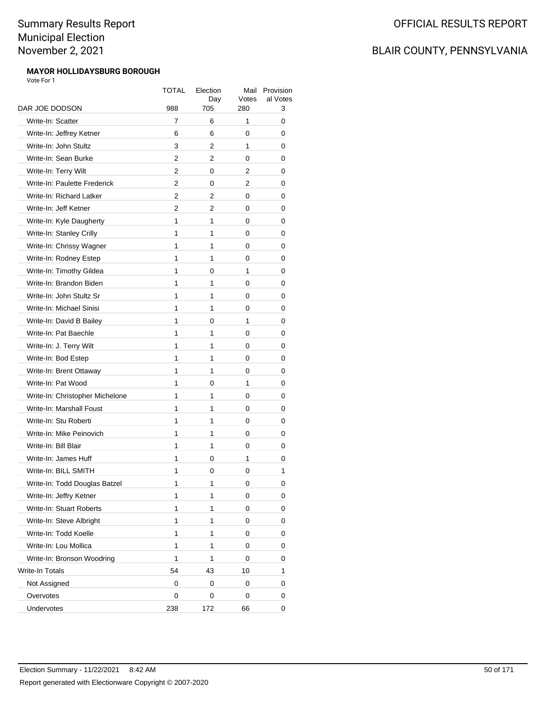#### **MAYOR HOLLIDAYSBURG BOROUGH** Vote For 1

|                                 | TOTAL | Election<br>Day | Mail<br>Votes | Provision<br>al Votes |
|---------------------------------|-------|-----------------|---------------|-----------------------|
| DAR JOE DODSON                  | 988   | 705             | 280           | 3                     |
| Write-In: Scatter               | 7     | 6               | 1             | 0                     |
| Write-In: Jeffrey Ketner        | 6     | 6               | 0             | 0                     |
| Write-In: John Stultz           | 3     | 2               | 1             | 0                     |
| Write-In: Sean Burke            | 2     | 2               | 0             | 0                     |
| Write-In: Terry Wilt            | 2     | 0               | 2             | 0                     |
| Write-In: Paulette Frederick    | 2     | 0               | 2             | 0                     |
| Write-In: Richard Latker        | 2     | 2               | 0             | 0                     |
| Write-In: Jeff Ketner           | 2     | 2               | 0             | 0                     |
| Write-In: Kyle Daugherty        | 1     | 1               | 0             | 0                     |
| Write-In: Stanley Crilly        | 1     | 1               | 0             | 0                     |
| Write-In: Chrissy Wagner        | 1     | 1               | 0             | 0                     |
| Write-In: Rodney Estep          | 1     | 1               | 0             | 0                     |
| Write-In: Timothy Gildea        | 1     | 0               | 1             | 0                     |
| Write-In: Brandon Biden         | 1     | 1               | 0             | 0                     |
| Write-In: John Stultz Sr        | 1     | 1               | 0             | 0                     |
| Write-In: Michael Sinisi        | 1     | 1               | 0             | 0                     |
| Write-In: David B Bailey        | 1     | 0               | 1             | 0                     |
| Write-In: Pat Baechle           | 1     | 1               | 0             | 0                     |
| Write-In: J. Terry Wilt         | 1     | 1               | 0             | 0                     |
| Write-In: Bod Estep             | 1     | 1               | 0             | 0                     |
| Write-In: Brent Ottaway         | 1     | 1               | 0             | 0                     |
| Write-In: Pat Wood              | 1     | 0               | 1             | 0                     |
| Write-In: Christopher Michelone | 1     | 1               | 0             | 0                     |
| Write-In: Marshall Foust        | 1     | 1               | 0             | 0                     |
| Write-In: Stu Roberti           | 1     | 1               | 0             | 0                     |
| Write-In: Mike Peinovich        | 1     | 1               | 0             | 0                     |
| Write-In: Bill Blair            | 1     | 1               | 0             | 0                     |
| Write-In: James Huff            | 1     | 0               | 1             | 0                     |
| Write-In: BILL SMITH            | 1     | 0               | 0             | 1                     |
| Write-In: Todd Douglas Batzel   | 1     | 1               | 0             | 0                     |
| Write-In: Jeffry Ketner         | 1     | 1               | 0             | 0                     |
| Write-In: Stuart Roberts        | 1     | 1               | 0             | 0                     |
| Write-In: Steve Albright        | 1     | 1               | 0             | 0                     |
| Write-In: Todd Koelle           | 1     | 1               | 0             | 0                     |
| Write-In: Lou Mollica           | 1     | 1               | 0             | 0                     |
| Write-In: Bronson Woodring      | 1     | 1               | 0             | 0                     |
| Write-In Totals                 | 54    | 43              | 10            | 1                     |
| Not Assigned                    | 0     | 0               | 0             | 0                     |
| Overvotes                       | 0     | 0               | 0             | 0                     |
| Undervotes                      | 238   | 172             | 66            | 0                     |
|                                 |       |                 |               |                       |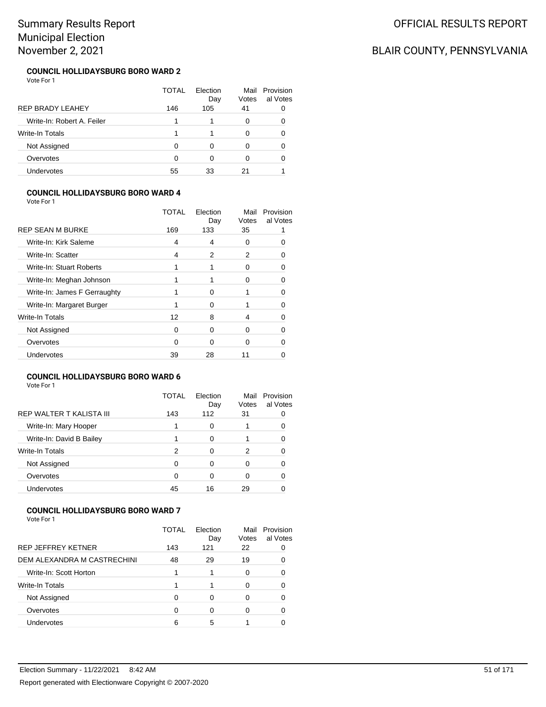### OFFICIAL RESULTS REPORT

# BLAIR COUNTY, PENNSYLVANIA

#### **COUNCIL HOLLIDAYSBURG BORO WARD 2** Vote For 1

|                            | TOTAL | Election<br>Day | Votes | Mail Provision<br>al Votes |
|----------------------------|-------|-----------------|-------|----------------------------|
| <b>REP BRADY LEAHEY</b>    | 146   | 105             | 41    |                            |
| Write-In: Robert A. Feiler |       |                 | O     |                            |
| Write-In Totals            |       |                 | O     |                            |
| Not Assigned               |       |                 |       |                            |
| Overvotes                  | O     | 0               | 0     |                            |
| Undervotes                 | 55    | 33              | 21    |                            |

#### **COUNCIL HOLLIDAYSBURG BORO WARD 4**

Vote For 1

|                              | TOTAL | Election<br>Day | Mail<br>Votes | Provision<br>al Votes |
|------------------------------|-------|-----------------|---------------|-----------------------|
| <b>REP SEAN M BURKE</b>      | 169   | 133             | 35            |                       |
| Write-In: Kirk Saleme        | 4     | 4               | 0             |                       |
| Write-In: Scatter            | 4     | 2               | 2             |                       |
| Write-In: Stuart Roberts     |       |                 | Ω             |                       |
| Write-In: Meghan Johnson     |       |                 | 0             |                       |
| Write-In: James F Gerraughty |       | 0               |               |                       |
| Write-In: Margaret Burger    |       | $\Omega$        |               |                       |
| Write-In Totals              | 12    | 8               | 4             | O                     |
| Not Assigned                 | 0     | $\Omega$        | 0             | O                     |
| Overvotes                    | 0     | 0               | 0             |                       |
| <b>Undervotes</b>            | 39    | 28              | 11            |                       |
|                              |       |                 |               |                       |

#### **COUNCIL HOLLIDAYSBURG BORO WARD 6**

Vote For 1

|                                 | TOTAL | Election<br>Day | Mail<br>Votes | Provision<br>al Votes |
|---------------------------------|-------|-----------------|---------------|-----------------------|
| <b>REP WALTER T KALISTA III</b> | 143   | 112             | 31            |                       |
| Write-In: Mary Hooper           |       | 0               |               |                       |
| Write-In: David B Bailey        |       | 0               |               |                       |
| Write-In Totals                 | 2     | 0               | 2             |                       |
| Not Assigned                    | 0     | Ω               | ŋ             |                       |
| Overvotes                       | 0     | 0               | 0             |                       |
| <b>Undervotes</b>               | 45    | 16              | 29            |                       |

#### **COUNCIL HOLLIDAYSBURG BORO WARD 7**

|                             | TOTAL | Election<br>Day | Mail<br>Votes | Provision<br>al Votes |
|-----------------------------|-------|-----------------|---------------|-----------------------|
| <b>REP JEFFREY KETNER</b>   | 143   | 121             | 22            |                       |
| DEM ALEXANDRA M CASTRECHINI | 48    | 29              | 19            |                       |
| Write-In: Scott Horton      |       |                 | 0             |                       |
| Write-In Totals             |       |                 | 0             |                       |
| Not Assigned                |       | $\Omega$        | 0             |                       |
| Overvotes                   | ∩     | ∩               | 0             |                       |
| Undervotes                  | ี่ค   | 5               |               |                       |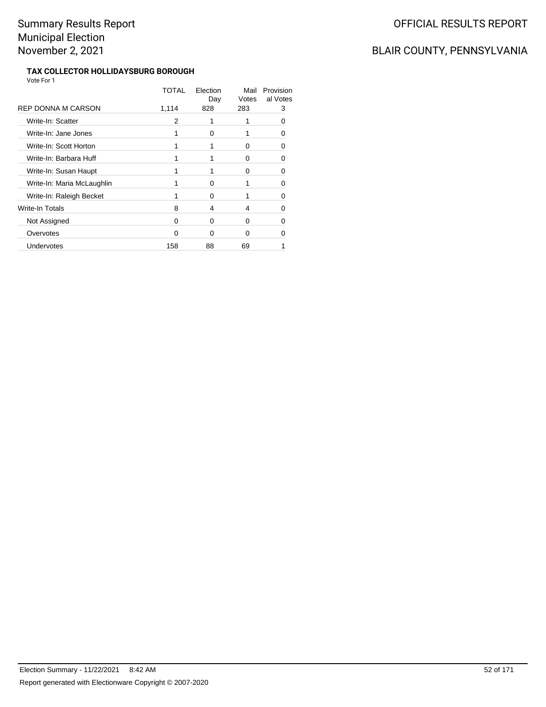# OFFICIAL RESULTS REPORT

# BLAIR COUNTY, PENNSYLVANIA

#### **TAX COLLECTOR HOLLIDAYSBURG BOROUGH** Vote For 1

|                            | TOTAL | Election<br>Day | Mail<br>Votes | Provision<br>al Votes |
|----------------------------|-------|-----------------|---------------|-----------------------|
| REP DONNA M CARSON         | 1,114 | 828             | 283           | 3                     |
| Write-In: Scatter          | 2     |                 |               |                       |
| Write-In: Jane Jones       |       | 0               |               | n                     |
| Write-In: Scott Horton     |       |                 | 0             | n                     |
| Write-In: Barbara Huff     |       |                 | 0             | Ω                     |
| Write-In: Susan Haupt      |       |                 | O             | n                     |
| Write-In: Maria McLaughlin |       | 0               |               |                       |
| Write-In: Raleigh Becket   |       | 0               |               | n                     |
| Write-In Totals            | 8     | 4               | 4             | n                     |
| Not Assigned               | O     | 0               | 0             | n                     |
| Overvotes                  | ∩     | ∩               | ŋ             |                       |
| Undervotes                 | 158   | 88              | 69            |                       |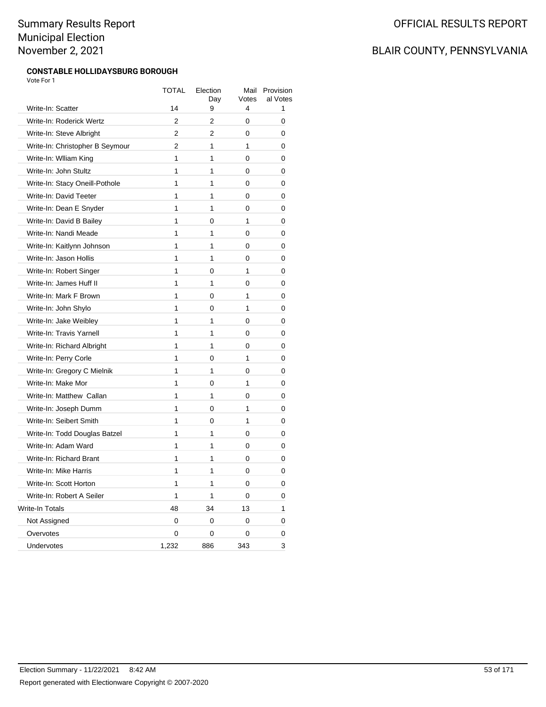#### **CONSTABLE HOLLIDAYSBURG BOROUGH** Vote For 1

|                                 | <b>TOTAL</b> | Election<br>Day | Mail<br>Votes | Provision<br>al Votes |
|---------------------------------|--------------|-----------------|---------------|-----------------------|
| Write-In: Scatter               | 14           | 9               | 4             | 1                     |
| Write-In: Roderick Wertz        | 2            | 2               | 0             | 0                     |
| Write-In: Steve Albright        | 2            | 2               | 0             | 0                     |
| Write-In: Christopher B Seymour | 2            | 1               | 1             | 0                     |
| Write-In: William King          | 1            | 1               | 0             | 0                     |
| Write-In: John Stultz           | 1            | 1               | 0             | 0                     |
| Write-In: Stacy Oneill-Pothole  | 1            | 1               | 0             | 0                     |
| Write-In: David Teeter          | $\mathbf{1}$ | 1               | 0             | 0                     |
| Write-In: Dean E Snyder         | 1            | 1               | 0             | 0                     |
| Write-In: David B Bailey        | 1            | 0               | 1             | 0                     |
| Write-In: Nandi Meade           | 1            | 1               | 0             | 0                     |
| Write-In: Kaitlynn Johnson      | 1            | 1               | 0             | 0                     |
| Write-In: Jason Hollis          | 1            | 1               | 0             | 0                     |
| Write-In: Robert Singer         | $\mathbf{1}$ | 0               | 1             | 0                     |
| Write-In: James Huff II         | 1            | 1               | 0             | 0                     |
| Write-In: Mark F Brown          | 1            | 0               | 1             | 0                     |
| Write-In: John Shylo            | 1            | 0               | 1             | 0                     |
| Write-In: Jake Weibley          | 1            | 1               | 0             | 0                     |
| Write-In: Travis Yarnell        | 1            | 1               | 0             | 0                     |
| Write-In: Richard Albright      | $\mathbf{1}$ | 1               | 0             | 0                     |
| Write-In: Perry Corle           | 1            | 0               | 1             | 0                     |
| Write-In: Gregory C Mielnik     | 1            | 1               | 0             | 0                     |
| Write-In: Make Mor              | 1            | 0               | 1             | 0                     |
| Write-In: Matthew Callan        | 1            | 1               | 0             | 0                     |
| Write-In: Joseph Dumm           | 1            | 0               | 1             | 0                     |
| Write-In: Seibert Smith         | 1            | 0               | 1             | 0                     |
| Write-In: Todd Douglas Batzel   | 1            | 1               | 0             | 0                     |
| Write-In: Adam Ward             | 1            | 1               | 0             | 0                     |
| Write-In: Richard Brant         | 1            | 1               | 0             | 0                     |
| Write-In: Mike Harris           | 1            | 1               | 0             | 0                     |
| Write-In: Scott Horton          | 1            | 1               | 0             | 0                     |
| Write-In: Robert A Seiler       | 1            | 1               | 0             | 0                     |
| Write-In Totals                 | 48           | 34              | 13            | 1                     |
| Not Assigned                    | 0            | 0               | 0             | 0                     |
| Overvotes                       | 0            | 0               | 0             | 0                     |
| Undervotes                      | 1,232        | 886             | 343           | 3                     |
|                                 |              |                 |               |                       |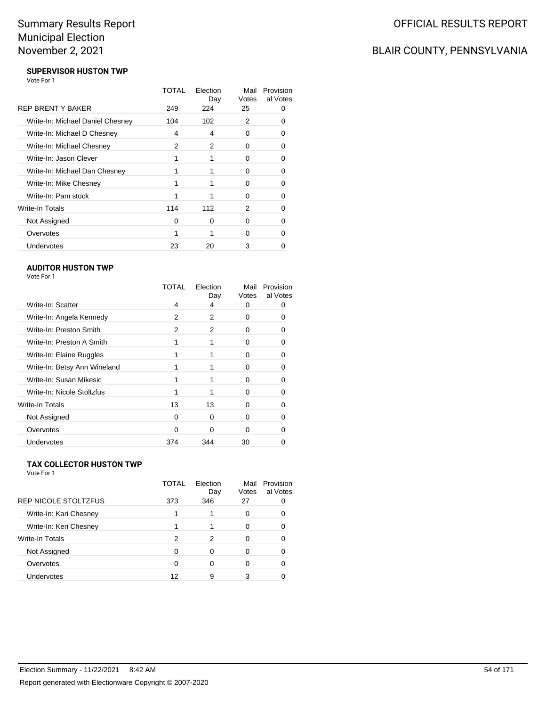# BLAIR COUNTY, PENNSYLVANIA

#### **SUPERVISOR HUSTON TWP** Vote For 1

|                                  | TOTAL | Election<br>Day | Mail<br>Votes | Provision<br>al Votes |
|----------------------------------|-------|-----------------|---------------|-----------------------|
| <b>REP BRENT Y BAKER</b>         | 249   | 224             | 25            |                       |
| Write-In: Michael Daniel Chesney | 104   | 102             | 2             |                       |
| Write-In: Michael D Chesney      | 4     | 4               | 0             | O                     |
| Write-In: Michael Chesney        | 2     | 2               | 0             | 0                     |
| Write-In: Jason Clever           |       |                 | 0             | O                     |
| Write-In: Michael Dan Chesney    |       |                 | ŋ             | 0                     |
| Write-In: Mike Chesney           |       |                 | O             |                       |
| Write-In: Pam stock              |       |                 | 0             | n                     |
| Write-In Totals                  | 114   | 112             | 2             | n                     |
| Not Assigned                     | O     | 0               | 0             |                       |
| Overvotes                        |       |                 | O             |                       |
| Undervotes                       | 23    | 20              | 3             |                       |

#### **AUDITOR HUSTON TWP**

| TOTAL | Election<br>Day | Mail<br>Votes | Provision<br>al Votes |
|-------|-----------------|---------------|-----------------------|
| 4     | 4               | O             |                       |
| 2     | 2               | O             | 0                     |
| 2     | 2               | n             |                       |
|       |                 | ŋ             |                       |
|       |                 | 0             |                       |
|       |                 | U             |                       |
|       |                 | ŋ             |                       |
|       |                 | U             |                       |
| 13    | 13              | U             |                       |
| 0     | 0               | O             |                       |
| ∩     | ი               | ∩             |                       |
| 374   | 344             | 30            |                       |
|       |                 |               |                       |

#### **TAX COLLECTOR HUSTON TWP**

|                             | TOTAL | Election<br>Day | Mail<br>Votes | Provision<br>al Votes |
|-----------------------------|-------|-----------------|---------------|-----------------------|
| <b>REP NICOLE STOLTZFUS</b> | 373   | 346             | 27            |                       |
| Write-In: Kari Chesney      |       |                 | 0             |                       |
| Write-In: Keri Chesney      |       |                 | 0             |                       |
| Write-In Totals             | 2     | 2               | 0             |                       |
| Not Assigned                | Ω     | ∩               | 0             |                       |
| Overvotes                   |       |                 | O             |                       |
| Undervotes                  | 12    | 9               |               |                       |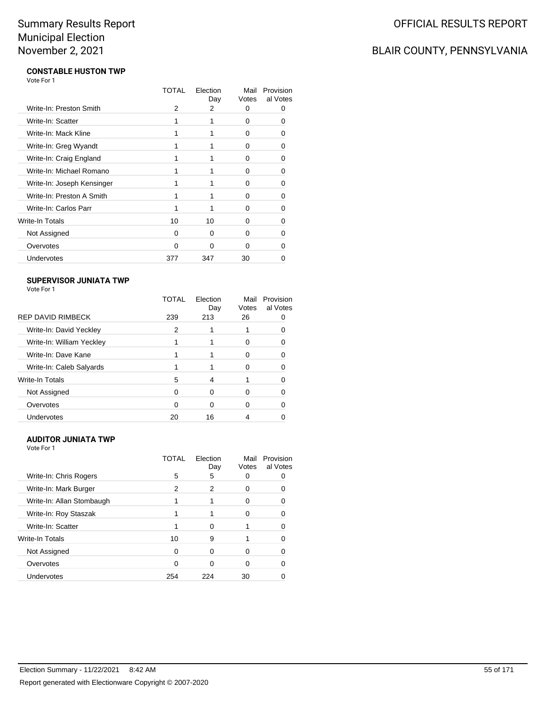# BLAIR COUNTY, PENNSYLVANIA

#### **CONSTABLE HUSTON TWP** Vote For 1

|                            | TOTAL | Election<br>Day | Mail<br>Votes | Provision<br>al Votes |
|----------------------------|-------|-----------------|---------------|-----------------------|
| Write-In: Preston Smith    | 2     | 2               | 0             | O                     |
| Write-In: Scatter          |       |                 | 0             | 0                     |
| Write-In: Mack Kline       |       |                 | 0             |                       |
| Write-In: Greg Wyandt      |       |                 | 0             | n                     |
| Write-In: Craig England    |       |                 | O             | O                     |
| Write-In: Michael Romano   | 1     |                 | 0             | n                     |
| Write-In: Joseph Kensinger |       |                 | 0             | O                     |
| Write-In: Preston A Smith  |       |                 | O             |                       |
| Write-In: Carlos Parr      |       |                 | 0             | n                     |
| Write-In Totals            | 10    | 10              | ŋ             | O                     |
| Not Assigned               | 0     | 0               | 0             | n                     |
| Overvotes                  | 0     | ∩               | 0             | 0                     |
| Undervotes                 | 377   | 347             | 30            |                       |

#### **SUPERVISOR JUNIATA TWP**

Vote For 1

|                           | TOTAL | Flection<br>Day | Mail<br>Votes | Provision<br>al Votes |
|---------------------------|-------|-----------------|---------------|-----------------------|
| <b>REP DAVID RIMBECK</b>  | 239   | 213             | 26            |                       |
| Write-In: David Yeckley   | 2     |                 |               |                       |
| Write-In: William Yeckley |       |                 | 0             |                       |
| Write-In: Dave Kane       |       |                 | 0             |                       |
| Write-In: Caleb Salyards  |       |                 | 0             |                       |
| Write-In Totals           | 5     | 4               |               |                       |
| Not Assigned              | ∩     | 0               | ŋ             |                       |
| Overvotes                 | 0     | 0               | 0             |                       |
| <b>Undervotes</b>         | 20    | 16              |               |                       |

#### **AUDITOR JUNIATA TWP**

|                           | TOTAL | Election<br>Day | Mail<br>Votes | Provision<br>al Votes |
|---------------------------|-------|-----------------|---------------|-----------------------|
| Write-In: Chris Rogers    | 5     | 5               |               |                       |
| Write-In: Mark Burger     | 2     | 2               | 0             |                       |
| Write-In: Allan Stombaugh |       |                 | O             |                       |
| Write-In: Roy Staszak     |       |                 |               | O                     |
| Write-In: Scatter         |       | 0               |               | 0                     |
| Write-In Totals           | 10    | 9               |               |                       |
| Not Assigned              | 0     | 0               |               |                       |
| Overvotes                 | ∩     | O               |               |                       |
| Undervotes                | 254   | 224             | 30            |                       |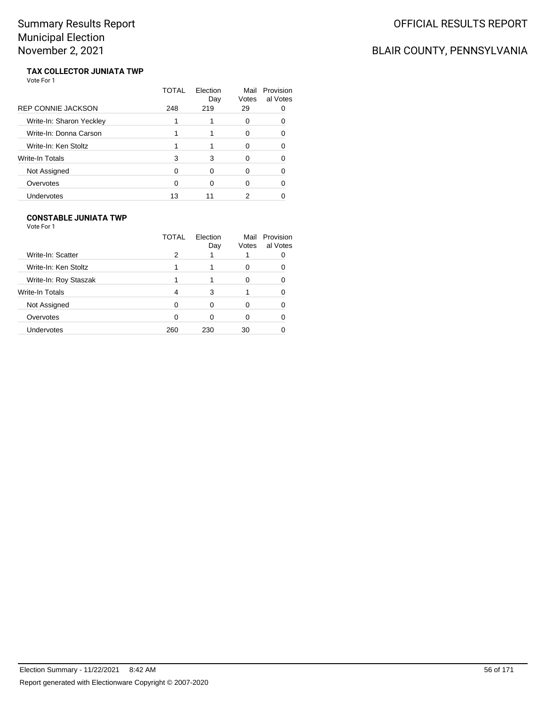# BLAIR COUNTY, PENNSYLVANIA

#### **TAX COLLECTOR JUNIATA TWP** Vote For 1

|                           | TOTAL | Election<br>Day | Mail<br>Votes | Provision<br>al Votes |
|---------------------------|-------|-----------------|---------------|-----------------------|
| <b>REP CONNIE JACKSON</b> | 248   | 219             | 29            |                       |
| Write-In: Sharon Yeckley  |       |                 | 0             |                       |
| Write-In: Donna Carson    |       |                 | 0             | n                     |
| Write-In: Ken Stoltz      |       |                 | O             |                       |
| Write-In Totals           | 3     | 3               | ∩             |                       |
| Not Assigned              | ∩     | ∩               | O             |                       |
| Overvotes                 |       |                 | ∩             |                       |
| Undervotes                | 13    |                 |               |                       |

#### **CONSTABLE JUNIATA TWP**

|                       | TOTAL | Election<br>Day | Mail<br>Votes | Provision<br>al Votes |
|-----------------------|-------|-----------------|---------------|-----------------------|
| Write-In: Scatter     | 2     |                 |               |                       |
| Write-In: Ken Stoltz  |       |                 | 0             |                       |
| Write-In: Roy Staszak |       |                 |               |                       |
| Write-In Totals       | 4     | 3               |               |                       |
| Not Assigned          | ∩     | 0               |               |                       |
| Overvotes             | ∩     | 0               | 0             |                       |
| <b>Undervotes</b>     | 260   | 230             | 30            |                       |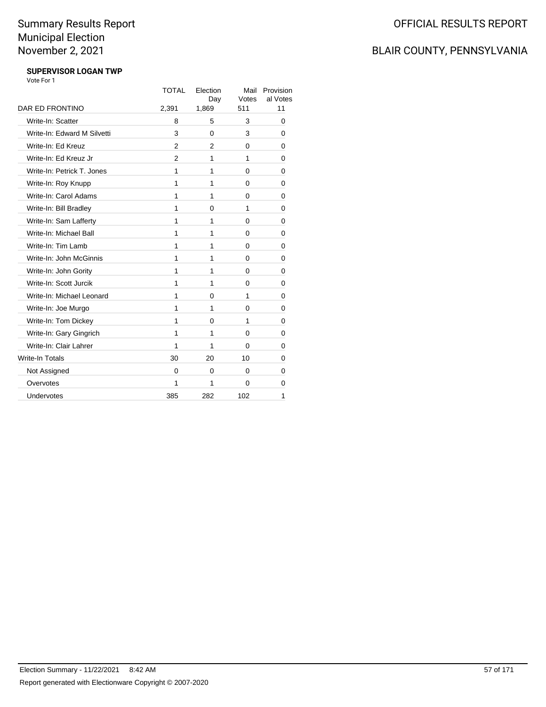# BLAIR COUNTY, PENNSYLVANIA

#### **SUPERVISOR LOGAN TWP** Vote For 1

|                             | <b>TOTAL</b>   | Election<br>Day | Mail<br>Votes | Provision<br>al Votes |
|-----------------------------|----------------|-----------------|---------------|-----------------------|
| DAR ED FRONTINO             | 2,391          | 1,869           | 511           | 11                    |
| Write-In: Scatter           | 8              | 5               | 3             | 0                     |
| Write-In: Edward M Silvetti | 3              | $\Omega$        | 3             | 0                     |
| Write-In: Ed Kreuz          | $\overline{2}$ | $\overline{2}$  | $\Omega$      | 0                     |
| Write-In: Ed Kreuz Jr       | $\mathcal{P}$  | 1               | 1             | 0                     |
| Write-In: Petrick T. Jones  | 1              | 1               | 0             | 0                     |
| Write-In: Roy Knupp         | $\mathbf{1}$   | 1               | 0             | 0                     |
| Write-In: Carol Adams       | 1              | 1               | 0             | 0                     |
| Write-In: Bill Bradley      | 1              | 0               | 1             | 0                     |
| Write-In: Sam Lafferty      | 1              | 1               | 0             | 0                     |
| Write-In: Michael Ball      | 1              | 1               | 0             | 0                     |
| Write-In: Tim Lamb          | 1              | 1               | 0             | 0                     |
| Write-In: John McGinnis     | 1              | 1               | 0             | 0                     |
| Write-In: John Gority       | 1              | 1               | 0             | 0                     |
| Write-In: Scott Jurcik      | 1              | 1               | 0             | 0                     |
| Write-In: Michael Leonard   | 1              | 0               | 1             | 0                     |
| Write-In: Joe Murgo         | 1              | 1               | 0             | 0                     |
| Write-In: Tom Dickey        | 1              | 0               | 1             | 0                     |
| Write-In: Gary Gingrich     | 1              | 1               | 0             | 0                     |
| Write-In: Clair Lahrer      | 1              | 1               | 0             | 0                     |
| <b>Write-In Totals</b>      | 30             | 20              | 10            | 0                     |
| Not Assigned                | 0              | 0               | 0             | 0                     |
| Overvotes                   | 1              | 1               | $\Omega$      | 0                     |
| Undervotes                  | 385            | 282             | 102           | 1                     |
|                             |                |                 |               |                       |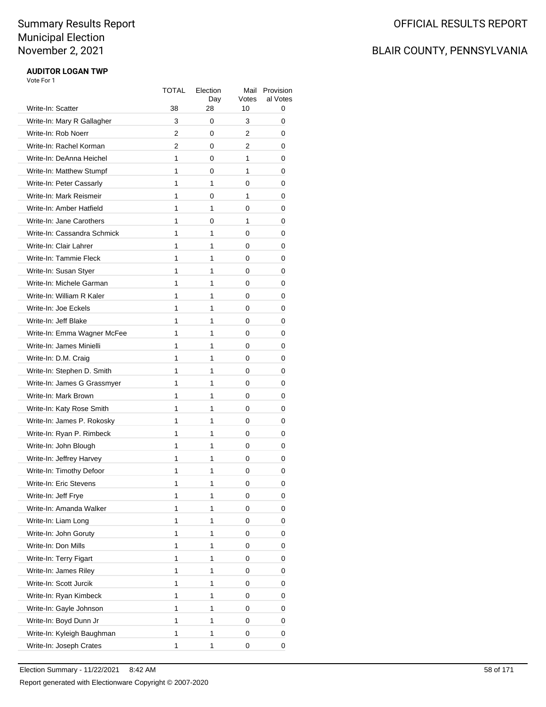# BLAIR COUNTY, PENNSYLVANIA

#### **AUDITOR LOGAN TWP** Vote For 1

| Write-In: Scatter                                 | TOTAL<br>38 | Election<br>Day<br>28 | Mail<br>Votes<br>10 | Provision<br>al Votes<br>0 |
|---------------------------------------------------|-------------|-----------------------|---------------------|----------------------------|
| Write-In: Mary R Gallagher                        | 3           | 0                     | 3                   | 0                          |
| Write-In: Rob Noerr                               | 2           | 0                     | 2                   | 0                          |
| Write-In: Rachel Korman                           | 2           | 0                     | 2                   | 0                          |
| Write-In: DeAnna Heichel                          | 1           | 0                     | 1                   | 0                          |
| Write-In: Matthew Stumpf                          | 1           | 0                     | 1                   | 0                          |
| Write-In: Peter Cassarly                          | 1           | 1                     | 0                   | 0                          |
| Write-In: Mark Reismeir                           | 1           | 0                     | 1                   | 0                          |
| Write-In: Amber Hatfield                          | 1           | 1                     | 0                   | 0                          |
| Write-In: Jane Carothers                          | 1           | 0                     | 1                   | 0                          |
| Write-In: Cassandra Schmick                       | 1           | 1                     | 0                   | 0                          |
| Write-In: Clair Lahrer                            | 1           | 1                     | 0                   | 0                          |
| Write-In: Tammie Fleck                            | 1           | 1                     | 0                   | 0                          |
| Write-In: Susan Styer                             | 1           | 1                     | 0                   | 0                          |
| Write-In: Michele Garman                          | 1           | 1                     | 0                   |                            |
|                                                   | 1           |                       |                     | 0                          |
| Write-In: William R Kaler<br>Write-In: Joe Eckels | 1           | 1                     | 0                   | 0                          |
|                                                   | 1           | 1<br>1                | 0                   | 0                          |
| Write-In: Jeff Blake                              |             |                       | 0                   | 0                          |
| Write-In: Emma Wagner McFee                       | 1           | 1                     | 0                   | 0                          |
| Write-In: James Minielli                          | 1           | 1                     | 0                   | 0                          |
| Write-In: D.M. Craig                              | 1           | 1                     | 0                   | 0                          |
| Write-In: Stephen D. Smith                        | 1           | 1                     | 0                   | 0                          |
| Write-In: James G Grassmyer                       | 1           | 1                     | 0                   | 0                          |
| Write-In: Mark Brown                              | 1           | 1                     | 0                   | 0                          |
| Write-In: Katy Rose Smith                         | 1           | 1                     | 0                   | 0                          |
| Write-In: James P. Rokosky                        | 1           | 1                     | 0                   | 0                          |
| Write-In: Ryan P. Rimbeck                         | 1           | 1                     | 0                   | 0                          |
| Write-In: John Blough                             | 1           | 1                     | 0                   | 0                          |
| Write-In: Jeffrey Harvey                          | 1           | 1                     | 0                   | 0                          |
| Write-In: Timothy Defoor                          | 1           | 1                     | 0                   | 0                          |
| Write-In: Eric Stevens                            | 1           | 1                     | 0                   | 0                          |
| Write-In: Jeff Frye                               | 1           | 1                     | 0                   | 0                          |
| Write-In: Amanda Walker                           | 1           | 1                     | 0                   | 0                          |
| Write-In: Liam Long                               | 1           | 1                     | 0                   | 0                          |
| Write-In: John Goruty                             | 1           | 1                     | 0                   | 0                          |
| Write-In: Don Mills                               | 1           | 1                     | 0                   | 0                          |
| Write-In: Terry Figart                            | 1           | 1                     | 0                   | 0                          |
| Write-In: James Riley                             | 1           | 1                     | 0                   | 0                          |
| Write-In: Scott Jurcik                            | 1           | 1                     | 0                   | 0                          |
| Write-In: Ryan Kimbeck                            | 1           | 1                     | 0                   | 0                          |
| Write-In: Gayle Johnson                           | 1           | 1                     | 0                   | 0                          |
| Write-In: Boyd Dunn Jr                            | 1           | 1                     | 0                   | 0                          |
| Write-In: Kyleigh Baughman                        | 1           | 1                     | 0                   | 0                          |
| Write-In: Joseph Crates                           | 1           | 1                     | 0                   | 0                          |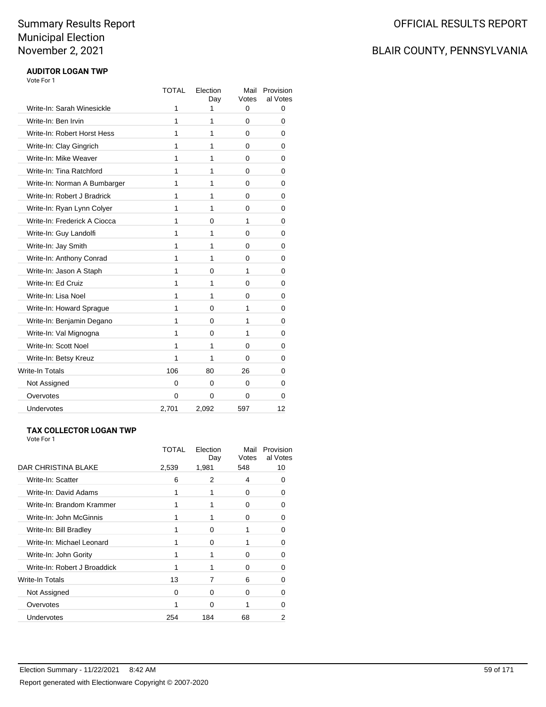# BLAIR COUNTY, PENNSYLVANIA

#### **AUDITOR LOGAN TWP** Vote For 1

|                              | <b>TOTAL</b> | Election<br>Day | Mail<br>Votes | Provision<br>al Votes |
|------------------------------|--------------|-----------------|---------------|-----------------------|
| Write-In: Sarah Winesickle   | 1            | 1               | 0             | $\mathbf{0}$          |
| Write-In: Ben Irvin          | 1            | 1               | 0             | 0                     |
| Write-In: Robert Horst Hess  | 1            | 1               | 0             | 0                     |
| Write-In: Clay Gingrich      | 1            | 1               | 0             | 0                     |
| Write-In: Mike Weaver        | 1            | 1               | 0             | 0                     |
| Write-In: Tina Ratchford     | 1            | 1               | 0             | 0                     |
| Write-In: Norman A Bumbarger | 1            | 1               | 0             | 0                     |
| Write-In: Robert J Bradrick  | 1            | 1               | 0             | 0                     |
| Write-In: Ryan Lynn Colyer   | 1            | 1               | 0             | 0                     |
| Write-In: Frederick A Ciocca | 1            | 0               | 1             | 0                     |
| Write-In: Guy Landolfi       | 1            | 1               | 0             | 0                     |
| Write-In: Jay Smith          | 1            | 1               | 0             | 0                     |
| Write-In: Anthony Conrad     | 1            | 1               | 0             | 0                     |
| Write-In: Jason A Staph      | 1            | 0               | 1             | 0                     |
| Write-In: Ed Cruiz           | 1            | 1               | 0             | 0                     |
| Write-In: Lisa Noel          | 1            | 1               | 0             | 0                     |
| Write-In: Howard Sprague     | 1            | $\Omega$        | 1             | 0                     |
| Write-In: Benjamin Degano    | 1            | $\Omega$        | 1             | 0                     |
| Write-In: Val Mignogna       | 1            | 0               | 1             | 0                     |
| Write-In: Scott Noel         | 1            | 1               | 0             | 0                     |
| Write-In: Betsy Kreuz        | 1            | 1               | 0             | 0                     |
| Write-In Totals              | 106          | 80              | 26            | 0                     |
| Not Assigned                 | $\Omega$     | 0               | 0             | 0                     |
| Overvotes                    | $\mathbf{0}$ | 0               | 0             | 0                     |
| <b>Undervotes</b>            | 2,701        | 2,092           | 597           | 12                    |

#### **TAX COLLECTOR LOGAN TWP**

| Vote For 1 |  |
|------------|--|
|            |  |

|                              | TOTAL | Election<br>Day | Mail<br>Votes | Provision<br>al Votes |
|------------------------------|-------|-----------------|---------------|-----------------------|
| DAR CHRISTINA BLAKE          | 2,539 | 1,981           | 548           | 10                    |
| Write-In: Scatter            | 6     | 2               | 4             | O                     |
| Write-In: David Adams        |       |                 | 0             | O                     |
| Write-In: Brandom Krammer    |       |                 | <sup>0</sup>  | ŋ                     |
| Write-In: John McGinnis      |       |                 | 0             | ŋ                     |
| Write-In: Bill Bradley       |       | 0               |               | O                     |
| Write-In: Michael Leonard    |       | $\Omega$        | 1             | O                     |
| Write-In: John Gority        |       |                 | 0             | O                     |
| Write-In: Robert J Broaddick |       |                 | <sup>0</sup>  | n                     |
| <b>Write-In Totals</b>       | 13    | 7               | 6             | O                     |
| Not Assigned                 | O     | 0               | 0             | O                     |
| Overvotes                    |       | $\Omega$        |               | 0                     |
| Undervotes                   | 254   | 184             | 68            | 2                     |
|                              |       |                 |               |                       |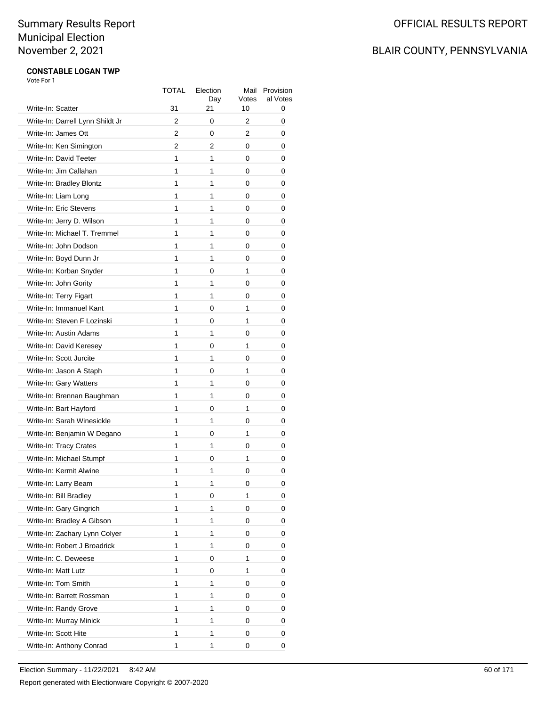# BLAIR COUNTY, PENNSYLVANIA

#### **CONSTABLE LOGAN TWP** Vote For 1

| Write-In: Scatter                | TOTAL<br>31 | Election<br>Day<br>21 | Mail<br>Votes<br>10 | Provision<br>al Votes<br>0 |
|----------------------------------|-------------|-----------------------|---------------------|----------------------------|
| Write-In: Darrell Lynn Shildt Jr | 2           | 0                     | 2                   | 0                          |
| Write-In: James Ott              | 2           | 0                     | 2                   | 0                          |
| Write-In: Ken Simington          | 2           | 2                     | 0                   | 0                          |
| Write-In: David Teeter           | 1           | 1                     | 0                   | 0                          |
|                                  | 1           | 1                     |                     |                            |
| Write-In: Jim Callahan           | 1           | 1                     | 0                   | 0                          |
| Write-In: Bradley Blontz         | 1           |                       | 0                   | 0                          |
| Write-In: Liam Long              | 1           | 1<br>1                | 0                   | 0                          |
| Write-In: Eric Stevens           |             |                       | 0                   | 0                          |
| Write-In: Jerry D. Wilson        | 1           | 1                     | 0                   | 0                          |
| Write-In: Michael T. Tremmel     | 1           | 1                     | 0                   | 0                          |
| Write-In: John Dodson            | 1           | 1                     | 0                   | 0                          |
| Write-In: Boyd Dunn Jr           | 1           | 1                     | 0                   | 0                          |
| Write-In: Korban Snyder          | 1           | 0                     | 1                   | 0                          |
| Write-In: John Gority            | 1           | 1                     | 0                   | 0                          |
| Write-In: Terry Figart           | 1           | 1                     | 0                   | 0                          |
| Write-In: Immanuel Kant          | 1           | 0                     | 1                   | 0                          |
| Write-In: Steven F Lozinski      | 1           | 0                     | 1                   | 0                          |
| Write-In: Austin Adams           | 1           | 1                     | 0                   | 0                          |
| Write-In: David Keresey          | 1           | 0                     | 1                   | 0                          |
| Write-In: Scott Jurcite          | 1           | 1                     | 0                   | 0                          |
| Write-In: Jason A Staph          | 1           | 0                     | 1                   | 0                          |
| Write-In: Gary Watters           | 1           | 1                     | 0                   | 0                          |
| Write-In: Brennan Baughman       | 1           | 1                     | 0                   | 0                          |
| Write-In: Bart Hayford           | 1           | 0                     | 1                   | 0                          |
| Write-In: Sarah Winesickle       | 1           | 1                     | 0                   | 0                          |
| Write-In: Benjamin W Degano      | 1           | 0                     | 1                   | 0                          |
| Write-In: Tracy Crates           | 1           | 1                     | 0                   | 0                          |
| Write-In: Michael Stumpf         | 1           | 0                     | 1                   | 0                          |
| Write-In: Kermit Alwine          | 1           | 1                     | 0                   | 0                          |
| Write-In: Larry Beam             | 1           | 1                     | 0                   | 0                          |
| Write-In: Bill Bradley           | 1           | 0                     | 1                   | 0                          |
| Write-In: Gary Gingrich          | 1           | 1                     | 0                   | 0                          |
| Write-In: Bradley A Gibson       | 1           | 1                     | 0                   | 0                          |
| Write-In: Zachary Lynn Colyer    | 1           | 1                     | 0                   | 0                          |
| Write-In: Robert J Broadrick     | 1           | 1                     | 0                   | 0                          |
| Write-In: C. Deweese             | 1           | 0                     | 1                   | 0                          |
| Write-In: Matt Lutz              | 1           | 0                     | 1                   | 0                          |
| Write-In: Tom Smith              | 1           | 1                     | 0                   | 0                          |
| Write-In: Barrett Rossman        | 1           | 1                     | 0                   | 0                          |
| Write-In: Randy Grove            | 1           | 1                     | 0                   | 0                          |
| Write-In: Murray Minick          | 1           | 1                     | 0                   | 0                          |
| Write-In: Scott Hite             | 1           | 1                     | 0                   | 0                          |
| Write-In: Anthony Conrad         | 1           | 1                     | 0                   | 0                          |
|                                  |             |                       |                     |                            |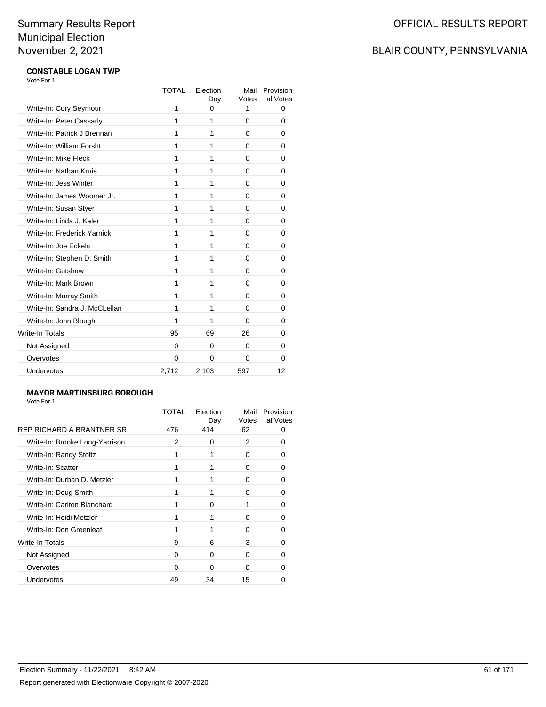# BLAIR COUNTY, PENNSYLVANIA

#### **CONSTABLE LOGAN TWP** Vote For 1

|                               | <b>TOTAL</b> | Election<br>Day | Mail<br>Votes | Provision<br>al Votes |
|-------------------------------|--------------|-----------------|---------------|-----------------------|
| Write-In: Cory Seymour        | 1            | 0               | 1             | 0                     |
| Write-In: Peter Cassarly      | 1            | 1               | 0             | 0                     |
| Write-In: Patrick J Brennan   | 1            | 1               | 0             | 0                     |
| Write-In: William Forsht      | 1            | 1               | 0             | 0                     |
| Write-In: Mike Fleck          | 1            | 1               | 0             | 0                     |
| Write-In: Nathan Kruis        | 1            | 1               | 0             | 0                     |
| Write-In: Jess Winter         | 1            | 1               | 0             | 0                     |
| Write-In: James Woomer Jr.    | 1            | 1               | 0             | 0                     |
| Write-In: Susan Styer         | 1            | 1               | 0             | 0                     |
| Write-In: Linda J. Kaler      | 1            | 1               | 0             | 0                     |
| Write-In: Frederick Yarnick   | 1            | 1               | 0             | 0                     |
| Write-In: Joe Eckels          | 1            | 1               | 0             | 0                     |
| Write-In: Stephen D. Smith    | 1            | 1               | 0             | 0                     |
| Write-In: Gutshaw             | 1            | 1               | 0             | 0                     |
| Write-In: Mark Brown          | 1            | 1               | 0             | 0                     |
| Write-In: Murray Smith        | 1            | 1               | 0             | 0                     |
| Write-In: Sandra J. McCLellan | 1            | 1               | 0             | 0                     |
| Write-In: John Blough         | 1            | 1               | 0             | 0                     |
| Write-In Totals               | 95           | 69              | 26            | 0                     |
| Not Assigned                  | 0            | $\Omega$        | 0             | 0                     |
| Overvotes                     | $\Omega$     | $\Omega$        | 0             | 0                     |
| Undervotes                    | 2,712        | 2,103           | 597           | 12                    |

#### **MAYOR MARTINSBURG BOROUGH**

|                                | TOTAL | Election<br>Day | Mail<br>Votes | Provision<br>al Votes |
|--------------------------------|-------|-----------------|---------------|-----------------------|
| REP RICHARD A BRANTNER SR      | 476   | 414             | 62            |                       |
| Write-In: Brooke Long-Yarrison | 2     | $\Omega$        | 2             |                       |
| Write-In: Randy Stoltz         |       |                 | 0             |                       |
| Write-In: Scatter              |       |                 | O             | 0                     |
| Write-In: Durban D. Metzler    |       |                 | $\Omega$      |                       |
| Write-In: Doug Smith           |       |                 | 0             |                       |
| Write-In: Carlton Blanchard    |       | O               |               | 0                     |
| Write-In: Heidi Metzler        |       |                 | 0             |                       |
| Write-In: Don Greenleaf        |       |                 | 0             |                       |
| Write-In Totals                | 9     | 6               | 3             | 0                     |
| Not Assigned                   | O     | $\Omega$        | $\Omega$      |                       |
| Overvotes                      | 0     | ∩               | 0             |                       |
| Undervotes                     | 49    | 34              | 15            |                       |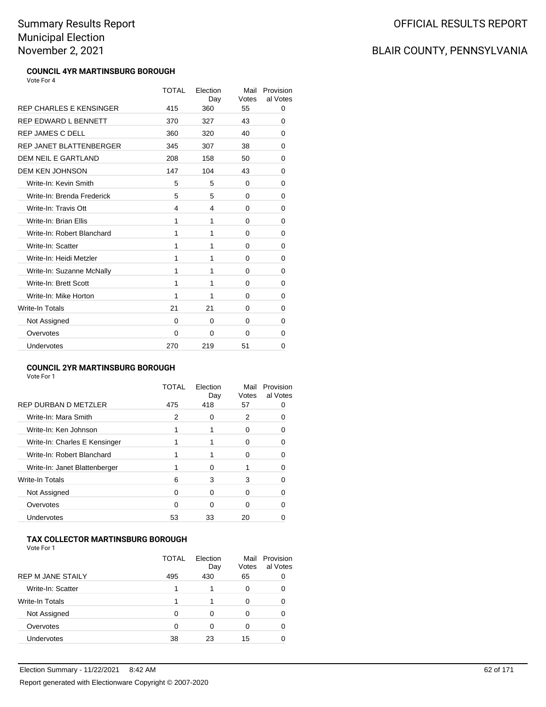#### **COUNCIL 4YR MARTINSBURG BOROUGH** Vote For 4

TOTAL Election Day Mail Provision Votes al Votes REP CHARLES E KENSINGER 415 360 55 0 REP EDWARD L BENNETT  $370$   $327$   $43$  0 REP JAMES C DELL 360 320 40 0 REP JANET BLATTENBERGER 345 307 38 0 **DEM NEIL E GARTLAND** 208 158 50 0 DEM KEN JOHNSON 147 104 43 0 Write-In: Kevin Smith 5 5 0 0 0 Write-In: Brenda Frederick **5** 5 0 0 0 Write-In: Travis Ott **4** 4 0 0 0 Write-In: Brian Ellis 1 1 0 0 0 Write-In: Robert Blanchard 1 1 0 0 0 Write-In: Scatter 1 1 0 0 0 Write-In: Heidi Metzler 1 1 0 0 0 Write-In: Suzanne McNally 1 1 1 0 0 0 Write-In: Brett Scott 1 1 0 0 0 Write-In: Mike Horton 1 1 0 0 0 Write-In Totals **21** 21 0 0 Not Assigned 0 0 0 0 0 Overvotes 0 0 0 0 0 Undervotes 270 219 51 0

#### **COUNCIL 2YR MARTINSBURG BOROUGH**

Vote For 1

|                               | TOTAL | Election<br>Day | Mail<br>Votes | Provision<br>al Votes |
|-------------------------------|-------|-----------------|---------------|-----------------------|
| REP DURBAN D METZLER          | 475   | 418             | 57            |                       |
| Write-In: Mara Smith          | 2     | $\Omega$        | 2             |                       |
| Write-In: Ken Johnson         |       |                 | 0             |                       |
| Write-In: Charles E Kensinger |       |                 | $\mathbf{0}$  |                       |
| Write-In: Robert Blanchard    |       |                 | O             |                       |
| Write-In: Janet Blattenberger |       | O               |               |                       |
| <b>Write-In Totals</b>        | 6     | 3               | 3             |                       |
| Not Assigned                  | ∩     | O               | O             |                       |
| Overvotes                     | ∩     | O               | 0             |                       |
| <b>Undervotes</b>             | 53    | 33              | 20            |                       |

#### **TAX COLLECTOR MARTINSBURG BOROUGH**

Vote For 1

|                          | <b>TOTAL</b> | Flection<br>Day | Mail<br>Votes | Provision<br>al Votes |
|--------------------------|--------------|-----------------|---------------|-----------------------|
| <b>REP M JANE STAILY</b> | 495          | 430             | 65            |                       |
| Write-In: Scatter        |              |                 | 0             |                       |
| Write-In Totals          |              |                 | O             |                       |
| Not Assigned             | ∩            | O               | O             |                       |
| Overvotes                | ∩            | 0               | O             |                       |
| <b>Undervotes</b>        | 38           | 23              | 15            |                       |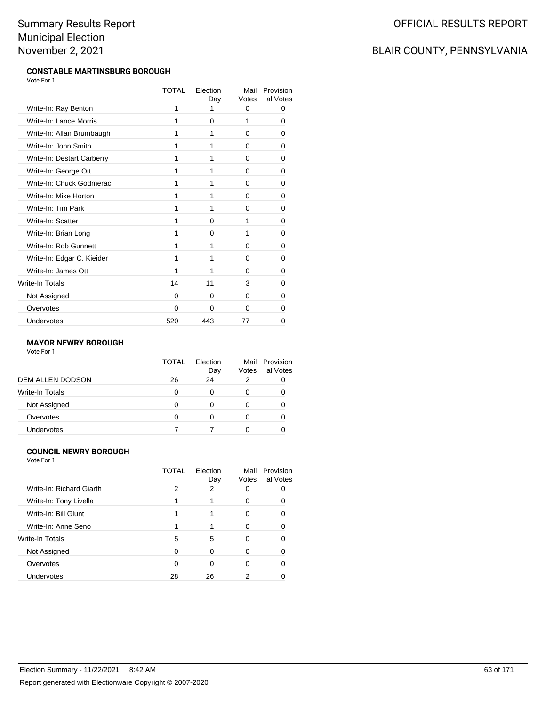#### **CONSTABLE MARTINSBURG BOROUGH** Vote For 1

|                            | TOTAL | Flection<br>Day | Mail<br>Votes | Provision<br>al Votes |
|----------------------------|-------|-----------------|---------------|-----------------------|
| Write-In: Ray Benton       | 1     |                 | 0             | 0                     |
| Write-In: Lance Morris     | 1     | 0               | 1             | 0                     |
| Write-In: Allan Brumbaugh  | 1     | 1               | 0             | O                     |
| Write-In: John Smith       | 1     | 1               | 0             | 0                     |
| Write-In: Destart Carberry | 1     | 1               | 0             | 0                     |
| Write-In: George Ott       | 1     | 1               | $\Omega$      | 0                     |
| Write-In: Chuck Godmerac   | 1     | 1               | 0             | 0                     |
| Write-In: Mike Horton      | 1     | 1               | 0             | 0                     |
| Write-In: Tim Park         | 1     | 1               | 0             | 0                     |
| Write-In: Scatter          | 1     | 0               | 1             | 0                     |
| Write-In: Brian Long       | 1     | 0               | 1             | 0                     |
| Write-In: Rob Gunnett      | 1     | 1               | 0             | 0                     |
| Write-In: Edgar C. Kieider | 1     | 1               | 0             | 0                     |
| Write-In: James Ott        | 1     | 1               | 0             | 0                     |
| Write-In Totals            | 14    | 11              | 3             | 0                     |
| Not Assigned               | 0     | 0               | 0             | 0                     |
| Overvotes                  | 0     | 0               | 0             | 0                     |
| Undervotes                 | 520   | 443             | 77            | 0                     |

#### **MAYOR NEWRY BOROUGH**

Vote For 1

|                        | <b>TOTAL</b> | Election<br>Day | Mail<br>Votes | Provision<br>al Votes |
|------------------------|--------------|-----------------|---------------|-----------------------|
| DEM ALLEN DODSON       | 26           | 24              | 2             |                       |
| <b>Write-In Totals</b> | O            | 0               |               |                       |
| Not Assigned           |              | 0               |               |                       |
| Overvotes              | O            | 0               |               |                       |
| <b>Undervotes</b>      |              |                 |               |                       |

#### **COUNCIL NEWRY BOROUGH**

Vote For 1

|                          | TOTAL | Election<br>Day | Mail<br>Votes | Provision<br>al Votes |
|--------------------------|-------|-----------------|---------------|-----------------------|
| Write-In: Richard Giarth | 2     | 2               |               |                       |
| Write-In: Tony Livella   |       |                 |               |                       |
| Write-In: Bill Glunt     |       |                 |               |                       |
| Write-In: Anne Seno      |       |                 | O             |                       |
| <b>Write-In Totals</b>   | 5     | 5               | O             |                       |
| Not Assigned             | ∩     | ∩               | O             |                       |
| Overvotes                |       | n               | 0             |                       |
| Undervotes               | 28    | 26              |               |                       |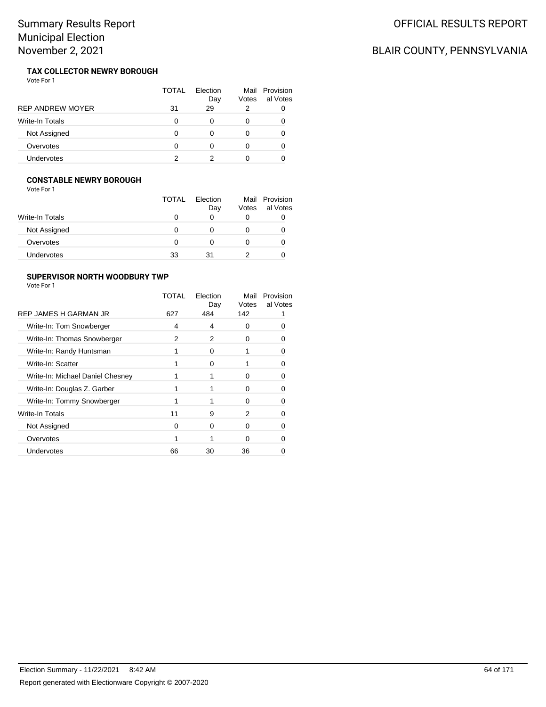# BLAIR COUNTY, PENNSYLVANIA

#### **TAX COLLECTOR NEWRY BOROUGH** Vote For 1

|                         | TOTAL | Flection<br>Day | Votes | Mail Provision<br>al Votes |
|-------------------------|-------|-----------------|-------|----------------------------|
| <b>REP ANDREW MOYER</b> | 31    | 29              | 2     |                            |
| <b>Write-In Totals</b>  | 0     |                 |       |                            |
| Not Assigned            | O     |                 |       |                            |
| Overvotes               | O     |                 |       |                            |
| Undervotes              |       |                 |       |                            |

#### **CONSTABLE NEWRY BOROUGH**

Vote For 1

|                        | <b>TOTAL</b> | Flection<br>Day | Mail<br>Votes | Provision<br>al Votes |
|------------------------|--------------|-----------------|---------------|-----------------------|
| <b>Write-In Totals</b> |              |                 | O             |                       |
| Not Assigned           |              |                 |               | O                     |
| Overvotes              |              |                 |               |                       |
| Undervotes             | 33           | 31              |               |                       |

#### **SUPERVISOR NORTH WOODBURY TWP**

|                                  | TOTAL | Election<br>Day | Mail<br>Votes | Provision<br>al Votes |
|----------------------------------|-------|-----------------|---------------|-----------------------|
| REP JAMES H GARMAN JR            | 627   | 484             | 142           |                       |
| Write-In: Tom Snowberger         | 4     | 4               | 0             |                       |
| Write-In: Thomas Snowberger      | 2     | 2               | 0             |                       |
| Write-In: Randy Huntsman         |       | 0               |               |                       |
| Write-In: Scatter                |       | ∩               |               |                       |
| Write-In: Michael Daniel Chesney |       |                 | 0             |                       |
| Write-In: Douglas Z. Garber      |       |                 | O             |                       |
| Write-In: Tommy Snowberger       |       |                 | O             |                       |
| Write-In Totals                  | 11    | 9               | 2             |                       |
| Not Assigned                     | O     | 0               | O             |                       |
| Overvotes                        |       |                 | 0             |                       |
| Undervotes                       | 66    | 30              | 36            |                       |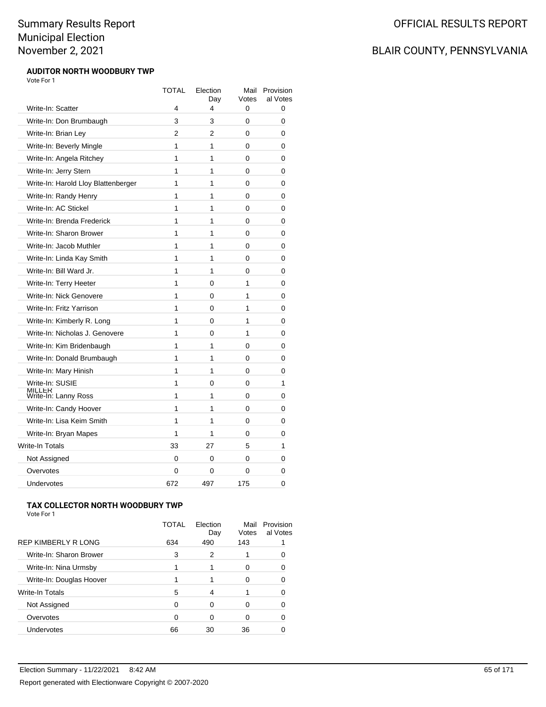#### **AUDITOR NORTH WOODBURY TWP** Vote For 1

|                                       | <b>TOTAL</b> | Election<br>Day | Mail<br>Votes | Provision<br>al Votes |
|---------------------------------------|--------------|-----------------|---------------|-----------------------|
| Write-In: Scatter                     | 4            | 4               | 0             | 0                     |
| Write-In: Don Brumbaugh               | 3            | 3               | 0             | 0                     |
| Write-In: Brian Ley                   | 2            | 2               | 0             | 0                     |
| Write-In: Beverly Mingle              | 1            | 1               | 0             | 0                     |
| Write-In: Angela Ritchey              | 1            | 1               | $\Omega$      | 0                     |
| Write-In: Jerry Stern                 | 1            | 1               | 0             | 0                     |
| Write-In: Harold Lloy Blattenberger   | 1            | 1               | 0             | 0                     |
| Write-In: Randy Henry                 | 1            | 1               | 0             | 0                     |
| Write-In: AC Stickel                  | 1            | 1               | 0             | 0                     |
| Write-In: Brenda Frederick            | 1            | 1               | 0             | 0                     |
| Write-In: Sharon Brower               | 1            | 1               | 0             | 0                     |
| Write-In: Jacob Muthler               | 1            | 1               | 0             | 0                     |
| Write-In: Linda Kay Smith             | 1            | 1               | 0             | 0                     |
| Write-In: Bill Ward Jr.               | 1            | 1               | 0             | 0                     |
| Write-In: Terry Heeter                | 1            | 0               | 1             | 0                     |
| Write-In: Nick Genovere               | 1            | 0               | 1             | 0                     |
| Write-In: Fritz Yarrison              | 1            | 0               | 1             | 0                     |
| Write-In: Kimberly R. Long            | 1            | 0               | 1             | 0                     |
| Write-In: Nicholas J. Genovere        | 1            | 0               | 1             | 0                     |
| Write-In: Kim Bridenbaugh             | 1            | 1               | 0             | 0                     |
| Write-In: Donald Brumbaugh            | 1            | 1               | 0             | 0                     |
| Write-In: Mary Hinish                 | 1            | 1               | 0             | 0                     |
| Write-In: SUSIE                       | 1            | 0               | 0             | 1                     |
| <b>MILLER</b><br>Write-In: Lanny Ross | 1            | 1               | 0             | 0                     |
| Write-In: Candy Hoover                | 1            | 1               | 0             | 0                     |
| Write-In: Lisa Keim Smith             | 1            | 1               | 0             | 0                     |
| Write-In: Bryan Mapes                 | 1            | 1               | 0             | 0                     |
| <b>Write-In Totals</b>                | 33           | 27              | 5             | 1                     |
| Not Assigned                          | 0            | 0               | 0             | 0                     |
| Overvotes                             | 0            | 0               | 0             | 0                     |
| Undervotes                            | 672          | 497             | 175           | 0                     |

#### **TAX COLLECTOR NORTH WOODBURY TWP** Vote For 1

| <b>REP KIMBERLY R LONG</b> | TOTAL<br>634 | Flection<br>Day<br>490 | Mail<br>Votes<br>143 | Provision<br>al Votes |
|----------------------------|--------------|------------------------|----------------------|-----------------------|
| Write-In: Sharon Brower    | 3            | 2                      |                      |                       |
| Write-In: Nina Urmsby      |              |                        | Ω                    |                       |
| Write-In: Douglas Hoover   |              |                        | O                    |                       |
| Write-In Totals            | 5            | 4                      |                      |                       |
| Not Assigned               | ∩            | 0                      |                      |                       |
| Overvotes                  | ∩            | 0                      |                      |                       |
| Undervotes                 | 66           | 30                     | 36                   |                       |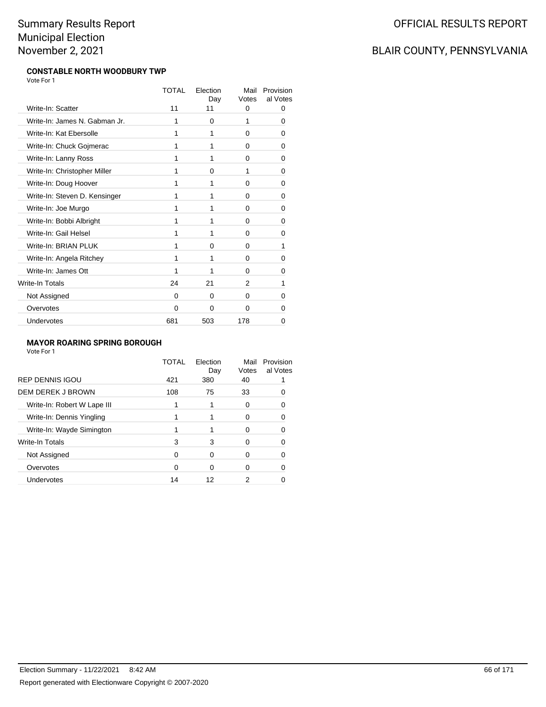#### **CONSTABLE NORTH WOODBURY TWP** Vote For 1

|                               | TOTAL | Flection<br>Day | Mail<br>Votes | Provision<br>al Votes |
|-------------------------------|-------|-----------------|---------------|-----------------------|
| Write-In: Scatter             | 11    | 11              | 0             | 0                     |
| Write-In: James N. Gabman Jr. | 1     | 0               | 1             | 0                     |
| Write-In: Kat Ebersolle       | 1     | 1               | 0             | 0                     |
| Write-In: Chuck Gojmerac      | 1     | 1               | 0             | 0                     |
| Write-In: Lanny Ross          | 1     | 1               | 0             | 0                     |
| Write-In: Christopher Miller  | 1     | 0               | 1             | 0                     |
| Write-In: Doug Hoover         | 1     | 1               | 0             | 0                     |
| Write-In: Steven D. Kensinger | 1     | 1               | 0             | 0                     |
| Write-In: Joe Murgo           | 1     | 1               | 0             | 0                     |
| Write-In: Bobbi Albright      | 1     | 1               | 0             | 0                     |
| Write-In: Gail Helsel         | 1     | 1               | 0             | 0                     |
| Write-In: BRIAN PLUK          | 1     | 0               | 0             | 1                     |
| Write-In: Angela Ritchey      | 1     | 1               | 0             | 0                     |
| Write-In: James Ott           | 1     | 1               | 0             | 0                     |
| Write-In Totals               | 24    | 21              | 2             | 1                     |
| Not Assigned                  | 0     | $\Omega$        | 0             | 0                     |
| Overvotes                     | 0     | 0               | 0             | 0                     |
| Undervotes                    | 681   | 503             | 178           | 0                     |

#### **MAYOR ROARING SPRING BOROUGH**

Vote For 1

|                             | TOTAL | Flection<br>Day | Mail<br>Votes | Provision<br>al Votes |
|-----------------------------|-------|-----------------|---------------|-----------------------|
| <b>REP DENNIS IGOU</b>      | 421   | 380             | 40            |                       |
| DEM DEREK J BROWN           | 108   | 75              | 33            |                       |
| Write-In: Robert W Lape III |       |                 | 0             |                       |
| Write-In: Dennis Yingling   |       |                 | 0             |                       |
| Write-In: Wayde Simington   |       |                 | 0             |                       |
| Write-In Totals             | 3     | 3               | 0             |                       |
| Not Assigned                | 0     | 0               | 0             |                       |
| Overvotes                   | ∩     | 0               | O             |                       |
| Undervotes                  | 14    | 12              | 2             |                       |
|                             |       |                 |               |                       |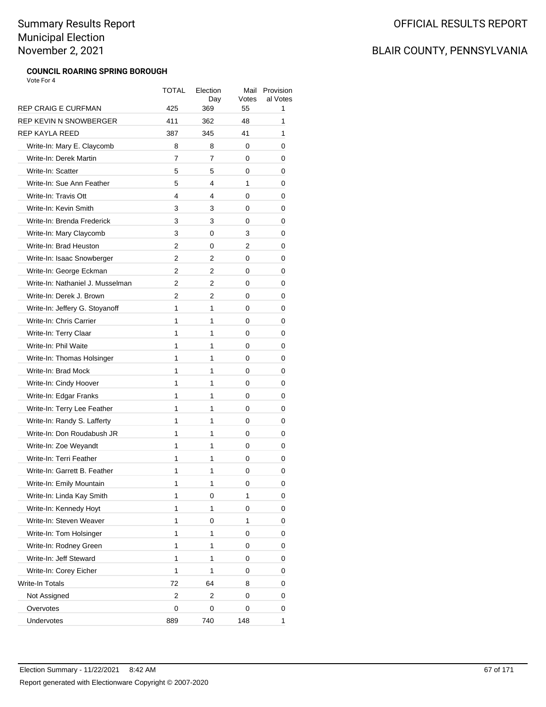### **COUNCIL ROARING SPRING BOROUGH**

Vote For 4

| <b>REP CRAIG E CURFMAN</b>                        | TOTAL<br>425 | Election<br>Day<br>369 | Mail<br>Votes<br>55 | Provision<br>al Votes<br>1 |
|---------------------------------------------------|--------------|------------------------|---------------------|----------------------------|
| REP KEVIN N SNOWBERGER                            | 411          | 362                    | 48                  | 1                          |
| REP KAYLA REED                                    | 387          | 345                    | 41                  | 1                          |
| Write-In: Mary E. Claycomb                        | 8            | 8                      | 0                   | 0                          |
| Write-In: Derek Martin                            | 7            | 7                      | 0                   | 0                          |
| Write-In: Scatter                                 | 5            | 5                      | 0                   |                            |
|                                                   |              | 4                      |                     | 0                          |
| Write-In: Sue Ann Feather<br>Write-In: Travis Ott | 5<br>4       |                        | 1                   | 0                          |
| Write-In: Kevin Smith                             |              | 4                      | 0                   | 0                          |
|                                                   | 3            | 3                      | 0                   | 0                          |
| Write-In: Brenda Frederick                        | 3            | 3                      | 0                   | 0                          |
| Write-In: Mary Claycomb                           | 3            | 0                      | 3                   | 0                          |
| Write-In: Brad Heuston                            | 2            | 0                      | 2                   | 0                          |
| Write-In: Isaac Snowberger                        | 2            | 2                      | 0                   | 0                          |
| Write-In: George Eckman                           | 2            | 2                      | 0                   | 0                          |
| Write-In: Nathaniel J. Musselman                  | 2            | 2                      | 0                   | 0                          |
| Write-In: Derek J. Brown                          | 2            | 2                      | 0                   | 0                          |
| Write-In: Jeffery G. Stoyanoff                    | 1            | 1                      | 0                   | 0                          |
| Write-In: Chris Carrier                           | 1            | 1                      | 0                   | 0                          |
| Write-In: Terry Claar                             | 1            | 1                      | 0                   | 0                          |
| Write-In: Phil Waite                              | 1            | 1                      | 0                   | 0                          |
| Write-In: Thomas Holsinger                        | 1            | 1                      | 0                   | 0                          |
| Write-In: Brad Mock                               | 1            | 1                      | 0                   | 0                          |
| Write-In: Cindy Hoover                            | 1            | 1                      | 0                   | 0                          |
| Write-In: Edgar Franks                            | 1            | 1                      | 0                   | 0                          |
| Write-In: Terry Lee Feather                       | 1            | 1                      | 0                   | 0                          |
| Write-In: Randy S. Lafferty                       | 1            | 1                      | 0                   | 0                          |
| Write-In: Don Roudabush JR                        | 1            | 1                      | 0                   | 0                          |
| Write-In: Zoe Weyandt                             | 1            | 1                      | 0                   | 0                          |
| Write-In: Terri Feather                           | 1            | 1                      | 0                   | 0                          |
| Write-In: Garrett B. Feather                      | 1            | 1                      | 0                   | 0                          |
| Write-In: Emily Mountain                          | 1            | 1                      | 0                   | 0                          |
| Write-In: Linda Kay Smith                         | 1            | 0                      | 1                   | 0                          |
| Write-In: Kennedy Hoyt                            | 1            | 1                      | 0                   | 0                          |
| Write-In: Steven Weaver                           | 1            | 0                      | 1                   | 0                          |
| Write-In: Tom Holsinger                           | 1            | 1                      | 0                   | 0                          |
| Write-In: Rodney Green                            | 1            | 1                      | 0                   | 0                          |
| Write-In: Jeff Steward                            | 1            | 1                      | 0                   | 0                          |
| Write-In: Corey Eicher                            | 1            | 1                      | 0                   | 0                          |
| Write-In Totals                                   | 72           | 64                     | 8                   | 0                          |
| Not Assigned                                      | 2            | 2                      | 0                   | 0                          |
| Overvotes                                         | 0            | 0                      | 0                   | 0                          |
| Undervotes                                        | 889          | 740                    | 148                 | 1                          |
|                                                   |              |                        |                     |                            |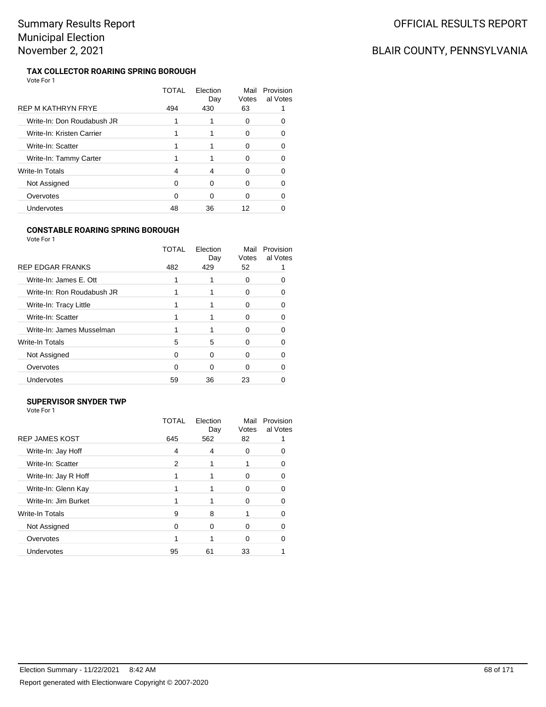# BLAIR COUNTY, PENNSYLVANIA

#### **TAX COLLECTOR ROARING SPRING BOROUGH** Vote For 1

|                            | TOTAL | Election<br>Day | Mail<br>Votes | Provision<br>al Votes |
|----------------------------|-------|-----------------|---------------|-----------------------|
| REP M KATHRYN FRYE         | 494   | 430             | 63            |                       |
| Write-In: Don Roudabush JR |       |                 | 0             |                       |
| Write-In: Kristen Carrier  |       |                 | O             |                       |
| Write-In: Scatter          |       |                 | 0             |                       |
| Write-In: Tammy Carter     |       |                 | O             |                       |
| Write-In Totals            | 4     | 4               | O             |                       |
| Not Assigned               | O     |                 | ∩             |                       |
| Overvotes                  | O     | ∩               | O             |                       |
| Undervotes                 | 48    | 36              | 12            |                       |

#### **CONSTABLE ROARING SPRING BOROUGH**

Vote For 1

|                            | TOTAL | Election<br>Day | Mail<br>Votes | Provision<br>al Votes |
|----------------------------|-------|-----------------|---------------|-----------------------|
| <b>REP EDGAR FRANKS</b>    | 482   | 429             | 52            |                       |
| Write-In: James E. Ott     |       |                 | 0             |                       |
| Write-In: Ron Roudabush JR |       |                 |               |                       |
| Write-In: Tracy Little     |       |                 | $\mathbf{0}$  |                       |
| Write-In: Scatter          |       |                 | O             |                       |
| Write-In: James Musselman  |       |                 |               |                       |
| Write-In Totals            | 5     | 5               | 0             |                       |
| Not Assigned               | ∩     | ∩               | O             |                       |
| Overvotes                  | O     | ∩               | 0             |                       |
| Undervotes                 | 59    | 36              | 23            |                       |
|                            |       |                 |               |                       |

#### **SUPERVISOR SNYDER TWP**

|                       | TOTAL | Election<br>Day | Mail<br>Votes | Provision<br>al Votes |
|-----------------------|-------|-----------------|---------------|-----------------------|
| <b>REP JAMES KOST</b> | 645   | 562             | 82            |                       |
| Write-In: Jay Hoff    | 4     | 4               | 0             |                       |
| Write-In: Scatter     | 2     |                 |               |                       |
| Write-In: Jay R Hoff  |       |                 | 0             |                       |
| Write-In: Glenn Kay   |       |                 | 0             |                       |
| Write-In: Jim Burket  |       |                 | 0             |                       |
| Write-In Totals       | 9     | 8               |               |                       |
| Not Assigned          | O     | 0               | 0             |                       |
| Overvotes             |       |                 | 0             |                       |
| Undervotes            | 95    | 61              | 33            |                       |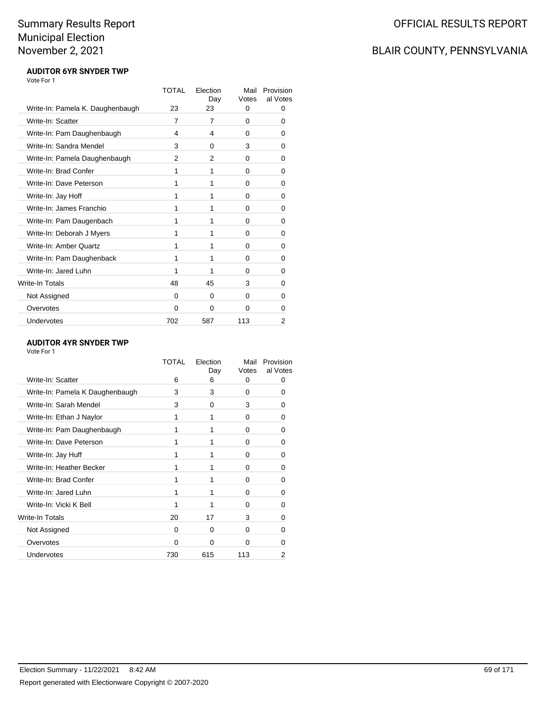# BLAIR COUNTY, PENNSYLVANIA

#### **AUDITOR 6YR SNYDER TWP** Vote For 1

|                                  | TOTAL    | Flection<br>Day | Mail<br>Votes | Provision<br>al Votes |
|----------------------------------|----------|-----------------|---------------|-----------------------|
| Write-In: Pamela K. Daughenbaugh | 23       | 23              | 0             | 0                     |
| Write-In: Scatter                | 7        | 7               | 0             | 0                     |
| Write-In: Pam Daughenbaugh       | 4        | 4               | 0             | 0                     |
| Write-In: Sandra Mendel          | 3        | 0               | 3             | 0                     |
| Write-In: Pamela Daughenbaugh    | 2        | 2               | 0             | 0                     |
| Write-In: Brad Confer            | 1        | 1               | 0             | 0                     |
| Write-In: Dave Peterson          | 1        | 1               | 0             | 0                     |
| Write-In: Jay Hoff               | 1        | 1               | 0             | 0                     |
| Write-In: James Franchio         | 1        | 1               | 0             | 0                     |
| Write-In: Pam Daugenbach         | 1        | 1               | 0             | 0                     |
| Write-In: Deborah J Myers        | 1        | 1               | 0             | 0                     |
| Write-In: Amber Quartz           | 1        | 1               | 0             | 0                     |
| Write-In: Pam Daughenback        | 1        | 1               | 0             | 0                     |
| Write-In: Jared Luhn             | 1        | 1               | 0             | 0                     |
| Write-In Totals                  | 48       | 45              | 3             | 0                     |
| Not Assigned                     | 0        | 0               | 0             | 0                     |
| Overvotes                        | $\Omega$ | 0               | 0             | 0                     |
| Undervotes                       | 702      | 587             | 113           | 2                     |

#### **AUDITOR 4YR SNYDER TWP**

|                                 | TOTAL    | Election<br>Day | Mail<br>Votes | Provision<br>al Votes |
|---------------------------------|----------|-----------------|---------------|-----------------------|
| Write-In: Scatter               | 6        | 6               | 0             | 0                     |
| Write-In: Pamela K Daughenbaugh | 3        | 3               | 0             | 0                     |
| Write-In: Sarah Mendel          | 3        | 0               | 3             | O                     |
| Write-In: Ethan J Naylor        |          | 1               | 0             | 0                     |
| Write-In: Pam Daughenbaugh      |          | 1               | 0             | 0                     |
| Write-In: Dave Peterson         |          | 1               | 0             | ŋ                     |
| Write-In: Jay Huff              |          | 1               | 0             | 0                     |
| Write-In: Heather Becker        |          | 1               | 0             | 0                     |
| Write-In: Brad Confer           |          | 1               | 0             | ŋ                     |
| Write-In: Jared Luhn            |          |                 | 0             | 0                     |
| Write-In: Vicki K Bell          |          | 1               | 0             | 0                     |
| Write-In Totals                 | 20       | 17              | 3             | ŋ                     |
| Not Assigned                    | 0        | 0               | 0             | 0                     |
| Overvotes                       | $\Omega$ | $\Omega$        | 0             |                       |
| Undervotes                      | 730      | 615             | 113           | 2                     |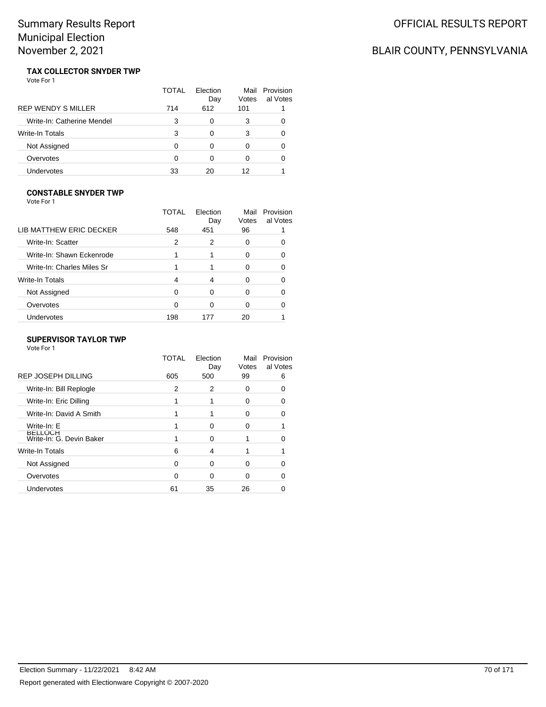# BLAIR COUNTY, PENNSYLVANIA

#### **TAX COLLECTOR SNYDER TWP** Vote For 1

|                            | TOTAL | Flection<br>Day | Mail<br>Votes | Provision<br>al Votes |
|----------------------------|-------|-----------------|---------------|-----------------------|
| <b>REP WENDY S MILLER</b>  | 714   | 612             | 101           |                       |
| Write-In: Catherine Mendel | 3     | 0               | 3             |                       |
| Write-In Totals            | 3     | ∩               | 3             | O                     |
| Not Assigned               | O     |                 | 0             |                       |
| Overvotes                  | 0     |                 | 0             | O                     |
| Undervotes                 | 33    | 20              | 12            |                       |

#### **CONSTABLE SNYDER TWP**

Vote For 1

|                            | TOTAL        | Election<br>Day | Mail<br>Votes | Provision<br>al Votes |
|----------------------------|--------------|-----------------|---------------|-----------------------|
| LIB MATTHEW ERIC DECKER    | 548          | 451             | 96            |                       |
| Write-In: Scatter          | 2            | 2               | O             |                       |
| Write-In: Shawn Eckenrode  |              |                 | 0             |                       |
| Write-In: Charles Miles Sr |              |                 | 0             |                       |
| Write-In Totals            | 4            | 4               | O             |                       |
| Not Assigned               | <sup>0</sup> | ∩               | 0             |                       |
| Overvotes                  | ∩            | ი               | U             |                       |
| Undervotes                 | 198          |                 | 20            |                       |
|                            |              |                 |               |                       |

#### **SUPERVISOR TAYLOR TWP**

|                                            | TOTAL | Election<br>Day | Mail<br>Votes | Provision<br>al Votes |
|--------------------------------------------|-------|-----------------|---------------|-----------------------|
| <b>REP JOSEPH DILLING</b>                  | 605   | 500             | 99            | 6                     |
| Write-In: Bill Replogle                    | 2     | 2               | 0             |                       |
| Write-In: Eric Dilling                     |       |                 | 0             |                       |
| Write-In: David A Smith                    |       |                 | o             |                       |
| Write-In: E                                |       | ∩               | 0             |                       |
| <b>BELLOCH</b><br>Write-In: G. Devin Baker |       | ∩               |               |                       |
| Write-In Totals                            | 6     | 4               |               |                       |
| Not Assigned                               | 0     | $\Omega$        | 0             |                       |
| Overvotes                                  | 0     | 0               | 0             |                       |
| Undervotes                                 | 61    | 35              | 26            |                       |
|                                            |       |                 |               |                       |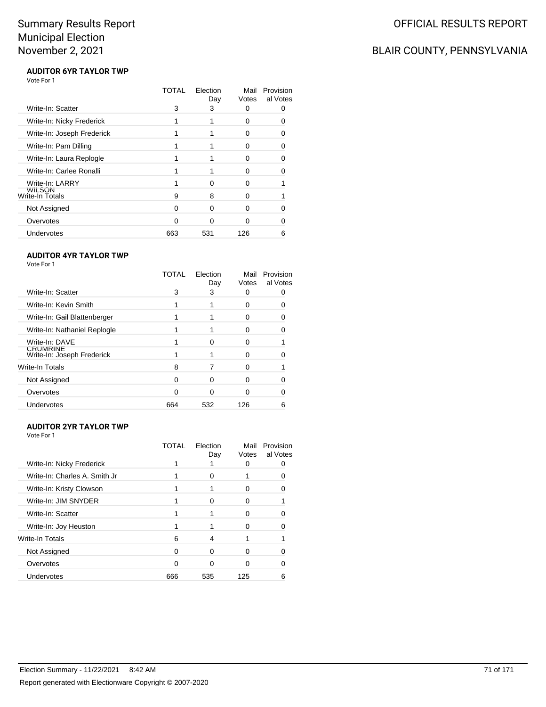# BLAIR COUNTY, PENNSYLVANIA

#### **AUDITOR 6YR TAYLOR TWP** Vote For 1

|                            | TOTAL | Election<br>Day | Mail<br>Votes | Provision<br>al Votes |
|----------------------------|-------|-----------------|---------------|-----------------------|
| Write-In: Scatter          | 3     | 3               | O             |                       |
| Write-In: Nicky Frederick  |       |                 | O             |                       |
| Write-In: Joseph Frederick |       |                 | O             |                       |
| Write-In: Pam Dilling      |       |                 | 0             | 0                     |
| Write-In: Laura Replogle   |       |                 | O             |                       |
| Write-In: Carlee Ronalli   |       |                 | O             |                       |
| Write-In: LARRY            |       | ∩               | O             |                       |
| wiLSON<br>Write-In Totals  | 9     | 8               | O             |                       |
| Not Assigned               | 0     | ∩               | O             |                       |
| Overvotes                  | n     | ∩               | n             |                       |
| Undervotes                 | 663   | 531             | 126           | 6                     |

#### **AUDITOR 4YR TAYLOR TWP**

Vote For 1

|                                               | TOTAL | Election<br>Day | Mail<br>Votes | Provision<br>al Votes |
|-----------------------------------------------|-------|-----------------|---------------|-----------------------|
| Write-In: Scatter                             | 3     | 3               | $\mathbf{0}$  |                       |
| Write-In: Kevin Smith                         |       |                 | 0             |                       |
| Write-In: Gail Blattenberger                  |       |                 | 0             |                       |
| Write-In: Nathaniel Replogle                  |       |                 | 0             |                       |
| Write-In: DAVE                                |       |                 | 0             |                       |
| <b>CRUMRINE</b><br>Write-In: Joseph Frederick |       |                 | O             |                       |
| <b>Write-In Totals</b>                        | 8     |                 | O             |                       |
| Not Assigned                                  | 0     | n               | o             |                       |
| Overvotes                                     | ∩     |                 | 0             |                       |
| Undervotes                                    | 664   | 532             | 126           |                       |

#### **AUDITOR 2YR TAYLOR TWP**

| Vote For 1                    |       |                 |               |                       |
|-------------------------------|-------|-----------------|---------------|-----------------------|
|                               | TOTAL | Election<br>Day | Mail<br>Votes | Provision<br>al Votes |
| Write-In: Nicky Frederick     |       |                 | 0             |                       |
| Write-In: Charles A. Smith Jr |       | 0               |               |                       |
| Write-In: Kristy Clowson      |       |                 | 0             |                       |
| Write-In: JIM SNYDER          |       | ∩               | O             |                       |
| Write-In: Scatter             |       |                 | 0             |                       |
| Write-In: Joy Heuston         |       |                 | O             |                       |
| Write-In Totals               | 6     | 4               |               |                       |
| Not Assigned                  | 0     | 0               | 0             |                       |
| Overvotes                     | n     | ∩               | O             |                       |
| Undervotes                    | 666   | 535             | 125           | 6                     |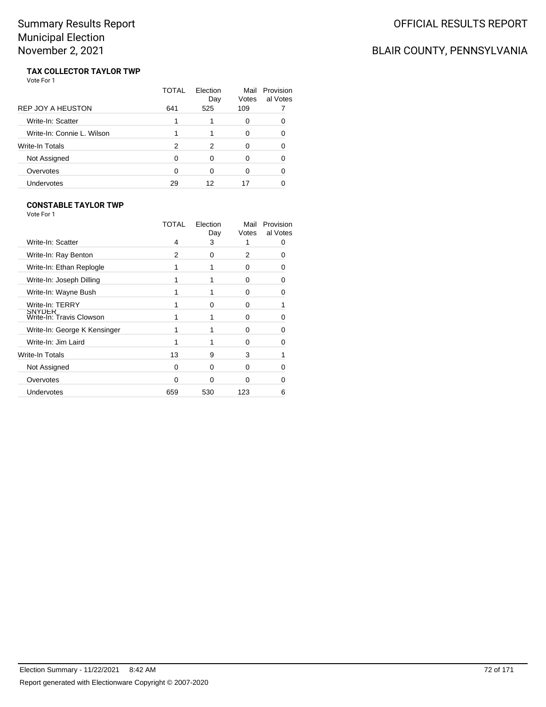# BLAIR COUNTY, PENNSYLVANIA

#### **TAX COLLECTOR TAYLOR TWP** Vote For 1

|                            | TOTAL | Flection<br>Day | Mail<br>Votes | Provision<br>al Votes |
|----------------------------|-------|-----------------|---------------|-----------------------|
| <b>REP JOY A HEUSTON</b>   | 641   | 525             | 109           |                       |
| Write-In: Scatter          |       |                 | 0             | 0                     |
| Write-In: Connie L. Wilson |       |                 | 0             | O                     |
| Write-In Totals            | 2     | 2               | 0             | O                     |
| Not Assigned               | 0     | 0               | 0             | ∩                     |
| Overvotes                  | 0     | 0               | 0             | O                     |
| Undervotes                 | 29    | 12              |               |                       |

#### **CONSTABLE TAYLOR TWP**

| Vote For 1                                |          |                 |                |                       |
|-------------------------------------------|----------|-----------------|----------------|-----------------------|
|                                           | TOTAL    | Election<br>Day | Mail<br>Votes  | Provision<br>al Votes |
| Write-In: Scatter                         | 4        | 3               | 1              |                       |
| Write-In: Ray Benton                      | 2        | 0               | $\overline{2}$ | O                     |
| Write-In: Ethan Replogle                  |          | 1               | $\Omega$       | 0                     |
| Write-In: Joseph Dilling                  |          | 1               | 0              | O                     |
| Write-In: Wayne Bush                      |          | 1               | $\Omega$       | 0                     |
| Write-In: TERRY                           |          | 0               | 0              |                       |
| <b>SNYDER</b><br>Write-In: Travis Clowson |          | 1               | O              | 0                     |
| Write-In: George K Kensinger              |          | 1               | 0              | O                     |
| Write-In: Jim Laird                       |          | 1               | O              |                       |
| Write-In Totals                           | 13       | 9               | 3              |                       |
| Not Assigned                              | $\Omega$ | 0               | 0              |                       |
| Overvotes                                 | $\Omega$ | 0               | 0              | 0                     |
| Undervotes                                | 659      | 530             | 123            | 6                     |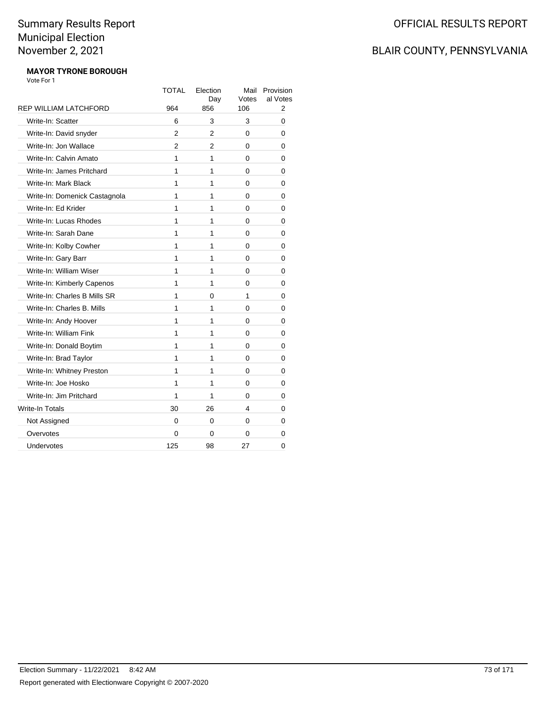### BLAIR COUNTY, PENNSYLVANIA

#### **MAYOR TYRONE BOROUGH** Vote For 1

|                               | TOTAL | Election<br>Day | Mail<br>Votes | Provision<br>al Votes |
|-------------------------------|-------|-----------------|---------------|-----------------------|
| <b>REP WILLIAM LATCHFORD</b>  | 964   | 856             | 106           | 2                     |
| Write-In: Scatter             | 6     | 3               | 3             | 0                     |
| Write-In: David snyder        | 2     | 2               | 0             | 0                     |
| Write-In: Jon Wallace         | 2     | 2               | 0             | 0                     |
| Write-In: Calvin Amato        | 1     | 1               | 0             | 0                     |
| Write-In: James Pritchard     | 1     | 1               | 0             | 0                     |
| Write-In: Mark Black          | 1     | 1               | $\Omega$      | 0                     |
| Write-In: Domenick Castagnola | 1     | 1               | 0             | 0                     |
| Write-In: Ed Krider           | 1     | 1               | 0             | 0                     |
| Write-In: Lucas Rhodes        | 1     | 1               | 0             | 0                     |
| Write-In: Sarah Dane          | 1     | 1               | 0             | 0                     |
| Write-In: Kolby Cowher        | 1     | 1               | 0             | 0                     |
| Write-In: Gary Barr           | 1     | 1               | 0             | 0                     |
| Write-In: William Wiser       | 1     | 1               | 0             | 0                     |
| Write-In: Kimberly Capenos    | 1     | 1               | 0             | 0                     |
| Write-In: Charles B Mills SR  | 1     | 0               | 1             | 0                     |
| Write-In: Charles B. Mills    | 1     | 1               | 0             | 0                     |
| Write-In: Andy Hoover         | 1     | 1               | $\Omega$      | 0                     |
| Write-In: William Fink        | 1     | 1               | 0             | 0                     |
| Write-In: Donald Boytim       | 1     | 1               | 0             | 0                     |
| Write-In: Brad Taylor         | 1     | 1               | 0             | 0                     |
| Write-In: Whitney Preston     | 1     | 1               | 0             | 0                     |
| Write-In: Joe Hosko           | 1     | 1               | 0             | 0                     |
| Write-In: Jim Pritchard       | 1     | 1               | 0             | 0                     |
| <b>Write-In Totals</b>        | 30    | 26              | 4             | 0                     |
| Not Assigned                  | 0     | 0               | 0             | 0                     |
| Overvotes                     | 0     | 0               | 0             | 0                     |
| Undervotes                    | 125   | 98              | 27            | 0                     |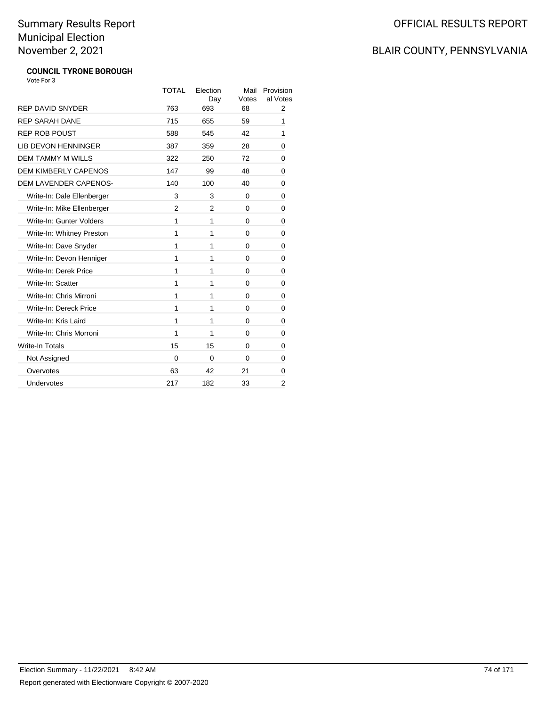## BLAIR COUNTY, PENNSYLVANIA

#### **COUNCIL TYRONE BOROUGH** Vote For 3

|                              | <b>TOTAL</b> | Election<br>Day | Mail<br>Votes | Provision<br>al Votes |
|------------------------------|--------------|-----------------|---------------|-----------------------|
| <b>REP DAVID SNYDER</b>      | 763          | 693             | 68            | 2                     |
| <b>REP SARAH DANE</b>        | 715          | 655             | 59            | 1                     |
| <b>REP ROB POUST</b>         | 588          | 545             | 42            | 1                     |
| <b>LIB DEVON HENNINGER</b>   | 387          | 359             | 28            | 0                     |
| <b>DEM TAMMY M WILLS</b>     | 322          | 250             | 72            | 0                     |
| <b>DEM KIMBERLY CAPENOS</b>  | 147          | 99              | 48            | 0                     |
| <b>DEM LAVENDER CAPENOS-</b> | 140          | 100             | 40            | 0                     |
| Write-In: Dale Ellenberger   | 3            | 3               | 0             | 0                     |
| Write-In: Mike Ellenberger   | 2            | 2               | 0             | 0                     |
| Write-In: Gunter Volders     | 1            | 1               | $\Omega$      | 0                     |
| Write-In: Whitney Preston    | 1            | 1               | 0             | 0                     |
| Write-In: Dave Snyder        | 1            | 1               | 0             | 0                     |
| Write-In: Devon Henniger     | 1            | 1               | 0             | 0                     |
| Write-In: Derek Price        | 1            | 1               | $\Omega$      | 0                     |
| Write-In: Scatter            | 1            | 1               | 0             | 0                     |
| Write-In: Chris Mirroni      | 1            | 1               | $\Omega$      | 0                     |
| Write-In: Dereck Price       | 1            | 1               | $\Omega$      | 0                     |
| Write-In: Kris Laird         | 1            | 1               | $\Omega$      | 0                     |
| Write-In: Chris Morroni      | 1            | 1               | 0             | 0                     |
| <b>Write-In Totals</b>       | 15           | 15              | $\Omega$      | 0                     |
| Not Assigned                 | 0            | $\Omega$        | $\Omega$      | 0                     |
| Overvotes                    | 63           | 42              | 21            | 0                     |
| Undervotes                   | 217          | 182             | 33            | 2                     |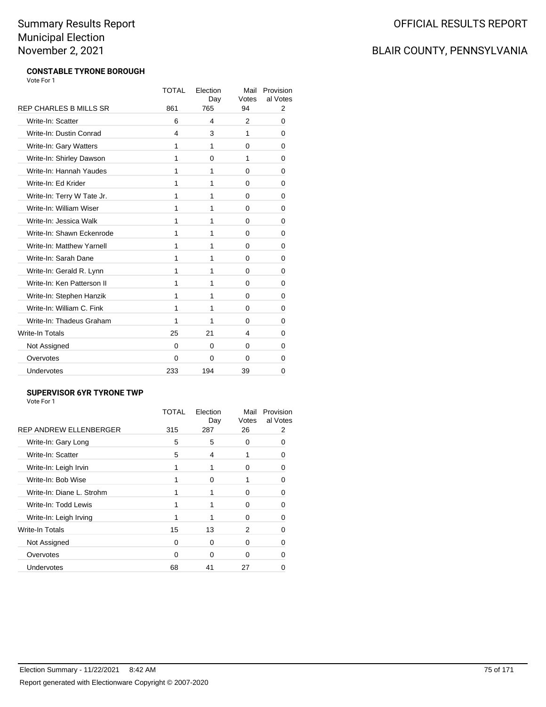### BLAIR COUNTY, PENNSYLVANIA

#### **CONSTABLE TYRONE BOROUGH** Vote For 1

|                               | TOTAL | Election<br>Day | Mail<br>Votes | Provision<br>al Votes |
|-------------------------------|-------|-----------------|---------------|-----------------------|
| <b>REP CHARLES B MILLS SR</b> | 861   | 765             | 94            | 2                     |
| Write-In: Scatter             | 6     | 4               | 2             | 0                     |
| Write-In: Dustin Conrad       | 4     | 3               | 1             | 0                     |
| Write-In: Gary Watters        | 1     | 1               | 0             | 0                     |
| Write-In: Shirley Dawson      | 1     | 0               | 1             | 0                     |
| Write-In: Hannah Yaudes       | 1     | 1               | 0             | 0                     |
| Write-In: Ed Krider           | 1     | 1               | 0             | 0                     |
| Write-In: Terry W Tate Jr.    | 1     | 1               | 0             | 0                     |
| Write-In: William Wiser       | 1     | 1               | 0             | 0                     |
| Write-In: Jessica Walk        | 1     | 1               | $\Omega$      | 0                     |
| Write-In: Shawn Eckenrode     | 1     | 1               | 0             | 0                     |
| Write-In: Matthew Yarnell     | 1     | 1               | 0             | 0                     |
| Write-In: Sarah Dane          | 1     | 1               | 0             | 0                     |
| Write-In: Gerald R. Lynn      | 1     | 1               | 0             | 0                     |
| Write-In: Ken Patterson II    | 1     | 1               | 0             | 0                     |
| Write-In: Stephen Hanzik      | 1     | 1               | 0             | 0                     |
| Write-In: William C. Fink     | 1     | 1               | 0             | 0                     |
| Write-In: Thadeus Graham      | 1     | 1               | 0             | 0                     |
| <b>Write-In Totals</b>        | 25    | 21              | 4             | 0                     |
| Not Assigned                  | 0     | 0               | 0             | 0                     |
| Overvotes                     | 0     | 0               | 0             | 0                     |
| Undervotes                    | 233   | 194             | 39            | 0                     |

#### **SUPERVISOR 6YR TYRONE TWP**

|                           | TOTAL | Election<br>Day | Mail<br>Votes | Provision<br>al Votes |
|---------------------------|-------|-----------------|---------------|-----------------------|
| REP ANDREW ELLENBERGER    | 315   | 287             | 26            | 2                     |
| Write-In: Gary Long       | 5     | 5               | 0             | n                     |
| Write-In: Scatter         | 5     | 4               |               |                       |
| Write-In: Leigh Irvin     |       | 1               | 0             | O                     |
| Write-In: Bob Wise        |       | O               |               | n                     |
| Write-In: Diane L. Strohm |       |                 | O             |                       |
| Write-In: Todd Lewis      |       |                 | 0             | ∩                     |
| Write-In: Leigh Irving    |       |                 | 0             |                       |
| Write-In Totals           | 15    | 13              | 2             |                       |
| Not Assigned              | 0     | 0               | 0             | O                     |
| Overvotes                 | 0     | ∩               | O             |                       |
| Undervotes                | 68    | 41              | 27            |                       |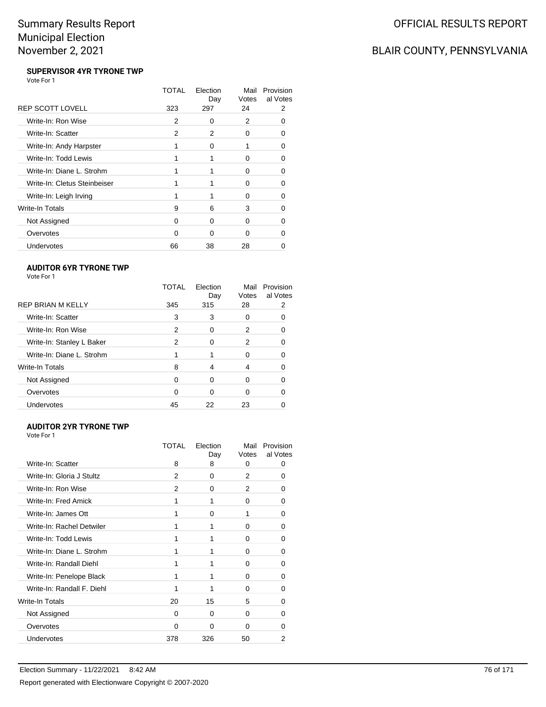### BLAIR COUNTY, PENNSYLVANIA

#### **SUPERVISOR 4YR TYRONE TWP** Vote For 1

|                              | TOTAL | Election<br>Day | Mail<br>Votes | Provision<br>al Votes |
|------------------------------|-------|-----------------|---------------|-----------------------|
| <b>REP SCOTT LOVELL</b>      | 323   | 297             | 24            | 2                     |
| Write-In: Ron Wise           | 2     | 0               | 2             |                       |
| Write-In: Scatter            | 2     | 2               | 0             | O                     |
| Write-In: Andy Harpster      |       | 0               |               | n                     |
| Write-In: Todd Lewis         |       |                 | 0             | Ω                     |
| Write-In: Diane L. Strohm    |       |                 | ŋ             | O                     |
| Write-In: Cletus Steinbeiser |       |                 | O             |                       |
| Write-In: Leigh Irving       | 1     |                 | 0             | n                     |
| Write-In Totals              | 9     | 6               | 3             | O                     |
| Not Assigned                 | O     | 0               | 0             |                       |
| Overvotes                    | 0     | 0               | 0             |                       |
| Undervotes                   | 66    | 38              | 28            |                       |

#### **AUDITOR 6YR TYRONE TWP**

| Vote For |  |
|----------|--|
|----------|--|

| <b>TOTAL</b> | Election<br>Day | Mail<br>Votes | Provision<br>al Votes |
|--------------|-----------------|---------------|-----------------------|
| 345          | 315             | 28            |                       |
| 3            | 3               | 0             | 0                     |
| 2            | 0               | 2             | 0                     |
| 2            | 0               | 2             |                       |
|              |                 | 0             |                       |
| 8            | 4               | 4             |                       |
| $\Omega$     | 0               | $\Omega$      |                       |
| 0            | 0               | 0             | 0                     |
| 45           | 22              | 23            |                       |
|              |                 |               |                       |

#### **AUDITOR 2YR TYRONE TWP** Vote For 1

|                            | TOTAL | Election<br>Day | Mail<br>Votes | Provision<br>al Votes |
|----------------------------|-------|-----------------|---------------|-----------------------|
| Write-In: Scatter          | 8     | 8               | 0             |                       |
| Write-In: Gloria J Stultz  | 2     | 0               | 2             | 0                     |
| Write-In: Ron Wise         | 2     | 0               | 2             | 0                     |
| Write-In: Fred Amick       | 1     | 1               | 0             | 0                     |
| Write-In: James Ott        |       | $\Omega$        | 1             | O                     |
| Write-In: Rachel Detwiler  | 1     | 1               | 0             | 0                     |
| Write-In: Todd Lewis       | 1     | 1               | $\Omega$      | 0                     |
| Write-In: Diane L. Strohm  |       | 1               | $\Omega$      | 0                     |
| Write-In: Randall Diehl    |       | 1               | 0             | 0                     |
| Write-In: Penelope Black   |       | 1               | $\Omega$      | $\Omega$              |
| Write-In: Randall F. Diehl |       | 1               | $\Omega$      | 0                     |
| Write-In Totals            | 20    | 15              | 5             | 0                     |
| Not Assigned               | 0     | 0               | 0             | 0                     |
| Overvotes                  | 0     | $\Omega$        | 0             |                       |
| <b>Undervotes</b>          | 378   | 326             | 50            | 2                     |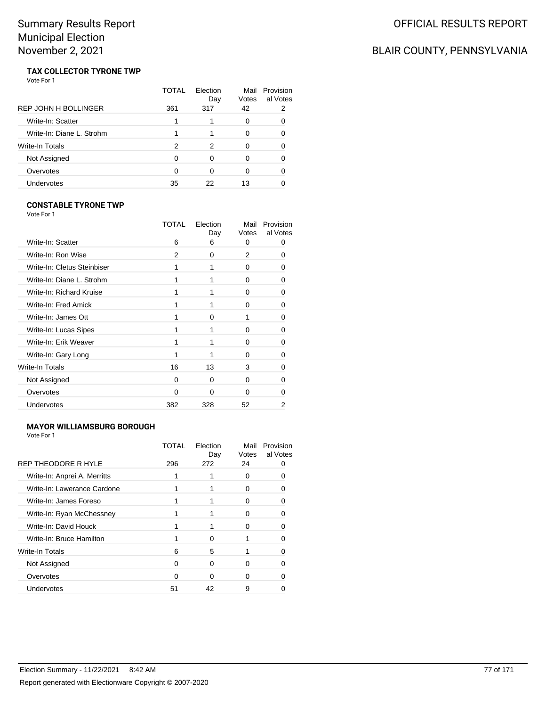### BLAIR COUNTY, PENNSYLVANIA

#### **TAX COLLECTOR TYRONE TWP** Vote For 1

|                             | TOTAL | Flection<br>Day | Mail<br>Votes | Provision<br>al Votes |
|-----------------------------|-------|-----------------|---------------|-----------------------|
| <b>REP JOHN H BOLLINGER</b> | 361   | 317             | 42            | 2                     |
| Write-In: Scatter           |       |                 | 0             | O                     |
| Write-In: Diane L. Strohm   |       |                 | 0             | O                     |
| Write-In Totals             | 2     | 2               | 0             | O                     |
| Not Assigned                | 0     | 0               | 0             | ∩                     |
| Overvotes                   | 0     | 0               | 0             | O                     |
| Undervotes                  | 35    | 22              | 13            |                       |

#### **CONSTABLE TYRONE TWP**

| Vote For 1                  |              |                 |               |                       |
|-----------------------------|--------------|-----------------|---------------|-----------------------|
|                             | TOTAL        | Election<br>Day | Mail<br>Votes | Provision<br>al Votes |
| Write-In: Scatter           | 6            | 6               | 0             | 0                     |
| Write-In: Ron Wise          | 2            | 0               | 2             | 0                     |
| Write-In: Cletus Steinbiser | 1            | 1               | 0             | O                     |
| Write-In: Diane L. Strohm   | 1            | 1               | 0             | O                     |
| Write-In: Richard Kruise    | 1            | 1               | 0             | 0                     |
| Write-In: Fred Amick        | 1            | 1               | 0             | n                     |
| Write-In: James Ott         | 1            | $\Omega$        | 1             | O                     |
| Write-In: Lucas Sipes       | 1            | 1               | $\Omega$      | ŋ                     |
| Write-In: Erik Weaver       |              | 1               | <sup>0</sup>  | n                     |
| Write-In: Gary Long         | 1            | 1               | 0             | 0                     |
| Write-In Totals             | 16           | 13              | 3             | ŋ                     |
| Not Assigned                | <sup>0</sup> | $\Omega$        | 0             | O                     |
| Overvotes                   | $\Omega$     | 0               | 0             | 0                     |
| Undervotes                  | 382          | 328             | 52            | 2                     |
|                             |              |                 |               |                       |

#### **MAYOR WILLIAMSBURG BOROUGH**

| REP THEODORE R HYLE<br>296<br>272<br>24 |  |
|-----------------------------------------|--|
|                                         |  |
| Write-In: Anprei A. Merritts<br>0       |  |
| Write-In: Lawerance Cardone<br>ŋ        |  |
| Write-In: James Foreso<br>ŋ             |  |
| Write-In: Ryan McChessney<br>ŋ          |  |
| Write-In: David Houck<br>ŋ              |  |
| Write-In: Bruce Hamilton<br>∩           |  |
| Write-In Totals<br>5<br>6               |  |
| Not Assigned<br>∩<br>ŋ<br>0             |  |
| Overvotes<br>∩<br>∩<br>n                |  |
| Undervotes<br>51<br>42<br>9             |  |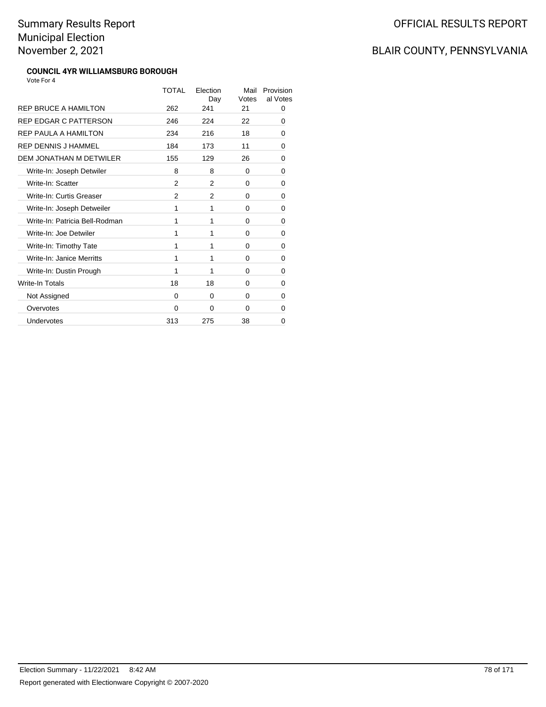#### **COUNCIL 4YR WILLIAMSBURG BOROUGH** Vote For 4

|                                | TOTAL          | Election<br>Day | Mail<br>Votes | Provision<br>al Votes |
|--------------------------------|----------------|-----------------|---------------|-----------------------|
| <b>REP BRUCE A HAMILTON</b>    | 262            | 241             | 21            | 0                     |
| REP EDGAR C PATTERSON          | 246            | 224             | 22            | 0                     |
| REP PAULA A HAMILTON           | 234            | 216             | 18            | 0                     |
| REP DENNIS J HAMMEL            | 184            | 173             | 11            | 0                     |
| <b>DEM JONATHAN M DETWILER</b> | 155            | 129             | 26            | 0                     |
| Write-In: Joseph Detwiler      | 8              | 8               | 0             | 0                     |
| Write-In: Scatter              | 2              | 2               | 0             | 0                     |
| Write-In: Curtis Greaser       | $\mathfrak{p}$ | 2               | 0             | 0                     |
| Write-In: Joseph Detweiler     | 1              | 1               | 0             | 0                     |
| Write-In: Patricia Bell-Rodman | 1              | 1               | 0             | 0                     |
| Write-In: Joe Detwiler         | 1              | 1               | 0             | 0                     |
| Write-In: Timothy Tate         | 1              | 1               | 0             | 0                     |
| Write-In: Janice Merritts      | 1              | 1               | 0             | 0                     |
| Write-In: Dustin Prough        | 1              | 1               | 0             | 0                     |
| Write-In Totals                | 18             | 18              | 0             | 0                     |
| Not Assigned                   | $\Omega$       | 0               | 0             | 0                     |
| Overvotes                      | $\Omega$       | 0               | 0             | 0                     |
| Undervotes                     | 313            | 275             | 38            | 0                     |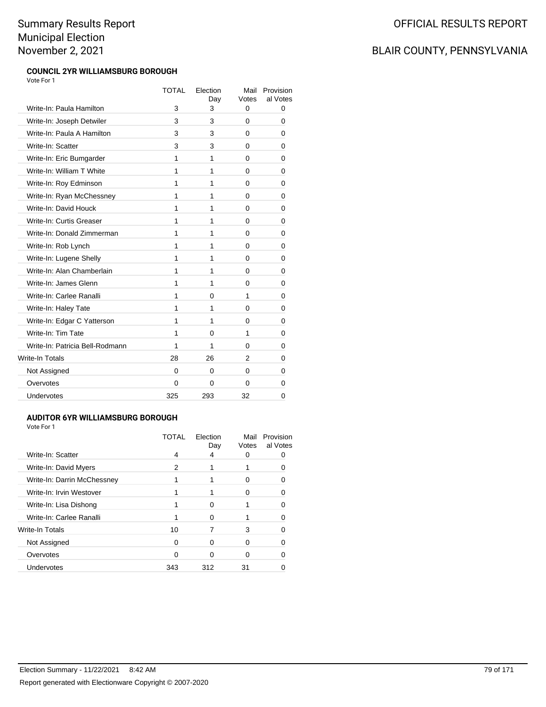#### **COUNCIL 2YR WILLIAMSBURG BOROUGH** Vote For 1

| <b>TOTAL</b> | Election<br>Day | Mail<br>Votes | Provision<br>al Votes |
|--------------|-----------------|---------------|-----------------------|
| 3            | 3               | 0             | 0                     |
| 3            | 3               | 0             | 0                     |
| 3            | 3               | 0             | 0                     |
| 3            | 3               | 0             | 0                     |
| 1            | 1               | 0             | 0                     |
| 1            | 1               | 0             | 0                     |
| 1            | 1               | 0             | 0                     |
| 1            | 1               | 0             | 0                     |
| 1            | 1               | 0             | 0                     |
| 1            | 1               | 0             | 0                     |
| 1            | 1               | 0             | 0                     |
| 1            | 1               | 0             | 0                     |
| 1            | 1               | 0             | 0                     |
| 1            | 1               | 0             | 0                     |
| 1            | 1               | 0             | 0                     |
| 1            | 0               | 1             | 0                     |
| 1            | 1               | 0             | 0                     |
| 1            | 1               | 0             | 0                     |
| 1            | $\Omega$        | 1             | 0                     |
| 1            | 1               | 0             | 0                     |
| 28           | 26              | 2             | 0                     |
| 0            | 0               | 0             | 0                     |
| 0            | 0               | 0             | 0                     |
| 325          | 293             | 32            | 0                     |
|              |                 |               |                       |

#### **AUDITOR 6YR WILLIAMSBURG BOROUGH**

Vote For 1

|                             | TOTAI | Election<br>Day | Mail<br>Votes | Provision<br>al Votes |
|-----------------------------|-------|-----------------|---------------|-----------------------|
| Write-In: Scatter           | 4     | 4               |               |                       |
| Write-In: David Myers       | 2     |                 |               |                       |
| Write-In: Darrin McChessney |       |                 | 0             |                       |
| Write-In: Irvin Westover    |       |                 | 0             |                       |
| Write-In: Lisa Dishong      |       | O               |               |                       |
| Write-In: Carlee Ranalli    |       | O               |               |                       |
| Write-In Totals             | 10    |                 | 3             |                       |
| Not Assigned                | 0     | ∩               | Ω             |                       |
| Overvotes                   | n     |                 |               |                       |
| Undervotes                  | 343   | 312             | 31            |                       |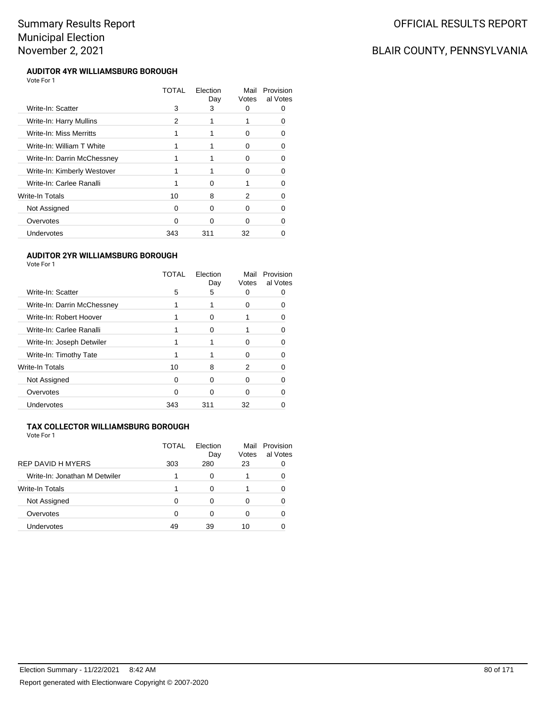### OFFICIAL RESULTS REPORT

## BLAIR COUNTY, PENNSYLVANIA

#### **AUDITOR 4YR WILLIAMSBURG BOROUGH** Vote For 1

|                             | TOTAL | Election<br>Day | Mail<br>Votes | Provision<br>al Votes |
|-----------------------------|-------|-----------------|---------------|-----------------------|
| Write-In: Scatter           | 3     | 3               | 0             |                       |
| Write-In: Harry Mullins     | 2     |                 |               |                       |
| Write-In: Miss Merritts     |       |                 | 0             |                       |
| Write-In: William T White   |       |                 | 0             | O                     |
| Write-In: Darrin McChessney |       |                 | 0             |                       |
| Write-In: Kimberly Westover |       |                 | 0             |                       |
| Write-In: Carlee Ranalli    |       | ∩               |               |                       |
| Write-In Totals             | 10    | 8               | 2             |                       |
| Not Assigned                | Ω     | $\Omega$        | 0             |                       |
| Overvotes                   | O     | ∩               | O             |                       |
| Undervotes                  | 343   | 311             | 32            |                       |

#### **AUDITOR 2YR WILLIAMSBURG BOROUGH**

Vote For 1

| TOTAL | Election<br>Day | Mail<br>Votes | Provision<br>al Votes |
|-------|-----------------|---------------|-----------------------|
| 5     | 5               | O             |                       |
|       |                 | 0             |                       |
|       |                 |               |                       |
|       |                 |               | ∩                     |
|       |                 | 0             |                       |
|       |                 | O             |                       |
| 10    | 8               | 2             | O                     |
| 0     | n               | 0             |                       |
| 0     | n               | O             |                       |
| 343   | 311             | 32            |                       |
|       |                 |               |                       |

#### **TAX COLLECTOR WILLIAMSBURG BOROUGH**

| <b>REP DAVID H MYERS</b>      | TOTAL<br>303 | Flection<br>Day<br>280 | Mail<br>Votes<br>23 | Provision<br>al Votes |
|-------------------------------|--------------|------------------------|---------------------|-----------------------|
|                               |              |                        |                     |                       |
| Write-In: Jonathan M Detwiler |              | 0                      |                     |                       |
| <b>Write-In Totals</b>        |              | 0                      |                     |                       |
| Not Assigned                  | O            | Ω                      |                     |                       |
| Overvotes                     | O            | 0                      | O                   |                       |
| Undervotes                    | 49           | 39                     | 10                  |                       |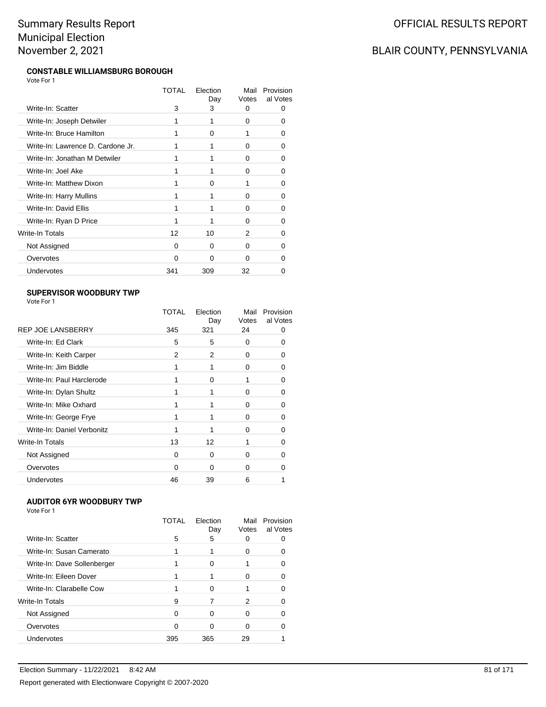#### **CONSTABLE WILLIAMSBURG BOROUGH** Vote For 1

|                                   | TOTAL | Election<br>Day | Mail<br>Votes | Provision<br>al Votes |
|-----------------------------------|-------|-----------------|---------------|-----------------------|
| Write-In: Scatter                 | 3     | 3               | 0             | 0                     |
| Write-In: Joseph Detwiler         | 1     | 1               | 0             | Ω                     |
| Write-In: Bruce Hamilton          | 1     | O               | 1             | Ω                     |
| Write-In: Lawrence D. Cardone Jr. | 1     |                 | 0             | 0                     |
| Write-In: Jonathan M Detwiler     |       |                 | <sup>0</sup>  | O                     |
| Write-In: Joel Ake                | 1     |                 | 0             | 0                     |
| Write-In: Matthew Dixon           | 1     | O               | 1             | 0                     |
| Write-In: Harry Mullins           |       |                 | 0             | 0                     |
| Write-In: David Ellis             | 1     | 1               | $\Omega$      | O                     |
| Write-In: Ryan D Price            | 1     |                 | 0             | 0                     |
| Write-In Totals                   | 12    | 10              | 2             | O                     |
| Not Assigned                      | 0     | <sup>0</sup>    | <sup>0</sup>  | n                     |
| Overvotes                         | 0     | O               | 0             | n                     |
| Undervotes                        | 341   | 309             | 32            |                       |
|                                   |       |                 |               |                       |

#### **SUPERVISOR WOODBURY TWP** Vote For 1

|                            | TOTAL    | Election<br>Day | Mail<br>Votes | Provision<br>al Votes |
|----------------------------|----------|-----------------|---------------|-----------------------|
| <b>REP JOE LANSBERRY</b>   | 345      | 321             | 24            | Ω                     |
| Write-In: Ed Clark         | 5        | 5               | $\Omega$      |                       |
| Write-In: Keith Carper     | 2        | 2               | 0             | O                     |
| Write-In: Jim Biddle       |          |                 | 0             | 0                     |
| Write-In: Paul Harclerode  |          | 0               | 1             |                       |
| Write-In: Dylan Shultz     |          | 1               | $\Omega$      | 0                     |
| Write-In: Mike Oxhard      |          |                 | 0             | 0                     |
| Write-In: George Frye      |          |                 | $\Omega$      | n                     |
| Write-In: Daniel Verbonitz |          |                 | 0             | O                     |
| <b>Write-In Totals</b>     | 13       | 12              |               | 0                     |
| Not Assigned               | $\Omega$ | 0               | $\Omega$      | n                     |
| Overvotes                  | O        | ∩               | 0             |                       |
| Undervotes                 | 46       | 39              | 6             |                       |

#### **AUDITOR 6YR WOODBURY TWP**

|  | Vote For 1 |  |  |
|--|------------|--|--|
|  |            |  |  |

|                             | TOTAI | Election<br>Day | Mail<br>Votes | Provision<br>al Votes |
|-----------------------------|-------|-----------------|---------------|-----------------------|
| Write-In: Scatter           | 5     | 5               |               |                       |
| Write-In: Susan Camerato    |       |                 | $\mathbf{0}$  |                       |
| Write-In: Dave Sollenberger |       | o               |               | n                     |
| Write-In: Eileen Dover      |       |                 | O             |                       |
| Write-In: Clarabelle Cow    |       | 0               |               |                       |
| Write-In Totals             | 9     |                 | 2             | n                     |
| Not Assigned                | 0     | o               | O             |                       |
| Overvotes                   | 0     | 0               | O             |                       |
| Undervotes                  | 395   | 365             | 29            |                       |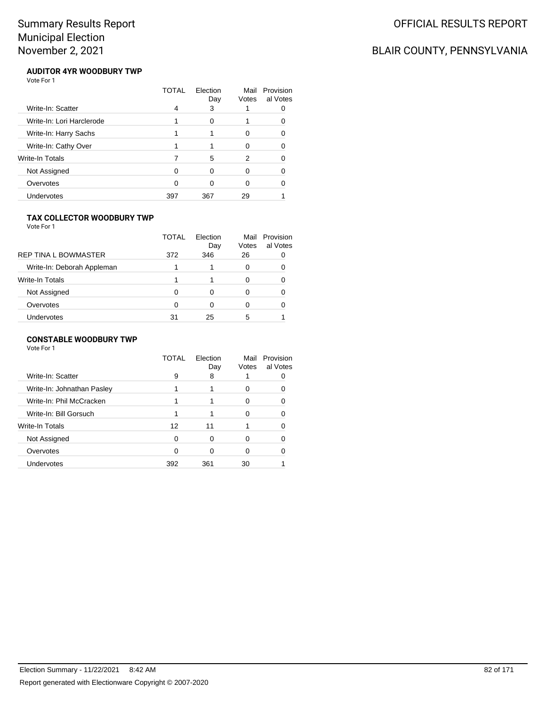## BLAIR COUNTY, PENNSYLVANIA

#### **AUDITOR 4YR WOODBURY TWP** Vote For 1

|                           | TOTAL | Flection<br>Day | Mail<br>Votes | Provision<br>al Votes |
|---------------------------|-------|-----------------|---------------|-----------------------|
| Write-In: Scatter         | 4     | 3               |               |                       |
| Write-In: Lori Harclerode |       | 0               |               |                       |
| Write-In: Harry Sachs     |       |                 | 0             |                       |
| Write-In: Cathy Over      |       |                 | O             |                       |
| <b>Write-In Totals</b>    |       | 5               | 2             |                       |
| Not Assigned              | 0     | 0               | 0             |                       |
| Overvotes                 | 0     | ∩               | U             |                       |
| Undervotes                | 397   | 367             | 29            |                       |

#### **TAX COLLECTOR WOODBURY TWP**

Vote For 1

|                             | TOTAL | Election<br>Day | Mail<br>Votes | Provision<br>al Votes |
|-----------------------------|-------|-----------------|---------------|-----------------------|
| <b>REP TINA L BOWMASTER</b> | 372   | 346             | 26            |                       |
| Write-In: Deborah Appleman  |       |                 | 0             |                       |
| Write-In Totals             |       |                 | 0             |                       |
| Not Assigned                | 0     | Ω               | 0             |                       |
| Overvotes                   | O     | Ω               | 0             |                       |
| Undervotes                  | 31    | 25              | 5             |                       |

#### **CONSTABLE WOODBURY TWP**

|                            | TOTAL    | Flection<br>Day | Mail<br>Votes | Provision<br>al Votes |
|----------------------------|----------|-----------------|---------------|-----------------------|
| Write-In: Scatter          | 9        | 8               |               |                       |
| Write-In: Johnathan Pasley |          |                 | 0             |                       |
| Write-In: Phil McCracken   |          |                 | 0             | 0                     |
| Write-In: Bill Gorsuch     | 1        |                 | ∩             |                       |
| Write-In Totals            | 12       | 11              |               |                       |
| Not Assigned               | $\Omega$ | 0               | ∩             |                       |
| Overvotes                  | 0        | ∩               | 0             |                       |
| Undervotes                 | 392      | 361             | 30            |                       |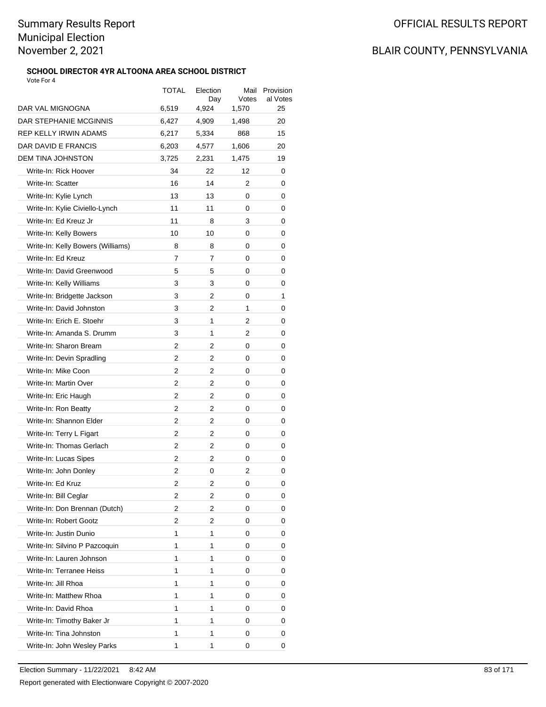#### **SCHOOL DIRECTOR 4YR ALTOONA AREA SCHOOL DISTRICT** Vote For 4

|                                   | TOTAL | Election<br>Day | Mail<br>Votes | Provision<br>al Votes |
|-----------------------------------|-------|-----------------|---------------|-----------------------|
| DAR VAL MIGNOGNA                  | 6,519 | 4,924           | 1,570         | 25                    |
| DAR STEPHANIE MCGINNIS            | 6,427 | 4,909           | 1,498         | 20                    |
| REP KELLY IRWIN ADAMS             | 6,217 | 5,334           | 868           | 15                    |
| DAR DAVID E FRANCIS               | 6,203 | 4,577           | 1.606         | 20                    |
| DEM TINA JOHNSTON                 | 3,725 | 2,231           | 1,475         | 19                    |
| Write-In: Rick Hoover             | 34    | 22              | 12            | 0                     |
| Write-In: Scatter                 | 16    | 14              | 2             | 0                     |
| Write-In: Kylie Lynch             | 13    | 13              | 0             | 0                     |
| Write-In: Kylie Civiello-Lynch    | 11    | 11              | 0             | 0                     |
| Write-In: Ed Kreuz Jr             | 11    | 8               | 3             | 0                     |
| Write-In: Kelly Bowers            | 10    | 10              | 0             | 0                     |
| Write-In: Kelly Bowers (Williams) | 8     | 8               | 0             | 0                     |
| Write-In: Ed Kreuz                | 7     | 7               | 0             | 0                     |
| Write-In: David Greenwood         | 5     | 5               | 0             | 0                     |
| Write-In: Kelly Williams          | 3     | 3               | 0             | 0                     |
| Write-In: Bridgette Jackson       | 3     | 2               | 0             | $\mathbf{1}$          |
| Write-In: David Johnston          | 3     | 2               | 1             | 0                     |
| Write-In: Erich E. Stoehr         | 3     | 1               | 2             | 0                     |
| Write-In: Amanda S. Drumm         | 3     | 1               | 2             | 0                     |
| Write-In: Sharon Bream            | 2     | 2               | 0             | 0                     |
| Write-In: Devin Spradling         | 2     | 2               | 0             | 0                     |
| Write-In: Mike Coon               | 2     | 2               | 0             | 0                     |
| Write-In: Martin Over             | 2     | 2               | 0             | 0                     |
| Write-In: Eric Haugh              | 2     | 2               | 0             | 0                     |
| Write-In: Ron Beatty              | 2     | 2               | 0             | 0                     |
| Write-In: Shannon Elder           | 2     | 2               | 0             | 0                     |
| Write-In: Terry L Figart          | 2     | 2               | 0             | 0                     |
| Write-In: Thomas Gerlach          | 2     | 2               | 0             | 0                     |
| Write-In: Lucas Sipes             | 2     | 2               | 0             | 0                     |
| Write-In: John Donley             | 2     | 0               | 2             | 0                     |
| Write-In: Ed Kruz                 | 2     | 2               | 0             | 0                     |
| Write-In: Bill Ceglar             | 2     | 2               | 0             | 0                     |
| Write-In: Don Brennan (Dutch)     | 2     | 2               | 0             | 0                     |
| Write-In: Robert Gootz            | 2     | 2               | 0             | 0                     |
| Write-In: Justin Dunio            | 1     | 1               | 0             | 0                     |
| Write-In: Silvino P Pazcoquin     | 1     | 1               | 0             | 0                     |
| Write-In: Lauren Johnson          | 1     | 1               | 0             | 0                     |
| Write-In: Terranee Heiss          | 1     | 1               | 0             | 0                     |
| Write-In: Jill Rhoa               | 1     | 1               | 0             | 0                     |
| Write-In: Matthew Rhoa            | 1     | 1               | 0             | 0                     |
| Write-In: David Rhoa              | 1     | 1               | 0             | 0                     |
| Write-In: Timothy Baker Jr        | 1     | 1               | 0             | 0                     |
| Write-In: Tina Johnston           | 1     | 1               | 0             | 0                     |
| Write-In: John Wesley Parks       | 1     | 1               | 0             | 0                     |
|                                   |       |                 |               |                       |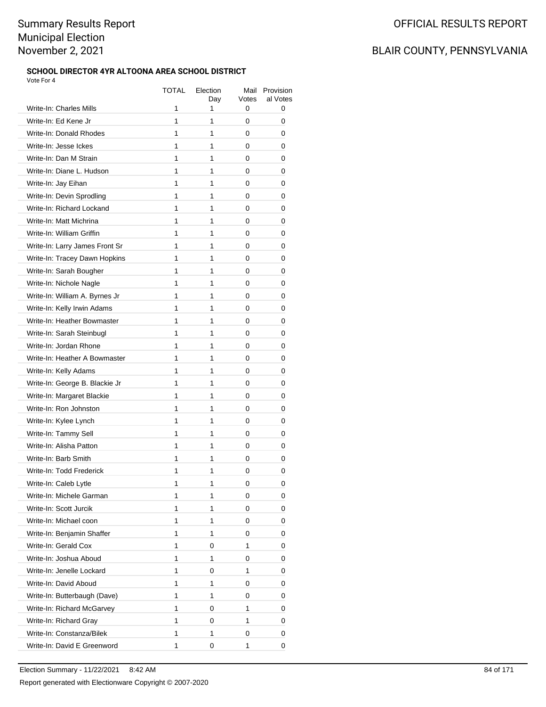#### **SCHOOL DIRECTOR 4YR ALTOONA AREA SCHOOL DISTRICT** Vote For 4

|                                | TOTAL | Election | Mail<br>Votes | Provision<br>al Votes |
|--------------------------------|-------|----------|---------------|-----------------------|
| Write-In: Charles Mills        | 1     | Day<br>1 | 0             | 0                     |
| Write-In: Ed Kene Jr           | 1     | 1        | 0             | 0                     |
| Write-In: Donald Rhodes        | 1     | 1        | 0             | 0                     |
| Write-In: Jesse Ickes          | 1     | 1        | 0             | 0                     |
| Write-In: Dan M Strain         | 1     | 1        | 0             | 0                     |
| Write-In: Diane L. Hudson      | 1     | 1        | 0             | 0                     |
| Write-In: Jay Eihan            | 1     | 1        | 0             | 0                     |
| Write-In: Devin Sprodling      | 1     | 1        | 0             | 0                     |
| Write-In: Richard Lockand      | 1     | 1        | 0             | 0                     |
| Write-In: Matt Michrina        | 1     | 1        | 0             | 0                     |
| Write-In: William Griffin      | 1     | 1        | 0             | 0                     |
| Write-In: Larry James Front Sr | 1     | 1        | 0             | 0                     |
| Write-In: Tracey Dawn Hopkins  | 1     | 1        | 0             | 0                     |
| Write-In: Sarah Bougher        | 1     | 1        | 0             | 0                     |
| Write-In: Nichole Nagle        | 1     | 1        | 0             | 0                     |
| Write-In: William A. Byrnes Jr | 1     | 1        | 0             | 0                     |
| Write-In: Kelly Irwin Adams    | 1     | 1        | 0             | 0                     |
| Write-In: Heather Bowmaster    | 1     | 1        | 0             | 0                     |
| Write-In: Sarah Steinbugl      | 1     | 1        | 0             | 0                     |
| Write-In: Jordan Rhone         | 1     | 1        | 0             | 0                     |
| Write-In: Heather A Bowmaster  | 1     | 1        | 0             | 0                     |
| Write-In: Kelly Adams          | 1     | 1        | 0             | 0                     |
| Write-In: George B. Blackie Jr | 1     | 1        | 0             | 0                     |
| Write-In: Margaret Blackie     | 1     | 1        | 0             | 0                     |
| Write-In: Ron Johnston         | 1     | 1        | 0             | 0                     |
| Write-In: Kylee Lynch          | 1     | 1        | 0             | 0                     |
| Write-In: Tammy Sell           | 1     | 1        | 0             | 0                     |
| Write-In: Alisha Patton        | 1     | 1        | 0             | 0                     |
| Write-In: Barb Smith           | 1     | 1        | 0             | 0                     |
| Write-In: Todd Frederick       | 1     | 1        | 0             | 0                     |
| Write-In: Caleb Lytle          | 1     | 1        | 0             | 0                     |
| Write-In: Michele Garman       | 1     | 1        | 0             | 0                     |
| Write-In: Scott Jurcik         | 1     | 1        | 0             | 0                     |
| Write-In: Michael coon         | 1     | 1        | 0             | 0                     |
| Write-In: Benjamin Shaffer     | 1     | 1        | 0             | 0                     |
| Write-In: Gerald Cox           | 1     | 0        | 1             | 0                     |
| Write-In: Joshua Aboud         | 1     | 1        | 0             | 0                     |
| Write-In: Jenelle Lockard      | 1     | 0        | 1             | 0                     |
| Write-In: David Aboud          | 1     | 1        | 0             | 0                     |
| Write-In: Butterbaugh (Dave)   | 1     | 1        | 0             | 0                     |
| Write-In: Richard McGarvey     | 1     | 0        | 1             | 0                     |
| Write-In: Richard Gray         | 1     | 0        | 1             | 0                     |
| Write-In: Constanza/Bilek      | 1     | 1        | 0             | 0                     |
| Write-In: David E Greenword    | 1     | 0        | 1             | 0                     |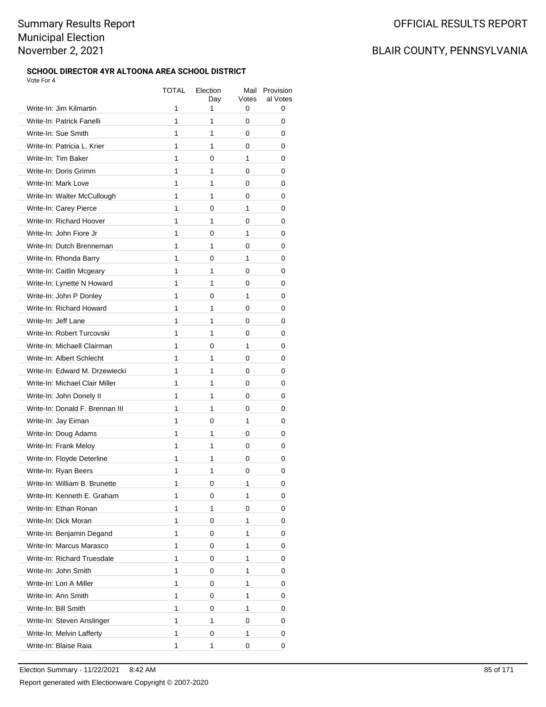#### **SCHOOL DIRECTOR 4YR ALTOONA AREA SCHOOL DISTRICT** Vote For 4

|                                 | TOTAL | Election<br>Day | Mail<br>Votes | Provision<br>al Votes |
|---------------------------------|-------|-----------------|---------------|-----------------------|
| Write-In: Jim Kilmartin         | 1     | 1               | 0             | 0                     |
| Write-In: Patrick Fanelli       | 1     | 1               | 0             | 0                     |
| Write-In: Sue Smith             | 1     | 1               | 0             | 0                     |
| Write-In: Patricia L. Krier     | 1     | 1               | 0             | 0                     |
| Write-In: Tim Baker             | 1     | 0               | 1             | 0                     |
| Write-In: Doris Grimm           | 1     | 1               | 0             | 0                     |
| Write-In: Mark Love             | 1     | 1               | 0             | 0                     |
| Write-In: Walter McCullough     | 1     | 1               | 0             | 0                     |
| Write-In: Carey Pierce          | 1     | 0               | 1             | 0                     |
| Write-In: Richard Hoover        | 1     | 1               | 0             | 0                     |
| Write-In: John Fiore Jr         | 1     | 0               | 1             | 0                     |
| Write-In: Dutch Brenneman       | 1     | 1               | 0             | 0                     |
| Write-In: Rhonda Barry          | 1     | 0               | 1             | 0                     |
| Write-In: Caitlin Mcgeary       | 1     | $\mathbf{1}$    | 0             | 0                     |
| Write-In: Lynette N Howard      | 1     | 1               | 0             | 0                     |
| Write-In: John P Donley         | 1     | 0               | 1             | 0                     |
| Write-In: Richard Howard        | 1     | $\mathbf{1}$    | 0             | 0                     |
| Write-In: Jeff Lane             | 1     | 1               | 0             | 0                     |
| Write-In: Robert Turcovski      | 1     | 1               | 0             | 0                     |
| Write-In: Michaell Clairman     | 1     | 0               | 1             | 0                     |
| Write-In: Albert Schlecht       | 1     | 1               | 0             | 0                     |
| Write-In: Edward M. Drzewiecki  | 1     | 1               | 0             | 0                     |
| Write-In: Michael Clair Miller  | 1     | 1               | 0             | 0                     |
| Write-In: John Donely II        | 1     | 1               | 0             | 0                     |
| Write-In: Donald F. Brennan III | 1     | 1               | 0             | 0                     |
| Write-In: Jay Eiman             | 1     | 0               | 1             | 0                     |
| Write-In: Doug Adams            | 1     | 1               | 0             | 0                     |
| Write-In: Frank Meloy           | 1     | 1               | 0             | 0                     |
| Write-In: Floyde Deterline      | 1     | 1               | 0             | 0                     |
| Write-In: Ryan Beers            | 1     | 1               | 0             | 0                     |
| Write-In: William B. Brunette   | 1     | 0               | 1             | 0                     |
| Write-In: Kenneth E. Graham     | 1     | 0               | 1             | 0                     |
| Write-In: Ethan Ronan           | 1     | 1               | 0             | 0                     |
| Write-In: Dick Moran            | 1     | 0               | 1             | 0                     |
| Write-In: Benjamin Degand       | 1     | 0               | 1             | 0                     |
| Write-In: Marcus Marasco        | 1     | 0               | 1             | 0                     |
| Write-In: Richard Truesdale     | 1     | 0               | 1             | 0                     |
| Write-In: John Smith            | 1     | 0               | 1             | 0                     |
| Write-In: Lori A Miller         | 1     | 0               | 1             | 0                     |
| Write-In: Ann Smith             | 1     | 0               | 1             | 0                     |
| Write-In: Bill Smith            | 1     | 0               | 1             | 0                     |
| Write-In: Steven Anslinger      | 1     | 1               | 0             | 0                     |
| Write-In: Melvin Lafferty       | 1     | 0               | 1             | 0                     |
| Write-In: Blaise Raia           | 1     | 1               | 0             | 0                     |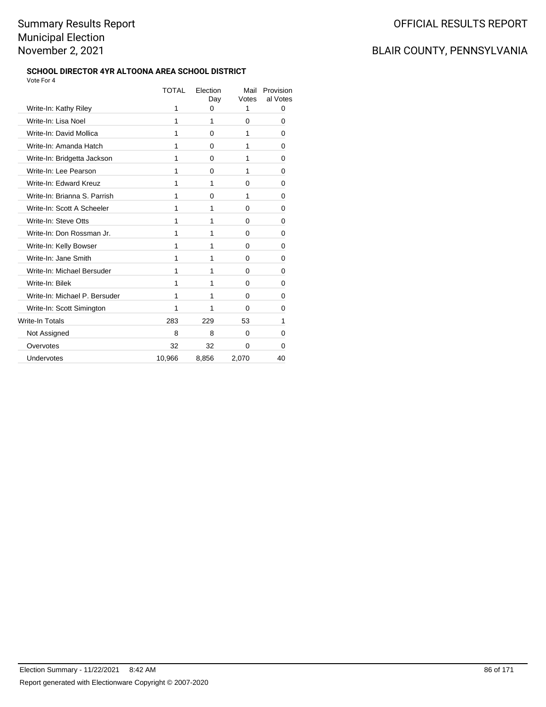#### **SCHOOL DIRECTOR 4YR ALTOONA AREA SCHOOL DISTRICT** Vote For 4

|                               | TOTAL  | Election<br>Day | Mail<br>Votes | Provision<br>al Votes |
|-------------------------------|--------|-----------------|---------------|-----------------------|
| Write-In: Kathy Riley         | 1      | 0               | 1             | 0                     |
| Write-In: Lisa Noel           | 1      | 1               | 0             | 0                     |
| Write-In: David Mollica       | 1      | $\Omega$        | 1             | 0                     |
| Write-In: Amanda Hatch        | 1      | 0               | 1             | 0                     |
| Write-In: Bridgetta Jackson   | 1      | 0               | 1             | 0                     |
| Write-In: Lee Pearson         | 1      | 0               | 1             | 0                     |
| Write-In: Edward Kreuz        | 1      | 1               | $\Omega$      | 0                     |
| Write-In: Brianna S. Parrish  | 1      | 0               | 1             | 0                     |
| Write-In: Scott A Scheeler    | 1      | 1               | 0             | 0                     |
| Write-In: Steve Otts          | 1      | 1               | 0             | 0                     |
| Write-In: Don Rossman Jr.     | 1      | 1               | 0             | 0                     |
| Write-In: Kelly Bowser        | 1      | 1               | 0             | 0                     |
| Write-In: Jane Smith          | 1      | 1               | 0             | 0                     |
| Write-In: Michael Bersuder    | 1      | 1               | $\Omega$      | 0                     |
| Write-In: Bilek               | 1      | 1               | $\Omega$      | 0                     |
| Write-In: Michael P. Bersuder | 1      | 1               | 0             | 0                     |
| Write-In: Scott Simington     | 1      | 1               | 0             | 0                     |
| Write-In Totals               | 283    | 229             | 53            | 1                     |
| Not Assigned                  | 8      | 8               | 0             | 0                     |
| Overvotes                     | 32     | 32              | $\Omega$      | 0                     |
| Undervotes                    | 10,966 | 8,856           | 2,070         | 40                    |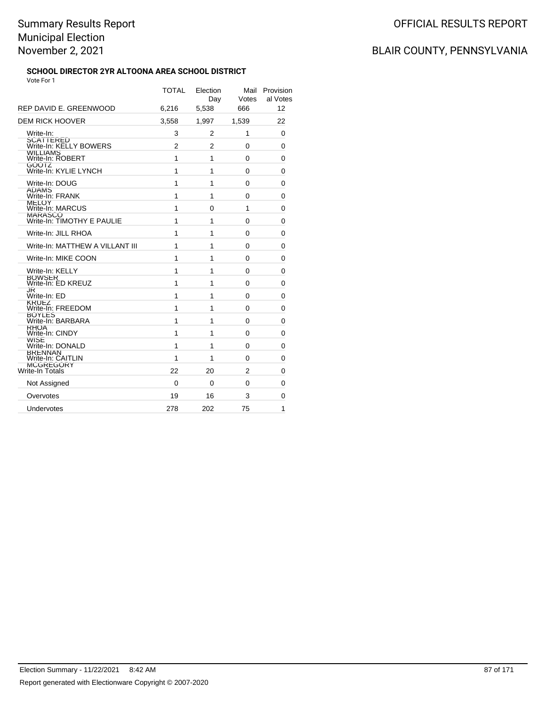#### **SCHOOL DIRECTOR 2YR ALTOONA AREA SCHOOL DISTRICT** Vote For 1

| REP DAVID E. GREENWOOD                       | <b>TOTAL</b><br>6.216 | Election<br>Day<br>5,538 | Mail<br>Votes<br>666 | Provision<br>al Votes<br>12 |
|----------------------------------------------|-----------------------|--------------------------|----------------------|-----------------------------|
| <b>DEM RICK HOOVER</b>                       | 3,558                 | 1,997                    | 1,539                | 22                          |
| Write-In:                                    | 3                     | 2                        | 1                    | 0                           |
| <b>SCATTERED</b><br>Write-In: KELLY BOWERS   | $\overline{2}$        | $\overline{2}$           | 0                    | 0                           |
| WILLIAMS<br>Write-In: ROBERT                 | 1                     | 1                        | 0                    | 0                           |
| GOOTZ<br>Write-In: KYLIE LYNCH               | 1                     | 1                        | 0                    | 0                           |
| Write-In: DOUG                               | 1                     | 1                        | 0                    | 0                           |
| ADAMS<br>Write-In: FRANK                     | 1                     | 1                        | 0                    | 0                           |
| MELOY<br>Write-In: MARCUS                    | 1                     | 0                        | 1                    | 0                           |
| <b>MARASCO</b><br>Write-In: TIMOTHY E PAULIE | 1                     | 1                        | 0                    | 0                           |
| Write-In: JILL RHOA                          | 1                     | 1                        | 0                    | 0                           |
| Write-In: MATTHEW A VILLANT III              | 1                     | 1                        | 0                    | 0                           |
| Write-In: MIKE COON                          | 1                     | 1                        | 0                    | 0                           |
| Write-In: KELLY                              | 1                     | 1                        | 0                    | 0                           |
| BOWSER<br>Write-In: ED KREUZ                 | 1                     | 1                        | 0                    | 0                           |
| JK<br>Write-In: ED                           | 1                     | 1                        | 0                    | 0                           |
| KRUEZ<br>Write-In: FREEDOM                   | 1                     | 1                        | 0                    | 0                           |
| <b>BOYLES</b><br>Write-In: BARBARA           | 1                     | 1                        | 0                    | 0                           |
| <b>KHUA</b><br>Write-In: CINDY               | 1                     | 1                        | 0                    | 0                           |
| WISE<br>Write-In: DONALD                     | 1                     | 1                        | 0                    | 0                           |
| <b>BRENNAN</b><br>Write-In: CAITLIN          | 1                     | 1                        | 0                    | 0                           |
| <b>MCGREGORY</b><br><b>Write-In Totals</b>   | 22                    | 20                       | $\overline{2}$       | 0                           |
| Not Assigned                                 | 0                     | 0                        | 0                    | 0                           |
| Overvotes                                    | 19                    | 16                       | 3                    | 0                           |
| Undervotes                                   | 278                   | 202                      | 75                   | 1                           |
|                                              |                       |                          |                      |                             |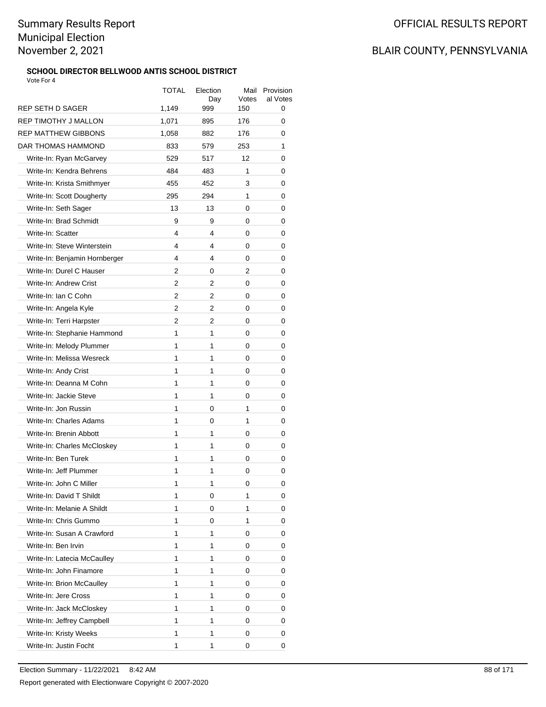### **SCHOOL DIRECTOR BELLWOOD ANTIS SCHOOL DISTRICT**

| Vote For 4                    |       |                 |               |                       |  |
|-------------------------------|-------|-----------------|---------------|-----------------------|--|
|                               | TOTAL | Election<br>Day | Mail<br>Votes | Provision<br>al Votes |  |
| REP SETH D SAGER              | 1,149 | 999             | 150           | 0                     |  |
| <b>REP TIMOTHY J MALLON</b>   | 1,071 | 895             | 176           | 0                     |  |
| <b>REP MATTHEW GIBBONS</b>    | 1,058 | 882             | 176           | 0                     |  |
| DAR THOMAS HAMMOND            | 833   | 579             | 253           | 1                     |  |
| Write-In: Ryan McGarvey       | 529   | 517             | 12            | 0                     |  |
| Write-In: Kendra Behrens      | 484   | 483             | 1             | 0                     |  |
| Write-In: Krista Smithmyer    | 455   | 452             | 3             | 0                     |  |
| Write-In: Scott Dougherty     | 295   | 294             | 1             | 0                     |  |
| Write-In: Seth Sager          | 13    | 13              | 0             | 0                     |  |
| Write-In: Brad Schmidt        | 9     | 9               | 0             | 0                     |  |
| Write-In: Scatter             | 4     | 4               | 0             | 0                     |  |
| Write-In: Steve Winterstein   | 4     | 4               | 0             | 0                     |  |
| Write-In: Benjamin Hornberger | 4     | 4               | 0             | 0                     |  |
| Write-In: Durel C Hauser      | 2     | 0               | 2             | 0                     |  |
| Write-In: Andrew Crist        | 2     | 2               | 0             | 0                     |  |
| Write-In: Ian C Cohn          | 2     | 2               | 0             | 0                     |  |
| Write-In: Angela Kyle         | 2     | 2               | 0             | 0                     |  |
| Write-In: Terri Harpster      | 2     | 2               | 0             | 0                     |  |
| Write-In: Stephanie Hammond   | 1     | 1               | 0             | 0                     |  |
| Write-In: Melody Plummer      | 1     | 1               | 0             | 0                     |  |
| Write-In: Melissa Wesreck     | 1     | 1               | 0             | 0                     |  |
| Write-In: Andy Crist          | 1     | 1               | 0             | 0                     |  |
| Write-In: Deanna M Cohn       | 1     | 1               | 0             | 0                     |  |
| Write-In: Jackie Steve        | 1     | 1               | 0             | 0                     |  |
| Write-In: Jon Russin          | 1     | 0               | 1             | 0                     |  |
| Write-In: Charles Adams       | 1     | 0               | 1             | 0                     |  |
| Write-In: Brenin Abbott       | 1     | 1               | 0             | 0                     |  |
| Write-In: Charles McCloskey   | 1     | 1               | 0             | 0                     |  |
| Write-In: Ben Turek           | 1     | 1               | 0             | 0                     |  |
| Write-In: Jeff Plummer        | 1     | 1               | 0             | 0                     |  |
| Write-In: John C Miller       | 1     | 1               | 0             | 0                     |  |
| Write-In: David T Shildt      | 1     | 0               | 1             | 0                     |  |
| Write-In: Melanie A Shildt    | 1     | 0               | 1             | 0                     |  |
| Write-In: Chris Gummo         | 1     |                 | 1             |                       |  |
| Write-In: Susan A Crawford    | 1     | 0<br>1          |               | 0                     |  |
| Write-In: Ben Irvin           | 1     | 1               | 0             | 0                     |  |
|                               |       |                 | 0             | 0                     |  |
| Write-In: Latecia McCaulley   | 1     | 1               | 0             | 0                     |  |
| Write-In: John Finamore       | 1     | 1               | 0             | 0                     |  |
| Write-In: Brion McCaulley     | 1     | 1               | 0             | 0                     |  |
| Write-In: Jere Cross          | 1     | 1               | 0             | 0                     |  |
| Write-In: Jack McCloskey      | 1     | 1               | 0             | 0                     |  |
| Write-In: Jeffrey Campbell    | 1     | 1               | 0             | 0                     |  |
| Write-In: Kristy Weeks        | 1     | 1               | 0             | 0                     |  |
| Write-In: Justin Focht        | 1     | 1               | 0             | 0                     |  |
|                               |       |                 |               |                       |  |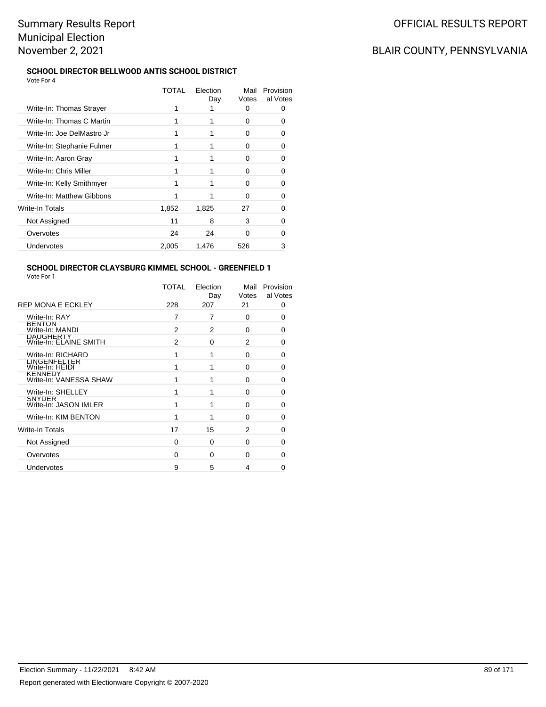### BLAIR COUNTY, PENNSYLVANIA

#### **SCHOOL DIRECTOR BELLWOOD ANTIS SCHOOL DISTRICT** Vote For 4

|                            | TOTAL | Election<br>Day | Mail<br>Votes | Provision<br>al Votes |
|----------------------------|-------|-----------------|---------------|-----------------------|
| Write-In: Thomas Strayer   |       |                 | U             |                       |
| Write-In: Thomas C Martin  |       |                 | 0             | 0                     |
| Write-In: Joe DelMastro Jr |       |                 | 0             | 0                     |
| Write-In: Stephanie Fulmer |       |                 | O             | 0                     |
| Write-In: Aaron Gray       |       |                 | U             | O                     |
| Write-In: Chris Miller     |       |                 | O             |                       |
| Write-In: Kelly Smithmyer  |       |                 | U             | 0                     |
| Write-In: Matthew Gibbons  |       |                 | 0             | 0                     |
| Write-In Totals            | 1,852 | 1,825           | 27            | 0                     |
| Not Assigned               | 11    | 8               | 3             | O                     |
| Overvotes                  | 24    | 24              | U             |                       |
| Undervotes                 | 2,005 | 1,476           | 526           | 3                     |

#### **SCHOOL DIRECTOR CLAYSBURG KIMMEL SCHOOL - GREENFIELD 1** Vote For 1

|                                            | <b>TOTAL</b> | Election<br>Day | Mail<br>Votes  | Provision<br>al Votes |
|--------------------------------------------|--------------|-----------------|----------------|-----------------------|
| <b>REP MONA E ECKLEY</b>                   | 228          | 207             | 21             | 0                     |
| Write-In: RAY                              | 7            | 7               | 0              | 0                     |
| <b>BENTON</b><br>Write-In: MANDI           | 2            | 2               | $\Omega$       | 0                     |
| <b>DAUGHERIY</b><br>Write-In: ELAINE SMITH | 2            | 0               | 2              | 0                     |
| Write-In: RICHARD                          | 1            | 1               | $\Omega$       | 0                     |
| LINGENFELTER<br>Write-In: HEIDI            | 1            | 1               | $\Omega$       | 0                     |
| <b>KENNEDY</b><br>Write-In: VANESSA SHAW   | 1            | 1               | $\Omega$       | 0                     |
| Write-In: SHELLEY                          | 1            | 1               | $\Omega$       | 0                     |
| <b>SNYDER</b><br>Write-In: JASON IMLER     | 1            | 1               | $\Omega$       | 0                     |
| Write-In: KIM BENTON                       | 1            | 1               | $\Omega$       | 0                     |
| Write-In Totals                            | 17           | 15              | $\overline{2}$ | 0                     |
| Not Assigned                               | $\Omega$     | 0               | $\Omega$       | 0                     |
| Overvotes                                  | $\Omega$     | $\Omega$        | $\Omega$       | O                     |
| Undervotes                                 | 9            | 5               | 4              | 0                     |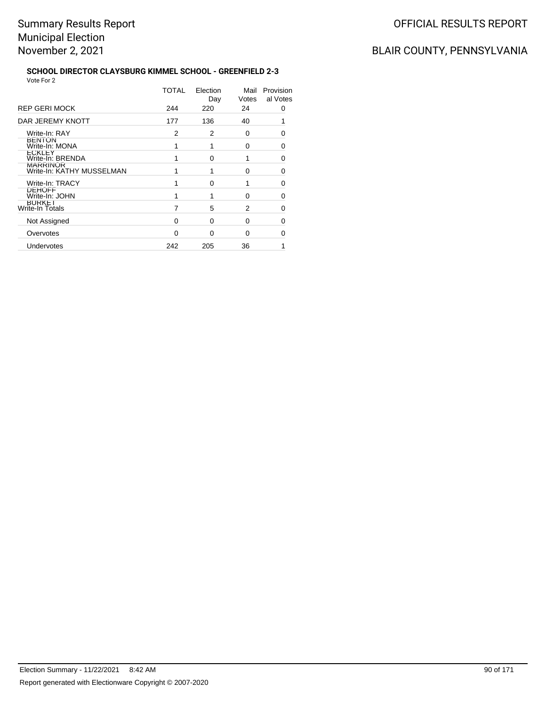#### **SCHOOL DIRECTOR CLAYSBURG KIMMEL SCHOOL - GREENFIELD 2-3** Vote For 2

|                                              | TOTAL    | Election<br>Day | Mail<br>Votes | Provision<br>al Votes |
|----------------------------------------------|----------|-----------------|---------------|-----------------------|
| <b>REP GERI MOCK</b>                         | 244      | 220             | 24            | 0                     |
| DAR JEREMY KNOTT                             | 177      | 136             | 40            |                       |
| Write-In: RAY                                | 2        | 2               | 0             | O                     |
| <b>BENION</b><br>Write-In: MONA              |          |                 | 0             | 0                     |
| <b>ECKLEY</b><br>Write-In: BRENDA            |          | $\Omega$        | 1             | ∩                     |
| <b>MARRINOR</b><br>Write-In: KATHY MUSSELMAN |          |                 | 0             | 0                     |
| Write-In: TRACY                              |          | $\Omega$        | 1             | 0                     |
| <b>DEHOFF</b><br>Write-In: JOHN              |          |                 | $\Omega$      | O                     |
| <b>BURKEI</b><br>Write-In Totals             | 7        | 5               | 2             | 0                     |
| Not Assigned                                 | 0        | $\Omega$        | 0             | ∩                     |
| Overvotes                                    | $\Omega$ | $\Omega$        | 0             | O                     |
| Undervotes                                   | 242      | 205             | 36            |                       |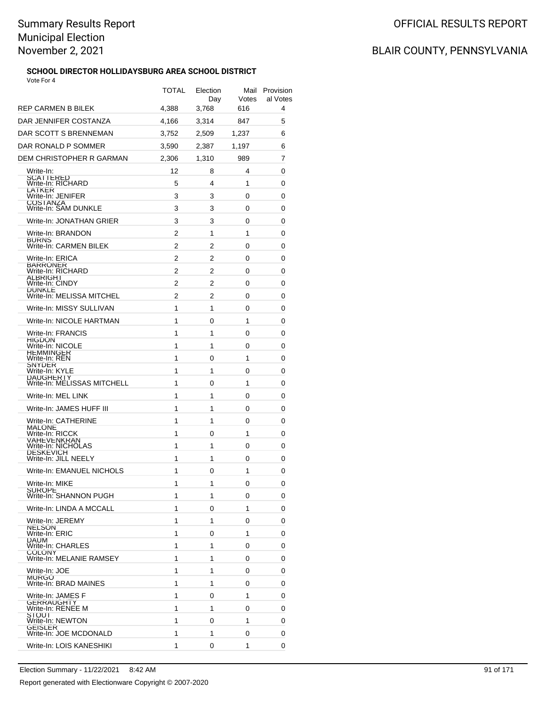#### **SCHOOL DIRECTOR HOLLIDAYSBURG AREA SCHOOL DISTRICT** Vote For 4

|                                                       | TOTAL | Election<br>Day | Votes | Mail Provision<br>al Votes |
|-------------------------------------------------------|-------|-----------------|-------|----------------------------|
| REP CARMEN B BILEK                                    | 4,388 | 3,768           | 616   | 4                          |
| DAR JENNIFER COSTANZA<br>DAR SCOTT S BRENNEMAN        | 4,166 | 3,314           | 847   | 5<br>6                     |
|                                                       | 3,752 | 2,509           | 1,237 |                            |
| DAR RONALD P SOMMER                                   | 3,590 | 2,387           | 1,197 | 6                          |
| DEM CHRISTOPHER R GARMAN                              | 2,306 | 1,310           | 989   | 7                          |
| Write-In:<br><b>SCATTERED</b>                         | 12    | 8               | 4     | 0                          |
| Write-In: RICHARD<br>LATKER                           | 5     | 4               | 1     | 0                          |
| Write-In: JENIFER<br>COSTANZA<br>Write-In: SAM DUNKLE | 3     | 3               | 0     | 0                          |
|                                                       | 3     | 3               | 0     | 0                          |
| Write-In: JONATHAN GRIER                              | 3     | 3               | 0     | 0                          |
| Write-In: BRANDON<br><b>BURNS</b>                     | 2     | 1               | 1     | 0                          |
| Write-In: CARMEN BILEK                                | 2     | 2               | 0     | 0                          |
| Write-In: ERICA<br>BARRONER<br>Write-In: RICHARD      | 2     | 2               | 0     | 0                          |
| ALBRIGHT                                              | 2     | 2               | 0     | 0                          |
| Write-In: CINDY<br><b>DUNKLE</b>                      | 2     | 2               | 0     | 0                          |
| Write-In: MELISSA MITCHEL                             | 2     | 2               | 0     | 0                          |
| Write-In: MISSY SULLIVAN                              | 1     | 1               | 0     | 0                          |
| Write-In: NICOLE HARTMAN                              | 1     | 0               | 1     | 0                          |
| Write-In: FRANCIS<br><b>HIGDON</b>                    | 1     | 1               | 0     | 0                          |
| Write-In: NICOLE<br>HEMMINGER                         | 1     | 1               | 0     | 0                          |
| Write-In: REN<br>SNYDER                               | 1     | 0               | 1     | 0                          |
| Write-In: KYLE                                        | 1     | 1               | 0     | 0                          |
| DAUGHERTY<br>Write-In: MELISSAS MITCHELL              | 1     | 0               | 1     | 0                          |
| Write-In: MEL LINK                                    | 1     | 1               | 0     | 0                          |
| Write-In: JAMES HUFF III                              | 1     | 1               | 0     | 0                          |
| Write-In: CATHERINE<br><b>MALONE</b>                  | 1     | 1               | 0     | 0                          |
| Write-In: RICCK<br>VAHEVENKRAN                        | 1     | 0               | 1     | 0                          |
| Write-In: NICHOLAS                                    | 1     | 1               | 0     | 0                          |
| <b>DESKEVICH</b><br>Write-In: JILL NEELY              | 1     | 1               | 0     | 0                          |
| Write-In: EMANUEL NICHOLS                             | 1     | 0               | 1     | 0                          |
| Write-In: MIKE                                        | 1     | 1               | 0     | 0                          |
| SUROPE<br>Write-In: SHANNON PUGH                      | 1     | 1               | 0     | 0                          |
| Write-In: LINDA A MCCALL                              | 1     | 0               | 1     | 0                          |
| Write-In: JEREMY                                      | 1     | 1               | 0     | 0                          |
| <b>NELSON</b><br>Write-In: ERIC                       | 1     | 0               | 1     | 0                          |
| <b>DAUM</b><br>Write-In: CHARLES                      | 1     | 1               | 0     | 0                          |
| <b>COLONY</b><br>Write-In: MELANIE RAMSEY             | 1     | 1               | 0     | 0                          |
| Write-In: JOE                                         | 1     | 1               | 0     | 0                          |
| <b>MURGO</b><br>Write-In: BRAD MAINES                 | 1     | 1               | 0     | 0                          |
| Write-In: JAMES F                                     | 1     | 0               | 1     | 0                          |
| GERRAUGHTY<br>Write-In: RENEE M                       | 1     | 1               | 0     | 0                          |
| SIOUI<br>Write-In: NEWTON                             | 1     | 0               | 1     | 0                          |
| <b>GEISLER</b><br>Write-In: JOE MCDONALD              | 1     | 1               | 0     | 0                          |
| Write-In: LOIS KANESHIKI                              | 1     | 0               | 1     | 0                          |
|                                                       |       |                 |       |                            |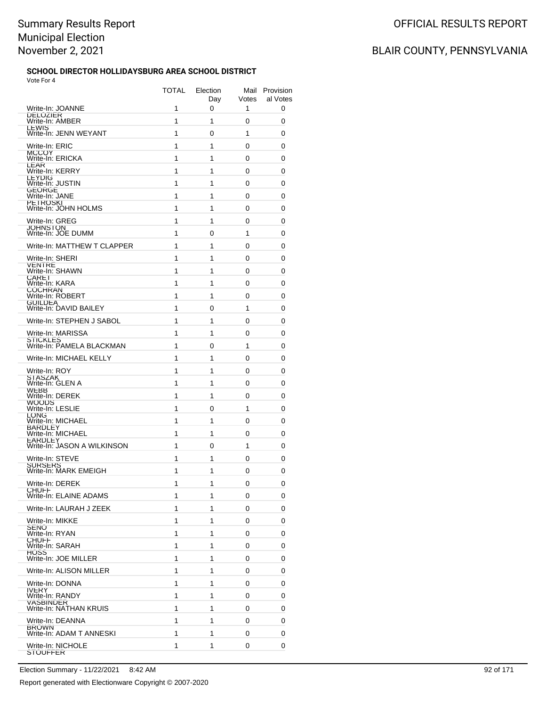#### **SCHOOL DIRECTOR HOLLIDAYSBURG AREA SCHOOL DISTRICT** Vote For 4

|                                                     | TOTAL  | Election<br>Day | Mail<br>Votes | Provision<br>al Votes |
|-----------------------------------------------------|--------|-----------------|---------------|-----------------------|
| Write-In: JOANNE<br>DELOZIER<br>Write-In: AMBER     | 1      | 0               | 1             | 0                     |
| LEWIS                                               | 1<br>1 | 1               | 0<br>1        | 0                     |
| Write-In: JENN WEYANT                               |        | 0               |               | 0                     |
| Write-In: ERIC<br><b>MCCOY</b>                      | 1      | 1               | 0             | 0                     |
| Write-In: ERICKA<br>LEAR                            | 1      | 1               | 0             | 0                     |
| Write-In: KERRY<br>LEYDIG                           | 1      | 1               | 0             | 0                     |
| Write-In: JUSTIN<br>GEORGE                          | 1      | 1               | 0             | 0                     |
| Write-In: JANE<br><u>PETROSKI</u>                   | 1      | 1<br>1          | 0             | 0                     |
| Write-In: JOHN HOLMS                                | 1      |                 | 0             | 0                     |
| Write-In: GREG<br><b>JOHNSTON</b>                   | 1      | 1               | 0             | 0                     |
| Write-In: JOE DUMM                                  | 1      | 0               | 1             | 0                     |
| Write-In: MATTHEW T CLAPPER                         | 1      | 1               | 0             | 0                     |
| Write-In: SHERI<br>VENTRE                           | 1      | 1               | 0             | 0                     |
| Write-In: SHAWN<br><b>CAREI</b>                     | 1      | 1               | 0             | 0                     |
| Write-In: KARA<br><b>COCHRAN</b>                    | 1      | 1               | 0             | 0                     |
| Write-In: ROBERT<br><b>GUILDEA</b>                  | 1      | 1               | 0             | 0                     |
| Write-In: DAVID BAILEY                              | 1      | 0               | 1             | 0                     |
| Write-In: STEPHEN J SABOL                           | 1      | 1               | 0             | 0                     |
| Write-In: MARISSA<br><b>STICKLES</b>                | 1      | 1               | 0             | 0                     |
| Write-In: PAMELA BLACKMAN                           | 1      | 0               | 1             | 0                     |
| Write-In: MICHAEL KELLY                             | 1      | 1               | 0             | 0                     |
| Write-In: ROY<br><b>STASZAK</b>                     | 1      | 1               | 0             | 0                     |
| Write-In: GLEN A<br>WEBB                            | 1      | 1               | 0             | 0                     |
| Write-In: DEREK<br>WUUDS                            | 1      | 1               | 0             | 0                     |
| Write-In: LESLIE<br>LONG                            | 1      | 0               | 1             | 0                     |
| Write-In: MICHAEL<br>BARDLEY                        | 1      | 1               | 0             | 0                     |
| Write-In: MICHAEL<br><b>LARDLEY</b>                 | 1      | 1               | 0             | 0                     |
| Write-In: JASON A WILKINSON                         | 1      | 0               | 1             | 0                     |
| Write-In: STEVE<br>SURSERS<br>Write-In: MARK EMEIGH | 1      | 1               | 0             | 0                     |
|                                                     | 1      | 1               | 0             | 0                     |
| Write-In: DEREK<br>CHUFF                            | 1      | 1               | 0             | 0                     |
| Write-In: ELAINE ADAMS                              | 1      | 1               | 0             | 0                     |
| Write-In: LAURAH J ZEEK                             | 1      | 1               | 0             | 0                     |
| Write-In: MIKKE<br><b>SENO</b>                      | 1      | 1               | 0             | 0                     |
| Write-In: RYAN<br>CHUFF                             | 1      | 1               | 0             | 0                     |
| Write-In: SARAH<br>HUSS                             | 1      | 1               | 0             | 0                     |
| Write-In: JOE MILLER                                | 1      | 1               | 0             | 0                     |
| Write-In: ALISON MILLER                             | 1      | 1               | 0             | 0                     |
| Write-In: DONNA<br><b>IVERY</b>                     | 1      | 1               | 0             | 0                     |
| Write-In: RANDY<br>VASBINDER                        | 1      | 1               | 0             | 0                     |
| Write-In: NATHAN KRUIS                              | 1      | 1               | 0             | 0                     |
| Write-In: DEANNA<br><b>BROWN</b>                    | 1      | 1               | 0             | 0                     |
| Write-In: ADAM T ANNESKI                            | 1      | 1               | 0             | 0                     |
| Write-In: NICHOLE<br>SIOUFFER                       | 1      | 1               | 0             | 0                     |
|                                                     |        |                 |               |                       |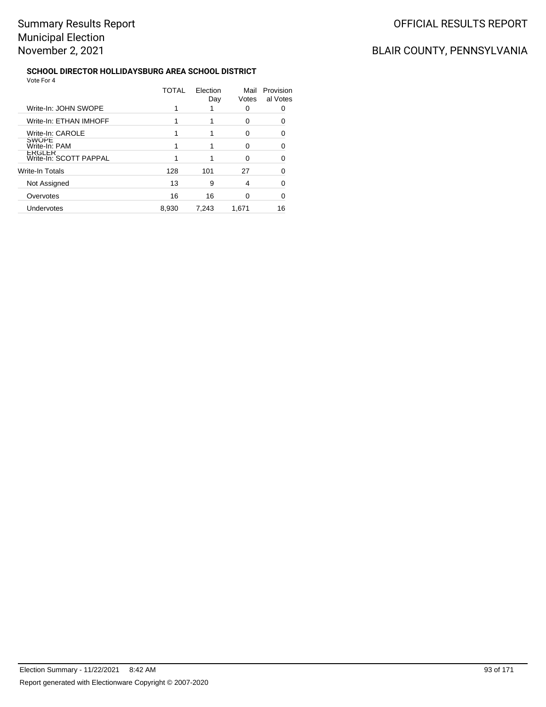#### **SCHOOL DIRECTOR HOLLIDAYSBURG AREA SCHOOL DISTRICT** Vote For 4

|                                  | TOTAL | Election<br>Day | Mail<br>Votes | Provision<br>al Votes |
|----------------------------------|-------|-----------------|---------------|-----------------------|
| Write-In: JOHN SWOPE             |       |                 | 0             |                       |
| Write-In: ETHAN IMHOFF           |       |                 | 0             |                       |
| Write-In: CAROLE                 |       |                 | 0             | 0                     |
| <b>SWOPE</b><br>Write-In: PAM    |       |                 | O             |                       |
| ERGLER<br>Write-In: SCOTT PAPPAL |       |                 | 0             | ∩                     |
| <b>Write-In Totals</b>           | 128   | 101             | 27            | 0                     |
| Not Assigned                     | 13    | 9               | 4             | ი                     |
| Overvotes                        | 16    | 16              | 0             | n                     |
| Undervotes                       | 8,930 | 7,243           | 1.671         | 16                    |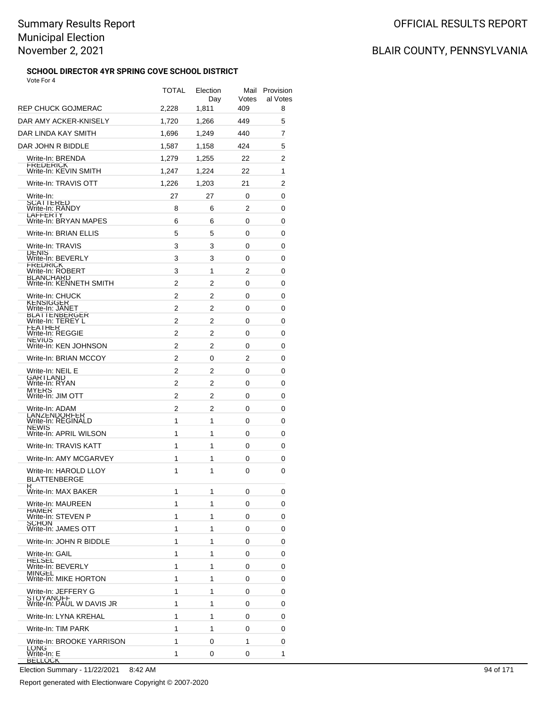### **SCHOOL DIRECTOR 4YR SPRING COVE SCHOOL DISTRICT**

# BLAIR COUNTY, PENNSYLVANIA

| Vote For 4                                    |       |                 |       |                            |
|-----------------------------------------------|-------|-----------------|-------|----------------------------|
|                                               | TOTAL | Election<br>Day | Votes | Mail Provision<br>al Votes |
| REP CHUCK GOJMERAC                            | 2,228 | 1,811           | 409   | 8                          |
| DAR AMY ACKER-KNISELY                         | 1.720 | 1,266           | 449   | 5                          |
| DAR LINDA KAY SMITH                           | 1,696 | 1,249           | 440   | 7                          |
| DAR JOHN R BIDDLE                             | 1,587 | 1,158           | 424   | 5                          |
| Write-In: BRENDA                              | 1,279 | 1,255           | 22    | 2                          |
| FREDERICK<br>Write-In: KEVIN SMITH            | 1.247 | 1,224           | 22    | 1                          |
| Write-In: TRAVIS OTT                          | 1,226 | 1.203           | 21    | 2                          |
| Write-In:                                     | 27    | 27              | 0     | 0                          |
| <b>SCATTERED</b><br>Write-In: RANDY           | 8     | 6               | 2     | 0                          |
| <b>LAFFERIY</b><br>Write-In: BRYAN MAPES      | 6     | 6               | 0     | 0                          |
| Write-In: BRIAN ELLIS                         | 5     | 5               | 0     | 0                          |
| Write-In: TRAVIS                              | 3     | 3               | 0     | 0                          |
| <b>DENIS</b><br>Write-In: BEVERLY             | 3     | 3               | 0     | 0                          |
| <b>FREDRICK</b><br>Write-In: ROBERT           | 3     | 1               | 2     | 0                          |
| <b>BLANCHARD</b><br>Write-In: KENNETH SMITH   | 2     | 2               | 0     | 0                          |
| Write-In: CHUCK                               | 2     | 2               | 0     | 0                          |
| KENSIGGER<br>Write-In: JANET                  | 2     | 2               | 0     | 0                          |
| <b>BLAIIENBERGER</b><br>Write-In: TEREYL      | 2     | 2               | 0     | 0                          |
| <b>FEATHER</b><br>Write-In: REGGIE            | 2     | 2               | 0     | 0                          |
| <b>NEVIUS</b><br>Write-In: KEN JOHNSON        | 2     | 2               | 0     | 0                          |
| Write-In: BRIAN MCCOY                         | 2     | 0               | 2     | 0                          |
| Write-In: NEIL E                              | 2     | 2               | 0     | 0                          |
| <b>GARTLAND</b><br>Write-In: RYAN             | 2     | 2               | 0     | 0                          |
| MYERS<br>Write-In: JIM OTT                    | 2     | 2               | 0     | 0                          |
| Write-In: ADAM                                | 2     | 2               | 0     | 0                          |
| LANZENDORFER<br>Write-In: REGINALD            | 1     | 1               | 0     | 0                          |
| <b>NEWIS</b><br>Write-In: APRIL WILSON        | 1     | 1               | 0     | 0                          |
| Write-In: TRAVIS KATT                         | 1     | 1               | 0     | 0                          |
| Write-In: AMY MCGARVEY                        | 1     | 1               | 0     | 0                          |
| Write-In: HAROLD LLOY                         | 1     | 1               | 0     | 0                          |
| <b>BLATTENBERGE</b>                           |       |                 |       |                            |
| Write-In: MAX BAKER                           | 1     | 1               | 0     | 0                          |
| Write-In: MAUREEN                             | 1     | 1               | 0     | 0                          |
| HAMER<br>Write-In: STEVEN P                   | 1     | 1               | 0     | 0                          |
| <b>SCHON</b><br>Write-In: JAMES OTT           | 1     | 1               | 0     | 0                          |
| Write-In: JOHN R BIDDLE                       | 1     | 1               | 0     | 0                          |
| Write-In: GAIL                                | 1     | 1               | 0     | 0                          |
| <b>HELSEL</b><br>Write-In: BEVERLY            | 1     | 1               | 0     | 0                          |
| <b>MINGEL</b><br>Write-In: MIKE HORTON        | 1     | 1               | 0     | 0                          |
| Write-In: JEFFERY G                           | 1     | 1               | 0     | 0                          |
| <b>STOYANOFF</b><br>Write-In: PAUL W DAVIS JR | 1     | 1               | 0     | 0                          |
| Write-In: LYNA KREHAL                         | 1     | 1               | 0     | 0                          |
| Write-In: TIM PARK                            | 1     | 1               | 0     | 0                          |
| Write-In: BROOKE YARRISON                     | 1     | 0               | 1     | 0                          |
| LONG<br>Write-In: E                           | 1     | 0               | 0     | 1                          |
| <b>BELLOCK</b>                                |       |                 |       |                            |

Election Summary - 11/22/2021 8:42 AM 94 of 171

Report generated with Electionware Copyright © 2007-2020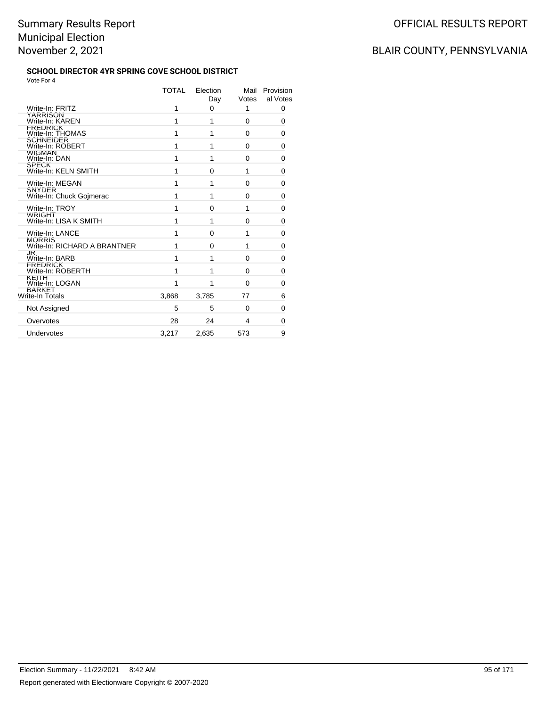#### **SCHOOL DIRECTOR 4YR SPRING COVE SCHOOL DISTRICT** Vote For 4

|                                           | TOTAL | Election<br>Day | Mail<br>Votes | Provision<br>al Votes |
|-------------------------------------------|-------|-----------------|---------------|-----------------------|
| Write-In: FRITZ                           | 1     | $\Omega$        | 1             | 0                     |
| YARRISON<br>Write-In: KAREN               | 1     | 1               | $\Omega$      | 0                     |
| FREDRICK<br>Write-In: THOMAS              | 1     | 1               | $\Omega$      | 0                     |
| <b>SCHNEIDER</b><br>Write-In: ROBERT      | 1     | 1               | 0             | 0                     |
| <b>WIGMAN</b><br>Write-In: DAN            | 1     | 1               | 0             | 0                     |
| <b>SPECK</b><br>Write-In: KELN SMITH      | 1     | 0               | 1             | 0                     |
| Write-In: MEGAN                           | 1     | 1               | $\Omega$      | 0                     |
| <b>SNYDER</b><br>Write-In: Chuck Gojmerac | 1     | 1               | 0             | $\Omega$              |
| Write-In: TROY                            | 1     | 0               | 1             | 0                     |
| <b>WRIGHI</b><br>Write-In: LISA K SMITH   | 1     | 1               | 0             | 0                     |
| Write-In: LANCE                           | 1     | 0               | 1             | 0                     |
| MORRIS<br>Write-In: RICHARD A BRANTNER    | 1     | 0               | 1             | 0                     |
| JK<br>Write-In: BARB                      | 1     | 1               | $\Omega$      | 0                     |
| <b>FREDRICK</b><br>Write-In: ROBERTH      | 1     | 1               | $\Omega$      | 0                     |
| KEIIH<br>Write-In: LOGAN                  | 1     | 1               | $\Omega$      | 0                     |
| <b>BARKET</b><br>Write-In Totals          | 3,868 | 3,785           | 77            | 6                     |
| Not Assigned                              | 5     | 5               | $\Omega$      | 0                     |
| Overvotes                                 | 28    | 24              | 4             | 0                     |
| Undervotes                                | 3.217 | 2.635           | 573           | 9                     |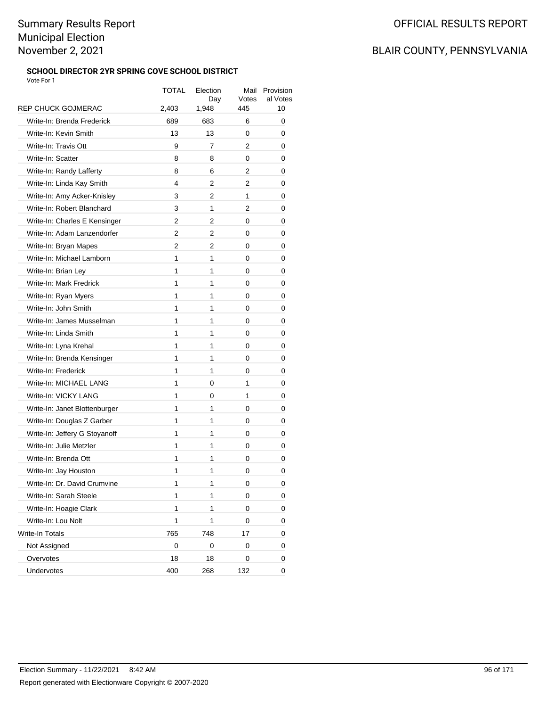### **SCHOOL DIRECTOR 2YR SPRING COVE SCHOOL DISTRICT**

| Vote For 1                    |       |                 |               |                       |
|-------------------------------|-------|-----------------|---------------|-----------------------|
|                               | TOTAL | Election<br>Day | Mail<br>Votes | Provision<br>al Votes |
| <b>REP CHUCK GOJMERAC</b>     | 2,403 | 1,948           | 445           | 10                    |
| Write-In: Brenda Frederick    | 689   | 683             | 6             | 0                     |
| Write-In: Kevin Smith         | 13    | 13              | 0             | 0                     |
| Write-In: Travis Ott          | 9     | 7               | 2             | 0                     |
| Write-In: Scatter             | 8     | 8               | 0             | 0                     |
| Write-In: Randy Lafferty      | 8     | 6               | 2             | 0                     |
| Write-In: Linda Kay Smith     | 4     | 2               | 2             | 0                     |
| Write-In: Amy Acker-Knisley   | 3     | 2               | 1             | 0                     |
| Write-In: Robert Blanchard    | 3     | 1               | 2             | 0                     |
| Write-In: Charles E Kensinger | 2     | 2               | 0             | 0                     |
| Write-In: Adam Lanzendorfer   | 2     | 2               | 0             | 0                     |
| Write-In: Bryan Mapes         | 2     | 2               | 0             | 0                     |
| Write-In: Michael Lamborn     | 1     | 1               | 0             | 0                     |
| Write-In: Brian Ley           | 1     | 1               | 0             | 0                     |
| Write-In: Mark Fredrick       | 1     | 1               | 0             | 0                     |
| Write-In: Ryan Myers          | 1     | 1               | 0             | 0                     |
| Write-In: John Smith          | 1     | 1               | 0             | 0                     |
| Write-In: James Musselman     | 1     | 1               | 0             | 0                     |
| Write-In: Linda Smith         | 1     | 1               | 0             | 0                     |
| Write-In: Lyna Krehal         | 1     | 1               | 0             | 0                     |
| Write-In: Brenda Kensinger    | 1     | 1               | 0             | 0                     |
| Write-In: Frederick           | 1     | 1               | 0             | 0                     |
| Write-In: MICHAEL LANG        | 1     | 0               | 1             | 0                     |
| Write-In: VICKY LANG          | 1     | 0               | 1             | 0                     |
| Write-In: Janet Blottenburger | 1     | 1               | 0             | 0                     |
| Write-In: Douglas Z Garber    | 1     | 1               | 0             | 0                     |
| Write-In: Jeffery G Stoyanoff | 1     | 1               | 0             | 0                     |
| Write-In: Julie Metzler       | 1     | 1               | 0             | 0                     |
| Write-In: Brenda Ott          | 1     | 1               | 0             | 0                     |
| Write-In: Jay Houston         | 1     | 1               | 0             | 0                     |
| Write-In: Dr. David Crumvine  | 1     | 1               | 0             | 0                     |
| Write-In: Sarah Steele        | 1     | 1               | 0             | 0                     |
| Write-In: Hoagie Clark        | 1     | 1               | 0             | 0                     |
| Write-In: Lou Nolt            | 1     | 1               | 0             | 0                     |
| Write-In Totals               | 765   | 748             | 17            | 0                     |
| Not Assigned                  | 0     | 0               | 0             | 0                     |
| Overvotes                     | 18    | 18              | 0             | 0                     |
| Undervotes                    | 400   | 268             | 132           | 0                     |
|                               |       |                 |               |                       |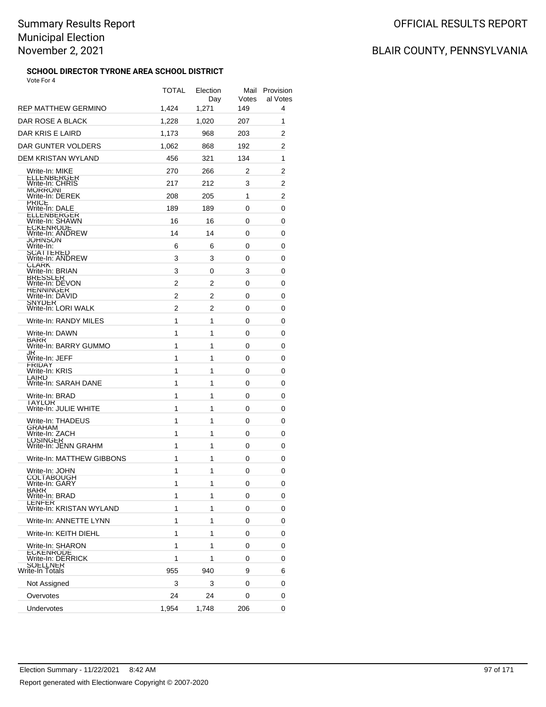### **SCHOOL DIRECTOR TYRONE AREA SCHOOL DISTRICT**

| Vote For 4                              | TOTAL | Election<br>Day | Votes | Mail Provision<br>al Votes |
|-----------------------------------------|-------|-----------------|-------|----------------------------|
| REP MATTHEW GERMINO                     | 1,424 | 1,271           | 149   | 4                          |
| DAR ROSE A BLACK                        | 1,228 | 1,020           | 207   | 1                          |
| DAR KRIS E LAIRD                        | 1,173 | 968             | 203   | 2                          |
| DAR GUNTER VOLDERS                      | 1,062 | 868             | 192   | 2                          |
| DEM KRISTAN WYLAND                      | 456   | 321             | 134   | 1                          |
| Write-In: MIKE                          | 270   | 266             | 2     | 2                          |
| <b>ELLENBERGER</b><br>Write-In: CHRIS   | 217   | 212             | 3     | 2                          |
| <b>MORRONI</b><br>Write-In: DEREK       | 208   | 205             | 1     | 2                          |
| <b>PRICE</b><br>Write-In: DALE          | 189   | 189             | 0     | 0                          |
| <b>ELLENBERGER</b><br>Write-In: SHAWN   | 16    | 16              | 0     | 0                          |
| <b>ECKENRODE</b><br>Write-In: ANDREW    | 14    | 14              | 0     | 0                          |
| JOHNSON<br>Write-In:                    | 6     | 6               | 0     | 0                          |
| <b>SCATTERED</b><br>Write-In: ANDREW    | 3     | 3               | 0     | 0                          |
| <b>CLARK</b><br>Write-In: BRIAN         | 3     | 0               | 3     | 0                          |
| <b>BRESSLER</b><br>Write-In: DEVON      | 2     | 2               | 0     | 0                          |
| <b>HENNINGER</b><br>Write-In: DAVID     | 2     | 2               | 0     | 0                          |
| SNYDER<br>Write-In: LORI WALK           | 2     | 2               | 0     | 0                          |
| Write-In: RANDY MILES                   | 1     | 1               | 0     | 0                          |
| Write-In: DAWN                          | 1     | 1               | 0     | 0                          |
| BARR<br>Write-In: BARRY GUMMO           | 1     | 1               | 0     | 0                          |
| JK<br>Write-In: JEFF                    | 1     | 1               | 0     | 0                          |
| <b>FRIDAY</b><br>Write-In: KRIS         | 1     | 1               | 0     | 0                          |
| LAIRD<br>Write-In: SARAH DANE           | 1     | 1               | 0     | 0                          |
| Write-In: BRAD                          | 1     | 1               | 0     | 0                          |
| <b>IAYLOR</b><br>Write-In: JULIE WHITE  | 1     | 1               | 0     | 0                          |
| Write-In: THADEUS                       | 1     | 1               | 0     | 0                          |
| <b>GRAHAM</b><br>Write-In: ZACH         | 1     | 1               | 0     | 0                          |
| <b>LOSINGER</b><br>Write-In: JENN GRAHM | 1     | 1               | 0     | 0                          |
| Write-In: MATTHEW GIBBONS               | 1     | 1               | 0     | 0                          |
| Write-In: JOHN                          | 1     | 1               | 0     | 0                          |
| <b>JOLTABOUGH</b><br>Write-In: GARY     | 1     | 1               | 0     | 0                          |
| BARR<br>Write-In: BRAD                  | 1     | 1               | 0     | 0                          |
| LENFER<br>Write-In: KRISTAN WYLAND      | 1     | 1               | 0     | 0                          |
| Write-In: ANNETTE LYNN                  | 1     | 1               | 0     | 0                          |
| Write-In: KEITH DIEHL                   | 1     | 1               | 0     | 0                          |
| Write-In: SHARON                        | 1     | 1               | 0     | 0                          |
| <b>ECKENRODE</b><br>Write-In: DERRICK   | 1     | 1               | 0     | 0                          |
| <b>SOELLNER</b><br>Write-In Totals      | 955   | 940             | 9     | 6                          |
| Not Assigned                            | 3     | 3               | 0     | 0                          |
| Overvotes                               | 24    | 24              | 0     | 0                          |
| Undervotes                              | 1,954 | 1,748           | 206   | 0                          |
|                                         |       |                 |       |                            |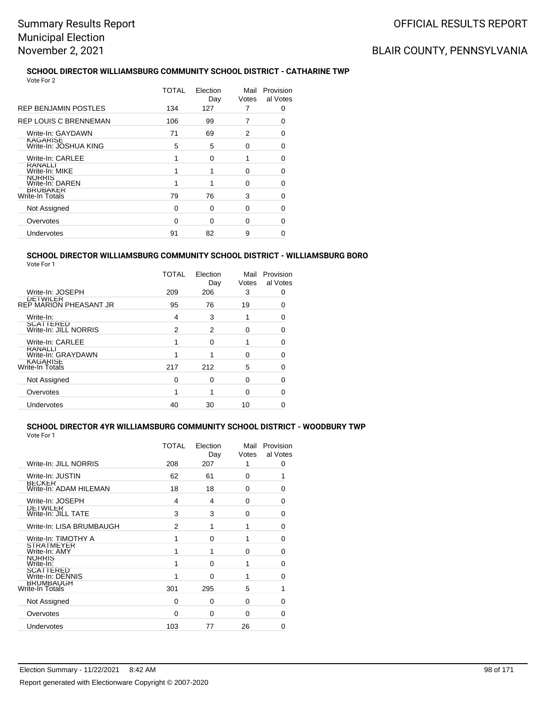## BLAIR COUNTY, PENNSYLVANIA

#### **SCHOOL DIRECTOR WILLIAMSBURG COMMUNITY SCHOOL DISTRICT - CATHARINE TWP** Vote For 2

|                                          | TOTAL | Election<br>Day | Mail<br>Votes | Provision<br>al Votes |
|------------------------------------------|-------|-----------------|---------------|-----------------------|
| <b>REP BENJAMIN POSTLES</b>              | 134   | 127             |               | Ω                     |
| <b>REP LOUIS C BRENNEMAN</b>             | 106   | 99              |               | 0                     |
| Write-In: GAYDAWN                        | 71    | 69              | 2             | O                     |
| <b>KAGARISE</b><br>Write-In: JOSHUA KING | 5     | 5               | O             | O                     |
| Write-In: CARLEE                         |       | $\Omega$        |               | O                     |
| <b>RANALLI</b><br>Write-In: MIKE         |       | 1               | 0             | Ω                     |
| <b>NURRIS</b><br>Write-In: DAREN         |       |                 | 0             | Ω                     |
| <b>BRUBAKER</b><br>Write-In Totals       | 79    | 76              | 3             | Ω                     |
| Not Assigned                             | 0     | $\Omega$        | 0             | Ω                     |
| Overvotes                                | 0     | $\Omega$        | 0             | O                     |
| Undervotes                               | 91    | 82              | 9             | 0                     |
|                                          |       |                 |               |                       |

#### **SCHOOL DIRECTOR WILLIAMSBURG COMMUNITY SCHOOL DISTRICT - WILLIAMSBURG BORO** Vote For 1

|                                           | TOTAL | Election<br>Day | Mail<br>Votes | Provision<br>al Votes |
|-------------------------------------------|-------|-----------------|---------------|-----------------------|
| Write-In: JOSEPH                          | 209   | 206             | 3             | 0                     |
| DETWILER<br>REP MARION PHEASANT JR        | 95    | 76              | 19            | 0                     |
| Write-In:                                 | 4     | 3               |               | 0                     |
| SCATTERED<br>Write-In: JILL NORRIS        | 2     | 2               | U             | O                     |
| Write-In: CARLEE                          |       | 0               |               | 0                     |
| <b>KANALLI</b><br>Write-In: GRAYDAWN      |       |                 | U             | 0                     |
| <b>KAGARISE</b><br><b>Write-In Totals</b> | 217   | 212             | 5             | O                     |
| Not Assigned                              | 0     | 0               | $\Omega$      | O                     |
| Overvotes                                 |       | 1               | U             | 0                     |
| Undervotes                                | 40    | 30              | 10            |                       |
|                                           |       |                 |               |                       |

#### **SCHOOL DIRECTOR 4YR WILLIAMSBURG COMMUNITY SCHOOL DISTRICT - WOODBURY TWP** Vote For 1

|                                         | TOTAL | Election<br>Day | Mail<br>Votes | Provision<br>al Votes |
|-----------------------------------------|-------|-----------------|---------------|-----------------------|
| Write-In: JILL NORRIS                   | 208   | 207             | 1             | 0                     |
| Write-In: JUSTIN                        | 62    | 61              | 0             | 1                     |
| <b>BECKER</b><br>Write-In: ADAM HILEMAN | 18    | 18              | 0             | 0                     |
| Write-In: JOSEPH                        | 4     | 4               | $\Omega$      | 0                     |
| <b>DEIWILER</b><br>Write-In: JILL TATE  | 3     | 3               | 0             | 0                     |
| Write-In: LISA BRUMBAUGH                | 2     | 1               | 1             | 0                     |
| Write-In: TIMOTHY A                     | 1     | 0               | 1             | 0                     |
| <b>SIRAIMEYER</b><br>Write-In: AMY      | 1     | 1               | $\Omega$      | O                     |
| <b>NORRIS</b><br>Write-In:              | 1     | $\Omega$        | 1             | $\Omega$              |
| <b>SCATTERED</b><br>Write-In: DENNIS    | 1     | $\Omega$        | 1             | 0                     |
| <b>BRUMBAUGH</b><br>Write-In Totals     | 301   | 295             | 5             | 1                     |
| Not Assigned                            | 0     | $\Omega$        | $\Omega$      | 0                     |
| Overvotes                               | 0     | 0               | 0             | 0                     |
| Undervotes                              | 103   | 77              | 26            | 0                     |
|                                         |       |                 |               |                       |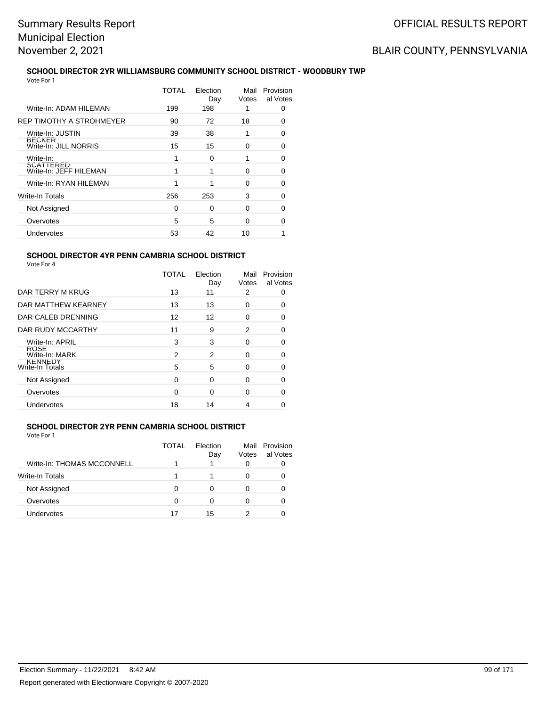## BLAIR COUNTY, PENNSYLVANIA

#### **SCHOOL DIRECTOR 2YR WILLIAMSBURG COMMUNITY SCHOOL DISTRICT - WOODBURY TWP** Vote For 1

|                                        | TOTAL | Election<br>Day | Mail<br>Votes | Provision<br>al Votes |
|----------------------------------------|-------|-----------------|---------------|-----------------------|
| Write-In: ADAM HILEMAN                 | 199   | 198             |               | 0                     |
| REP TIMOTHY A STROHMEYER               | 90    | 72              | 18            | O                     |
| Write-In: JUSTIN                       | 39    | 38              |               | O                     |
| <b>BECKER</b><br>Write-In: JILL NORRIS | 15    | 15              | 0             | O                     |
| Write-In:                              |       | 0               |               | n                     |
| SCATTERED<br>Write-In: JEFF HILEMAN    |       | 1               | U             | 0                     |
| Write-In: RYAN HILEMAN                 |       | 1               | U             | 0                     |
| Write-In Totals                        | 256   | 253             | 3             | n                     |
| Not Assigned                           | 0     | $\Omega$        | O             |                       |
| Overvotes                              | 5     | 5               | U             |                       |
| Undervotes                             | 53    | 42              | 10            |                       |
|                                        |       |                 |               |                       |

### **SCHOOL DIRECTOR 4YR PENN CAMBRIA SCHOOL DISTRICT**

| Vote For |  |
|----------|--|
|----------|--|

|                                   | <b>TOTAL</b> | Election<br>Day | Mail<br>Votes | Provision<br>al Votes |
|-----------------------------------|--------------|-----------------|---------------|-----------------------|
| DAR TERRY M KRUG                  | 13           | 11              | 2             | 0                     |
| DAR MATTHEW KEARNEY               | 13           | 13              | 0             | 0                     |
| DAR CALEB DRENNING                | 12           | 12              | 0             | 0                     |
| DAR RUDY MCCARTHY                 | 11           | 9               | 2             | $\Omega$              |
| Write-In: APRIL                   | 3            | 3               | 0             | 0                     |
| <b>RUSE</b><br>Write-In: MARK     | 2            | 2               | 0             | 0                     |
| <b>KENNEDY</b><br>Write-In Totals | 5            | 5               | 0             | 0                     |
| Not Assigned                      | $\Omega$     | 0               | 0             | ∩                     |
| Overvotes                         | ∩            | $\Omega$        | 0             | O                     |
| Undervotes                        | 18           | 14              | 4             |                       |

### **SCHOOL DIRECTOR 2YR PENN CAMBRIA SCHOOL DISTRICT**

|                            | TOTAL | Election<br>Day | Mail<br>Votes | Provision<br>al Votes |
|----------------------------|-------|-----------------|---------------|-----------------------|
| Write-In: THOMAS MCCONNELL |       |                 | Ω             |                       |
| Write-In Totals            |       |                 | Ω             |                       |
| Not Assigned               |       |                 |               |                       |
| Overvotes                  |       | O               | 0             |                       |
| Undervotes                 | 17    | 15              |               |                       |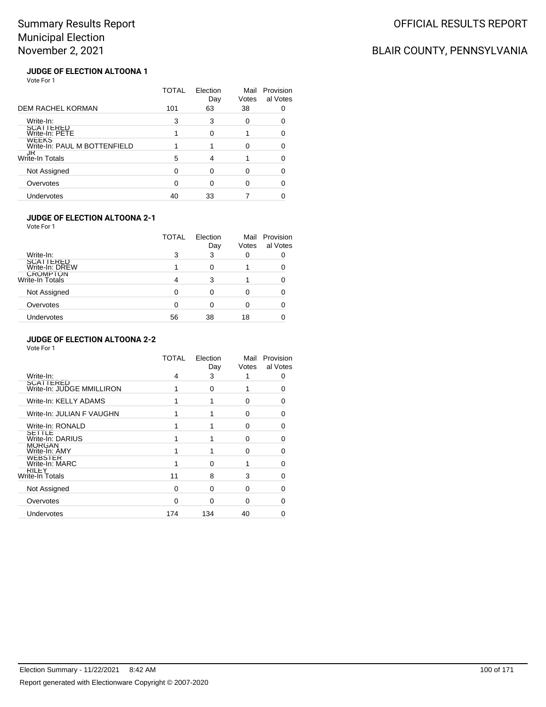## BLAIR COUNTY, PENNSYLVANIA

#### **JUDGE OF ELECTION ALTOONA 1** Vote For 1

|                                              | TOTAL | Election<br>Day | Mail<br>Votes | Provision<br>al Votes |
|----------------------------------------------|-------|-----------------|---------------|-----------------------|
| <b>DEM RACHEL KORMAN</b>                     | 101   | 63              | 38            |                       |
| Write-In:                                    | 3     | 3               | 0             |                       |
| SCATTERED<br>Write-In: PETE                  |       | ∩               |               |                       |
| <b>WEEKS</b><br>Write-In: PAUL M BOTTENFIELD |       |                 | U             |                       |
| JR<br>Write-In Totals                        | 5     | 4               |               |                       |
| Not Assigned                                 |       | ∩               |               |                       |
| Overvotes                                    |       |                 | ∩             |                       |
| Undervotes                                   | 40    | 33              |               |                       |

#### **JUDGE OF ELECTION ALTOONA 2-1**

Vote For 1

|                                    | TOTAL | Election<br>Day | Mail<br>Votes | Provision<br>al Votes |
|------------------------------------|-------|-----------------|---------------|-----------------------|
| Write-In:                          | 3     | 3               | 0             |                       |
| SCATTERED<br>Write-In: DREW        |       | 0               |               |                       |
| <b>CROMPTON</b><br>Write-In Totals | 4     | 3               |               |                       |
| Not Assigned                       | 0     | 0               | 0             |                       |
| Overvotes                          | 0     | 0               | Ω             |                       |
| Undervotes                         | 56    | 38              | 18            |                       |

#### **JUDGE OF ELECTION ALTOONA 2-2**

|                                        | TOTAL | Election<br>Day | Mail<br>Votes | Provision<br>al Votes |
|----------------------------------------|-------|-----------------|---------------|-----------------------|
| Write-In:                              | 4     | 3               | 1             | ∩                     |
| SCATTERED<br>Write-In: JUDGE MMILLIRON |       | 0               |               | ∩                     |
| Write-In: KELLY ADAMS                  |       |                 | 0             | 0                     |
| Write-In: JULIAN F VAUGHN              |       |                 | $\Omega$      | O                     |
| Write-In: RONALD                       |       |                 | 0             |                       |
| SETTLE<br>Write-In: DARIUS             |       |                 | $\Omega$      | ŋ                     |
| <b>MORGAN</b><br>Write-In: AMY         |       |                 | 0             |                       |
| WEBSTER<br>Write-In: MARC              |       | $\Omega$        |               | O                     |
| <b>KILEY</b><br>Write-In Totals        | 11    | 8               | 3             |                       |
| Not Assigned                           | 0     | 0               | $\Omega$      |                       |
| Overvotes                              | ∩     | ∩               | 0             |                       |
| Undervotes                             | 174   | 134             | 40            |                       |
|                                        |       |                 |               |                       |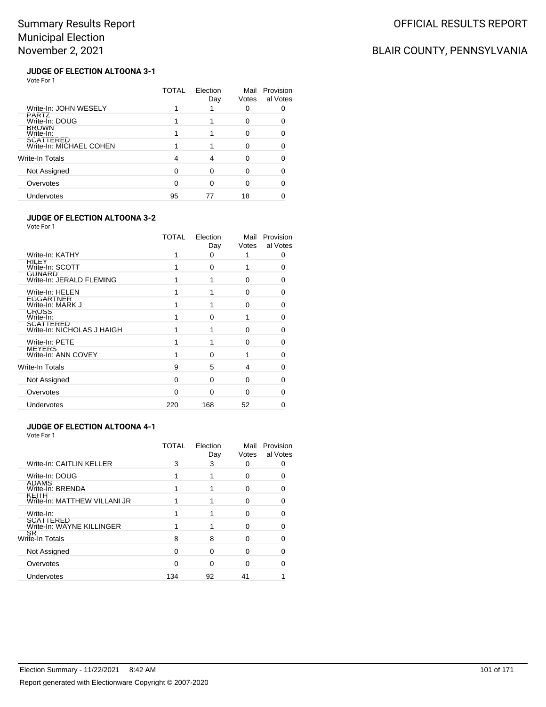## BLAIR COUNTY, PENNSYLVANIA

#### **JUDGE OF ELECTION ALTOONA 3-1** Vote For 1

|                                             | TOTAL | Election<br>Day | Mail<br>Votes | Provision<br>al Votes |
|---------------------------------------------|-------|-----------------|---------------|-----------------------|
| Write-In: JOHN WESELY                       |       |                 | ი             |                       |
| PARTZ<br>Write-In: DOUG                     |       |                 | O             |                       |
| <b>BROWN</b><br>Write-In:                   |       |                 | ∩             |                       |
| <b>SCATTERED</b><br>Write-In: MICHAEL COHEN |       |                 | ∩             |                       |
| Write-In Totals                             | 4     |                 |               |                       |
| Not Assigned                                |       |                 |               |                       |
| Overvotes                                   |       |                 | O             |                       |
| Undervotes                                  | 95    |                 | 18            |                       |
|                                             |       |                 |               |                       |

#### **JUDGE OF ELECTION ALTOONA 3-2**

Vote For 1

|                                         | TOTAL    | Election<br>Day | Mail<br>Votes | Provision<br>al Votes |
|-----------------------------------------|----------|-----------------|---------------|-----------------------|
| Write-In: KATHY                         |          | 0               |               | 0                     |
| <b>KILEY</b><br>Write-In: SCOTT         |          | $\Omega$        |               | O                     |
| GUNARD<br>Write-In: JERALD FLEMING      |          |                 | 0             | ŋ                     |
| Write-In: HELEN                         |          |                 | 0             | 0                     |
| EGGARTNER<br>Write-In: MARK J           |          |                 | $\Omega$      | U                     |
| <b>CROSS</b><br>Write-In:               |          | $\Omega$        |               | U                     |
| SCATTERED<br>Write-In: NICHOLAS J HAIGH |          |                 | 0             | n                     |
| Write-In: PETE                          |          |                 | 0             | n                     |
| <b>MEYERS</b><br>Write-In: ANN COVEY    |          | $\Omega$        |               | ∩                     |
| Write-In Totals                         | 9        | 5               | 4             |                       |
| Not Assigned                            | $\Omega$ | $\Omega$        | 0             | O                     |
| Overvotes                               | U        | 0               | $\Omega$      | n                     |
| Undervotes                              | 220      | 168             | 52            |                       |
|                                         |          |                 |               |                       |

#### **JUDGE OF ELECTION ALTOONA 4-1** Vote For 1

|                                               | TOTAL | Election<br>Day | Mail<br>Votes | Provision<br>al Votes |
|-----------------------------------------------|-------|-----------------|---------------|-----------------------|
| Write-In: CAITLIN KELLER                      | 3     | 3               | 0             |                       |
| Write-In: DOUG                                |       |                 | O             |                       |
| <b>ADAMS</b><br>Write-In: BRENDA              |       |                 | 0             |                       |
| KEITH<br>Write-In: MATTHEW VILLANI JR         |       |                 | 0             |                       |
| Write-In:                                     |       |                 | O             |                       |
| <b>SCATTERED</b><br>Write-In: WAYNE KILLINGER |       |                 | 0             |                       |
| SR<br>Write-In Totals                         | 8     | 8               | O             |                       |
| Not Assigned                                  | O     |                 | 0             |                       |
| Overvotes                                     | U     | n               | O             |                       |
| Undervotes                                    | 134   | 92              | 41            |                       |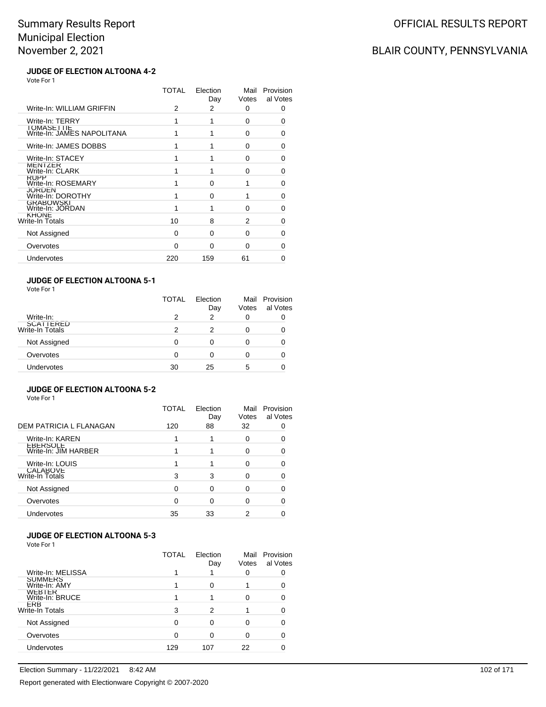### BLAIR COUNTY, PENNSYLVANIA

#### **JUDGE OF ELECTION ALTOONA 4-2** Vote For 1

|                                                    | TOTAL | Election<br>Day | Mail<br>Votes | Provision<br>al Votes |
|----------------------------------------------------|-------|-----------------|---------------|-----------------------|
| Write-In: WILLIAM GRIFFIN                          | 2     | 2               | 0             | 0                     |
| Write-In: TERRY                                    |       |                 | 0             | 0                     |
| <b>I OMASE I TIE</b><br>Write-In: JAMES NAPOLITANA |       |                 | 0             | O                     |
| Write-In: JAMES DOBBS                              |       |                 | 0             | O                     |
| Write-In: STACEY                                   |       |                 | O             | 0                     |
| MENIZER<br>Write-In: CLARK                         |       |                 | $\Omega$      | 0                     |
| <b>KUPP</b><br>Write-In: ROSEMARY                  |       | $\Omega$        |               | 0                     |
| <b>JORDEN</b><br>Write-In: DOROTHY                 |       | $\Omega$        | 1             | 0                     |
| <b>GRABOWSKI</b><br>Write-In: JORDAN               |       |                 | 0             | O                     |
| <b>KHONE</b><br>Write-In Totals                    | 10    | 8               | 2             | O                     |
| Not Assigned                                       | 0     | <sup>0</sup>    | $\Omega$      | 0                     |
| Overvotes                                          | ŋ     | $\Omega$        | 0             | O                     |
| Undervotes                                         | 220   | 159             | 61            | 0                     |

### **JUDGE OF ELECTION ALTOONA 5-1**

| Vote For 1 |  |
|------------|--|
|------------|--|

|                              | <b>TOTAL</b> | Election<br>Day | Votes | Mail Provision<br>al Votes |
|------------------------------|--------------|-----------------|-------|----------------------------|
| Write-In:                    | 2            | 2               |       |                            |
| SCATTERED<br>Write-In Totals | 2            | 2               |       |                            |
| Not Assigned                 | 0            | 0               |       |                            |
| Overvotes                    | 0            | ∩               |       |                            |
| Undervotes                   | 30           | 25              | 5     |                            |

### **JUDGE OF ELECTION ALTOONA 5-2**

Vote For 1

|                                         | TOTAL    | Election<br>Day | Mail<br>Votes | Provision<br>al Votes |
|-----------------------------------------|----------|-----------------|---------------|-----------------------|
| DEM PATRICIA L FLANAGAN                 | 120      | 88              | 32            |                       |
| Write-In: KAREN                         |          |                 | 0             | 0                     |
| <b>EBERSOLE</b><br>Write-In: JIM HARBER |          |                 | 0             |                       |
| Write-In: LOUIS                         |          |                 | 0             |                       |
| CALABOVE<br>Write-In Totals             | 3        | 3               | 0             |                       |
| Not Assigned                            | $\Omega$ | 0               | 0             |                       |
| Overvotes                               | 0        | 0               | 0             |                       |
| Undervotes                              | 35       | 33              | 2             |                       |

### **JUDGE OF ELECTION ALTOONA 5-3**

|                                 | TOTAL | Election<br>Day | Mail<br>Votes | Provision<br>al Votes |
|---------------------------------|-------|-----------------|---------------|-----------------------|
| Write-In: MELISSA               |       |                 |               |                       |
| <b>SUMMERS</b><br>Write-In: AMY |       | 0               |               |                       |
| WEBTER<br>Write-In: BRUCE       |       |                 |               |                       |
| <b>EKB</b><br>Write-In Totals   | 3     | 2               |               |                       |
| Not Assigned                    | O     | ∩               |               |                       |
| Overvotes                       | ∩     | 0               |               |                       |
| Undervotes                      | 129   | 107             | 22            |                       |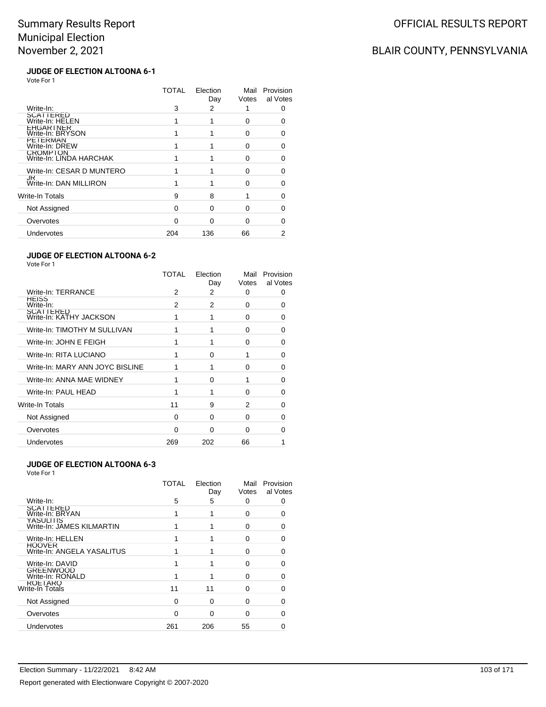### BLAIR COUNTY, PENNSYLVANIA

#### **JUDGE OF ELECTION ALTOONA 6-1** Vote For 1

|                                      | TOTAL | Election<br>Day | Mail<br>Votes | Provision<br>al Votes |
|--------------------------------------|-------|-----------------|---------------|-----------------------|
| Write-In:                            | 3     | 2               |               | O                     |
| SCATTERED<br>Write-In: HELEN         |       |                 | 0             |                       |
| <b>LHGARINER</b><br>Write-In: BRYSON |       |                 | U             | n                     |
| <b>PEIERMAN</b><br>Write-In: DREW    |       |                 | O             | O                     |
| CROMPTON<br>Write-In: LINDA HARCHAK  |       |                 | U             | ∩                     |
| Write-In: CESAR D MUNTERO            |       |                 | ∩             |                       |
| JK<br>Write-In: DAN MILLIRON         |       |                 | O             |                       |
| Write-In Totals                      | 9     | 8               |               | ∩                     |
| Not Assigned                         | O     | O               | U             | n                     |
| Overvotes                            | n     | ∩               | ∩             |                       |
| Undervotes                           | 204   | 136             | 66            |                       |
|                                      |       |                 |               |                       |

#### **JUDGE OF ELECTION ALTOONA 6-2**

Vote For 1

|                                             | TOTAL | Election<br>Day | Mail<br>Votes | Provision<br>al Votes |
|---------------------------------------------|-------|-----------------|---------------|-----------------------|
| Write-In: TERRANCE                          | 2     | 2               | 0             |                       |
| HEISS<br>Write-In:                          | 2     | 2               | 0             | O                     |
| <b>SCATTERED</b><br>Write-In: KATHY JACKSON |       |                 | 0             | O                     |
| Write-In: TIMOTHY M SULLIVAN                |       |                 | 0             |                       |
| Write-In: JOHN E FEIGH                      |       |                 | 0             | n                     |
| Write-In: RITA LUCIANO                      |       | O               |               | ŋ                     |
| Write-In: MARY ANN JOYC BISLINE             |       |                 | $\Omega$      | ∩                     |
| Write-In: ANNA MAE WIDNEY                   |       | O               |               |                       |
| Write-In: PAUL HEAD                         |       |                 | 0             | ∩                     |
| Write-In Totals                             | 11    | 9               | 2             | ∩                     |
| Not Assigned                                | 0     | 0               | 0             | n                     |
| Overvotes                                   | ∩     | $\Omega$        | 0             |                       |
| Undervotes                                  | 269   | 202             | 66            |                       |

#### **JUDGE OF ELECTION ALTOONA 6-3**

|                                               | <b>TOTAL</b> | Election<br>Day | Mail<br>Votes | Provision<br>al Votes |
|-----------------------------------------------|--------------|-----------------|---------------|-----------------------|
| Write-In:                                     | 5            | 5               | 0             | 0                     |
| SCATTERED<br>Write-In: BRYAN                  |              |                 | 0             |                       |
| <b>YASULITIS</b><br>Write-In: JAMES KILMARTIN |              |                 | O             |                       |
| Write-In: HELLEN                              |              |                 | $\Omega$      |                       |
| <b>HOOVER</b><br>Write-In: ANGELA YASALITUS   |              |                 | O             |                       |
| Write-In: DAVID                               |              |                 | 0             |                       |
| <b>GREENWOOD</b><br>Write-In: RONALD          |              |                 | $\Omega$      | O                     |
| <b>KOLIAKO</b><br>Write-In Totals             | 11           | 11              | $\Omega$      | 0                     |
| Not Assigned                                  | 0            | $\Omega$        | 0             | 0                     |
| Overvotes                                     | O            | ∩               | 0             | 0                     |
| Undervotes                                    | 261          | 206             | 55            |                       |
|                                               |              |                 |               |                       |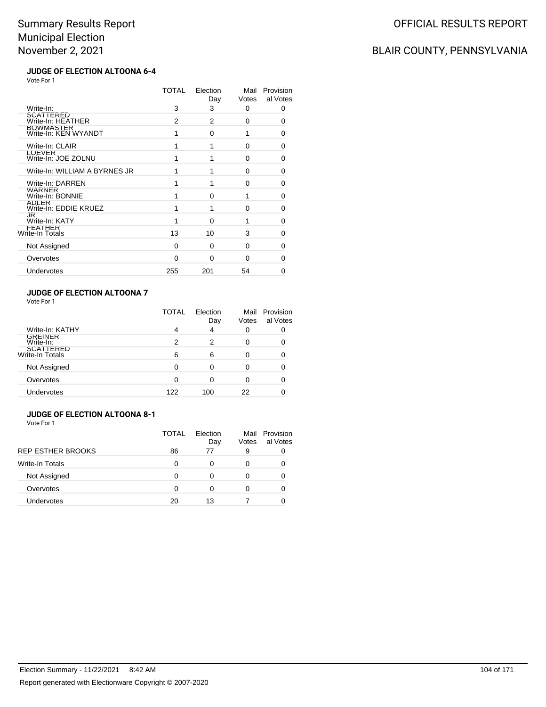### BLAIR COUNTY, PENNSYLVANIA

#### **JUDGE OF ELECTION ALTOONA 6-4** Vote For 1

|                                      | TOTAL    | Election<br>Day | Mail<br>Votes | Provision<br>al Votes |
|--------------------------------------|----------|-----------------|---------------|-----------------------|
| Write-In:                            | 3        | 3               | 0             | 0                     |
| SCATTERED<br>Write-In: HEATHER       | 2        | 2               | 0             | 0                     |
| BOWMASTER<br>Write-In: KEN WYANDT    | 1        | $\Omega$        | 1             | 0                     |
| Write-In: CLAIR                      | 1        | 1               | 0             | 0                     |
| <b>LOEVER</b><br>Write-In: JOE ZOLNU | 1        | 1               | $\Omega$      | 0                     |
| Write-In: WILLIAM A BYRNES JR        | 1        | 1               | 0             | $\Omega$              |
| Write-In: DARREN                     | 1        | 1               | $\Omega$      | 0                     |
| WARNER<br>Write-In: BONNIE           |          | O               | 1             | 0                     |
| ADLER<br>Write-In: EDDIE KRUEZ       | 1        | 1               | 0             | 0                     |
| JK<br>Write-In: KATY                 | 1        | $\Omega$        | 1             | 0                     |
| FEATHER<br>Write-In Totals           | 13       | 10              | 3             | 0                     |
| Not Assigned                         | 0        | $\Omega$        | $\Omega$      | 0                     |
| Overvotes                            | $\Omega$ | $\Omega$        | $\Omega$      | 0                     |
| Undervotes                           | 255      | 201             | 54            | 0                     |
|                                      |          |                 |               |                       |

#### **JUDGE OF ELECTION ALTOONA 7** Vote For 1

|                                     | TOTAL | Election<br>Day | Mail<br>Votes | Provision<br>al Votes |
|-------------------------------------|-------|-----------------|---------------|-----------------------|
| Write-In: KATHY                     | 4     | 4               | 0             | 0                     |
| <b>GREINER</b><br>Write-In:         | 2     | 2               | 0             |                       |
| <b>SCATTERED</b><br>Write-In Totals | 6     | 6               | Ω             |                       |
| Not Assigned                        | 0     | Ω               | Ω             |                       |
| Overvotes                           | 0     | 0               | Ω             |                       |
| Undervotes                          | 122   | 100             | 22            |                       |

#### **JUDGE OF ELECTION ALTOONA 8-1** Vote For 1

|                          | TOTAL | Flection<br>Day | Votes | Mail Provision<br>al Votes |
|--------------------------|-------|-----------------|-------|----------------------------|
| <b>REP ESTHER BROOKS</b> | 86    | 77              | 9     |                            |
| Write-In Totals          | 0     |                 | 0     |                            |
| Not Assigned             | O     |                 | 0     |                            |
| Overvotes                | ∩     |                 | Ω     |                            |
| Undervotes               | 20    | 13              |       |                            |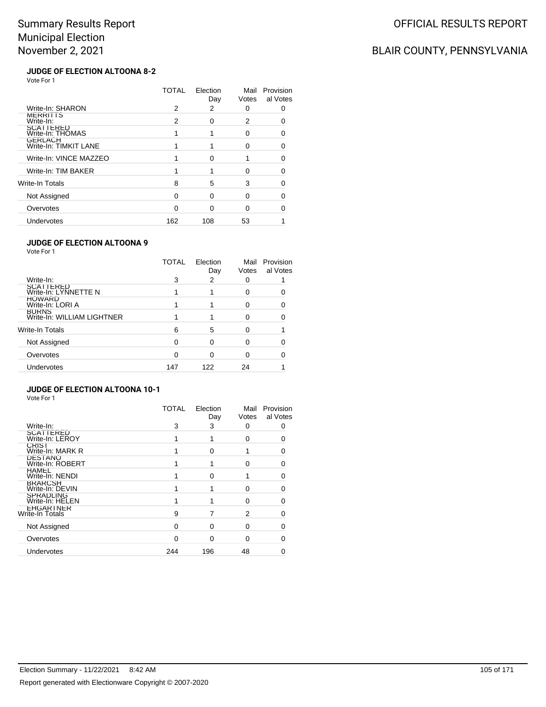### BLAIR COUNTY, PENNSYLVANIA

#### **JUDGE OF ELECTION ALTOONA 8-2** Vote For 1

|                                         | TOTAL | Election<br>Day | Mail<br>Votes | Provision<br>al Votes |
|-----------------------------------------|-------|-----------------|---------------|-----------------------|
| Write-In: SHARON                        | 2     | 2               | 0             |                       |
| <b>MERRITIS</b><br>Write-In:            | 2     | <sup>0</sup>    | 2             | n                     |
| SCATTERED<br>Write-In: THOMAS           |       |                 | 0             |                       |
| <b>GERLACH</b><br>Write-In: TIMKIT LANE |       |                 | ∩             | 0                     |
| Write-In: VINCE MAZZEO                  |       | <sup>0</sup>    |               | 0                     |
| Write-In: TIM BAKER                     |       |                 | ∩             |                       |
| Write-In Totals                         | 8     | 5               | 3             |                       |
| Not Assigned                            | ∩     | $\Omega$        | ŋ             | Ω                     |
| Overvotes                               | O     | ∩               | O             |                       |
| Undervotes                              | 162   | 108             | 53            |                       |

#### **JUDGE OF ELECTION ALTOONA 9**

Vote For 1

|                                            | <b>TOTAL</b> | Election<br>Day | Mail<br>Votes | Provision<br>al Votes |
|--------------------------------------------|--------------|-----------------|---------------|-----------------------|
| Write-In:                                  | 3            | 2               |               |                       |
| SCATTERED<br>Write-In: LYNNETTE N          |              |                 | 0             |                       |
| <b>HOWARD</b><br>Write-In: LORI A          |              |                 | O             |                       |
| <b>BURNS</b><br>Write-In: WILLIAM LIGHTNER |              |                 | ∩             |                       |
| Write-In Totals                            | 6            | 5               |               |                       |
| Not Assigned                               | $\Omega$     | 0               | O             |                       |
| Overvotes                                  | 0            | 0               |               |                       |
| Undervotes                                 | 147          | 122             | 24            |                       |

### **JUDGE OF ELECTION ALTOONA 10-1**

|                                     | <b>TOTAL</b> | Election<br>Day | Mail<br>Votes | Provision<br>al Votes |
|-------------------------------------|--------------|-----------------|---------------|-----------------------|
| Write-In:                           | 3            | 3               | 0             |                       |
| <b>SCATTERED</b><br>Write-In: LEROY |              |                 | 0             |                       |
| <b>CRIST</b><br>Write-In: MARK R    |              | ∩               |               |                       |
| <b>DESTANO</b><br>Write-In: ROBERT  |              |                 | O             |                       |
| <b>HAMEL</b><br>Write-In: NENDI     |              | O               |               |                       |
| <b>BRARCSH</b><br>Write-In: DEVIN   |              |                 | 0             | ი                     |
| <b>SPRADLING</b><br>Write-In: HELEN |              |                 | 0             | n                     |
| <b>LHGARINER</b><br>Write-In Totals | 9            |                 | 2             |                       |
| Not Assigned                        | ∩            | ∩               | 0             |                       |
| Overvotes                           | ∩            | ∩               | <sup>0</sup>  |                       |
| Undervotes                          | 244          | 196             | 48            |                       |
|                                     |              |                 |               |                       |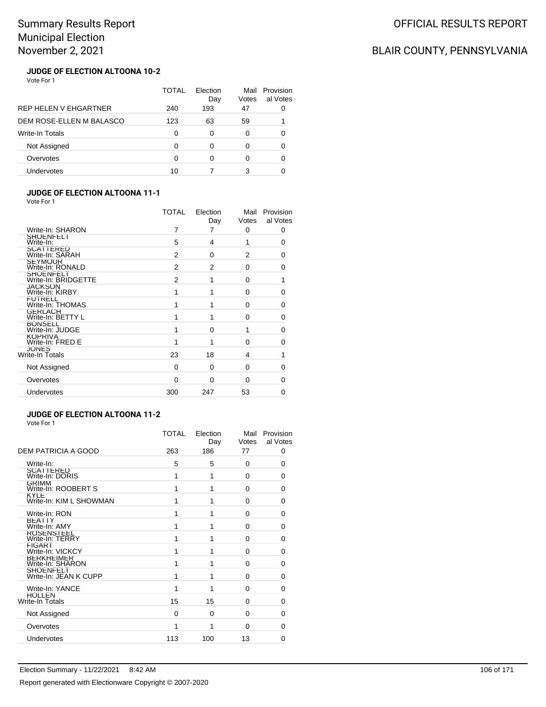## BLAIR COUNTY, PENNSYLVANIA

#### **JUDGE OF ELECTION ALTOONA 10-2** Vote For 1

|                          | TOTAL | Election<br>Day | Mail<br>Votes | Provision<br>al Votes |
|--------------------------|-------|-----------------|---------------|-----------------------|
| REP HELEN V EHGARTNER    | 240   | 193             | 47            |                       |
| DEM ROSE-ELLEN M BALASCO | 123   | 63              | 59            |                       |
| <b>Write-In Totals</b>   | ∩     | ∩               | 0             |                       |
| Not Assigned             | ∩     |                 | 0             | ∩                     |
| Overvotes                | ∩     |                 | 0             | O                     |
| Undervotes               | 10    |                 | 3             |                       |

#### **JUDGE OF ELECTION ALTOONA 11-1** Vote For 1

| <b>VOLE FOI</b> I                       |                |                 |               |                       |
|-----------------------------------------|----------------|-----------------|---------------|-----------------------|
|                                         | <b>TOTAL</b>   | Election<br>Day | Mail<br>Votes | Provision<br>al Votes |
| Write-In: SHARON                        | 7              | 7               | 0             | 0                     |
| <b>SHOENFELI</b><br>Write-In:           | 5              | 4               | 1             | 0                     |
| SCATTERED<br>Write-In: SARAH            | 2              | 0               | 2             | 0                     |
| <b>SEYMOUR</b><br>Write-In: RONALD      | $\overline{2}$ | $\overline{2}$  | $\Omega$      | $\Omega$              |
| <b>SHOENFELT</b><br>Write-In: BRIDGETTE | 2              | 1               | 0             | 1                     |
| <b>JACKSON</b><br>Write-In: KIRBY       | 1              |                 | $\Omega$      | 0                     |
| <b>FUIRELL</b><br>Write-In: THOMAS      | 1              | 1               | 0             | 0                     |
| <b>GERLACH</b><br>Write-In: BETTY L     | 1              |                 | 0             | 0                     |
| <b>BONSELL</b><br>Write-In: JUDGE       | 1              | $\Omega$        | 1             | 0                     |
| <b>KOPRIVA</b><br>Write-In: FRED E      |                |                 | 0             | 0                     |
| <b>JONES</b><br>Write-In Totals         | 23             | 18              | 4             | 1                     |
| Not Assigned                            | 0              | $\Omega$        | $\Omega$      | 0                     |
| Overvotes                               | 0              | $\Omega$        | 0             | $\Omega$              |
| Undervotes                              | 300            | 247             | 53            | 0                     |
|                                         |                |                 |               |                       |

### **JUDGE OF ELECTION ALTOONA 11-2**

| Vote For 1 |  |
|------------|--|
|            |  |

|                                        | TOTAL | Election<br>Day | Mail<br>Votes | Provision<br>al Votes |
|----------------------------------------|-------|-----------------|---------------|-----------------------|
| DEM PATRICIA A GOOD                    | 263   | 186             | 77            | 0                     |
| Write-In:                              | 5     | 5               | $\Omega$      | 0                     |
| SCATTERED<br>Write-In: DORIS           | 1     | 1               | 0             | 0                     |
| <b>GRIMM</b><br>Write-In: ROOBERT S    | 1     | 1               | $\Omega$      | 0                     |
| <b>KYLE</b><br>Write-In: KIM L SHOWMAN | 1     | 1               | $\Omega$      | 0                     |
| Write-In: RON                          | 1     | 1               | 0             | 0                     |
| <b>BEAIIY</b><br>Write-In: AMY         | 1     | 1               | $\Omega$      | 0                     |
| ROSENSTEEL<br>Write-In: TERRY          | 1     | 1               | 0             | 0                     |
| <b>FIGARI</b><br>Write-In: VICKCY      | 1     | 1               | 0             | 0                     |
| <b>BERKHEIMER</b><br>Write-In: SHARON  | 1     | 1               | $\Omega$      | 0                     |
| SHOENFELT<br>Write-In: JEAN K CUPP     | 1     | 1               | 0             | 0                     |
| Write-In: YANCE                        |       | 1               | $\Omega$      | 0                     |
| <b>HOLLEN</b><br>Write-In Totals       | 15    | 15              | $\Omega$      | 0                     |
| Not Assigned                           | 0     | 0               | 0             | 0                     |
| Overvotes                              | 1     | 1               | $\Omega$      | 0                     |
| Undervotes                             | 113   | 100             | 13            | 0                     |
|                                        |       |                 |               |                       |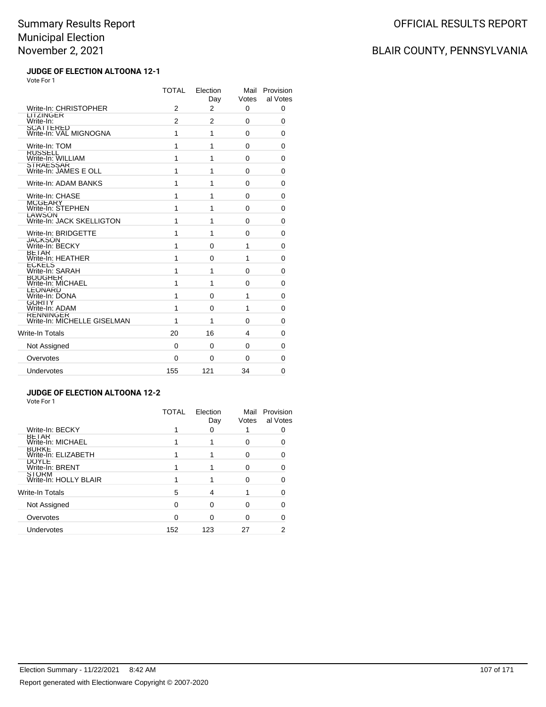## BLAIR COUNTY, PENNSYLVANIA

#### **JUDGE OF ELECTION ALTOONA 12-1** Vote For 1

|                                                 | <b>TOTAL</b> | Election<br>Day | Mail<br>Votes | Provision<br>al Votes |
|-------------------------------------------------|--------------|-----------------|---------------|-----------------------|
| Write-In: CHRISTOPHER                           | 2            | 2               | 0             | 0                     |
| LITZINGER<br>Write-In:                          | 2            | 2               | 0             | 0                     |
| SCATTERED<br>Write-In: VAL MIGNOGNA             | 1            | 1               | 0             | 0                     |
| Write-In: TOM                                   | 1            | 1               | 0             | 0                     |
| <b>RUSSELL</b><br>Write-In: WILLIAM             | 1            | 1               | 0             | 0                     |
| STRAESSAR<br>Write-In: JAMES E OLL              | 1            | 1               | $\Omega$      | 0                     |
| Write-In: ADAM BANKS                            | 1            | 1               | 0             | 0                     |
| Write-In: CHASE                                 | 1            | 1               | 0             | 0                     |
| <b>MCGEARY</b><br>Write-In: STEPHEN             | 1            | 1               | $\Omega$      | 0                     |
| <b>LAWSON</b><br>Write-In: JACK SKELLIGTON      | 1            | 1               | 0             | 0                     |
| Write-In: BRIDGETTE                             | 1            | 1               | 0             | 0                     |
| JACKSON<br>Write-In: BECKY                      | 1            | $\Omega$        | 1             | 0                     |
| <b>BETAR</b><br>Write-In: HEATHER               | 1            | $\Omega$        | 1             | 0                     |
| <b>ECKELS</b><br>Write-In: SARAH                | 1            | 1               | 0             | 0                     |
| BOUGHER<br>Write-In: MICHAEL                    | 1            | 1               | 0             | 0                     |
| LEONARD<br>Write-In: DONA                       | 1            | $\Omega$        | 1             | 0                     |
| <b>GORITY</b><br>Write-In: ADAM                 | 1            | $\Omega$        | 1             | 0                     |
| <b>KENNINGER</b><br>Write-In: MICHELLE GISELMAN | 1            | 1               | $\Omega$      | 0                     |
| <b>Write-In Totals</b>                          | 20           | 16              | 4             | 0                     |
| Not Assigned                                    | 0            | $\Omega$        | $\Omega$      | 0                     |
| Overvotes                                       | 0            | $\Omega$        | 0             | 0                     |
| Undervotes                                      | 155          | 121             | 34            | 0                     |

#### **JUDGE OF ELECTION ALTOONA 12-2**

|                                       | TOTAL | Election<br>Day | Mail<br>Votes | Provision<br>al Votes |
|---------------------------------------|-------|-----------------|---------------|-----------------------|
| Write-In: BECKY                       |       | 0               |               |                       |
| <b>BETAR</b><br>Write-In: MICHAEL     |       |                 | Ω             |                       |
| <b>BURKE</b><br>Write-In: ELIZABETH   |       |                 |               |                       |
| <b>DOYLE</b><br>Write-In: BRENT       |       |                 | ∩             |                       |
| <b>STORM</b><br>Write-In: HOLLY BLAIR |       |                 |               |                       |
| Write-In Totals                       | 5     | 4               |               | O                     |
| Not Assigned                          | 0     | $\Omega$        |               |                       |
| Overvotes                             | O     | 0               |               |                       |
| Undervotes                            | 152   | 123             | 27            | 2                     |
|                                       |       |                 |               |                       |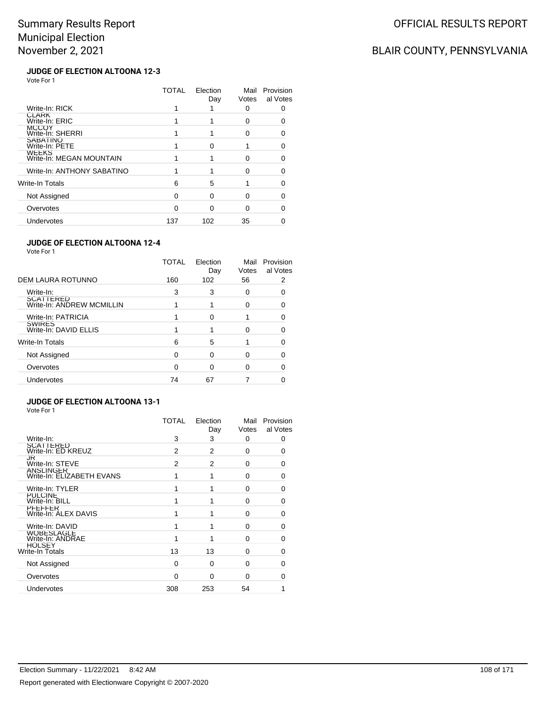### BLAIR COUNTY, PENNSYLVANIA

#### **JUDGE OF ELECTION ALTOONA 12-3** Vote For 1

|                                          | TOTAL | Election<br>Day | Mail<br>Votes | Provision<br>al Votes |
|------------------------------------------|-------|-----------------|---------------|-----------------------|
| Write-In: RICK                           |       |                 | O             |                       |
| <b>CLARK</b><br>Write-In: ERIC           |       |                 | ŋ             |                       |
| <b>MCCOY</b><br>Write-In: SHERRI         |       |                 | 0             |                       |
| <b>SABATINO</b><br>Write-In: PETE        |       | ∩               |               |                       |
| <b>WEEKS</b><br>Write-In: MEGAN MOUNTAIN |       |                 | O             | O                     |
| Write-In: ANTHONY SABATINO               |       |                 | ∩             |                       |
| Write-In Totals                          | 6     | 5               |               |                       |
| Not Assigned                             | O     | ∩               | ∩             |                       |
| Overvotes                                | n     | ∩               | ∩             |                       |
| Undervotes                               | 137   | 102             | 35            |                       |

#### **JUDGE OF ELECTION ALTOONA 12-4**

Vote For 1

| DEM LAURA ROTUNNO<br>56<br>160<br>102<br>Write-In:<br>3<br>3<br>0<br>O<br>SCATTERED<br>Write-In: ANDREW MCMILLIN<br>0<br>Write-In: PATRICIA<br>0<br><b>SWIRES</b><br>Write-In: DAVID ELLIS<br>ŋ<br>Write-In Totals<br>5<br>6<br>Not Assigned<br>0<br>0<br>0 | TOTAL | Election<br>Day | Mail<br>Votes | Provision<br>al Votes |
|-------------------------------------------------------------------------------------------------------------------------------------------------------------------------------------------------------------------------------------------------------------|-------|-----------------|---------------|-----------------------|
|                                                                                                                                                                                                                                                             |       |                 |               |                       |
|                                                                                                                                                                                                                                                             |       |                 |               |                       |
|                                                                                                                                                                                                                                                             |       |                 |               |                       |
|                                                                                                                                                                                                                                                             |       |                 |               |                       |
|                                                                                                                                                                                                                                                             |       |                 |               |                       |
|                                                                                                                                                                                                                                                             |       |                 |               |                       |
|                                                                                                                                                                                                                                                             |       |                 |               |                       |
| Overvotes<br>∩<br>O                                                                                                                                                                                                                                         |       |                 |               |                       |
| <b>Undervotes</b><br>74<br>67                                                                                                                                                                                                                               |       |                 |               |                       |

### **JUDGE OF ELECTION ALTOONA 13-1**

|                                               | TOTAL    | Election<br>Day | Mail<br>Votes | Provision<br>al Votes |
|-----------------------------------------------|----------|-----------------|---------------|-----------------------|
| Write-In:                                     | 3        | 3               | $\Omega$      | 0                     |
| <b>SCATTERED</b><br>Write-In: ED KREUZ        | 2        | 2               | $\Omega$      | 0                     |
| JR<br>Write-In: STEVE                         | 2        | 2               | 0             | 0                     |
| <b>ANSLINGER</b><br>Write-In: ELIZABETH EVANS |          | 1               | $\Omega$      | 0                     |
| Write-In: TYLER                               |          | 1               | $\Omega$      | 0                     |
| PULCINE<br>Write-In: BILL                     |          |                 | $\Omega$      | 0                     |
| <b>PFEFFER</b><br>Write-In: ALEX DAVIS        |          |                 | $\Omega$      | 0                     |
| Write-In: DAVID                               |          |                 | $\Omega$      | 0                     |
| WOBESLAGLE<br>Write-In: ANDRAE                |          | 1               | 0             | 0                     |
| HOLSEY<br>Write-In Totals                     | 13       | 13              | $\Omega$      | 0                     |
| Not Assigned                                  | $\Omega$ | 0               | $\Omega$      | 0                     |
| Overvotes                                     | $\Omega$ | 0               | O             | 0                     |
| Undervotes                                    | 308      | 253             | 54            |                       |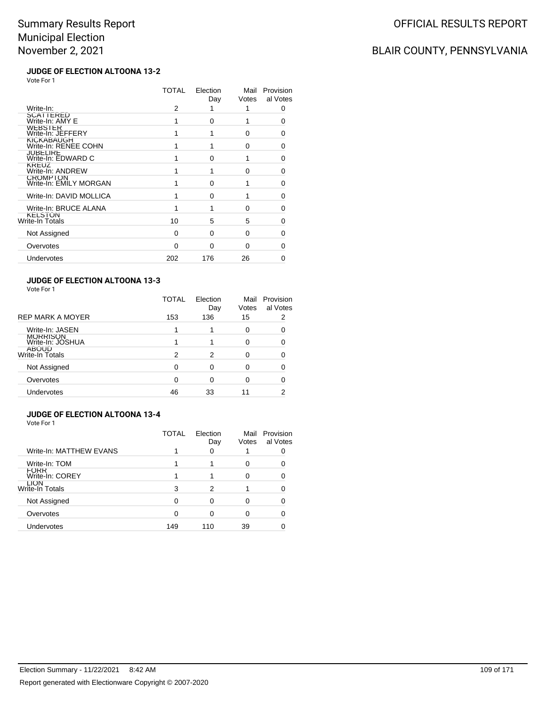# BLAIR COUNTY, PENNSYLVANIA

#### **JUDGE OF ELECTION ALTOONA 13-2** Vote For 1

|                                           | TOTAL | Election<br>Day | Mail<br>Votes | Provision<br>al Votes |
|-------------------------------------------|-------|-----------------|---------------|-----------------------|
| Write-In:                                 | 2     |                 | 1             | 0                     |
| <b>SCATTERED</b><br>Write-In: AMY E       |       | O               |               | 0                     |
| WEBSIER<br>Write-In: JEFFERY              |       |                 | 0             | O                     |
| <b>KICKABAUGH</b><br>Write-In: RENEE COHN |       |                 | 0             | 0                     |
| <b>JUBELIRE</b><br>Write-In: EDWARD C     |       | <sup>0</sup>    | 1             | O                     |
| KREUZ<br>Write-In: ANDREW                 |       |                 | 0             | O                     |
| <b>CROMPTON</b><br>Write-In: EMILY MORGAN |       | O               |               | 0                     |
| Write-In: DAVID MOLLICA                   |       | <sup>0</sup>    |               | 0                     |
| Write-In: BRUCE ALANA                     |       |                 | 0             | 0                     |
| <b>KELSTON</b><br>Write-In Totals         | 10    | 5               | 5             | O                     |
| Not Assigned                              | 0     | $\Omega$        | $\Omega$      | U                     |
| Overvotes                                 | 0     | O               | 0             | O                     |
| Undervotes                                | 202   | 176             | 26            |                       |
|                                           |       |                 |               |                       |

### **JUDGE OF ELECTION ALTOONA 13-3**

Vote For 1

|                                 | TOTAL | Election<br>Day | Mail<br>Votes | Provision<br>al Votes |
|---------------------------------|-------|-----------------|---------------|-----------------------|
| <b>REP MARK A MOYER</b>         | 153   | 136             | 15            | 2                     |
| Write-In: JASEN                 |       |                 | 0             | ∩                     |
| MORRISON<br>Write-In: JOSHUA    |       |                 | 0             |                       |
| <b>ABOUD</b><br>Write-In Totals | 2     | 2               | 0             |                       |
| Not Assigned                    | 0     | 0               | 0             |                       |
| Overvotes                       | ∩     | 0               | 0             |                       |
| Undervotes                      | 46    | 33              | 11            | າ                     |

#### **JUDGE OF ELECTION ALTOONA 13-4** Vote For 1

|                                | TOTAL | Election<br>Day | Mail<br>Votes | Provision<br>al Votes |
|--------------------------------|-------|-----------------|---------------|-----------------------|
| Write-In: MATTHEW EVANS        |       | O               |               |                       |
| Write-In: TOM                  |       |                 | 0             |                       |
| FORR<br>Write-In: COREY        |       |                 | 0             |                       |
| <b>LIUN</b><br>Write-In Totals | 3     | 2               |               |                       |
| Not Assigned                   | O     | ∩               | O             |                       |
| Overvotes                      | 0     | 0               | O             |                       |
| Undervotes                     | 149   | 110             | 39            |                       |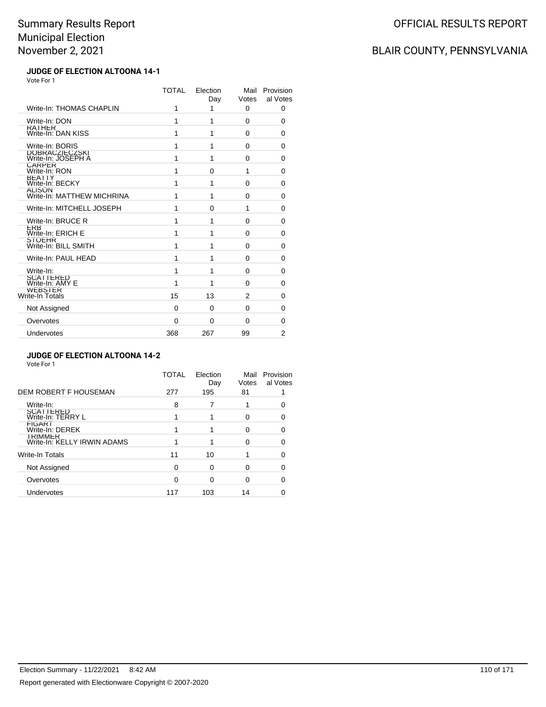# BLAIR COUNTY, PENNSYLVANIA

### **JUDGE OF ELECTION ALTOONA 14-1** Vote For 1

|                                             | TOTAL | Election<br>Day | Mail<br>Votes | Provision<br>al Votes |
|---------------------------------------------|-------|-----------------|---------------|-----------------------|
| Write-In: THOMAS CHAPLIN                    | 1     | 1               | $\Omega$      | $\Omega$              |
| Write-In: DON                               | 1     | 1               | $\Omega$      | 0                     |
| <b>RAIHER</b><br>Write-In: DAN KISS         | 1     | 1               | $\Omega$      | 0                     |
| Write-In: BORIS                             | 1     | 1               | 0             | 0                     |
| DOBRACZIECZSKI<br>Write-In: JOSEPH A        | 1     | 1               | 0             | 0                     |
| <b>CARPER</b><br>Write-In: RON              | 1     | 0               | 1             | 0                     |
| <b>BEAIIY</b><br>Write-In: BECKY            | 1     | 1               | 0             | 0                     |
| <b>ALISON</b><br>Write-In: MATTHEW MICHRINA | 1     | 1               | $\Omega$      | 0                     |
| Write-In: MITCHELL JOSEPH                   | 1     | 0               | 1             | 0                     |
| Write-In: BRUCE R                           | 1     | 1               | $\Omega$      | 0                     |
| <b>ERB</b><br>Write-In: ERICH E             | 1     | 1               | $\Omega$      | 0                     |
| <b>SIOLHR</b><br>Write-In: BILL SMITH       | 1     | 1               | $\Omega$      | 0                     |
| Write-In: PAUL HEAD                         | 1     | 1               | $\Omega$      | 0                     |
| Write-In:                                   | 1     | 1               | $\Omega$      | 0                     |
| SCATTERED<br>Write-In: AMY E                | 1     | 1               | $\Omega$      | 0                     |
| <b>WEBSTER</b><br>Write-In Totals           | 15    | 13              | 2             | 0                     |
| Not Assigned                                | 0     | 0               | 0             | 0                     |
| Overvotes                                   | 0     | 0               | 0             | 0                     |
| Undervotes                                  | 368   | 267             | 99            | $\overline{2}$        |

### **JUDGE OF ELECTION ALTOONA 14-2**

| Vote For 1                                    |              |                 |               |                       |
|-----------------------------------------------|--------------|-----------------|---------------|-----------------------|
|                                               | <b>TOTAL</b> | Election<br>Day | Mail<br>Votes | Provision<br>al Votes |
| DEM ROBERT F HOUSEMAN                         | 277          | 195             | 81            |                       |
| Write-In:                                     | 8            |                 |               |                       |
| SCATTERED<br>Write-In: TERRY L                |              |                 | 0             |                       |
| <b>FIGARI</b><br>Write-In: DEREK              |              |                 | O             | 0                     |
| <b>TRIMMER</b><br>Write-In: KELLY IRWIN ADAMS |              |                 | U             |                       |
| Write-In Totals                               | 11           | 10              |               |                       |
| Not Assigned                                  | O            | ∩               | O             |                       |
| Overvotes                                     | 0            | 0               | 0             |                       |
| Undervotes                                    | 117          | 103             | 14            |                       |
|                                               |              |                 |               |                       |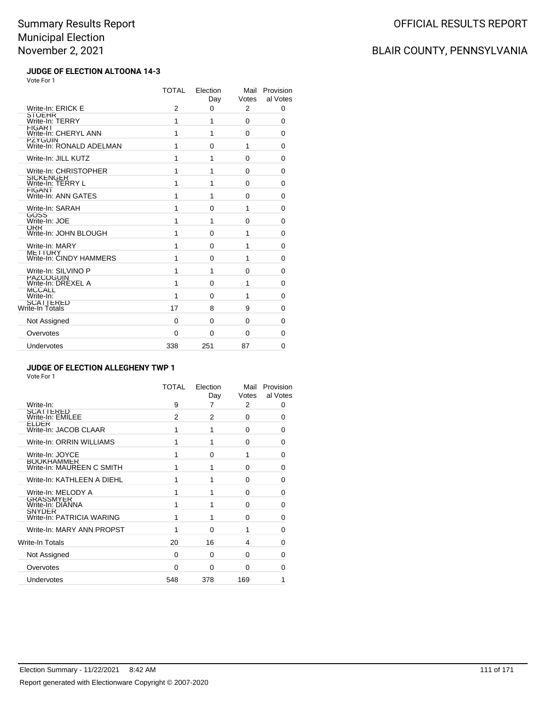# BLAIR COUNTY, PENNSYLVANIA

### **JUDGE OF ELECTION ALTOONA 14-3** Vote For 1

|                                            | <b>TOTAL</b>   | Election<br>Day | Mail<br>Votes | Provision<br>al Votes |
|--------------------------------------------|----------------|-----------------|---------------|-----------------------|
| Write-In: ERICK E                          | $\overline{2}$ | $\Omega$        | 2             | 0                     |
| <b>STOEHR</b><br>Write-In: TERRY           | 1              | 1               | 0             | $\Omega$              |
| <b>FIGAR1</b><br>Write-In: CHERYL ANN      | 1              | 1               | $\Omega$      | 0                     |
| <b>PZYGUIN</b><br>Write-In: RONALD ADELMAN | 1              | 0               | 1             | 0                     |
| Write-In: JILL KUTZ                        | 1              | 1               | 0             | 0                     |
| Write-In: CHRISTOPHER                      | 1              | 1               | $\Omega$      | 0                     |
| <b>SICKENGER</b><br>Write-In: TERRY L      | 1              | 1               | 0             | 0                     |
| <b>FIGANT</b><br>Write-In: ANN GATES       | 1              | 1               | 0             | 0                     |
| Write-In: SARAH                            | 1              | $\Omega$        | 1             | 0                     |
| GOSS<br>Write-In: JOE                      | 1              | 1               | 0             | 0                     |
| <b>ORR</b><br>Write-In: JOHN BLOUGH        | 1              | 0               | 1             | 0                     |
| Write-In: MARY                             | 1              | $\Omega$        | 1             | 0                     |
| <b>METTURY</b><br>Write-In: CINDY HAMMERS  | 1              | 0               | 1             | 0                     |
| Write-In: SILVINO P                        | 1              | 1               | $\Omega$      | $\Omega$              |
| PAZCOGUIN<br>Write-In: DREXEL A            | 1              | 0               | 1             | 0                     |
| <b>MCCALL</b><br>Write-In:                 | 1              | $\Omega$        | 1             | 0                     |
| SCATTERED<br>Write-In Totals               | 17             | 8               | 9             | 0                     |
| Not Assigned                               | 0              | 0               | 0             | 0                     |
| Overvotes                                  | 0              | 0               | 0             | 0                     |
| Undervotes                                 | 338            | 251             | 87            | $\Omega$              |

### **JUDGE OF ELECTION ALLEGHENY TWP 1**

|                                                | TOTAL    | Election<br>Day | Mail<br>Votes | Provision<br>al Votes |
|------------------------------------------------|----------|-----------------|---------------|-----------------------|
| Write-In:                                      | 9        | 7               | 2             | 0                     |
| SCATTERED<br>Write-In: EMILEE                  | 2        | 2               | $\Omega$      | 0                     |
| <b>ELDER</b><br>Write-In: JACOB CLAAR          | 1        | 1               | 0             | 0                     |
| Write-In: ORRIN WILLIAMS                       | 1        | 1               | 0             | 0                     |
| Write-In: JOYCE                                | 1        | $\Omega$        |               | 0                     |
| <b>BOOKHAMMER</b><br>Write-In: MAUREEN C SMITH | 1        | 1               | 0             | 0                     |
| Write-In: KATHLEEN A DIEHL                     | 1        | 1               | $\Omega$      | 0                     |
| Write-In: MELODY A                             | 1        | 1               | $\Omega$      | 0                     |
| <b>GRASSMYER</b><br>Write-In: DIANNA           | 1        |                 | $\Omega$      | 0                     |
| <b>SNYDER</b><br>Write-In: PATRICIA WARING     | 1        | 1               | $\Omega$      | 0                     |
| Write-In: MARY ANN PROPST                      | 1        | $\Omega$        | 1             | 0                     |
| Write-In Totals                                | 20       | 16              | 4             | 0                     |
| Not Assigned                                   | 0        | 0               | $\Omega$      | O                     |
| Overvotes                                      | $\Omega$ | 0               | $\Omega$      | O                     |
| <b>Undervotes</b>                              | 548      | 378             | 169           | 1                     |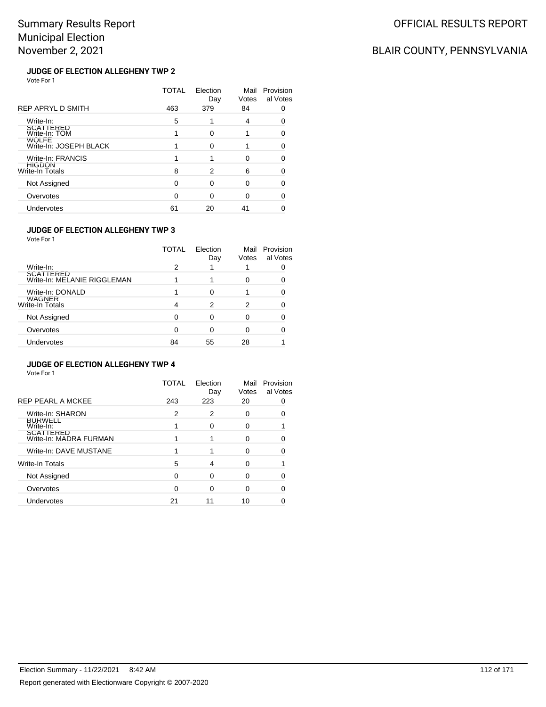# BLAIR COUNTY, PENNSYLVANIA

### **JUDGE OF ELECTION ALLEGHENY TWP 2** Vote For 1

|                                        | TOTAL | Election<br>Day | Mail<br>Votes | Provision<br>al Votes |
|----------------------------------------|-------|-----------------|---------------|-----------------------|
| REP APRYL D SMITH                      | 463   | 379             | 84            |                       |
| Write-In:                              | 5     |                 | 4             |                       |
| SCATTERED<br>Write-In: TOM             |       | ∩               |               | 0                     |
| <b>WOLFE</b><br>Write-In: JOSEPH BLACK |       | ∩               |               |                       |
| Write-In: FRANCIS                      |       |                 | ∩             |                       |
| HIGDON<br>Write-In Totals              | 8     | 2               | 6             | 0                     |
| Not Assigned                           | ŋ     | $\Omega$        | O             |                       |
| Overvotes                              | O     | ∩               | 0             | O                     |
| Undervotes                             | 61    | 20              | 41            |                       |

### **JUDGE OF ELECTION ALLEGHENY TWP 3**

Vote For 1

|                                          | TOTAL | Election<br>Day | Mail<br>Votes | Provision<br>al Votes |
|------------------------------------------|-------|-----------------|---------------|-----------------------|
| Write-In:                                | 2     |                 |               |                       |
| SCATTERED<br>Write-In: MELANIE RIGGLEMAN |       |                 |               |                       |
| Write-In: DONALD                         |       |                 |               |                       |
| WAGNER<br>Write-In Totals                | 4     | 2               | 2             |                       |
| Not Assigned                             | ∩     | Ω               |               |                       |
| Overvotes                                | ∩     | 0               |               |                       |
| Undervotes                               | 84    | 55              | 28            |                       |
|                                          |       |                 |               |                       |

### **JUDGE OF ELECTION ALLEGHENY TWP 4**

|                                     | TOTAL | Election<br>Day | Mail<br>Votes | Provision<br>al Votes |
|-------------------------------------|-------|-----------------|---------------|-----------------------|
| <b>REP PEARL A MCKEE</b>            | 243   | 223             | 20            |                       |
| Write-In: SHARON                    | 2     | 2               | 0             |                       |
| <b>BURWELL</b><br>Write-In:         |       | 0               | 0             |                       |
| SCATTERED<br>Write-In: MADRA FURMAN |       |                 | 0             |                       |
| Write-In: DAVE MUSTANE              |       |                 | 0             |                       |
| <b>Write-In Totals</b>              | 5     | 4               | 0             |                       |
| Not Assigned                        | 0     | 0               | 0             |                       |
| Overvotes                           | ∩     | ∩               | 0             |                       |
| Undervotes                          | 21    | 11              | 10            |                       |
|                                     |       |                 |               |                       |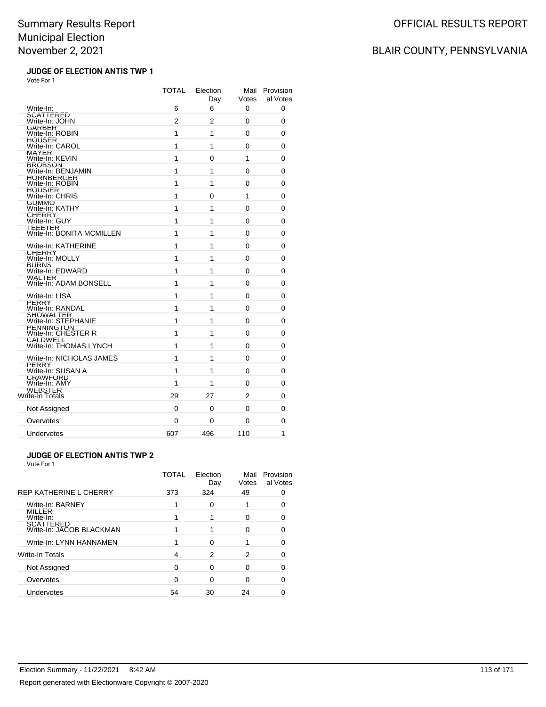## BLAIR COUNTY, PENNSYLVANIA

### **JUDGE OF ELECTION ANTIS TWP 1** Vote For 1

|                                          | <b>TOTAL</b> | Election<br>Day | Mail<br>Votes | Provision<br>al Votes |
|------------------------------------------|--------------|-----------------|---------------|-----------------------|
| Write-In:<br><b>SCATTERED</b>            | 6            | 6               | 0             | 0                     |
| Write-In: JOHN                           | 2            | 2               | 0             | 0                     |
| GARBER<br>Write-In: ROBIN                | 1            | 1               | 0             | 0                     |
| <b>HUUSER</b><br>Write-In: CAROL         | 1            | 1               | 0             | 0                     |
| MAYER<br>Write-In: KEVIN                 | 1            | 0               | 1             | 0                     |
| BROBSON<br>Write-In: BENJAMIN            | 1            | 1               | 0             | 0                     |
| HORNBERGER<br>Write-In: ROBIN            | 1            | 1               | 0             | 0                     |
| <b>HOUSIER</b><br>Write-In: CHRIS        | 1            | 0               | 1             | 0                     |
| GUMMO<br>Write-In: KATHY                 | 1            | 1               | 0             | 0                     |
| CHERRY<br>Write-In: GUY                  | 1            | 1               | 0             | 0                     |
| TEEETER<br>Write-In: BONITA MCMILLEN     | 1            | 1               | 0             | 0                     |
| Write-In: KATHERINE                      | 1            | 1               | 0             | 0                     |
| CHERRY<br>Write-In: MOLLY                | 1            | 1               | 0             | 0                     |
| <b>BURNS</b><br>Write-In: EDWARD         | 1            | 1               | 0             | 0                     |
| WALTER<br>Write-In: ADAM BONSELL         | 1            | 1               | 0             | 0                     |
| Write-In: LISA                           | 1            | 1               | 0             | 0                     |
| PERRY<br>Write-In: RANDAL                | 1            | 1               | 0             | 0                     |
| SHOWALTER<br>Write-In: STEPHANIE         | 1            | 1               | 0             | 0                     |
| <b>PENNINGTON</b><br>Write-In: CHESTER R | 1            | 1               | 0             | 0                     |
| CALDWELL<br>Write-In: THOMAS LYNCH       | 1            | 1               | 0             | 0                     |
| Write-In: NICHOLAS JAMES                 | 1            | 1               | 0             | 0                     |
| <b>PERRY</b><br>Write-In: SUSAN A        | 1            | 1               | 0             | 0                     |
| <b>CRAWFORD</b><br>Write-In: AMY         | 1            | 1               | 0             | 0                     |
| WEBSTER<br>Write-In Totals               | 29           | 27              | 2             | 0                     |
| Not Assigned                             | 0            | 0               | 0             | 0                     |
| Overvotes                                | 0            | 0               | 0             | 0                     |
| Undervotes                               | 607          | 496             | 110           | 1                     |

### **JUDGE OF ELECTION ANTIS TWP 2**

|                                              | TOTAL | Election<br>Day | Mail<br>Votes | Provision<br>al Votes |
|----------------------------------------------|-------|-----------------|---------------|-----------------------|
| <b>REP KATHERINE L CHERRY</b>                | 373   | 324             | 49            |                       |
| Write-In: BARNEY                             |       | $\Omega$        |               |                       |
| <b>MILLER</b><br>Write-In:                   |       |                 | O             |                       |
| <b>SCATTERED</b><br>Write-In: JACOB BLACKMAN |       |                 | O             |                       |
| Write-In: LYNN HANNAMEN                      |       | O               |               |                       |
| Write-In Totals                              | 4     | 2               | 2             |                       |
| Not Assigned                                 | ∩     | 0               | O             |                       |
| Overvotes                                    | ∩     | ∩               | O             |                       |
| Undervotes                                   | 54    | 30              | 24            |                       |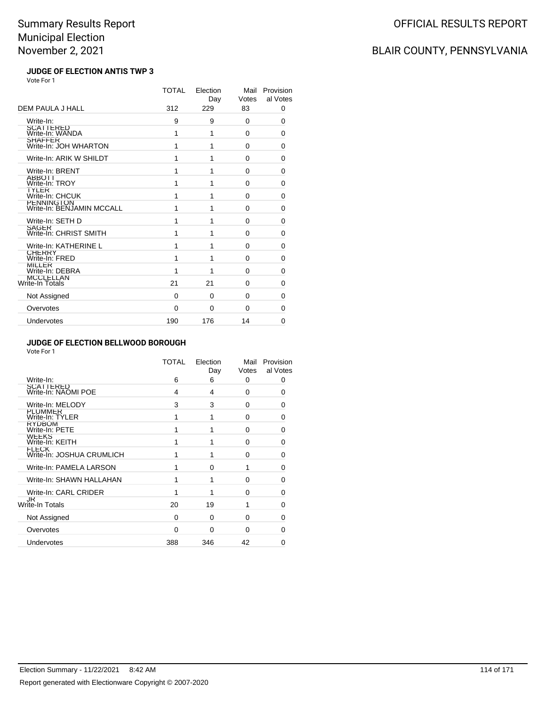# BLAIR COUNTY, PENNSYLVANIA

### **JUDGE OF ELECTION ANTIS TWP 3** Vote For 1

|                                          | <b>TOTAL</b> | Election<br>Day | Mail<br>Votes | Provision<br>al Votes |
|------------------------------------------|--------------|-----------------|---------------|-----------------------|
| DEM PAULA J HALL                         | 312          | 229             | 83            | 0                     |
| Write-In:                                | 9            | 9               | 0             | 0                     |
| SCATTERED<br>Write-In: WANDA             | 1            | 1               | 0             | 0                     |
| <b>SHAFFER</b><br>Write-In: JOH WHARTON  | 1            | 1               | $\Omega$      | 0                     |
| Write-In: ARIK W SHILDT                  | 1            | 1               | $\Omega$      | 0                     |
| Write-In: BRENT                          | 1            | 1               | $\Omega$      | 0                     |
| <b>ABBOTT</b><br>Write-In: TROY          | 1            | 1               | $\Omega$      | 0                     |
| TYLER<br>Write-In: CHCUK                 | 1            | 1               | 0             | 0                     |
| PENNING ION<br>Write-In: BENJAMIN MCCALL | 1            | 1               | 0             | 0                     |
| Write-In: SETH D                         | 1            | 1               | 0             | 0                     |
| <b>SAGER</b><br>Write-In: CHRIST SMITH   | 1            | 1               | 0             | 0                     |
| Write-In: KATHERINE L                    | 1            | 1               | 0             | 0                     |
| <b>CHERRY</b><br>Write-In: FRED          | 1            | 1               | 0             | 0                     |
| MILLER<br>Write-In: DEBRA                | 1            | 1               | $\Omega$      | 0                     |
| MCCLELLAN<br>Write-In Totals             | 21           | 21              | $\Omega$      | 0                     |
| Not Assigned                             | 0            | $\Omega$        | $\Omega$      | 0                     |
| Overvotes                                | 0            | $\Omega$        | 0             | 0                     |
| Undervotes                               | 190          | 176             | 14            | 0                     |

### **JUDGE OF ELECTION BELLWOOD BOROUGH**

|                                           | TOTAL    | Election<br>Day | Mail<br>Votes | Provision<br>al Votes |
|-------------------------------------------|----------|-----------------|---------------|-----------------------|
| Write-In:                                 | 6        | 6               | 0             | 0                     |
| <b>SCATTERED</b><br>Write-In: NAOMI POE   | 4        | 4               | 0             | 0                     |
| Write-In: MELODY                          | 3        | 3               | $\Omega$      | 0                     |
| PLUMMER<br>Write-In: TYLER                | 1        | 1               | 0             | 0                     |
| <b>RYDBOM</b><br>Write-In: PETE           | 1        | 1               | $\Omega$      | 0                     |
| <b>WEEKS</b><br>Write-In: KEITH           | 1        |                 | $\Omega$      | 0                     |
| <b>FLECK</b><br>Write-In: JOSHUA CRUMLICH | 1        | 1               | $\Omega$      | U                     |
| Write-In: PAMELA LARSON                   | 1        | $\Omega$        |               | ŋ                     |
| Write-In: SHAWN HALLAHAN                  | 1        | 1               | 0             | 0                     |
| Write-In: CARL CRIDER                     | 1        | 1               | $\Omega$      | 0                     |
| <b>JK</b><br>Write-In Totals              | 20       | 19              |               | 0                     |
| Not Assigned                              | $\Omega$ | $\Omega$        | 0             | 0                     |
| Overvotes                                 | $\Omega$ | $\Omega$        | $\Omega$      | O                     |
| Undervotes                                | 388      | 346             | 42            | 0                     |
|                                           |          |                 |               |                       |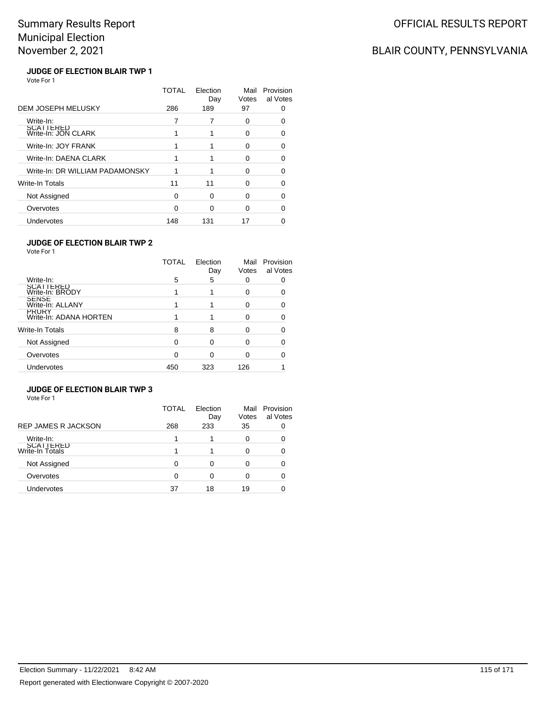# BLAIR COUNTY, PENNSYLVANIA

### **JUDGE OF ELECTION BLAIR TWP 1** Vote For 1

|                                  | TOTAL | Flection<br>Day | Mail<br>Votes | Provision<br>al Votes |
|----------------------------------|-------|-----------------|---------------|-----------------------|
| <b>DEM JOSEPH MELUSKY</b>        | 286   | 189             | 97            |                       |
| Write-In:                        |       |                 | 0             |                       |
| SCATTERED<br>Write-In: JON CLARK |       |                 | 0             |                       |
| Write-In: JOY FRANK              |       |                 | O             | 0                     |
| Write-In: DAENA CLARK            |       |                 | O             |                       |
| Write-In: DR WILLIAM PADAMONSKY  |       |                 | O             |                       |
| Write-In Totals                  | 11    | 11              | ∩             | n                     |
| Not Assigned                     | 0     | O               | 0             | 0                     |
| Overvotes                        | O     | ∩               | ∩             |                       |
| Undervotes                       | 148   | 131             | 17            |                       |

### **JUDGE OF ELECTION BLAIR TWP 2**

Vote For 1

|                                        | TOTAL | Election<br>Day | Mail<br>Votes | Provision<br>al Votes |
|----------------------------------------|-------|-----------------|---------------|-----------------------|
| Write-In:                              | 5     | 5               | 0             |                       |
| SCATTERED<br>Write-In: BRODY           |       |                 | $\Omega$      |                       |
| SENSE<br>Write-In: ALLANY              |       |                 | 0             |                       |
| <b>PRURY</b><br>Write-In: ADANA HORTEN |       |                 | $\Omega$      |                       |
| Write-In Totals                        | 8     | 8               | $\Omega$      |                       |
| Not Assigned                           | 0     | 0               | $\Omega$      |                       |
| Overvotes                              | 0     | 0               | O             |                       |
| Undervotes                             | 450   | 323             | 126           |                       |

### **JUDGE OF ELECTION BLAIR TWP 3**

|                                     | TOTAL | Election<br>Day | Mail<br>Votes | Provision<br>al Votes |
|-------------------------------------|-------|-----------------|---------------|-----------------------|
| <b>REP JAMES R JACKSON</b>          | 268   | 233             | 35            |                       |
| Write-In:                           |       |                 | 0             |                       |
| <b>SCATTERED</b><br>Write-In Totals |       |                 |               |                       |
| Not Assigned                        |       |                 |               |                       |
| Overvotes                           | 0     | 0               | 0             |                       |
| <b>Undervotes</b>                   | 37    | 18              | 19            |                       |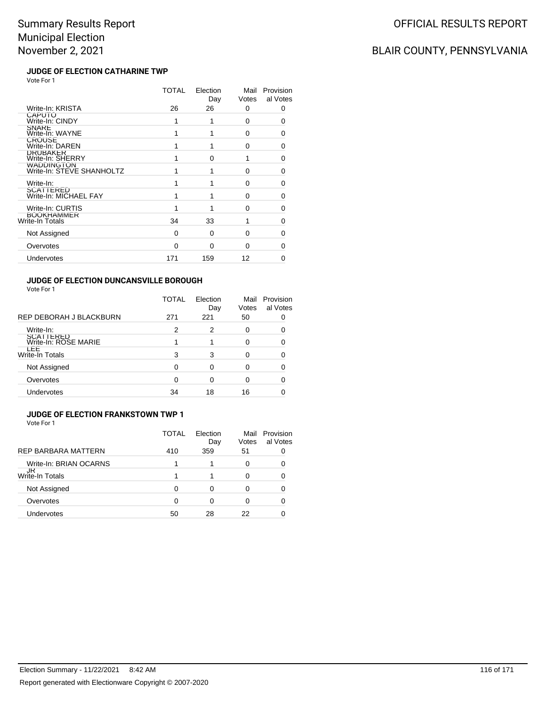## BLAIR COUNTY, PENNSYLVANIA

### **JUDGE OF ELECTION CATHARINE TWP** Vote For 1

|                                         | TOTAL | Election<br>Day | Mail<br>Votes | Provision<br>al Votes |
|-----------------------------------------|-------|-----------------|---------------|-----------------------|
| Write-In: KRISTA                        | 26    | 26              | 0             | 0                     |
| CAPUTO<br>Write-In: CINDY               |       |                 | 0             | 0                     |
| <b>SNARE</b><br>Write-In: WAYNE         |       |                 | $\Omega$      | 0                     |
| <b>CROUSE</b><br>Write-In: DAREN        |       |                 | 0             | 0                     |
| <b>DRUBAKER</b><br>Write-In: SHERRY     |       | <sup>0</sup>    | 1             | O                     |
| WADDINGTON<br>Write-In: STEVE SHANHOLTZ |       |                 | 0             | U                     |
| Write-In:                               |       |                 | O             | 0                     |
| SCATTERED<br>Write-In: MICHAEL FAY      |       |                 | $\Omega$      | 0                     |
| Write-In: CURTIS                        |       |                 | 0             | 0                     |
| <b>BOOKHAMMER</b><br>Write-In Totals    | 34    | 33              |               | 0                     |
| Not Assigned                            | 0     | $\Omega$        | 0             | 0                     |
| Overvotes                               | 0     | $\Omega$        | $\Omega$      | O                     |
| Undervotes                              | 171   | 159             | 12            | n                     |
|                                         |       |                 |               |                       |

### **JUDGE OF ELECTION DUNCANSVILLE BOROUGH**

Vote For 1

|                                   | TOTAL | Election<br>Day | Mail<br>Votes | Provision<br>al Votes |
|-----------------------------------|-------|-----------------|---------------|-----------------------|
| REP DEBORAH J BLACKBURN           | 271   | 221             | 50            |                       |
| Write-In:                         | 2     | 2               | 0             |                       |
| SCATTERED<br>Write-In: ROSE MARIE |       |                 | 0             |                       |
| ᄔ<br><b>Write-In Totals</b>       | 3     | 3               | ∩             |                       |
| Not Assigned                      | 0     | ŋ               | ი             |                       |
| Overvotes                         | 0     |                 | ი             |                       |
| Undervotes                        | 34    | 18              | 16            |                       |

#### **JUDGE OF ELECTION FRANKSTOWN TWP 1** Vote For 1

|                            | TOTAL | Flection<br>Day | Mail<br>Votes | Provision<br>al Votes |
|----------------------------|-------|-----------------|---------------|-----------------------|
| <b>REP BARBARA MATTERN</b> | 410   | 359             | 51            |                       |
| Write-In: BRIAN OCARNS     |       |                 | 0             |                       |
| JR<br>Write-In Totals      |       |                 | 0             |                       |
| Not Assigned               | 0     | ∩               | 0             |                       |
| Overvotes                  | ŋ     | ∩               | 0             |                       |
| Undervotes                 | 50    | 28              | 22            |                       |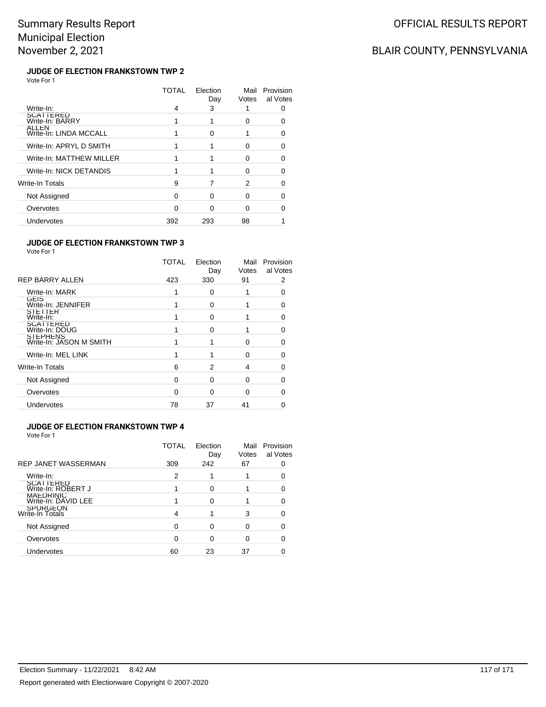# BLAIR COUNTY, PENNSYLVANIA

### **JUDGE OF ELECTION FRANKSTOWN TWP 2** Vote For 1

|                                 | TOTAL | Election<br>Day | Mail<br>Votes | Provision<br>al Votes |
|---------------------------------|-------|-----------------|---------------|-----------------------|
| Write-In:                       | 4     | 3               |               |                       |
| SCATTERED<br>Write-In: BARRY    |       |                 | O             |                       |
| ALLEN<br>Write-In: LINDA MCCALL |       | 0               |               |                       |
| Write-In: APRYL D SMITH         |       |                 | O             | Ω                     |
| Write-In: MATTHEW MILLER        |       |                 | O             |                       |
| Write-In: NICK DETANDIS         |       |                 | O             |                       |
| Write-In Totals                 | 9     |                 | 2             |                       |
| Not Assigned                    | 0     | ∩               | 0             | O                     |
| Overvotes                       | n     |                 | ∩             |                       |
| Undervotes                      | 392   | 293             | 98            |                       |

### **JUDGE OF ELECTION FRANKSTOWN TWP 3**

Vote For 1

|                                     | TOTAL | Election<br>Day | Mail<br>Votes | Provision<br>al Votes |
|-------------------------------------|-------|-----------------|---------------|-----------------------|
| <b>REP BARRY ALLEN</b>              | 423   | 330             | 91            | 2                     |
| Write-In: MARK                      |       | $\Omega$        |               | ŋ                     |
| GEIS<br>Write-In: JENNIFER          |       | 0               |               | n                     |
| SIELIER<br>Write-In:                |       | $\Omega$        |               |                       |
| SCATTERED<br>Write-In: DOUG         |       | $\Omega$        |               |                       |
| STEPHENS<br>Write-In: JASON M SMITH |       |                 | 0             |                       |
| Write-In: MEL LINK                  |       |                 | $\Omega$      |                       |
| <b>Write-In Totals</b>              | 6     | 2               | 4             |                       |
| Not Assigned                        | O     | $\Omega$        | $\Omega$      |                       |
| Overvotes                           | O     | $\Omega$        | 0             |                       |
| Undervotes                          | 78    | 37              | 41            |                       |
|                                     |       |                 |               |                       |

### **JUDGE OF ELECTION FRANKSTOWN TWP 4**

| TOTAL | Election<br>Day | Mail<br>Votes | Provision<br>al Votes |
|-------|-----------------|---------------|-----------------------|
|       |                 |               |                       |
| 2     |                 |               |                       |
|       | ∩               |               |                       |
|       |                 |               |                       |
|       |                 | 3             |                       |
|       |                 | ∩             |                       |
|       |                 | O             |                       |
| 60    | 23              | 37            |                       |
|       | 309             | 242           | 67                    |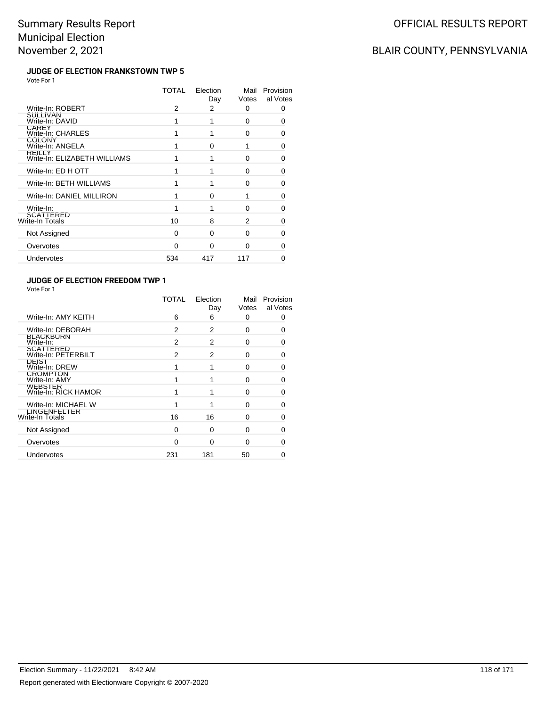# BLAIR COUNTY, PENNSYLVANIA

### **JUDGE OF ELECTION FRANKSTOWN TWP 5** Vote For 1

|                                               | TOTAL        | Election<br>Day | Mail<br>Votes | Provision<br>al Votes |
|-----------------------------------------------|--------------|-----------------|---------------|-----------------------|
| Write-In: ROBERT                              | 2            | 2               | 0             | 0                     |
| SULLIVAN<br>Write-In: DAVID                   |              |                 | 0             | 0                     |
| <b>CAREY</b><br>Write-In: CHARLES             |              |                 | $\Omega$      | O                     |
| <b>COLONY</b><br>Write-In: ANGELA             |              | O               | 1             | 0                     |
| <b>REILLY</b><br>Write-In: ELIZABETH WILLIAMS |              |                 | 0             | O                     |
| Write-In: ED H OTT                            |              |                 | 0             | 0                     |
| Write-In: BETH WILLIAMS                       |              |                 | 0             | 0                     |
| Write-In: DANIEL MILLIRON                     |              | $\Omega$        |               | 0                     |
| Write-In:                                     |              |                 | 0             | 0                     |
| <b>SCATTERED</b><br>Write-In Totals           | 10           | 8               | 2             | O                     |
| Not Assigned                                  | 0            | <sup>0</sup>    | 0             | O                     |
| Overvotes                                     | <sup>0</sup> | ∩               | O             | n                     |
| Undervotes                                    | 534          | 417             | 117           |                       |
|                                               |              |                 |               |                       |

### **JUDGE OF ELECTION FREEDOM TWP 1**

|                                         | TOTAL    | Election<br>Day | Mail<br>Votes | Provision<br>al Votes |
|-----------------------------------------|----------|-----------------|---------------|-----------------------|
| Write-In: AMY KEITH                     | 6        | 6               | 0             | 0                     |
| Write-In: DEBORAH                       | 2        | 2               | $\Omega$      | ∩                     |
| <b>BLACKBURN</b><br>Write-In:           | 2        | 2               | $\Omega$      | 0                     |
| <b>SCATTERED</b><br>Write-In: PETERBILT | 2        | $\overline{2}$  | $\Omega$      | 0                     |
| <b>DEIST</b><br>Write-In: DREW          | 1        |                 | O             | O                     |
| <b>CROMPTON</b><br>Write-In: AMY        |          |                 | $\Omega$      |                       |
| <b>WEBSIER</b><br>Write-In: RICK HAMOR  |          | 1               | $\Omega$      |                       |
| Write-In: MICHAEL W                     |          |                 | O             | n                     |
| <b>LINGENFELIER</b><br>Write-In Totals  | 16       | 16              | $\Omega$      |                       |
| Not Assigned                            | $\Omega$ | 0               | $\Omega$      |                       |
| Overvotes                               | 0        | 0               | O             |                       |
| Undervotes                              | 231      | 181             | 50            |                       |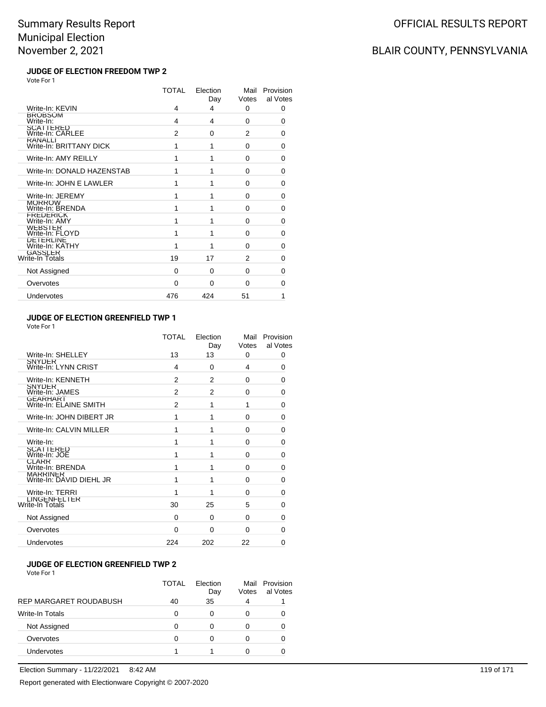## BLAIR COUNTY, PENNSYLVANIA

### **JUDGE OF ELECTION FREEDOM TWP 2** Vote For 1

|                                           | TOTAL | Election<br>Day | Mail<br>Votes  | Provision<br>al Votes |
|-------------------------------------------|-------|-----------------|----------------|-----------------------|
| Write-In: KEVIN                           | 4     | 4               | 0              | 0                     |
| <b>BROBSOM</b><br>Write-In:               | 4     | 4               | $\Omega$       | $\Omega$              |
| <b>SCATTERED</b><br>Write-In: CARLEE      | 2     | $\Omega$        | $\overline{2}$ | 0                     |
| <b>RANALLI</b><br>Write-In: BRITTANY DICK | 1     | 1               | 0              | 0                     |
| Write-In: AMY REILLY                      | 1     | 1               | 0              | $\Omega$              |
| Write-In: DONALD HAZENSTAB                | 1     | 1               | 0              | $\Omega$              |
| Write-In: JOHN E LAWLER                   | 1     | 1               | $\Omega$       | 0                     |
| Write-In: JEREMY                          | 1     | 1               | $\Omega$       | 0                     |
| <b>MORROW</b><br>Write-In: BRENDA         | 1     | 1               | $\Omega$       | $\Omega$              |
| <b>FREDERICK</b><br>Write-In: AMY         | 1     | 1               | $\Omega$       | 0                     |
| <b>WEBSTER</b><br>Write-In: FLOYD         | 1     | 1               | 0              | 0                     |
| <b>DETERLINE</b><br>Write-In: KATHY       | 1     | 1               | 0              | 0                     |
| <b>GASSLER</b><br>Write-In Totals         | 19    | 17              | 2              | 0                     |
| Not Assigned                              | 0     | $\Omega$        | $\Omega$       | 0                     |
| Overvotes                                 | 0     | $\Omega$        | $\Omega$       | 0                     |
| Undervotes                                | 476   | 424             | 51             | 1                     |

## **JUDGE OF ELECTION GREENFIELD TWP 1**

Vote For 1

|                                             | TOTAL          | Election<br>Day | Mail<br>Votes | Provision<br>al Votes |
|---------------------------------------------|----------------|-----------------|---------------|-----------------------|
| Write-In: SHELLEY                           | 13             | 13              | 0             | 0                     |
| SNYDER<br>Write-In: LYNN CRIST              | 4              | 0               | 4             | 0                     |
| Write-In: KENNETH                           | $\overline{2}$ | 2               | $\Omega$      | 0                     |
| <b>SNYDER</b><br>Write-In: JAMES            | 2              | 2               | 0             | 0                     |
| GEARHART<br>Write-In: ELAINE SMITH          | $\mathfrak{p}$ | 1               | 1             | 0                     |
| Write-In: JOHN DIBERT JR                    | 1              | 1               | 0             | 0                     |
| Write-In: CALVIN MILLER                     | 1              | 1               | $\Omega$      | 0                     |
| Write-In:                                   | 1              | 1               | $\Omega$      | 0                     |
| SCATTERED<br>Write-In: JOE                  | 1              | 1               | $\Omega$      | 0                     |
| <b>CLARR</b><br>Write-In: BRENDA            | 1              | 1               | $\Omega$      | 0                     |
| <b>MARRINER</b><br>Write-In: DAVID DIEHL JR | 1              | 1               | $\Omega$      | 0                     |
| Write-In: TERRI                             | 1              | 1               | 0             | 0                     |
| <b>LINGENFELTER</b><br>Write-In Totals      | 30             | 25              | 5             | 0                     |
| Not Assigned                                | $\Omega$       | $\Omega$        | $\Omega$      | 0                     |
| Overvotes                                   | 0              | 0               | $\Omega$      | 0                     |
| Undervotes                                  | 224            | 202             | 22            | 0                     |

#### **JUDGE OF ELECTION GREENFIELD TWP 2** Vote For 1

|                        | TOTAL | <b>Flection</b><br>Day | Mail<br>Votes | Provision<br>al Votes |
|------------------------|-------|------------------------|---------------|-----------------------|
| REP MARGARET ROUDABUSH | 40    | 35                     | 4             |                       |
| <b>Write-In Totals</b> | O     | 0                      | 0             |                       |
| Not Assigned           | O     |                        |               |                       |
| Overvotes              | n     |                        |               |                       |
| Undervotes             |       |                        |               |                       |

Election Summary - 11/22/2021 8:42 AM 119 of 171 Report generated with Electionware Copyright © 2007-2020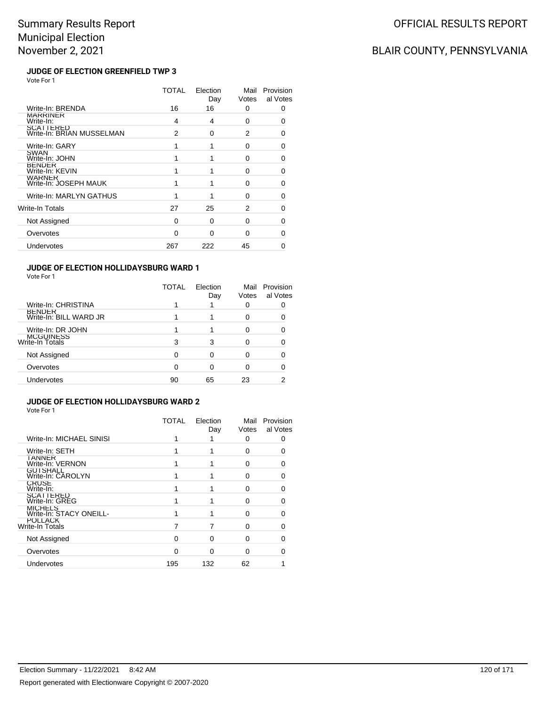# BLAIR COUNTY, PENNSYLVANIA

#### **JUDGE OF ELECTION GREENFIELD TWP 3** Vote For 1

|                                        | TOTAL | Election<br>Day | Mail<br>Votes | Provision<br>al Votes |
|----------------------------------------|-------|-----------------|---------------|-----------------------|
| Write-In: BRENDA                       | 16    | 16              | 0             | 0                     |
| <b>MARRINER</b><br>Write-In:           | 4     | 4               | 0             | O                     |
| SCATTERED<br>Write-In: BRIAN MUSSELMAN | 2     | 0               | 2             | 0                     |
| Write-In: GARY                         |       |                 | 0             | 0                     |
| <b>SWAN</b><br>Write-In: JOHN          |       |                 | 0             | 0                     |
| <b>BENDER</b><br>Write-In: KEVIN       |       |                 | $\Omega$      | 0                     |
| <b>WARNER</b><br>Write-In: JOSEPH MAUK |       |                 | O             | ∩                     |
| Write-In: MARLYN GATHUS                |       |                 | $\Omega$      | 0                     |
| Write-In Totals                        | 27    | 25              | 2             | ∩                     |
| Not Assigned                           | 0     | $\Omega$        | 0             | 0                     |
| Overvotes                              | 0     | O               | 0             | O                     |
| Undervotes                             | 267   | 222             | 45            | n                     |

### **JUDGE OF ELECTION HOLLIDAYSBURG WARD 1**

Vote For 1

|                                         | TOTAL | Election<br>Day | Mail<br>Votes | Provision<br>al Votes |
|-----------------------------------------|-------|-----------------|---------------|-----------------------|
| Write-In: CHRISTINA                     |       |                 |               |                       |
| <b>BENDER</b><br>Write-In: BILL WARD JR |       |                 | ŋ             |                       |
| Write-In: DR JOHN                       |       |                 | ŋ             |                       |
| MCGUINESS<br>Write-In Totals            | 3     | 3               |               |                       |
| Not Assigned                            | 0     |                 | ŋ             |                       |
| Overvotes                               | 0     | Ω               |               |                       |
| Undervotes                              | 90    | 65              | 23            |                       |

#### **JUDGE OF ELECTION HOLLIDAYSBURG WARD 2** Vote For 1

|                                           | <b>TOTAL</b> | Election<br>Day | Mail<br>Votes | Provision<br>al Votes |
|-------------------------------------------|--------------|-----------------|---------------|-----------------------|
| Write-In: MICHAEL SINISI                  |              |                 | 0             |                       |
| Write-In: SETH                            |              |                 | O             |                       |
| <b>IANNER</b><br>Write-In: VERNON         |              |                 | O             |                       |
| GUTSHALL<br>Write-In: CAROLYN             |              |                 | O             |                       |
| <b>CRUSE</b><br>Write-In:                 |              |                 | O             |                       |
| SCATTERED<br>Write-In: GREG               |              |                 | 0             |                       |
| <b>MICHELS</b><br>Write-In: STACY ONEILL- |              |                 | O             |                       |
| <b>POLLACK</b><br>Write-In Totals         |              |                 | 0             |                       |
| Not Assigned                              | O            | 0               | 0             |                       |
| Overvotes                                 | ∩            | 0               | O             |                       |
| Undervotes                                | 195          | 132             | 62            |                       |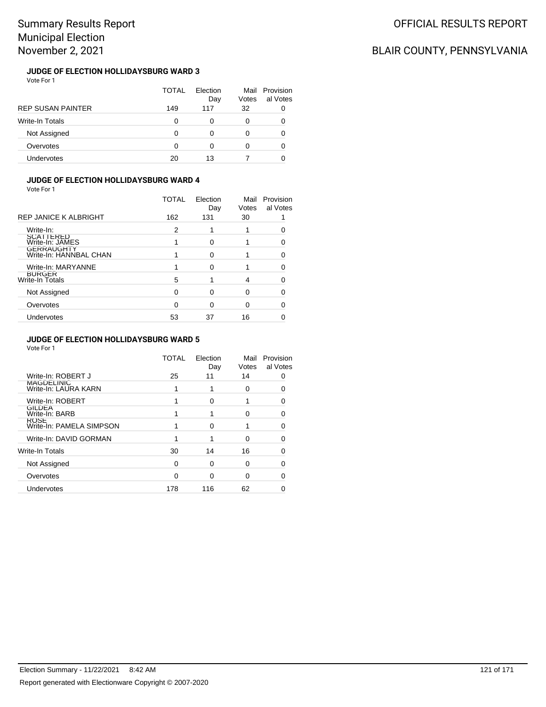# BLAIR COUNTY, PENNSYLVANIA

### **JUDGE OF ELECTION HOLLIDAYSBURG WARD 3** Vote For 1

|                          | TOTAL | Flection<br>Day | Mail<br>Votes | Provision<br>al Votes |
|--------------------------|-------|-----------------|---------------|-----------------------|
| <b>REP SUSAN PAINTER</b> | 149   | 117             | 32            |                       |
| <b>Write-In Totals</b>   | 0     | 0               | 0             |                       |
| Not Assigned             | 0     | 0               | 0             |                       |
| Overvotes                | 0     |                 | 0             | 0                     |
| Undervotes               | 20    | 13              |               |                       |

### **JUDGE OF ELECTION HOLLIDAYSBURG WARD 4**

Vote For 1

|                                         | TOTAL    | Election<br>Day | Mail<br>Votes | Provision<br>al Votes |
|-----------------------------------------|----------|-----------------|---------------|-----------------------|
| <b>REP JANICE K ALBRIGHT</b>            | 162      | 131             | 30            |                       |
| Write-In:                               | 2        |                 |               |                       |
| <b>SCATTERED</b><br>Write-In: JAMES     |          | ∩               |               |                       |
| GERRAUGHTY<br>Write-In: HANNBAL CHAN    |          | O               |               |                       |
| Write-In: MARYANNE                      |          | ∩               |               |                       |
| <b>BURGER</b><br><b>Write-In Totals</b> | 5        |                 | 4             |                       |
| Not Assigned                            | $\Omega$ | ∩               | O             |                       |
| Overvotes                               | ∩        | ∩               | 0             |                       |
| Undervotes                              | 53       | 37              | 16            |                       |

### **JUDGE OF ELECTION HOLLIDAYSBURG WARD 5**

|                                         | TOTAL | Election<br>Day | Mail<br>Votes | Provision<br>al Votes |
|-----------------------------------------|-------|-----------------|---------------|-----------------------|
| Write-In: ROBERT J                      | 25    | 11              | 14            |                       |
| MAGDELINIC<br>Write-In: LAURA KARN      |       | 1               | 0             |                       |
| Write-In: ROBERT                        |       | 0               |               | ∩                     |
| <b>GILDEA</b><br>Write-In: BARB         |       |                 | ი             |                       |
| <b>ROSE</b><br>Write-In: PAMELA SIMPSON |       | 0               |               |                       |
| Write-In: DAVID GORMAN                  |       | 1               | ი             |                       |
| Write-In Totals                         | 30    | 14              | 16            |                       |
| Not Assigned                            | 0     | 0               | 0             |                       |
| Overvotes                               | 0     | ∩               | 0             |                       |
| Undervotes                              | 178   | 116             | 62            |                       |
|                                         |       |                 |               |                       |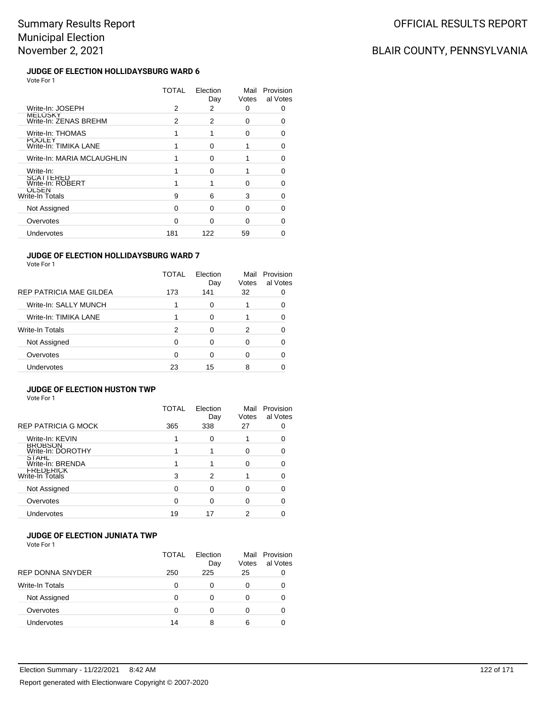# BLAIR COUNTY, PENNSYLVANIA

### **JUDGE OF ELECTION HOLLIDAYSBURG WARD 6** Vote For 1

|                                        | TOTAL | Election<br>Day | Mail<br>Votes | Provision<br>al Votes |
|----------------------------------------|-------|-----------------|---------------|-----------------------|
| Write-In: JOSEPH                       | 2     | 2               | 0             | Ω                     |
| MELOSKY<br>Write-In: ZENAS BREHM       | 2     | 2               | 0             | O                     |
| Write-In: THOMAS                       |       |                 | 0             | ∩                     |
| <b>POOLEY</b><br>Write-In: TIMIKA LANE |       | ∩               |               | O                     |
| Write-In: MARIA MCLAUGHLIN             |       | O               |               | ∩                     |
| Write-In:                              |       | O               |               | ∩                     |
| <b>SCATTERED</b><br>Write-In: ROBERT   |       |                 | ŋ             | O                     |
| OLSEN<br>Write-In Totals               | 9     | 6               | 3             | O                     |
| Not Assigned                           | 0     | U               | ŋ             | ∩                     |
| Overvotes                              | O     | ∩               | O             | n                     |
| Undervotes                             | 181   | 122             | 59            |                       |
|                                        |       |                 |               |                       |

### **JUDGE OF ELECTION HOLLIDAYSBURG WARD 7**

Vote For 1

|                         | TOTAL | Election<br>Day | Mail<br>Votes | Provision<br>al Votes |
|-------------------------|-------|-----------------|---------------|-----------------------|
| REP PATRICIA MAE GILDEA | 173   | 141             | 32            |                       |
| Write-In: SALLY MUNCH   |       | 0               |               |                       |
| Write-In: TIMIKA LANE   |       | 0               |               |                       |
| <b>Write-In Totals</b>  | 2     | 0               | 2             |                       |
| Not Assigned            | 0     | 0               | 0             |                       |
| Overvotes               | 0     | 0               |               |                       |
| <b>Undervotes</b>       | 23    | 15              | 8             |                       |

### **JUDGE OF ELECTION HUSTON TWP**

Vote For 1

|                                     | TOTAL    | Election<br>Day | Mail<br>Votes | Provision<br>al Votes |
|-------------------------------------|----------|-----------------|---------------|-----------------------|
| <b>REP PATRICIA G MOCK</b>          | 365      | 338             | 27            |                       |
| Write-In: KEVIN                     |          | 0               |               |                       |
| <b>BROBSON</b><br>Write-In: DOROTHY |          |                 | O             |                       |
| <b>STAHL</b><br>Write-In: BRENDA    |          |                 | ∩             |                       |
| FREDERICK<br>Write-In Totals        | 3        | 2               |               |                       |
| Not Assigned                        | $\Omega$ | 0               | ∩             |                       |
| Overvotes                           | 0        | 0               | O             |                       |
| <b>Undervotes</b>                   | 19       | 17              | 2             |                       |

### **JUDGE OF ELECTION JUNIATA TWP**

|                         | TOTAL | Flection<br>Day | Votes | Mail Provision<br>al Votes |
|-------------------------|-------|-----------------|-------|----------------------------|
| <b>REP DONNA SNYDER</b> | 250   | 225             | 25    |                            |
| Write-In Totals         | O     | 0               | 0     |                            |
| Not Assigned            | O     | 0               |       |                            |
| Overvotes               | O     | 0               |       |                            |
| Undervotes              | 14    | 8               | 6     |                            |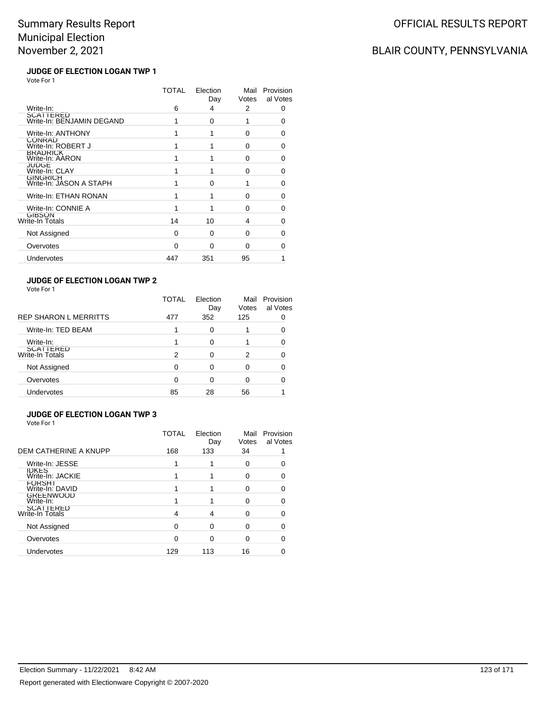# BLAIR COUNTY, PENNSYLVANIA

#### **JUDGE OF ELECTION LOGAN TWP 1** Vote For 1

|                                            | TOTAL | Election<br>Day | Mail<br>Votes | Provision<br>al Votes |
|--------------------------------------------|-------|-----------------|---------------|-----------------------|
| Write-In:                                  | 6     | 4               | 2             | 0                     |
| SCATTERED<br>Write-In: BENJAMIN DEGAND     |       | $\Omega$        |               | 0                     |
| Write-In: ANTHONY                          |       | 1               | 0             | 0                     |
| <b>CONRAD</b><br>Write-In: ROBERT J        |       |                 | 0             | 0                     |
| <b>BRADRICK</b><br>Write-In: AARON         | 1     | 1               | $\Omega$      | O                     |
| JUDGE<br>Write-In: CLAY                    |       |                 | $\Omega$      | U                     |
| <b>GINGRICH</b><br>Write-In: JASON A STAPH |       | O               | 1             | 0                     |
| Write-In: ETHAN RONAN                      | 1     |                 | $\Omega$      | 0                     |
| Write-In: CONNIE A                         |       |                 | 0             | 0                     |
| <b>GIBSON</b><br>Write-In Totals           | 14    | 10              | 4             | 0                     |
| Not Assigned                               | 0     | 0               | 0             | 0                     |
| Overvotes                                  | O     | $\Omega$        | O             | ∩                     |
| Undervotes                                 | 447   | 351             | 95            |                       |
|                                            |       |                 |               |                       |

### **JUDGE OF ELECTION LOGAN TWP 2**

Vote For 1

|                                     | TOTAL | Election<br>Day | Mail<br>Votes | Provision<br>al Votes |
|-------------------------------------|-------|-----------------|---------------|-----------------------|
| <b>REP SHARON L MERRITTS</b>        | 477   | 352             | 125           | 0                     |
| Write-In: TED BEAM                  | 1     | 0               |               | O                     |
| Write-In:                           |       | ŋ               |               | ŋ                     |
| <b>SCATTERED</b><br>Write-In Totals | 2     | 0               | 2             |                       |
| Not Assigned                        | 0     | ŋ               |               |                       |
| Overvotes                           | ∩     | n               |               |                       |
| Undervotes                          | 85    | 28              | 56            |                       |

#### **JUDGE OF ELECTION LOGAN TWP 3** Vote For 1

|                                  | TOTAL | Election<br>Day | Mail<br>Votes | Provision<br>al Votes |
|----------------------------------|-------|-----------------|---------------|-----------------------|
| DEM CATHERINE A KNUPP            | 168   | 133             | 34            |                       |
| Write-In: JESSE                  |       |                 | 0             |                       |
| <b>IDKES</b><br>Write-In: JACKIE |       |                 | 0             |                       |
| <b>FORSHI</b><br>Write-In: DAVID |       |                 | O             | ∩                     |
| <b>GREENWOOD</b><br>Write-In:    |       |                 | O             | 0                     |
| SCATTERED<br>Write-In Totals     | 4     | 4               | O             |                       |
| Not Assigned                     |       | ∩               | ∩             |                       |
| Overvotes                        | O     | ∩               | 0             | 0                     |
| Undervotes                       | 129   | 113             | 16            |                       |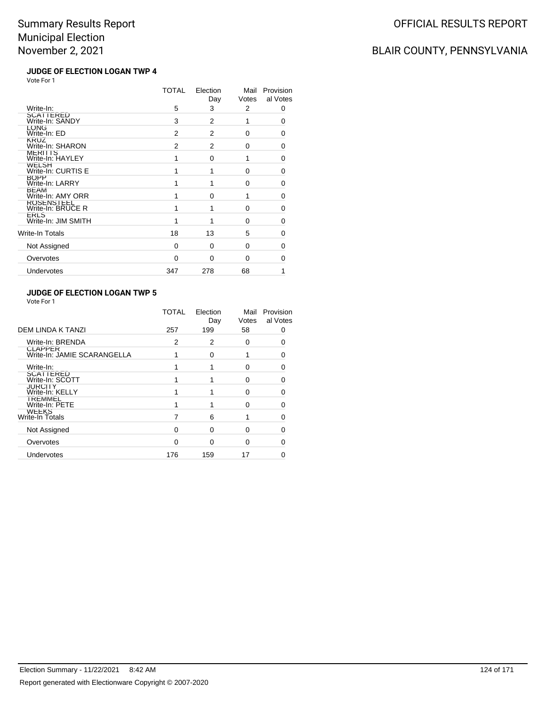# BLAIR COUNTY, PENNSYLVANIA

### **JUDGE OF ELECTION LOGAN TWP 4** Vote For 1

|                                    | TOTAL | Election<br>Day | Mail<br>Votes | Provision<br>al Votes |
|------------------------------------|-------|-----------------|---------------|-----------------------|
| Write-In:                          | 5     | 3               | 2             | 0                     |
| SCATTERED<br>Write-In: SANDY       | 3     | 2               | 1             | 0                     |
| LONG<br>Write-In: ED               | 2     | 2               | 0             | 0                     |
| <b>KRUZ</b><br>Write-In: SHARON    | 2     | 2               | 0             | 0                     |
| MERITTS<br>Write-In: HAYLEY        | 1     | $\Omega$        | 1             | $\Omega$              |
| WELSH<br>Write-In: CURTIS E        | 1     | 1               | 0             | 0                     |
| <b>BOPP</b><br>Write-In: LARRY     | 1     | 1               | 0             | 0                     |
| <b>BEAM</b><br>Write-In: AMY ORR   | 1     | O               | 1             | 0                     |
| ROSENS I EEL<br>Write-In: BRUCE R  | 1     | 1               | 0             | 0                     |
| <b>ERLS</b><br>Write-In: JIM SMITH |       |                 | 0             | 0                     |
| Write-In Totals                    | 18    | 13              | 5             | 0                     |
| Not Assigned                       | 0     | $\Omega$        | 0             | 0                     |
| Overvotes                          | 0     | 0               | 0             | 0                     |
| Undervotes                         | 347   | 278             | 68            |                       |
|                                    |       |                 |               |                       |

### **JUDGE OF ELECTION LOGAN TWP 5**

| Vote For |  |
|----------|--|
|----------|--|

|                                               | TOTAL | Election<br>Day | Mail<br>Votes | Provision<br>al Votes |
|-----------------------------------------------|-------|-----------------|---------------|-----------------------|
| <b>DEM LINDA K TANZI</b>                      | 257   | 199             | 58            | 0                     |
| Write-In: BRENDA                              | 2     | 2               | $\Omega$      | O                     |
| <b>CLAPPER</b><br>Write-In: JAMIE SCARANGELLA |       | $\Omega$        |               | 0                     |
| Write-In:                                     |       |                 | 0             | Ω                     |
| SCATTERED<br>Write-In: SCOTT                  |       |                 | O             | n                     |
| <b>JURCITY</b><br>Write-In: KELLY             |       |                 | $\Omega$      | n                     |
| <b>TREMMEL</b><br>Write-In: PETE              |       |                 | $\Omega$      | n                     |
| WEEKS<br>Write-In Totals                      |       | 6               |               | n                     |
| Not Assigned                                  | 0     | $\Omega$        | 0             | 0                     |
| Overvotes                                     | 0     | $\Omega$        | O             |                       |
| <b>Undervotes</b>                             | 176   | 159             | 17            |                       |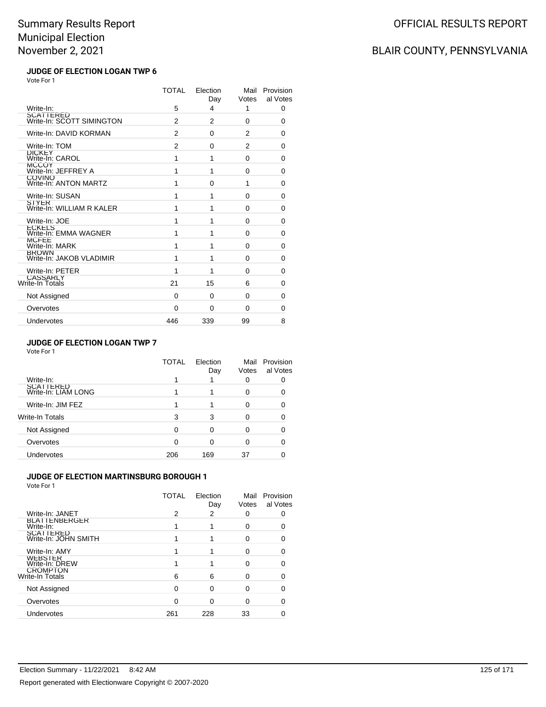# BLAIR COUNTY, PENNSYLVANIA

#### **JUDGE OF ELECTION LOGAN TWP 6** Vote For 1

|                                          | TOTAL | Election<br>Day | Mail<br>Votes  | Provision<br>al Votes |
|------------------------------------------|-------|-----------------|----------------|-----------------------|
| Write-In:                                | 5     | 4               | 1              | 0                     |
| SCATTERED<br>Write-In: SCOTT SIMINGTON   | 2     | 2               | $\Omega$       | 0                     |
| Write-In: DAVID KORMAN                   | 2     | $\Omega$        | 2              | 0                     |
| Write-In: TOM                            | 2     | $\Omega$        | $\overline{2}$ | 0                     |
| DICKEY<br>Write-In: CAROL                | 1     | 1               | $\Omega$       | 0                     |
| MCCOY<br>Write-In: JEFFREY A             | 1     | 1               | 0              | $\Omega$              |
| <b>COVINO</b><br>Write-In: ANTON MARTZ   | 1     | $\Omega$        | 1              | 0                     |
| Write-In: SUSAN                          | 1     | 1               | $\Omega$       | 0                     |
| SIYER<br>Write-In: WILLIAM R KALER       | 1     | 1               | 0              | 0                     |
| Write-In: JOE                            | 1     | 1               | $\Omega$       | 0                     |
| ECKELS<br>Write-In: EMMA WAGNER          | 1     | 1               | $\Omega$       | 0                     |
| MCFEE<br>Write-In: MARK                  | 1     | 1               | $\Omega$       | $\Omega$              |
| <b>BROWN</b><br>Write-In: JAKOB VLADIMIR | 1     | 1               | $\Omega$       | 0                     |
| Write-In: PETER                          | 1     | 1               | 0              | 0                     |
| CASSARLY<br>Write-In Totals              | 21    | 15              | 6              | 0                     |
| Not Assigned                             | 0     | $\Omega$        | $\Omega$       | $\Omega$              |
| Overvotes                                | 0     | 0               | 0              | 0                     |
| Undervotes                               | 446   | 339             | 99             | 8                     |

### **JUDGE OF ELECTION LOGAN TWP 7**

Vote For 1

|                                  | TOTAL | Election<br>Day | Mail<br>Votes | Provision<br>al Votes |
|----------------------------------|-------|-----------------|---------------|-----------------------|
| Write-In:                        |       |                 |               |                       |
| SCATTERED<br>Write-In: LIAM LONG |       |                 | ∩             |                       |
| Write-In: JIM FEZ                |       |                 | ŋ             |                       |
| Write-In Totals                  | 3     | 3               | ∩             |                       |
| Not Assigned                     | 0     | 0               | ŋ             |                       |
| Overvotes                        | 0     | 0               | ŋ             |                       |
| Undervotes                       | 206   | 169             | 37            |                       |

### **JUDGE OF ELECTION MARTINSBURG BOROUGH 1**

|                                          | TOTAL | Election<br>Day | Mail<br>Votes | Provision<br>al Votes |
|------------------------------------------|-------|-----------------|---------------|-----------------------|
| Write-In: JANET                          | 2     | 2               |               |                       |
| <b>BLAIIENBERGER</b><br>Write-In:        |       |                 | ი             |                       |
| <b>SCATTERED</b><br>Write-In: JOHN SMITH |       |                 | 0             |                       |
| Write-In: AMY                            |       |                 |               |                       |
| <b>WEBSTER</b><br>Write-In: DREW         |       |                 |               |                       |
| <b>CROMPTON</b><br>Write-In Totals       | 6     | 6               |               |                       |
| Not Assigned                             | 0     | 0               |               |                       |
| Overvotes                                |       | n               |               |                       |
| Undervotes                               | 261   | 228             | 33            |                       |
|                                          |       |                 |               |                       |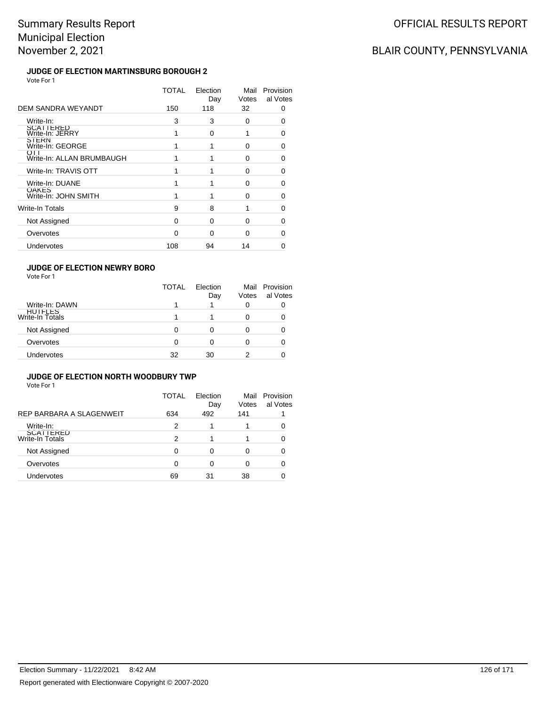# BLAIR COUNTY, PENNSYLVANIA

### **JUDGE OF ELECTION MARTINSBURG BOROUGH 2** Vote For 1

|                                      | TOTAL | Election<br>Day | Mail<br>Votes | Provision<br>al Votes |
|--------------------------------------|-------|-----------------|---------------|-----------------------|
| DEM SANDRA WEYANDT                   | 150   | 118             | 32            | O                     |
| Write-In:                            | 3     | 3               | 0             | O                     |
| SCATTERED<br>Write-In: JERRY         |       | 0               | 1             | O                     |
| SIERN<br>Write-In: GEORGE            |       |                 | 0             | 0                     |
| OTT<br>Write-In: ALLAN BRUMBAUGH     |       |                 | 0             | O                     |
| Write-In: TRAVIS OTT                 |       |                 | $\Omega$      | 0                     |
| Write-In: DUANE                      |       |                 | $\Omega$      | 0                     |
| <b>OAKES</b><br>Write-In: JOHN SMITH |       |                 | $\Omega$      | O                     |
| <b>Write-In Totals</b>               | 9     | 8               |               | 0                     |
| Not Assigned                         | 0     | $\Omega$        | 0             | ∩                     |
| Overvotes                            | 0     | $\Omega$        | 0             | O                     |
| Undervotes                           | 108   | 94              | 14            | 0                     |

### **JUDGE OF ELECTION NEWRY BORO**

Vote For 1

|                                   | <b>TOTAL</b> | Flection<br>Day | Votes | Mail Provision<br>al Votes |
|-----------------------------------|--------------|-----------------|-------|----------------------------|
| Write-In: DAWN                    |              |                 |       |                            |
| <b>HUIFLES</b><br>Write-In Totals |              |                 |       |                            |
| Not Assigned                      | 0            |                 |       |                            |
| Overvotes                         | 0            | 0               |       |                            |
| Undervotes                        | 32           | 30              |       |                            |

### **JUDGE OF ELECTION NORTH WOODBURY TWP**

|                              | TOTAL | Election<br>Day | Mail<br>Votes | Provision<br>al Votes |
|------------------------------|-------|-----------------|---------------|-----------------------|
| REP BARBARA A SLAGENWEIT     | 634   | 492             | 141           |                       |
| Write-In:                    | 2     |                 |               |                       |
| SCATTERED<br>Write-In Totals | 2     |                 |               |                       |
| Not Assigned                 | 0     | 0               |               |                       |
| Overvotes                    | 0     | 0               |               |                       |
| Undervotes                   | 69    | 31              | 38            |                       |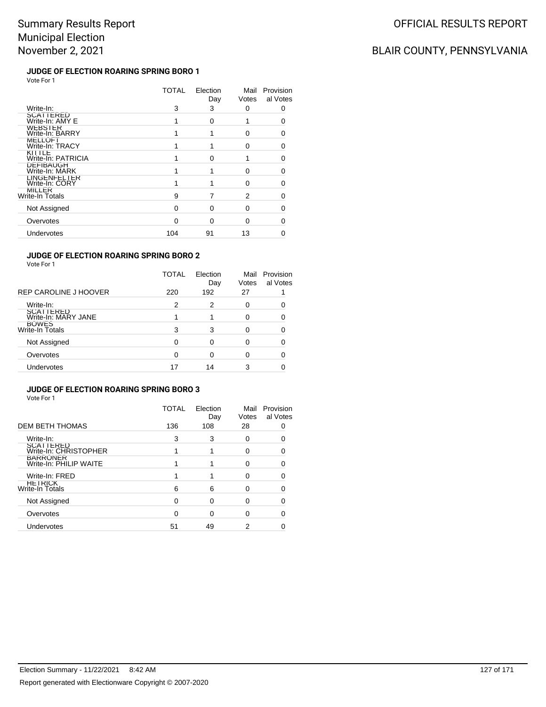# BLAIR COUNTY, PENNSYLVANIA

### **JUDGE OF ELECTION ROARING SPRING BORO 1** Vote For 1

|                                       | TOTAL | Election<br>Day | Mail<br>Votes | Provision<br>al Votes |
|---------------------------------------|-------|-----------------|---------------|-----------------------|
| Write-In:                             | 3     | 3               | 0             | Ω                     |
| SCATTERED<br>Write-In: AMY E          |       | O               |               |                       |
| WEBSIER<br>Write-In: BARRY            |       |                 | U             | n                     |
| MELLOF I<br>Write-In: TRACY           |       |                 | 0             | O                     |
| KITTLE<br>Write-In: PATRICIA          |       | n               |               | ∩                     |
| <b>DEFIBAUGH</b><br>Write-In: MARK    |       |                 | ∩             |                       |
| <b>LINGENFELTER</b><br>Write-In: CORY |       |                 | U             |                       |
| MILLER<br>Write-In Totals             | 9     |                 | 2             | O                     |
| Not Assigned                          | O     | n               | U             |                       |
| Overvotes                             | n     | ∩               | O             |                       |
| Undervotes                            | 104   | 91              | 13            |                       |
|                                       |       |                 |               |                       |

### **JUDGE OF ELECTION ROARING SPRING BORO 2**

Vote For 1

|                                         | TOTAL | Election<br>Day | Mail<br>Votes | Provision<br>al Votes |
|-----------------------------------------|-------|-----------------|---------------|-----------------------|
| REP CAROLINE J HOOVER                   | 220   | 192             | 27            |                       |
| Write-In:                               | 2     | 2               | 0             |                       |
| <b>SCATTERED</b><br>Write-In: MARY JANE | 1     |                 | ∩             |                       |
| BOWES<br>Write-In Totals                | 3     | 3               | O             |                       |
| Not Assigned                            | 0     | 0               | 0             |                       |
| Overvotes                               | 0     |                 |               |                       |
| Undervotes                              | 17    | 14              | 3             |                       |

### **JUDGE OF ELECTION ROARING SPRING BORO 3**

|                                           | TOTAL    | Election<br>Day | Mail<br>Votes | Provision<br>al Votes |
|-------------------------------------------|----------|-----------------|---------------|-----------------------|
| <b>DEM BETH THOMAS</b>                    | 136      | 108             | 28            |                       |
| Write-In:                                 | 3        | 3               | 0             |                       |
| <b>SCATTERED</b><br>Write-In: CHRISTOPHER |          |                 | ∩             |                       |
| <b>BARRONER</b><br>Write-In: PHILIP WAITE |          |                 | U             |                       |
| Write-In: FRED                            |          |                 | O             |                       |
| <b>HETRICK</b><br><b>Write-In Totals</b>  | 6        | 6               | ∩             |                       |
| Not Assigned                              | $\Omega$ | 0               | O             |                       |
| Overvotes                                 | $\Omega$ | 0               | O             |                       |
| Undervotes                                | 51       | 49              | 2             |                       |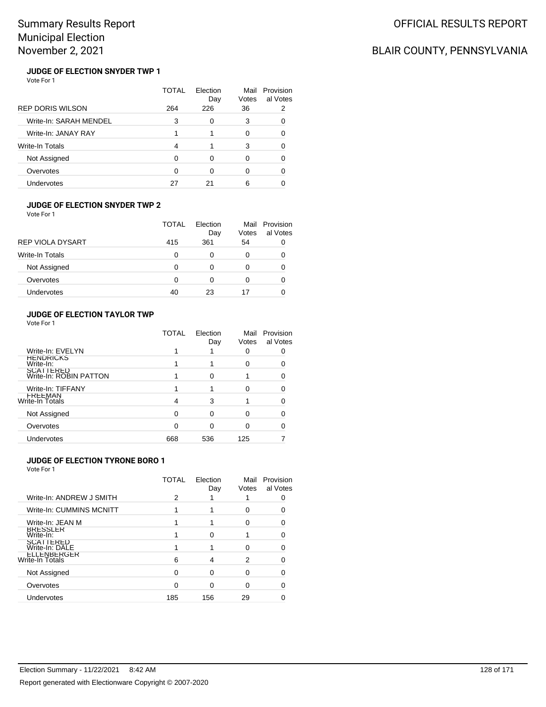# BLAIR COUNTY, PENNSYLVANIA

### **JUDGE OF ELECTION SNYDER TWP 1** Vote For 1

|                         | TOTAL | Flection<br>Day | Mail<br>Votes | Provision<br>al Votes |
|-------------------------|-------|-----------------|---------------|-----------------------|
| <b>REP DORIS WILSON</b> | 264   | 226             | 36            | 2                     |
| Write-In: SARAH MENDEL  | 3     | 0               | 3             | 0                     |
| Write-In: JANAY RAY     |       |                 | 0             | ∩                     |
| Write-In Totals         | 4     |                 | 3             | 0                     |
| Not Assigned            | 0     | 0               | 0             | O                     |
| Overvotes               | 0     | 0               | 0             |                       |
| <b>Undervotes</b>       | 27    | 21              | 6             |                       |

#### **JUDGE OF ELECTION SNYDER TWP 2**

Vote For 1

|                   | <b>TOTAL</b> | Election<br>Day | Mail<br>Votes | Provision<br>al Votes |
|-------------------|--------------|-----------------|---------------|-----------------------|
| REP VIOLA DYSART  | 415          | 361             | 54            |                       |
| Write-In Totals   | 0            | Ω               | Ω             |                       |
| Not Assigned      | 0            | 0               |               | 0                     |
| Overvotes         | O            | Ω               |               |                       |
| <b>Undervotes</b> | 40           | 23              | 17            |                       |

### **JUDGE OF ELECTION TAYLOR TWP**

Vote For 1

|                                            | TOTAL | Election<br>Day | Mail<br>Votes | Provision<br>al Votes |
|--------------------------------------------|-------|-----------------|---------------|-----------------------|
| Write-In: EVELYN                           |       |                 |               |                       |
| <b>HENDRICKS</b><br>Write-In:              |       |                 | O             |                       |
| <b>SCATTERED</b><br>Write-In: ROBIN PATTON |       |                 |               |                       |
| Write-In: TIFFANY                          |       |                 |               |                       |
| <b>FREEMAN</b><br>Write-In Totals          |       | 3               |               |                       |
| Not Assigned                               |       | ∩               |               |                       |
| Overvotes                                  |       |                 |               |                       |
| Undervotes                                 | 668   | 536             | 125           |                       |

### **JUDGE OF ELECTION TYRONE BORO 1**

|                                    | TOTAL | Election<br>Day | Mail<br>Votes | Provision<br>al Votes |
|------------------------------------|-------|-----------------|---------------|-----------------------|
| Write-In: ANDREW J SMITH           | 2     |                 |               |                       |
| Write-In: CUMMINS MCNITT           |       |                 | 0             |                       |
| Write-In: JEAN M                   |       |                 | O             |                       |
| <b>BRESSLER</b><br>Write-In:       |       |                 |               |                       |
| <b>SCATTERED</b><br>Write-In: DALE |       |                 | 0             |                       |
| ELLENBERGER<br>Write-In Totals     | 6     | 4               | 2             |                       |
| Not Assigned                       | 0     | ŋ               | 0             |                       |
| Overvotes                          | ŋ     |                 | ∩             |                       |
| <b>Undervotes</b>                  | 185   | 156             | 29            |                       |
|                                    |       |                 |               |                       |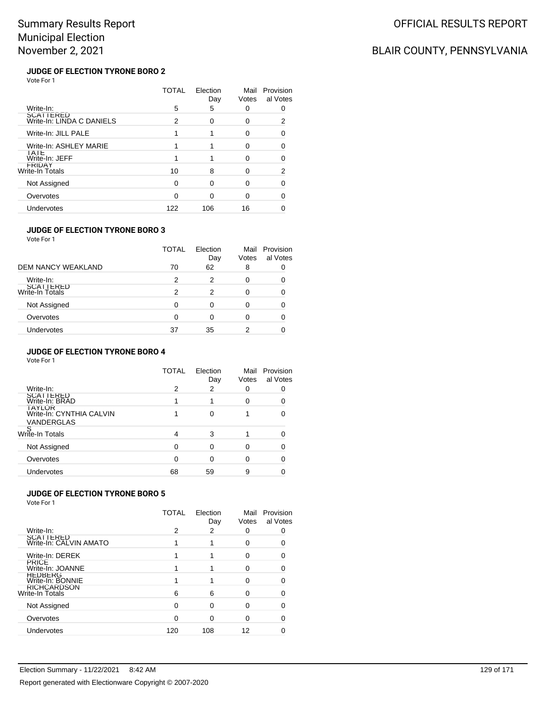# BLAIR COUNTY, PENNSYLVANIA

### **JUDGE OF ELECTION TYRONE BORO 2** Vote For 1

|                                        | TOTAL | Election<br>Day | Mail<br>Votes | Provision<br>al Votes |
|----------------------------------------|-------|-----------------|---------------|-----------------------|
| Write-In:                              | 5     | 5               | 0             |                       |
| SCATTERED<br>Write-In: LINDA C DANIELS | 2     | $\Omega$        | 0             | 2                     |
| Write-In: JILL PALE                    |       |                 | 0             | 0                     |
| Write-In: ASHLEY MARIE                 |       |                 | 0             |                       |
| IAIE<br>Write-In: JEFF                 |       |                 | O             |                       |
| FRIDAY<br>Write-In Totals              | 10    | 8               | O             | 2                     |
| Not Assigned                           | 0     | ∩               | O             |                       |
| Overvotes                              |       |                 | ი             |                       |
| Undervotes                             | 122   | 106             | 16            |                       |

### **JUDGE OF ELECTION TYRONE BORO 3**

Vote For 1

|                              | TOTAL | Election<br>Day | Mail<br>Votes | Provision<br>al Votes |
|------------------------------|-------|-----------------|---------------|-----------------------|
| <b>DEM NANCY WEAKLAND</b>    | 70    | 62              | 8             |                       |
| Write-In:                    | 2     | 2               |               |                       |
| SCATTERED<br>Write-In Totals | 2     | 2               |               |                       |
| Not Assigned                 |       | 0               |               |                       |
| Overvotes                    | ∩     | 0               |               |                       |
| Undervotes                   | 37    | 35              |               |                       |

### **JUDGE OF ELECTION TYRONE BORO 4**

| Vote For 1                                              |              |                 |               |                       |
|---------------------------------------------------------|--------------|-----------------|---------------|-----------------------|
|                                                         | <b>TOTAL</b> | Election<br>Day | Mail<br>Votes | Provision<br>al Votes |
| Write-In:                                               | 2            | 2               | 0             |                       |
| <b>SCATTERED</b><br>Write-In: BRAD                      |              |                 | 0             |                       |
| <b>IAYLOR</b><br>Write-In: CYNTHIA CALVIN<br>VANDERGLAS |              | $\Omega$        |               |                       |
| S<br>Write-In Totals                                    | 4            | 3               |               |                       |
| Not Assigned                                            | 0            | ŋ               | 0             |                       |
| Overvotes                                               | ი            |                 | O             |                       |
| Undervotes                                              | 68           | 59              | 9             |                       |

### **JUDGE OF ELECTION TYRONE BORO 5**

|                                       | TOTAL | Election<br>Day | Mail<br>Votes | Provision<br>al Votes |
|---------------------------------------|-------|-----------------|---------------|-----------------------|
| Write-In:                             | 2     | 2               | 0             |                       |
| SCATTERED<br>Write-In: CALVIN AMATO   |       |                 | 0             |                       |
| Write-In: DEREK                       |       |                 | O             |                       |
| <b>PRICE</b><br>Write-In: JOANNE      |       |                 | 0             |                       |
| <b>HEDBERG</b><br>Write-In: BONNIE    |       |                 | 0             |                       |
| <b>RICHCARDSON</b><br>Write-In Totals | 6     | 6               | 0             |                       |
| Not Assigned                          | 0     | ŋ               | 0             |                       |
| Overvotes                             | ∩     |                 | O             |                       |
| Undervotes                            | 120   | 108             | 12            |                       |
|                                       |       |                 |               |                       |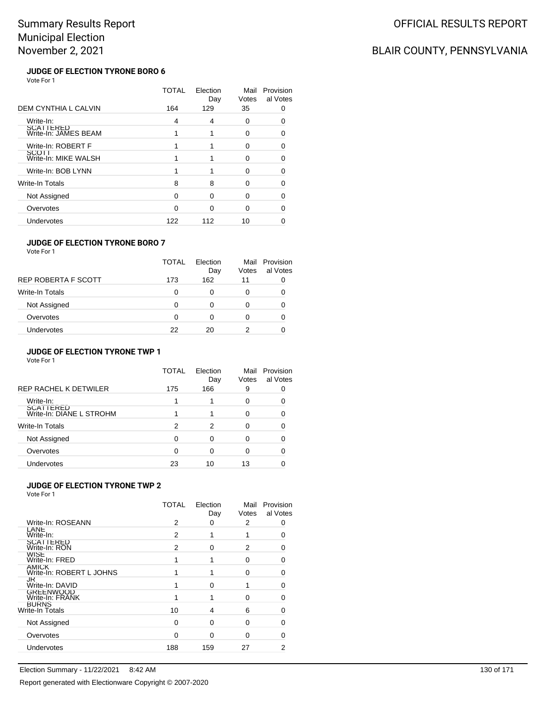# BLAIR COUNTY, PENNSYLVANIA

### **JUDGE OF ELECTION TYRONE BORO 6** Vote For 1

|                                   | TOTAL | Flection<br>Day | Mail<br>Votes | Provision<br>al Votes |
|-----------------------------------|-------|-----------------|---------------|-----------------------|
| <b>DEM CYNTHIA L CALVIN</b>       | 164   | 129             | 35            | O                     |
| Write-In:                         | 4     | 4               | 0             | n                     |
| SCATTERED<br>Write-In: JAMES BEAM |       |                 | 0             | O                     |
| Write-In: ROBERT F                |       |                 | O             | 0                     |
| SCOTT<br>Write-In: MIKE WALSH     |       |                 | O             |                       |
| Write-In: BOB LYNN                |       |                 | 0             |                       |
| Write-In Totals                   | 8     | 8               | ∩             | O                     |
| Not Assigned                      | 0     | O               | 0             | 0                     |
| Overvotes                         | ი     | ∩               | ∩             |                       |
| Undervotes                        | 122   | 112             | 10            |                       |

### **JUDGE OF ELECTION TYRONE BORO 7**

Vote For 1

|                        | <b>TOTAL</b> | Flection<br>Day | Votes | Mail Provision<br>al Votes |
|------------------------|--------------|-----------------|-------|----------------------------|
| REP ROBERTA F SCOTT    | 173          | 162             | 11    |                            |
| <b>Write-In Totals</b> | 0            | O               |       |                            |
| Not Assigned           | O            | 0               |       |                            |
| Overvotes              | O            | O               |       |                            |
| <b>Undervotes</b>      | 22           | 20              |       |                            |

### **JUDGE OF ELECTION TYRONE TWP 1**

|                                              | TOTAL | Election<br>Day | Mail<br>Votes | Provision<br>al Votes |
|----------------------------------------------|-------|-----------------|---------------|-----------------------|
| <b>REP RACHEL K DETWILER</b>                 | 175   | 166             | 9             |                       |
| Write-In:                                    |       |                 | 0             |                       |
| <b>SCATTERED</b><br>Write-In: DIANE L STROHM |       |                 | 0             |                       |
| Write-In Totals                              | 2     | 2               | 0             |                       |
| Not Assigned                                 | ∩     | 0               | O             |                       |
| Overvotes                                    | 0     | 0               | 0             |                       |
| Undervotes                                   | 23    | 10              | 13            |                       |

### **JUDGE OF ELECTION TYRONE TWP 2**

|                                          | TOTAL | Election<br>Day | Mail<br>Votes | Provision<br>al Votes |
|------------------------------------------|-------|-----------------|---------------|-----------------------|
| Write-In: ROSEANN                        | 2     | 0               | 2             | O                     |
| LANE<br>Write-In:                        | 2     |                 |               | n                     |
| <b>SCATTERED</b><br>Write-In: RON        | 2     | $\Omega$        | 2             |                       |
| <b>WISE</b><br>Write-In: FRED            |       |                 | 0             |                       |
| <b>AMICK</b><br>Write-In: ROBERT L JOHNS |       |                 | n             |                       |
| <b>JK</b><br>Write-In: DAVID             |       | $\Omega$        |               |                       |
| GREENWOOD<br>Write-In: FRANK             |       |                 | n             |                       |
| <b>BURNS</b><br>Write-In Totals          | 10    | 4               | 6             |                       |
| Not Assigned                             | ∩     | $\Omega$        | O             |                       |
| Overvotes                                | ∩     | $\Omega$        | O             |                       |
| Undervotes                               | 188   | 159             | 27            | 2                     |
|                                          |       |                 |               |                       |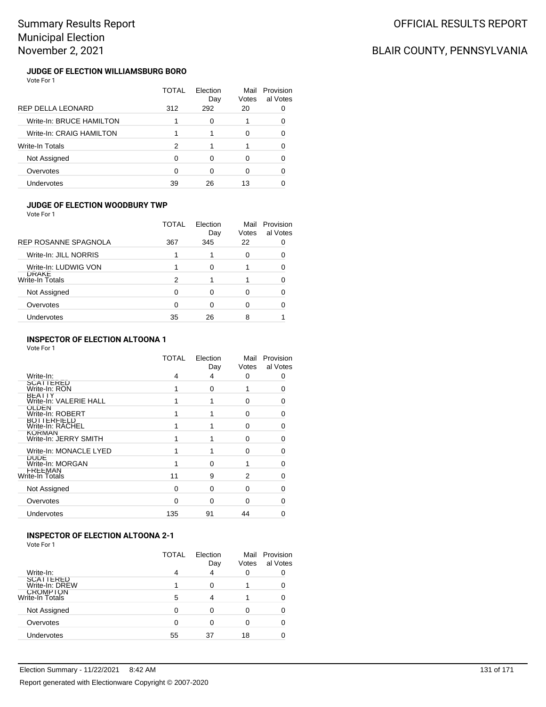## BLAIR COUNTY, PENNSYLVANIA

### **JUDGE OF ELECTION WILLIAMSBURG BORO** Vote For 1

|                          | TOTAL | Flection<br>Day | Mail<br>Votes | Provision<br>al Votes |
|--------------------------|-------|-----------------|---------------|-----------------------|
| REP DELLA LEONARD        | 312   | 292             | 20            |                       |
| Write-In: BRUCE HAMILTON |       | 0               |               |                       |
| Write-In: CRAIG HAMILTON |       |                 | 0             | 0                     |
| Write-In Totals          | 2     |                 |               | 0                     |
| Not Assigned             | ∩     | ∩               | O             | ∩                     |
| Overvotes                | 0     | ∩               | 0             |                       |
| Undervotes               | 39    | 26              | 13            |                       |

### **JUDGE OF ELECTION WOODBURY TWP**

Vote For 1

|                                 | TOTAI | Flection<br>Day | Mail<br>Votes | Provision<br>al Votes |
|---------------------------------|-------|-----------------|---------------|-----------------------|
| REP ROSANNE SPAGNOLA            | 367   | 345             | 22            |                       |
| Write-In: JILL NORRIS           |       |                 | 0             | 0                     |
| Write-In: LUDWIG VON            |       | 0               |               |                       |
| <b>DRAKE</b><br>Write-In Totals | 2     |                 |               |                       |
| Not Assigned                    | 0     | 0               | 0             |                       |
| Overvotes                       | 0     | 0               | 0             |                       |
| Undervotes                      | 35    | 26              | 8             |                       |
|                                 |       |                 |               |                       |

### **INSPECTOR OF ELECTION ALTOONA 1**

Vote For 1

|                                        | TOTAL    | Election<br>Day | Votes | Mail Provision<br>al Votes |
|----------------------------------------|----------|-----------------|-------|----------------------------|
| Write-In:                              | 4        | 4               | 0     | 0                          |
| SCATTERED<br>Write-In: RON             |          | 0               | 1     | $\Omega$                   |
| BEAIIY<br>Write-In: VALERIE HALL       |          |                 | 0     | 0                          |
| <b>ULDEN</b><br>Write-In: ROBERT       |          |                 | 0     | ŋ                          |
| <b>BOTTERFIELD</b><br>Write-In: RACHEL |          |                 | 0     | ∩                          |
| <b>KORMAN</b><br>Write-In: JERRY SMITH |          |                 | 0     | ŋ                          |
| Write-In: MONACLE LYED                 |          |                 | 0     | ∩                          |
| <b>DUDE</b><br>Write-In: MORGAN        |          | $\Omega$        |       | ∩                          |
| FREEMAN<br>Write-In Totals             | 11       | 9               | 2     |                            |
| Not Assigned                           | $\Omega$ | $\Omega$        | 0     | ŋ                          |
| Overvotes                              | $\Omega$ | 0               | 0     | O                          |
| Undervotes                             | 135      | 91              | 44    |                            |

## **INSPECTOR OF ELECTION ALTOONA 2-1**

| Vote For 1 |  |  |
|------------|--|--|
|------------|--|--|

|                                    | TOTAL | Election<br>Day | Votes | Mail Provision<br>al Votes |
|------------------------------------|-------|-----------------|-------|----------------------------|
| Write-In:                          |       | 4               | 0     |                            |
| <b>SCATTERED</b><br>Write-In: DREW |       |                 |       |                            |
| <b>CROMPTON</b><br>Write-In Totals | 5     |                 |       |                            |
| Not Assigned                       |       |                 |       |                            |
| Overvotes                          |       |                 |       |                            |
| Undervotes                         | 55    | 37              | 18    |                            |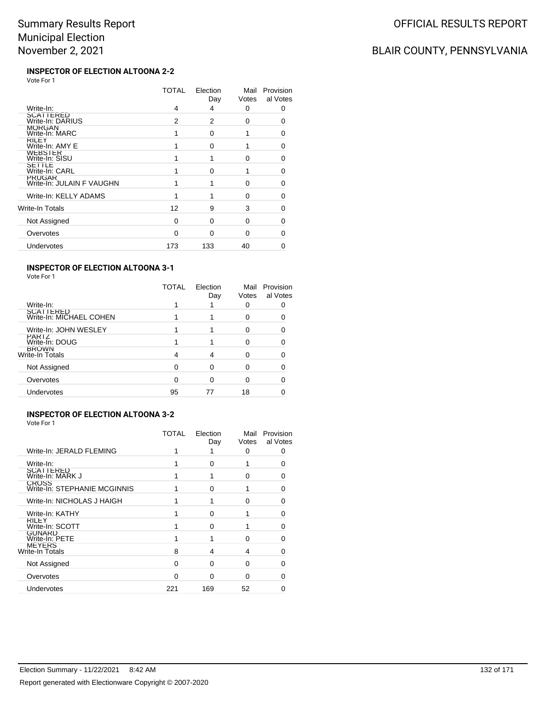# BLAIR COUNTY, PENNSYLVANIA

#### **INSPECTOR OF ELECTION ALTOONA 2-2** Vote For 1

|                                            | TOTAL | Election<br>Day | Mail<br>Votes | Provision<br>al Votes |
|--------------------------------------------|-------|-----------------|---------------|-----------------------|
| Write-In:                                  | 4     | 4               | 0             | 0                     |
| SCATTERED<br>Write-In: DARIUS              | 2     | 2               | 0             |                       |
| <b>MORGAN</b><br>Write-In: MARC            |       | $\Omega$        |               | 0                     |
| <b>KILEY</b><br>Write-In: AMY E            |       | $\Omega$        |               | 0                     |
| <b>WEBSTER</b><br>Write-In: SISU           |       |                 | $\Omega$      | 0                     |
| SEIILE<br>Write-In: CARL                   |       | O               | 1             | 0                     |
| <b>PRUGAR</b><br>Write-In: JULAIN F VAUGHN |       |                 | O             | O                     |
| Write-In: KELLY ADAMS                      |       |                 | $\Omega$      | 0                     |
| Write-In Totals                            | 12    | 9               | 3             | O                     |
| Not Assigned                               | 0     | $\Omega$        | 0             | 0                     |
| Overvotes                                  | 0     | $\Omega$        | 0             | 0                     |
| Undervotes                                 | 173   | 133             | 40            | 0                     |

### **INSPECTOR OF ELECTION ALTOONA 3-1**

Vote For 1

|                                      | TOTAL | Election<br>Day | Mail<br>Votes | Provision<br>al Votes |
|--------------------------------------|-------|-----------------|---------------|-----------------------|
| Write-In:                            |       |                 | 0             | 0                     |
| SCATTERED<br>Write-In: MICHAEL COHEN |       |                 | Ω             | 0                     |
| Write-In: JOHN WESLEY                |       |                 | 0             | 0                     |
| PARTZ<br>Write-In: DOUG              |       |                 | 0             |                       |
| <b>BROWN</b><br>Write-In Totals      | 4     | 4               | O             |                       |
| Not Assigned                         | 0     | ი               | O             | 0                     |
| Overvotes                            | 0     | 0               | O             | 0                     |
| Undervotes                           | 95    | 77              | 18            |                       |
|                                      |       |                 |               |                       |

### **INSPECTOR OF ELECTION ALTOONA 3-2**

| Vote For 1 |  |
|------------|--|
|------------|--|

|                                              | TOTAL | Election<br>Day | Mail<br>Votes | Provision<br>al Votes |
|----------------------------------------------|-------|-----------------|---------------|-----------------------|
| Write-In: JERALD FLEMING                     |       |                 | 0             | 0                     |
| Write-In:                                    |       | ∩               |               | n                     |
| <b>SCATTERED</b><br>Write-In: MARK J         |       |                 | ∩             | Ω                     |
| <b>CROSS</b><br>Write-In: STEPHANIE MCGINNIS |       | ∩               |               | 0                     |
| Write-In: NICHOLAS J HAIGH                   |       |                 |               |                       |
| Write-In: KATHY                              |       | 0               |               | 0                     |
| <b>KILEY</b><br>Write-In: SCOTT              |       | ∩               |               | 0                     |
| <b>GUNARD</b><br>Write-In: PETE              |       |                 |               |                       |
| <b>MEYERS</b><br>Write-In Totals             | 8     | 4               | 4             | O                     |
| Not Assigned                                 | O     | ∩               | ∩             | 0                     |
| Overvotes                                    | O     | $\Omega$        | ∩             |                       |
| Undervotes                                   | 221   | 169             | 52            |                       |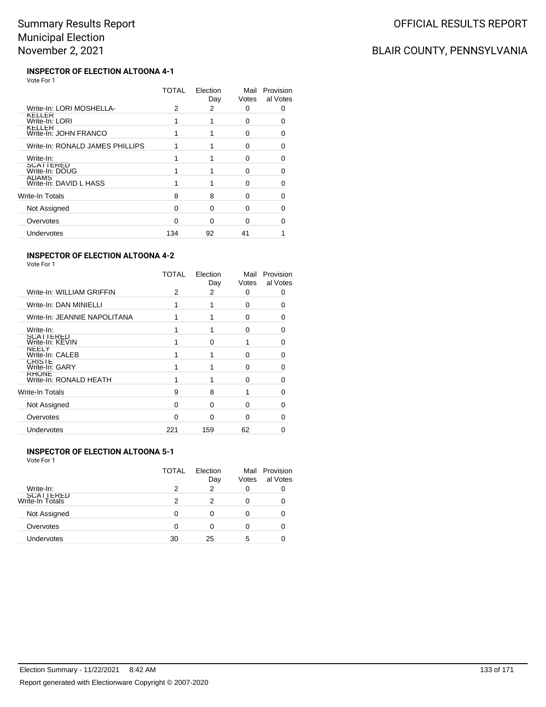# BLAIR COUNTY, PENNSYLVANIA

#### **INSPECTOR OF ELECTION ALTOONA 4-1** Vote For 1

|                                        | TOTAL | Election<br>Day | Mail<br>Votes | Provision<br>al Votes |
|----------------------------------------|-------|-----------------|---------------|-----------------------|
| Write-In: LORI MOSHELLA-               | 2     | 2               | ŋ             | O                     |
| KELLER<br>Write-In: LORI               |       |                 | 0             |                       |
| <b>KELLER</b><br>Write-In: JOHN FRANCO |       |                 | ŋ             | n                     |
| Write-In: RONALD JAMES PHILLIPS        |       |                 | ŋ             | O                     |
| Write-In:                              |       |                 | ŋ             | ∩                     |
| SCATTERED<br>Write-In: DOUG            |       |                 | ∩             |                       |
| <b>ADAMS</b><br>Write-In: DAVID L HASS |       |                 | O             |                       |
| Write-In Totals                        | 8     | 8               | O             |                       |
| Not Assigned                           | O     | ∩               | O             |                       |
| Overvotes                              | n     | ∩               | ∩             |                       |
| Undervotes                             | 134   | 92              | 41            |                       |
|                                        |       |                 |               |                       |

### **INSPECTOR OF ELECTION ALTOONA 4-2**

| Write-In: WILLIAM GRIFFIN<br>2<br>2<br>ŋ<br>Write-In: DAN MINIELLI<br>ŋ<br>Write-In: JEANNIE NAPOLITANA<br>U<br>Write-In:<br>$\Omega$<br>SCATTERED<br>Write-In: KEVIN<br>0<br>NEELY | Provision<br>al Votes |
|-------------------------------------------------------------------------------------------------------------------------------------------------------------------------------------|-----------------------|
|                                                                                                                                                                                     | 0                     |
|                                                                                                                                                                                     | ŋ                     |
|                                                                                                                                                                                     | ŋ                     |
|                                                                                                                                                                                     | n                     |
|                                                                                                                                                                                     |                       |
| Write-In: CALEB<br>ŋ                                                                                                                                                                | ŋ                     |
| <b>CRISTE</b><br>Write-In: GARY<br>∩                                                                                                                                                | ∩                     |
| <b>KHONE</b><br>Write-In: RONALD HEATH<br>∩                                                                                                                                         | O                     |
| Write-In Totals<br>9<br>8                                                                                                                                                           | ŋ                     |
| Not Assigned<br>$\Omega$<br>0<br>ŋ                                                                                                                                                  |                       |
| Overvotes<br>∩<br>0<br>ŋ                                                                                                                                                            |                       |
| Undervotes<br>62<br>221<br>159                                                                                                                                                      |                       |

### **INSPECTOR OF ELECTION ALTOONA 5-1**

|                              | TOTAL | Election<br>Day | Votes | Mail Provision<br>al Votes |
|------------------------------|-------|-----------------|-------|----------------------------|
| Write-In:                    | 2     | 2               | 0     |                            |
| SCATTERED<br>Write-In Totals | 2     | 2               |       |                            |
| Not Assigned                 | 0     | 0               |       |                            |
| Overvotes                    | 0     | 0               |       |                            |
| Undervotes                   | 30    | 25              | 5     |                            |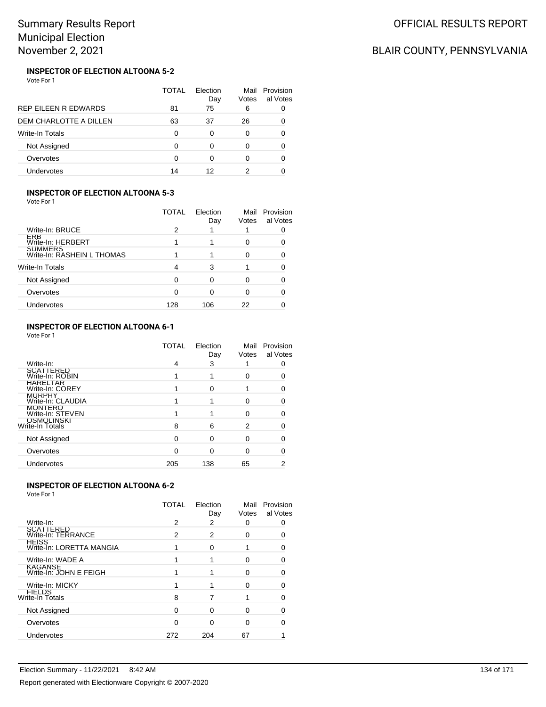# BLAIR COUNTY, PENNSYLVANIA

#### **INSPECTOR OF ELECTION ALTOONA 5-2** Vote For 1

|                               | TOTAL | Flection<br>Day | Mail<br>Votes | Provision<br>al Votes |
|-------------------------------|-------|-----------------|---------------|-----------------------|
| REP EILEEN R EDWARDS          | 81    | 75              | 6             |                       |
| <b>DEM CHARLOTTE A DILLEN</b> | 63    | 37              | 26            |                       |
| <b>Write-In Totals</b>        | 0     | ∩               | 0             |                       |
| Not Assigned                  | ∩     |                 | 0             |                       |
| Overvotes                     | ∩     |                 | 0             |                       |
| Undervotes                    | 14    | 12              |               |                       |

### **INSPECTOR OF ELECTION ALTOONA 5-3**

Vote For 1

|                                              | TOTAL | Election<br>Day | Mail<br>Votes | Provision<br>al Votes |
|----------------------------------------------|-------|-----------------|---------------|-----------------------|
| Write-In: BRUCE                              | 2     |                 |               |                       |
| ERB<br>Write-In: HERBERT                     |       |                 |               |                       |
| <b>SUMMERS</b><br>Write-In: RASHEIN L THOMAS |       |                 |               |                       |
| Write-In Totals                              | 4     | 3               |               |                       |
| Not Assigned                                 | 0     |                 |               |                       |
| Overvotes                                    | 0     | Ω               |               |                       |
| Undervotes                                   | 128   | 106             | 22            |                       |

### **INSPECTOR OF ELECTION ALTOONA 6-1**

Vote For 1

|                                     | <b>TOTAL</b> | Election<br>Day | Mail<br>Votes | Provision<br>al Votes |
|-------------------------------------|--------------|-----------------|---------------|-----------------------|
| Write-In:                           | 4            | 3               |               |                       |
| <b>SCATTERED</b><br>Write-In: ROBIN |              |                 |               |                       |
| <b>HARELTAR</b><br>Write-In: COREY  |              | 0               |               |                       |
| <b>MURPHY</b><br>Write-In: CLAUDIA  |              |                 | 0             |                       |
| <b>MONTERO</b><br>Write-In: STEVEN  |              |                 | U             |                       |
| OSMOLINSKI<br>Write-In Totals       | 8            | 6               | 2             |                       |
| Not Assigned                        | 0            | 0               | 0             |                       |
| Overvotes                           |              |                 |               |                       |
| Undervotes                          | 205          | 138             | 65            | 2                     |
|                                     |              |                 |               |                       |

### **INSPECTOR OF ELECTION ALTOONA 6-2**

|                                          | TOTAL    | Election<br>Day | Mail<br>Votes | Provision<br>al Votes |
|------------------------------------------|----------|-----------------|---------------|-----------------------|
| Write-In:                                | 2        | 2               | 0             |                       |
| SCATTERED<br>Write-In: TERRANCE          | 2        | 2               | 0             |                       |
| HEISS<br>Write-In: LORETTA MANGIA        |          | 0               |               |                       |
| Write-In: WADE A                         |          |                 | 0             |                       |
| <b>KAGANSE</b><br>Write-In: JOHN E FEIGH |          |                 | O             |                       |
| Write-In: MICKY                          |          |                 | O             |                       |
| FIELDS<br>Write-In Totals                | 8        |                 |               |                       |
| Not Assigned                             | $\Omega$ | 0               | 0             |                       |
| Overvotes                                | ∩        | O               | O             |                       |
| Undervotes                               | 272      | 204             | 67            |                       |
|                                          |          |                 |               |                       |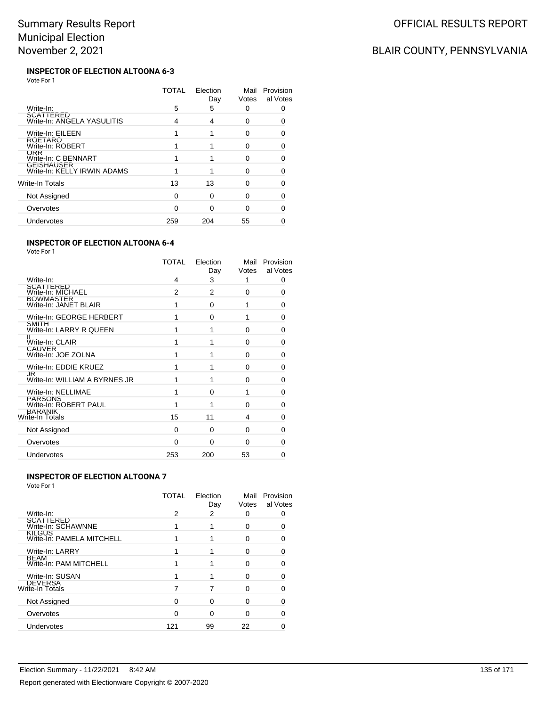# BLAIR COUNTY, PENNSYLVANIA

#### **INSPECTOR OF ELECTION ALTOONA 6-3** Vote For 1

|                                           | TOTAL | Election<br>Day | Mail<br>Votes | Provision<br>al Votes |
|-------------------------------------------|-------|-----------------|---------------|-----------------------|
| Write-In:                                 | 5     | 5               | 0             |                       |
| SCATTERED<br>Write-In: ANGELA YASULITIS   | 4     | 4               | ŋ             |                       |
| Write-In: EILEEN                          |       |                 | 0             |                       |
| <b>KULIAKU</b><br>Write-In: ROBERT        |       |                 | O             | 0                     |
| ORR<br>Write-In: C BENNART                |       |                 | O             | n                     |
| GEISHAUSER<br>Write-In: KELLY IRWIN ADAMS |       |                 | ∩             |                       |
| Write-In Totals                           | 13    | 13              | O             |                       |
| Not Assigned                              | 0     | ∩               | O             | O                     |
| Overvotes                                 | O     | ∩               | O             |                       |
| Undervotes                                | 259   | 204             | 55            |                       |

### **INSPECTOR OF ELECTION ALTOONA 6-4**

Vote For 1

|                                         | TOTAL | Election<br>Day | Mail<br>Votes | Provision<br>al Votes |
|-----------------------------------------|-------|-----------------|---------------|-----------------------|
| Write-In:                               | 4     | 3               | 1             | 0                     |
| SCATTERED<br>Write-In: MICHAEL          | 2     | 2               | $\Omega$      | 0                     |
| BOWMASTER<br>Write-In: JANET BLAIR      |       | $\Omega$        | 1             | 0                     |
| Write-In: GEORGE HERBERT                |       | 0               | 1             | O                     |
| <b>SMITH</b><br>Write-In: LARRY R QUEEN |       | 1               | $\Omega$      | 0                     |
| Write-In: CLAIR                         |       | 1               | $\Omega$      | U                     |
| <b>CAUVER</b><br>Write-In: JOE ZOLNA    |       | 1               | $\Omega$      | O                     |
| Write-In: EDDIE KRUEZ                   |       | 1               | $\Omega$      | U                     |
| JK<br>Write-In: WILLIAM A BYRNES JR     |       | 1               | $\Omega$      | ŋ                     |
| Write-In: NELLIMAE                      |       | 0               | 1             | 0                     |
| PARSONS<br>Write-In: ROBERT PAUL        |       | 1               | $\Omega$      | O                     |
| <b>BARANIK</b><br>Write-In Totals       | 15    | 11              | 4             | 0                     |
| Not Assigned                            | 0     | 0               | 0             | 0                     |
| Overvotes                               | 0     | $\Omega$        | $\Omega$      |                       |
| Undervotes                              | 253   | 200             | 53            | Ω                     |

### **INSPECTOR OF ELECTION ALTOONA 7**

|                                            | TOTAL | Election<br>Day | Mail<br>Votes | Provision<br>al Votes |
|--------------------------------------------|-------|-----------------|---------------|-----------------------|
| Write-In:                                  | 2     | 2               |               |                       |
| <b>SCATTERED</b><br>Write-In: SCHAWNNE     |       |                 | 0             |                       |
| <b>KILGUS</b><br>Write-In: PAMELA MITCHELL |       |                 | O)            |                       |
| Write-In: LARRY                            |       |                 | 0             |                       |
| BEAM<br>Write-In: PAM MITCHELL             |       |                 | U             |                       |
| Write-In: SUSAN                            |       |                 | U             |                       |
| DEVERSA<br>Write-In Totals                 |       |                 | O             |                       |
| Not Assigned                               |       | ∩               | U             |                       |
| Overvotes                                  | ∩     | 0               | U             |                       |
| Undervotes                                 | 121   | 99              | 22            |                       |
|                                            |       |                 |               |                       |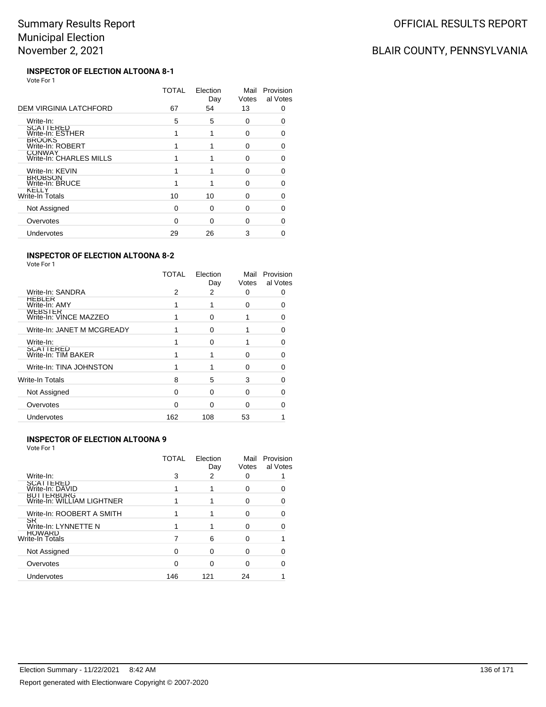# BLAIR COUNTY, PENNSYLVANIA

#### **INSPECTOR OF ELECTION ALTOONA 8-1** Vote For 1

|                                          | TOTAL | Election<br>Day | Mail<br>Votes | Provision<br>al Votes |
|------------------------------------------|-------|-----------------|---------------|-----------------------|
| DEM VIRGINIA LATCHFORD                   | 67    | 54              | 13            | 0                     |
| Write-In:                                | 5     | 5               | 0             | O                     |
| SCATTERED<br>Write-In: ESTHER            |       |                 | 0             | O                     |
| <b>BROOKS</b><br>Write-In: ROBERT        |       |                 | 0             | 0                     |
| <b>CONWAY</b><br>Write-In: CHARLES MILLS |       |                 | 0             | O                     |
| Write-In: KEVIN                          |       |                 | ŋ             | ∩                     |
| <b>BROBSON</b><br>Write-In: BRUCE        |       |                 | O             | O                     |
| KELLY<br>Write-In Totals                 | 10    | 10              | ŋ             | O                     |
| Not Assigned                             | O     | $\Omega$        | O             | ∩                     |
| Overvotes                                | O     | ∩               | O             |                       |
| Undervotes                               | 29    | 26              | 3             |                       |
|                                          |       |                 |               |                       |

### **INSPECTOR OF ELECTION ALTOONA 8-2**

Vote For 1

|                                          | <b>TOTAL</b> | Election<br>Day | Mail<br>Votes | Provision<br>al Votes |
|------------------------------------------|--------------|-----------------|---------------|-----------------------|
| Write-In: SANDRA                         | 2            | 2               | O             |                       |
| HERLEK<br>Write-In: AMY                  |              |                 | n             |                       |
| <b>WEBSIER</b><br>Write-In: VINCE MAZZEO |              | 0               |               | O                     |
| Write-In: JANET M MCGREADY               |              | O               |               | O                     |
| Write-In:                                |              | ∩               |               |                       |
| <b>SCATTERED</b><br>Write-In: TIM BAKER  |              |                 | O             | O                     |
| Write-In: TINA JOHNSTON                  |              |                 | O             | O                     |
| Write-In Totals                          | 8            | 5               | 3             | n                     |
| Not Assigned                             | ∩            | ი               | n             |                       |
| Overvotes                                | n            | O               | ∩             |                       |
| Undervotes                               | 162          | 108             | 53            |                       |

### **INSPECTOR OF ELECTION ALTOONA 9**

|                                          | TOTAL | Election<br>Day | Mail<br>Votes | Provision<br>al Votes |
|------------------------------------------|-------|-----------------|---------------|-----------------------|
| Write-In:                                | 3     | 2               | 0             |                       |
| <b>SCATTERED</b><br>Write-In: DAVID      |       |                 | Ω             |                       |
| BUTTERBURG<br>Write-In: WILLIAM LIGHTNER |       |                 | U             |                       |
| Write-In: ROOBERT A SMITH                |       |                 | 0             |                       |
| SR<br>Write-In: LYNNETTE N               |       |                 | U             |                       |
| HOWARD<br>Write-In Totals                |       | 6               |               |                       |
| Not Assigned                             | ∩     | 0               | Ω             |                       |
| Overvotes                                |       |                 |               |                       |
| Undervotes                               | 146   | 121             | 24            |                       |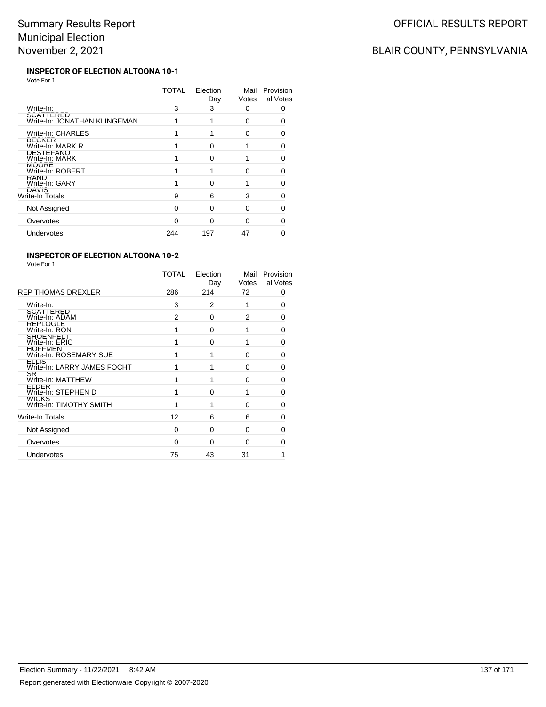# BLAIR COUNTY, PENNSYLVANIA

#### **INSPECTOR OF ELECTION ALTOONA 10-1** Vote For 1

|                                           | TOTAL | Election<br>Day | Mail<br>Votes | Provision<br>al Votes |
|-------------------------------------------|-------|-----------------|---------------|-----------------------|
| Write-In:                                 | 3     | 3               | 0             | 0                     |
| SCATTERED<br>Write-In: JONATHAN KLINGEMAN |       |                 | 0             | n                     |
| Write-In: CHARLES                         |       |                 | 0             | ∩                     |
| <b>BECKER</b><br>Write-In: MARK R         |       | O               |               | O                     |
| DESTEFANO<br>Write-In: MARK               |       | O               |               | ∩                     |
| <b>MOORE</b><br>Write-In: ROBERT          |       |                 | ŋ             | n                     |
| <b>KAND</b><br>Write-In: GARY             |       | n               |               | ∩                     |
| DAVIS<br>Write-In Totals                  | 9     | 6               | 3             | ∩                     |
| Not Assigned                              | O     | O               | ŋ             | ∩                     |
| Overvotes                                 | O     | ∩               | ∩             | n                     |
| Undervotes                                | 244   | 197             | 47            |                       |
|                                           |       |                 |               |                       |

### **INSPECTOR OF ELECTION ALTOONA 10-2**

| <b>REP THOMAS DREXLER</b>                   | TOTAL<br>286 | Election<br>Day<br>214 | Mail<br>Votes<br>72 | Provision<br>al Votes<br>0 |
|---------------------------------------------|--------------|------------------------|---------------------|----------------------------|
|                                             |              |                        |                     |                            |
| Write-In:<br><b>SCATTERED</b>               | 3            | 2                      |                     | 0                          |
| Write-In: ADAM                              | 2            | $\Omega$               | 2                   | 0                          |
| <b>REPLOGLE</b><br>Write-In: RON            | 1            | 0                      | 1                   | 0                          |
| <b>SHOENFELI</b><br>Write-In: ERIC          |              | $\Omega$               | 1                   | $\Omega$                   |
| <b>HOFFMEN</b><br>Write-In: ROSEMARY SUE    | 1            | 1                      | $\Omega$            | 0                          |
| <b>ELLIS</b><br>Write-In: LARRY JAMES FOCHT | 1            | 1                      | $\Omega$            | 0                          |
| SR<br>Write-In: MATTHEW                     | 1            | 1                      | $\Omega$            | $\Omega$                   |
| <b>ELDER</b><br>Write-In: STEPHEN D         | 1            | $\Omega$               | 1                   | $\Omega$                   |
| <b>WICKS</b><br>Write-In: TIMOTHY SMITH     | 1            | 1                      | 0                   | 0                          |
| <b>Write-In Totals</b>                      | 12           | 6                      | 6                   | $\Omega$                   |
| Not Assigned                                | $\Omega$     | $\Omega$               | 0                   | 0                          |
| Overvotes                                   | $\Omega$     | $\Omega$               | $\Omega$            | 0                          |
| Undervotes                                  | 75           | 43                     | 31                  |                            |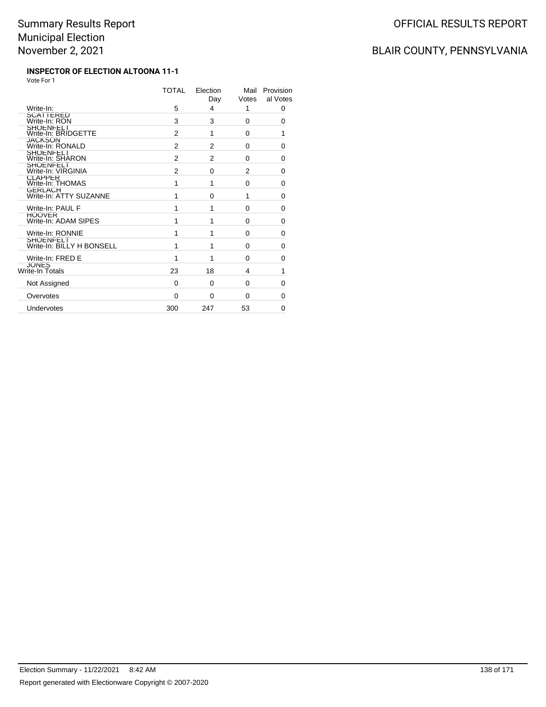# OFFICIAL RESULTS REPORT

# BLAIR COUNTY, PENNSYLVANIA

#### **INSPECTOR OF ELECTION ALTOONA 11-1** Vote For 1

|                                        | TOTAL | Election<br>Day | Mail<br>Votes | Provision<br>al Votes |
|----------------------------------------|-------|-----------------|---------------|-----------------------|
| Write-In:                              | 5     | 4               | 1             | 0                     |
| SCATTERED<br>Write-In: RON             | 3     | 3               | 0             | 0                     |
| SHOENFELI<br>Write-In: BRIDGETTE       | 2     | 1               | 0             | 1                     |
| <b>JACKSON</b><br>Write-In: RONALD     | 2     | 2               | $\Omega$      | 0                     |
| SHOENFELT<br>Write-In: SHARON          | 2     | 2               | $\Omega$      | 0                     |
| SHOENFELI<br>Write-In: VIRGINIA        | 2     | $\Omega$        | 2             | 0                     |
| <b>CLAPPER</b><br>Write-In: THOMAS     | 1     | 1               | 0             | 0                     |
| GERLACH<br>Write-In: ATTY SUZANNE      | 1     | $\Omega$        | 1             | 0                     |
| Write-In: PAUL F                       | 1     | 1               | $\Omega$      | 0                     |
| <b>HOOVER</b><br>Write-In: ADAM SIPES  | 1     | 1               | 0             | 0                     |
| Write-In: RONNIE                       | 1     | 1               | $\Omega$      | 0                     |
| SHOENFELI<br>Write-In: BILLY H BONSELL | 1     | 1               | $\Omega$      | 0                     |
| Write-In: FRED E                       | 1     | 1               | $\Omega$      | $\Omega$              |
| JONES<br>Write-In Totals               | 23    | 18              | 4             | 1                     |
| Not Assigned                           | 0     | $\Omega$        | $\Omega$      | $\Omega$              |
| Overvotes                              | 0     | $\Omega$        | $\Omega$      | 0                     |
| Undervotes                             | 300   | 247             | 53            | $\Omega$              |
|                                        |       |                 |               |                       |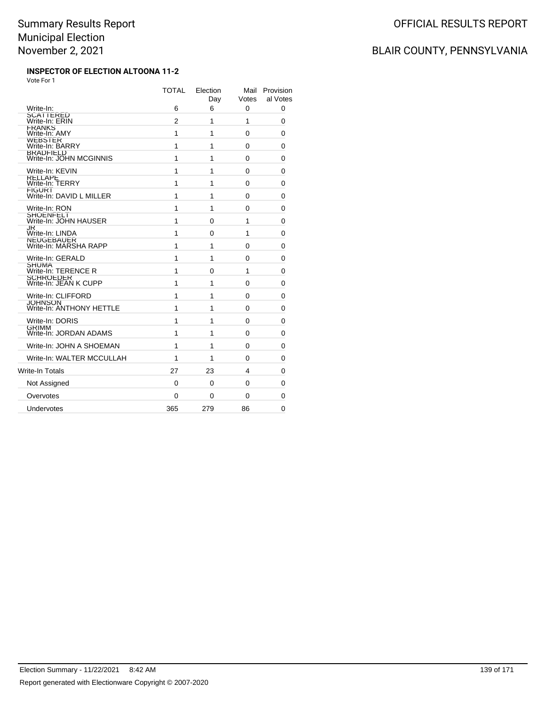#### **INSPECTOR OF ELECTION ALTOONA 11-2** Vote For 1

|                                             | <b>TOTAL</b> | Election<br>Day | Mail<br>Votes | Provision<br>al Votes |
|---------------------------------------------|--------------|-----------------|---------------|-----------------------|
| Write-In:                                   | 6            | 6               | 0             | 0                     |
| SCATTERED<br>Write-In: ERIN                 | 2            | 1               | 1             | 0                     |
| <b>FRANKS</b><br>Write-In: AMY              | 1            | 1               | 0             | 0                     |
| WEBSIER<br>Write-In: BARRY                  | 1            | 1               | 0             | 0                     |
| <b>BRADFIELD</b><br>Write-In: JOHN MCGINNIS | 1            | 1               | 0             | 0                     |
| Write-In: KEVIN                             | 1            | 1               | 0             | 0                     |
| <b>RELLAPE</b><br>Write-In: TERRY           | 1            | 1               | 0             | 0                     |
| <b>FIGURT</b><br>Write-In: DAVID L MILLER   | 1            | 1               | 0             | 0                     |
| Write-In: RON                               | 1            | 1               | 0             | 0                     |
| <b>SHOENFELT</b><br>Write-In: JOHN HAUSER   | 1            | 0               | 1             | 0                     |
| JR<br>Write-In: LINDA                       | 1            | 0               | 1             | 0                     |
| NEUGEBAUER<br>Write-In: MARSHA RAPP         | 1            | 1               | 0             | 0                     |
| Write-In: GERALD                            | 1            | 1               | 0             | 0                     |
| SHUMA<br>Write-In: TERENCE R                | 1            | 0               | 1             | 0                     |
| SCHROEDER<br>Write-In: JEAN K CUPP          | 1            | 1               | 0             | 0                     |
| Write-In: CLIFFORD                          | 1            | 1               | 0             | 0                     |
| <b>JOHNSON</b><br>Write-In: ANTHONY HETTLE  | 1            | 1               | 0             | 0                     |
| Write-In: DORIS                             | 1            | 1               | 0             | 0                     |
| <b>GRIMM</b><br>Write-In: JORDAN ADAMS      | 1            | 1               | 0             | 0                     |
| Write-In: JOHN A SHOEMAN                    | 1            | 1               | 0             | 0                     |
| Write-In: WALTER MCCULLAH                   | 1            | 1               | 0             | 0                     |
| Write-In Totals                             | 27           | 23              | 4             | 0                     |
| Not Assigned                                | 0            | 0               | 0             | 0                     |
| Overvotes                                   | 0            | 0               | 0             | 0                     |
| Undervotes                                  | 365          | 279             | 86            | $\Omega$              |
|                                             |              |                 |               |                       |

## BLAIR COUNTY, PENNSYLVANIA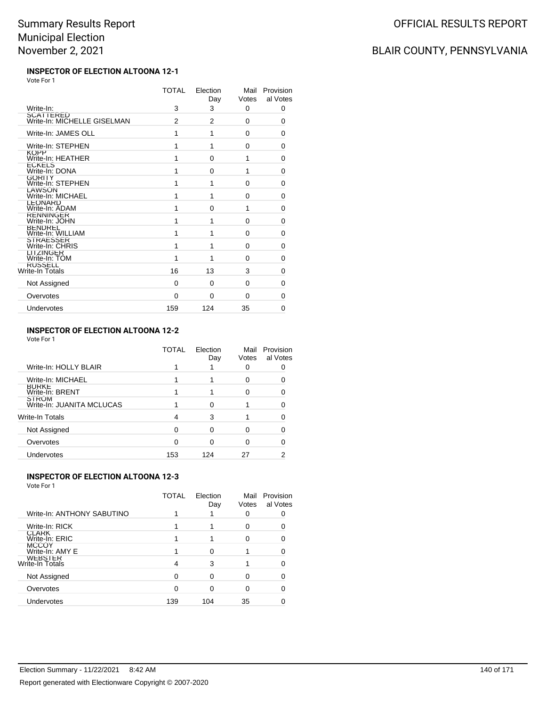# OFFICIAL RESULTS REPORT

# BLAIR COUNTY, PENNSYLVANIA

#### **INSPECTOR OF ELECTION ALTOONA 12-1** Vote For 1

|                                          | <b>TOTAL</b> | Election<br>Day | Mail<br>Votes | Provision<br>al Votes |
|------------------------------------------|--------------|-----------------|---------------|-----------------------|
| Write-In:                                | 3            | 3               | 0             | 0                     |
| SCATTERED<br>Write-In: MICHELLE GISELMAN | 2            | 2               | $\Omega$      | 0                     |
| Write-In: JAMES OLL                      | 1            | 1               | 0             | 0                     |
| Write-In: STEPHEN                        | 1            | 1               | $\Omega$      | 0                     |
| <b>KOPP</b><br>Write-In: HEATHER         | 1            | $\Omega$        | 1             | 0                     |
| ECKELS<br>Write-In: DONA                 | 1            | $\Omega$        | 1             | 0                     |
| <b>GORITY</b><br>Write-In: STEPHEN       | 1            | 1               | 0             | 0                     |
| LAWSON<br>Write-In: MICHAEL              | 1            | 1               | 0             | 0                     |
| <b>LEONARD</b><br>Write-In: ADAM         | 1            | $\Omega$        | 1             | 0                     |
| <b>KENNINGER</b><br>Write-In: JOHN       | 1            | 1               | $\Omega$      | 0                     |
| BENDREL<br>Write-In: WILLIAM             | 1            | 1               | 0             | 0                     |
| STRAESSER<br>Write-In: CHRIS             | 1            | 1               | $\Omega$      | 0                     |
| <b>LITZINGER</b><br>Write-In: TOM        | 1            | 1               | $\Omega$      | 0                     |
| <b>RUSSELL</b><br>Write-In Totals        | 16           | 13              | 3             | 0                     |
| Not Assigned                             | 0            | $\Omega$        | 0             | 0                     |
| Overvotes                                | 0            | $\Omega$        | 0             | 0                     |
| Undervotes                               | 159          | 124             | 35            | 0                     |
|                                          |              |                 |               |                       |

### **INSPECTOR OF ELECTION ALTOONA 12-2**

Vote For 1

|                                           | TOTAL    | Election<br>Day | Mail<br>Votes | Provision<br>al Votes |
|-------------------------------------------|----------|-----------------|---------------|-----------------------|
| Write-In: HOLLY BLAIR                     |          |                 | 0             |                       |
| Write-In: MICHAEL                         |          |                 | 0             |                       |
| <b>BURKE</b><br>Write-In: BRENT           |          |                 | ŋ             |                       |
| <b>STROM</b><br>Write-In: JUANITA MCLUCAS |          |                 |               |                       |
| Write-In Totals                           | 4        | 3               |               |                       |
| Not Assigned                              | $\Omega$ | ∩               |               |                       |
| Overvotes                                 | 0        |                 |               |                       |
| Undervotes                                | 153      | 124             |               |                       |

### **INSPECTOR OF ELECTION ALTOONA 12-3**

|                                   | TOTAL | Election<br>Day | Mail<br>Votes | Provision<br>al Votes |
|-----------------------------------|-------|-----------------|---------------|-----------------------|
| Write-In: ANTHONY SABUTINO        |       |                 |               |                       |
| Write-In: RICK                    |       |                 | 0             |                       |
| <b>CLARK</b><br>Write-In: ERIC    |       |                 |               |                       |
| <b>MCCOY</b><br>Write-In: AMY E   |       | ∩               |               |                       |
| <b>WEBSIER</b><br>Write-In Totals | 4     | 3               |               |                       |
| Not Assigned                      | O     | ∩               |               |                       |
| Overvotes                         |       | n               |               |                       |
| Undervotes                        | 139   | 104             | 35            |                       |
|                                   |       |                 |               |                       |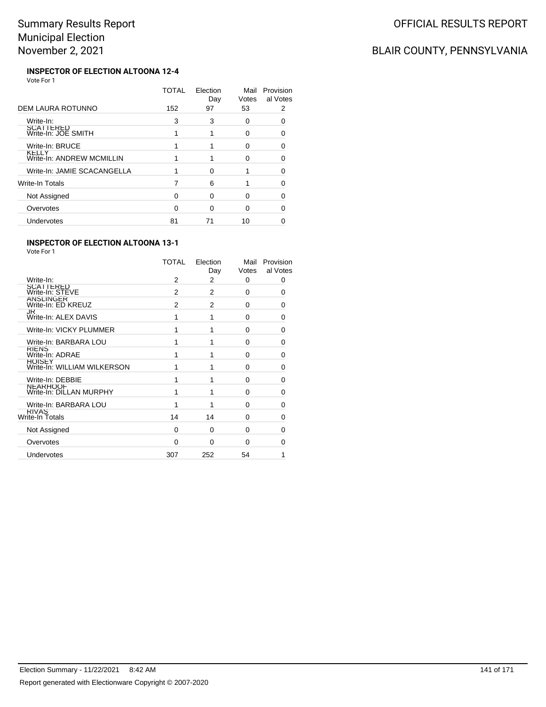# BLAIR COUNTY, PENNSYLVANIA

#### **INSPECTOR OF ELECTION ALTOONA 12-4** Vote For 1

|                                    | TOTAL | Election<br>Day | Mail<br>Votes | Provision<br>al Votes |
|------------------------------------|-------|-----------------|---------------|-----------------------|
| DEM LAURA ROTUNNO                  | 152   | 97              | 53            | 2                     |
| Write-In:                          | 3     | 3               | 0             | ∩                     |
| SCATTERED<br>Write-In: JOE SMITH   |       |                 | 0             | O                     |
| Write-In: BRUCE                    |       |                 | ∩             | 0                     |
| KELLY<br>Write-In: ANDREW MCMILLIN |       |                 | O             |                       |
| Write-In: JAMIE SCACANGELLA        |       | ∩               |               |                       |
| Write-In Totals                    |       | 6               |               |                       |
| Not Assigned                       | 0     | $\Omega$        | O             | 0                     |
| Overvotes                          | O     | ∩               | ∩             |                       |
| Undervotes                         | 81    | 71              | 10            |                       |

### **INSPECTOR OF ELECTION ALTOONA 13-1**

|                                              | <b>TOTAL</b> | Election<br>Day | Mail<br>Votes | Provision<br>al Votes |
|----------------------------------------------|--------------|-----------------|---------------|-----------------------|
| Write-In:                                    | 2            | 2               | 0             | 0                     |
| SCATTERED<br>Write-In: STEVE                 | 2            | $\overline{2}$  | $\Omega$      | 0                     |
| ANSLINGER<br>Write-In: ED KREUZ              | 2            | $\overline{2}$  | 0             | 0                     |
| <b>JK</b><br>Write-In: ALEX DAVIS            | 1            | 1               | $\Omega$      | $\Omega$              |
| Write-In: VICKY PLUMMER                      |              |                 | 0             | 0                     |
| Write-In: BARBARA LOU                        | 1            |                 | $\Omega$      | 0                     |
| <b>KILNS</b><br>Write-In: ADRAE              | 1            |                 | $\Omega$      | <sup>0</sup>          |
| <b>HOISEY</b><br>Write-In: WILLIAM WILKERSON |              |                 | $\Omega$      | 0                     |
| Write-In: DEBBIE                             |              |                 | $\Omega$      | <sup>0</sup>          |
| <b>NEARHOOF</b><br>Write-In: DILLAN MURPHY   | 1            | 1               | 0             | $\Omega$              |
| Write-In: BARBARA LOU                        | 1            | 1               | $\Omega$      | U                     |
| RIVAS<br>Write-In Totals                     | 14           | 14              | $\Omega$      | <sup>0</sup>          |
| Not Assigned                                 | 0            | 0               | 0             | 0                     |
| Overvotes                                    | $\Omega$     | $\Omega$        | $\Omega$      | O                     |
| <b>Undervotes</b>                            | 307          | 252             | 54            | 1                     |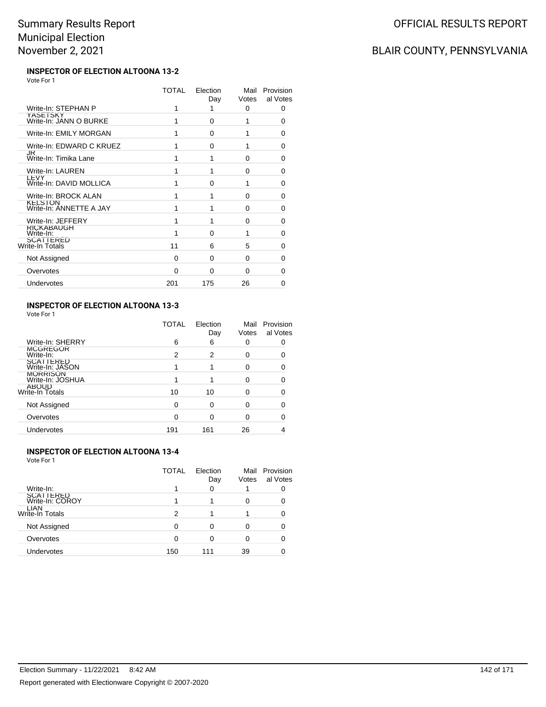#### **INSPECTOR OF ELECTION ALTOONA 13-2** Vote For 1

|                                           | TOTAL | Election<br>Day | Mail<br>Votes | Provision<br>al Votes |
|-------------------------------------------|-------|-----------------|---------------|-----------------------|
| Write-In: STEPHAN P                       | 1     | 1               | 0             | 0                     |
| YASETSKY<br>Write-In: JANN O BURKE        | 1     | 0               | 1             | 0                     |
| Write-In: EMILY MORGAN                    | 1     | $\Omega$        | 1             | 0                     |
| Write-In: EDWARD C KRUEZ                  | 1     | $\Omega$        | 1             | 0                     |
| JR<br>Write-In: Timika Lane               | 1     | 1               | $\Omega$      | 0                     |
| Write-In: LAUREN                          | 1     | 1               | 0             | 0                     |
| LEVY<br>Write-In: DAVID MOLLICA           | 1     | $\Omega$        | 1             | 0                     |
| Write-In: BROCK ALAN                      | 1     | 1               | $\Omega$      | 0                     |
| <b>KELSION</b><br>Write-In: ANNETTE A JAY | 1     | 1               | $\Omega$      | 0                     |
| Write-In: JEFFERY                         | 1     | 1               | 0             | 0                     |
| <b>RICKABAUGH</b><br>Write-In:            | 1     | $\Omega$        | 1             | 0                     |
| <b>SCATTERED</b><br>Write-In Totals       | 11    | 6               | 5             | 0                     |
| Not Assigned                              | 0     | 0               | $\Omega$      | 0                     |
| Overvotes                                 | 0     | $\Omega$        | 0             | 0                     |
| Undervotes                                | 201   | 175             | 26            | Ω                     |
|                                           |       |                 |               |                       |

### **INSPECTOR OF ELECTION ALTOONA 13-3**

Vote For 1

|                                        | TOTAL | Election<br>Day | Mail<br>Votes | Provision<br>al Votes |
|----------------------------------------|-------|-----------------|---------------|-----------------------|
| Write-In: SHERRY                       | 6     | 6               | O             |                       |
| <b>MCGREGOR</b><br>Write-In:           | 2     | 2               |               |                       |
| <b>SCATTERED</b><br>Write-In: JASON    |       |                 |               |                       |
| <b>MORRISON</b><br>Write-In: JOSHUA    |       |                 |               |                       |
| <b>ABOUD</b><br><b>Write-In Totals</b> | 10    | 10              |               |                       |
| Not Assigned                           | ∩     | ∩               |               |                       |
| Overvotes                              | ∩     | O               |               |                       |
| Undervotes                             | 191   | 161             | 26            |                       |

### **INSPECTOR OF ELECTION ALTOONA 13-4**

Vote For 1

|                                | TOTAL | Election<br>Day | Mail<br>Votes | Provision<br>al Votes |
|--------------------------------|-------|-----------------|---------------|-----------------------|
| Write-In:                      |       | 0               |               |                       |
| SCATTERED<br>Write-In: COROY   |       |                 | 0             |                       |
| LIAN<br><b>Write-In Totals</b> | 2     |                 |               |                       |
| Not Assigned                   | 0     |                 |               |                       |
| Overvotes                      | ∩     |                 |               |                       |
| Undervotes                     | 150   | 111             | 39            |                       |

## BLAIR COUNTY, PENNSYLVANIA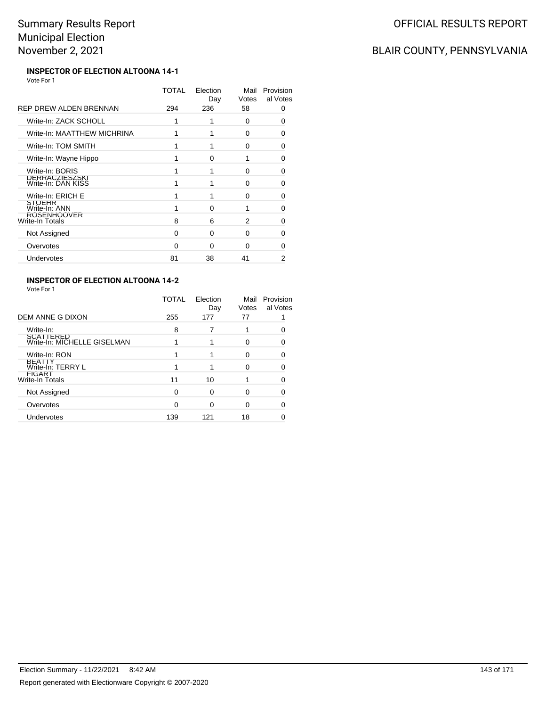## OFFICIAL RESULTS REPORT

# BLAIR COUNTY, PENNSYLVANIA

#### **INSPECTOR OF ELECTION ALTOONA 14-1** Vote For 1

|                                       | TOTAL    | Election<br>Day | Mail<br>Votes | Provision<br>al Votes |  |
|---------------------------------------|----------|-----------------|---------------|-----------------------|--|
| REP DREW ALDEN BRENNAN                | 294      | 236             | 58            | 0                     |  |
| Write-In: ZACK SCHOLL                 | 1        |                 | 0             | 0                     |  |
| Write-In: MAATTHEW MICHRINA           | 1        |                 | 0             | O                     |  |
| Write-In: TOM SMITH                   |          |                 | 0             | 0                     |  |
| Write-In: Wayne Hippo                 |          | O               | 1             | 0                     |  |
| Write-In: BORIS                       | 1        |                 | $\Omega$      | 0                     |  |
| DERRACZIESZSKI<br>Write-In: DAN KISS  |          |                 | 0             | 0                     |  |
| Write-In: ERICH E                     |          |                 | $\Omega$      | 0                     |  |
| <b>SIOLHR</b><br>Write-In: ANN        |          | 0               | 1             | 0                     |  |
| <b>ROSENHOOVER</b><br>Write-In Totals | 8        | 6               | 2             | ∩                     |  |
| Not Assigned                          | 0        | $\Omega$        | 0             | ∩                     |  |
| Overvotes                             | $\Omega$ | O               | $\Omega$      | O                     |  |
| Undervotes                            | 81       | 38              | 41            | 2                     |  |
|                                       |          |                 |               |                       |  |

### **INSPECTOR OF ELECTION ALTOONA 14-2**

|                                          | TOTAL | Election<br>Day | Mail<br>Votes | Provision<br>al Votes |
|------------------------------------------|-------|-----------------|---------------|-----------------------|
| DEM ANNE G DIXON                         | 255   | 177             | 77            |                       |
| Write-In:                                | 8     |                 |               |                       |
| SCATTERED<br>Write-In: MICHELLE GISELMAN |       |                 | $\Omega$      |                       |
| Write-In: RON                            |       |                 | 0             | 0                     |
| <b>BEATTY</b><br>Write-In: TERRY L       |       |                 | 0             |                       |
| <b>FIGARI</b><br>Write-In Totals         | 11    | 10              |               |                       |
| Not Assigned                             | 0     | 0               | O             |                       |
| Overvotes                                | 0     | 0               | 0             |                       |
| Undervotes                               | 139   | 121             | 18            |                       |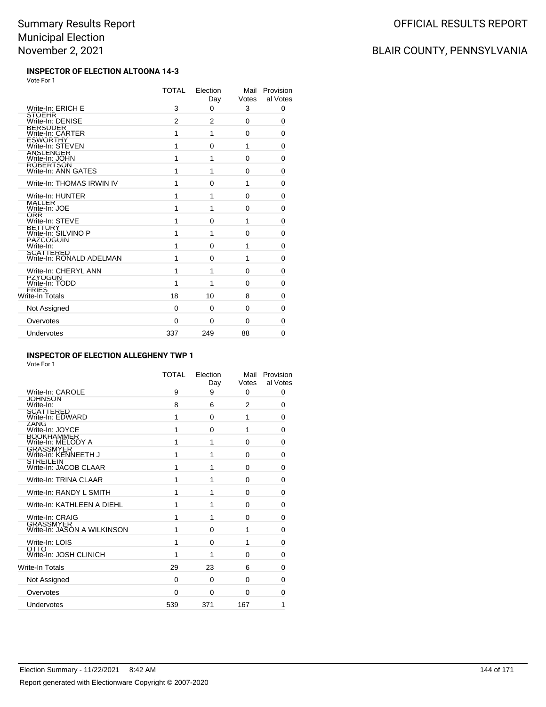#### **INSPECTOR OF ELECTION ALTOONA 14-3** Vote For 1

|                                              | <b>TOTAL</b> | Election<br>Day | Mail<br>Votes | Provision<br>al Votes |
|----------------------------------------------|--------------|-----------------|---------------|-----------------------|
| Write-In: ERICH E                            | 3            | $\Omega$        | 3             | 0                     |
| <b>STOEHR</b><br>Write-In: DENISE            | 2            | 2               | $\Omega$      | 0                     |
| BERSUDER<br>Write-In: CARTER                 | 1            | 1               | $\Omega$      | 0                     |
| <b>ESWORTHY</b><br>Write-In: STEVEN          | 1            | 0               | 1             | 0                     |
| ANSLENGER<br>Write-In: JOHN                  | 1            | 1               | 0             | 0                     |
| ROBERTSON<br>Write-In: ANN GATES             | 1            | 1               | $\Omega$      | 0                     |
| Write-In: THOMAS IRWIN IV                    | 1            | 0               | 1             | $\Omega$              |
| Write-In: HUNTER                             | 1            | 1               | $\Omega$      | 0                     |
| <b>MALLER</b><br>Write-In: JOE               | 1            | 1               | $\Omega$      | 0                     |
| <b>ORR</b><br>Write-In: STEVE                | 1            | 0               | 1             | 0                     |
| BETTURY<br>Write-In: SILVINO P               | 1            | 1               | $\Omega$      | 0                     |
| PAZCOGUIN<br>Write-In:                       | 1            | 0               | 1             | $\Omega$              |
| <b>SCATTERED</b><br>Write-In: RONALD ADELMAN | 1            | 0               | 1             | 0                     |
| Write-In: CHERYL ANN                         | 1            | 1               | 0             | 0                     |
| PZYOGUN<br>Write-In: TODD                    | 1            | 1               | 0             | 0                     |
| FRIES<br>Write-In Totals                     | 18           | 10              | 8             | 0                     |
| Not Assigned                                 | 0            | $\Omega$        | $\Omega$      | 0                     |
| Overvotes                                    | 0            | $\Omega$        | $\Omega$      | 0                     |
| Undervotes                                   | 337          | 249             | 88            | $\Omega$              |

### **INSPECTOR OF ELECTION ALLEGHENY TWP 1**

Vote For 1

|                                                 | TOTAL    | Election<br>Day | Mail<br>Votes  | Provision<br>al Votes |
|-------------------------------------------------|----------|-----------------|----------------|-----------------------|
| Write-In: CAROLE                                | 9        | 9               | 0              | 0                     |
| <b>JOHNSON</b><br>Write-In:                     | 8        | 6               | $\overline{2}$ | 0                     |
| SCATTERED<br>Write-In: EDWARD                   | 1        | $\Omega$        | 1              | 0                     |
| ZANG<br>Write-In: JOYCE                         | 1        | 0               | 1              | 0                     |
| <b>BOOKHAMMER</b><br>Write-In: MELODY A         | 1        | 1               | 0              | 0                     |
| <b>GRASSMYER</b><br>Write-In: KENNEETH J        | 1        | 1               | $\Omega$       | 0                     |
| <b>STREILEIN</b><br>Write-In: JACOB CLAAR       | 1        | 1               | $\Omega$       | 0                     |
| Write-In: TRINA CLAAR                           | 1        | 1               | $\Omega$       | 0                     |
| Write-In: RANDY L SMITH                         | 1        | 1               | $\Omega$       | 0                     |
| Write-In: KATHLEEN A DIEHL                      | 1        | 1               | $\Omega$       | 0                     |
| Write-In: CRAIG                                 | 1        | 1               | $\Omega$       | 0                     |
| <b>GRASSMYER</b><br>Write-In: JASON A WILKINSON | 1        | $\Omega$        | 1              | $\Omega$              |
| Write-In: LOIS                                  | 1        | 0               | 1              | $\Omega$              |
| OTTO<br>Write-In: JOSH CLINICH                  | 1        | 1               | $\Omega$       | $\Omega$              |
| Write-In Totals                                 | 29       | 23              | 6              | $\Omega$              |
| Not Assigned                                    | $\Omega$ | $\Omega$        | $\Omega$       | 0                     |
| Overvotes                                       | 0        | $\Omega$        | $\Omega$       | 0                     |
| Undervotes                                      | 539      | 371             | 167            | 1                     |

# BLAIR COUNTY, PENNSYLVANIA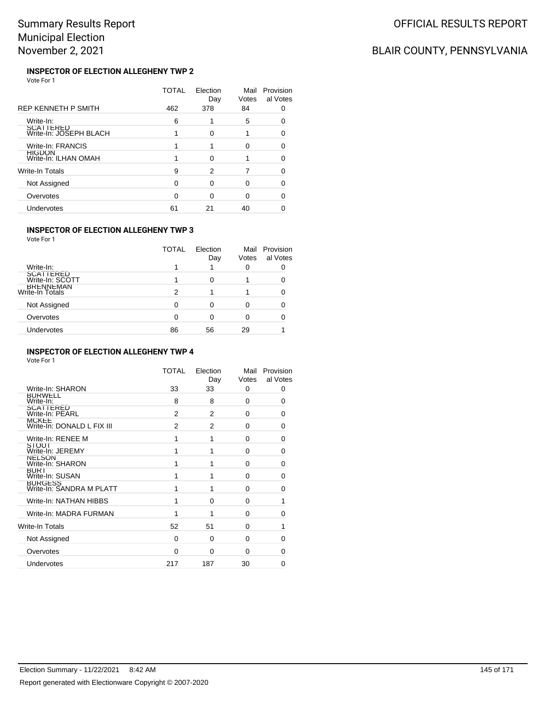# BLAIR COUNTY, PENNSYLVANIA

#### **INSPECTOR OF ELECTION ALLEGHENY TWP 2** Vote For 1

|                                     | <b>TOTAL</b> | Election<br>Day | Mail<br>Votes | Provision<br>al Votes |
|-------------------------------------|--------------|-----------------|---------------|-----------------------|
| REP KENNETH P SMITH                 | 462          | 378             | 84            |                       |
| Write-In:                           | 6            |                 | 5             | ∩                     |
| SCATTERED<br>Write-In: JOSEPH BLACH |              | $\Omega$        |               | 0                     |
| Write-In: FRANCIS                   |              |                 | 0             |                       |
| HIGDON<br>Write-In: ILHAN OMAH      |              | ∩               |               | ი                     |
| Write-In Totals                     | 9            | 2               |               |                       |
| Not Assigned                        | ∩            | ∩               | ∩             | ∩                     |
| Overvotes                           | 0            | ∩               | ∩             | 0                     |
| Undervotes                          | 61           | 21              | 40            |                       |

### **INSPECTOR OF ELECTION ALLEGHENY TWP 3**

Vote For 1

|                                     | TOTAL | Election<br>Day | Votes | Mail Provision<br>al Votes |
|-------------------------------------|-------|-----------------|-------|----------------------------|
| Write-In:                           |       |                 |       |                            |
| <b>SCATTERED</b><br>Write-In: SCOTT |       |                 |       |                            |
| <b>BRENNEMAN</b><br>Write-In Totals | 2     |                 |       |                            |
| Not Assigned                        | 0     |                 |       |                            |
| Overvotes                           | 0     |                 |       |                            |
| Undervotes                          | 86    | 56              | 29    |                            |

#### **INSPECTOR OF ELECTION ALLEGHENY TWP 4**

|                                            | TOTAL    | Election<br>Day | Mail<br>Votes | Provision<br>al Votes |
|--------------------------------------------|----------|-----------------|---------------|-----------------------|
| Write-In: SHARON                           | 33       | 33              | 0             | 0                     |
| <b>BURWELL</b><br>Write-In:                | 8        | 8               | 0             | 0                     |
| <b>SCATTERED</b><br>Write-In: PEARL        | 2        | 2               | 0             | 0                     |
| <b>MCKEE</b><br>Write-In: DONALD L FIX III | 2        | 2               | 0             | $\Omega$              |
| Write-In: RENEE M                          | 1        | 1               | 0             | 0                     |
| SIOUI<br>Write-In: JEREMY                  |          | 1               | 0             | 0                     |
| <b>NELSON</b><br>Write-In: SHARON          |          | 1               | $\Omega$      | $\Omega$              |
| BUR I<br>Write-In: SUSAN                   |          | 1               | 0             | 0                     |
| <b>BURGESS</b><br>Write-In: SANDRA M PLATT |          | 1               | 0             | 0                     |
| Write-In: NATHAN HIBBS                     |          | $\Omega$        | $\Omega$      |                       |
| Write-In: MADRA FURMAN                     |          | 1               | $\Omega$      | 0                     |
| Write-In Totals                            | 52       | 51              | 0             | 1                     |
| Not Assigned                               | $\Omega$ | 0               | 0             | <sup>0</sup>          |
| Overvotes                                  | 0        | $\Omega$        | $\Omega$      | 0                     |
| Undervotes                                 | 217      | 187             | 30            | $\Omega$              |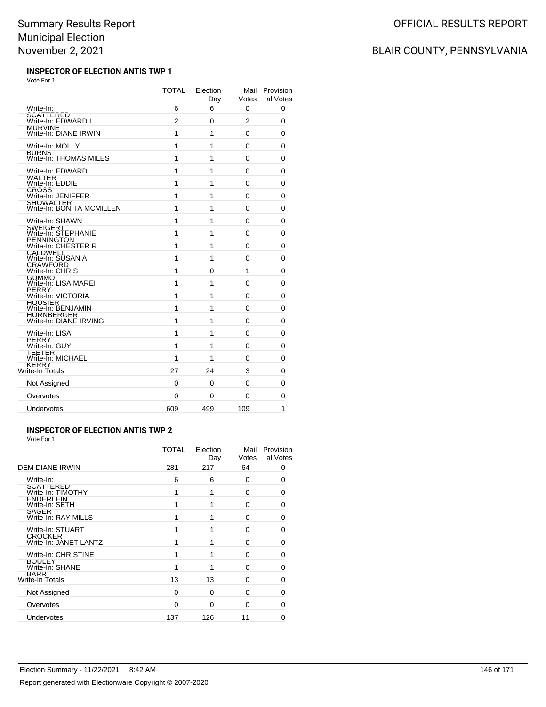#### **INSPECTOR OF ELECTION ANTIS TWP 1** Vote For 1

|                                         | <b>TOTAL</b>   | Election<br>Day | Mail<br>Votes  | Provision<br>al Votes |
|-----------------------------------------|----------------|-----------------|----------------|-----------------------|
| Write-In:                               | 6              | 6               | 0              | 0                     |
| SCATTERED<br>Write-In: EDWARD I         | $\overline{2}$ | 0               | $\overline{2}$ | 0                     |
| <b>MURVINE</b><br>Write-In: DIANE IRWIN | 1              | 1               | 0              | 0                     |
| Write-In: MOLLY                         | 1              | 1               | 0              | 0                     |
| <b>BURNS</b><br>Write-In: THOMAS MILES  | 1              | 1               | 0              | 0                     |
| Write-In: EDWARD                        | 1              | 1               | 0              | 0                     |
| WALTER<br>Write-In: EDDIE               | 1              | 1               | 0              | 0                     |
| <b>CROSS</b><br>Write-In: JENIFFER      | 1              | 1               | 0              | 0                     |
| SHOWALTER<br>Write-In: BONITA MCMILLEN  | 1              | 1               | 0              | 0                     |
| Write-In: SHAWN                         | 1              | 1               | 0              | 0                     |
| <b>SWEIGERT</b><br>Write-In: STEPHANIE  | 1              | 1               | 0              | $\mathbf{0}$          |
| PENNINGTON<br>Write-In: CHESTER R       | 1              | 1               | 0              | 0                     |
| <b>CALDWELL</b><br>Write-In: SUSAN A    | 1              | 1               | 0              | 0                     |
| CRAWFORD<br>Write-In: CHRIS             | 1              | 0               | 1              | $\Omega$              |
| GUMMO<br>Write-In: LISA MAREI           | 1              | 1               | 0              | 0                     |
| <b>PERRY</b><br>Write-In: VICTORIA      | 1              | 1               | 0              | 0                     |
| <b>HOUSIER</b><br>Write-In: BENJAMIN    | 1              | 1               | 0              | 0                     |
| HORNBERGER<br>Write-In: DIANE IRVING    | 1              | 1               | 0              | 0                     |
| Write-In: LISA                          | 1              | 1               | 0              | 0                     |
| <b>PERRY</b><br>Write-In: GUY           | 1              | 1               | 0              | 0                     |
| I EE I ER<br>Write-In: MICHAEL          | 1              | 1               | 0              | $\Omega$              |
| <b>KERRY</b><br>Write-In Totals         | 27             | 24              | 3              | 0                     |
| Not Assigned                            | 0              | 0               | 0              | 0                     |
| Overvotes                               | 0              | 0               | 0              | 0                     |
| Undervotes                              | 609            | 499             | 109            | 1                     |
|                                         |                |                 |                |                       |

#### **INSPECTOR OF ELECTION ANTIS TWP 2** Vote For 1

|                                         | TOTAL    | Election<br>Day | Mail<br>Votes | Provision<br>al Votes |
|-----------------------------------------|----------|-----------------|---------------|-----------------------|
| <b>DEM DIANE IRWIN</b>                  | 281      | 217             | 64            | 0                     |
| Write-In:                               | 6        | 6               | 0             | 0                     |
| SCATTERED<br>Write-In: TIMOTHY          |          |                 | 0             | 0                     |
| <b>ENDERLEIN</b><br>Write-In: SETH      |          |                 | 0             | 0                     |
| SAGER<br>Write-In: RAY MILLS            |          |                 | $\Omega$      | 0                     |
| Write-In: STUART                        |          |                 | 0             | $\Omega$              |
| <b>CROCKER</b><br>Write-In: JANET LANTZ |          |                 | $\Omega$      | 0                     |
| Write-In: CHRISTINE                     |          |                 | $\Omega$      | 0                     |
| <b>BOULEY</b><br>Write-In: SHANE        | 1        |                 | $\Omega$      | $\Omega$              |
| <b>BARR</b><br>Write-In Totals          | 13       | 13              | $\Omega$      | 0                     |
| Not Assigned                            | $\Omega$ | $\Omega$        | $\Omega$      | 0                     |
| Overvotes                               | 0        | $\Omega$        | 0             | O                     |
| Undervotes                              | 137      | 126             | 11            | 0                     |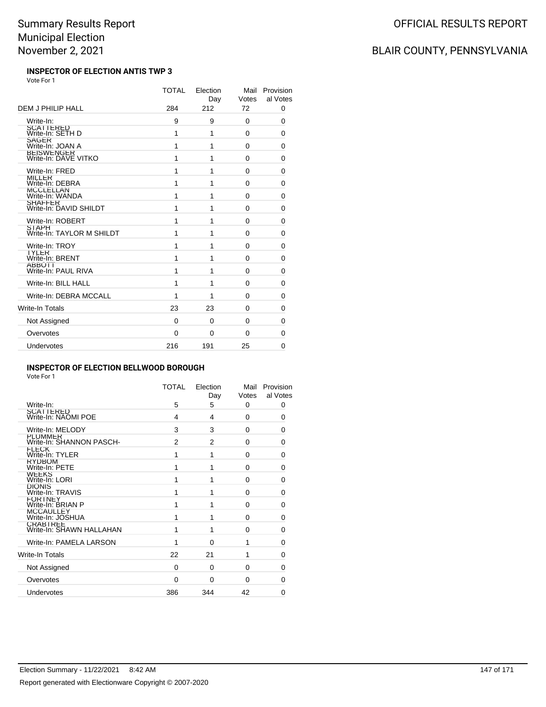#### **INSPECTOR OF ELECTION ANTIS TWP 3** Vote For 1

|                                           | <b>TOTAL</b> | Election<br>Day | Mail<br>Votes | Provision<br>al Votes |
|-------------------------------------------|--------------|-----------------|---------------|-----------------------|
| DEM J PHILIP HALL                         | 284          | 212             | 72            | 0                     |
| Write-In:                                 | 9            | 9               | 0             | 0                     |
| SCATTERED<br>Write-In: SETH D             | 1            | 1               | 0             | 0                     |
| SAGER<br>Write-In: JOAN A                 | 1            | 1               | 0             | 0                     |
| BEISWENGER<br>Write-In: DAVE VITKO        | 1            | 1               | 0             | 0                     |
| Write-In: FRED                            | 1            | 1               | 0             | $\mathbf 0$           |
| <b>MILLER</b><br>Write-In: DEBRA          | 1            | 1               | 0             | 0                     |
| MCCLELLAN<br>Write-In: WANDA              | 1            | 1               | $\Omega$      | 0                     |
| SHAFFER<br>Write-In: DAVID SHILDT         | 1            | 1               | $\Omega$      | 0                     |
| Write-In: ROBERT                          | 1            | 1               | 0             | 0                     |
| <b>STAPH</b><br>Write-In: TAYLOR M SHILDT | 1            | 1               | $\Omega$      | 0                     |
| Write-In: TROY                            | 1            | 1               | 0             | 0                     |
| <b>IYLER</b><br>Write-In: BRENT           | 1            | 1               | 0             | 0                     |
| <b>ABBOTT</b><br>Write-In: PAUL RIVA      | 1            | 1               | 0             | 0                     |
| Write-In: BILL HALL                       | 1            | 1               | $\Omega$      | 0                     |
| Write-In: DEBRA MCCALL                    | 1            | 1               | $\Omega$      | 0                     |
| Write-In Totals                           | 23           | 23              | 0             | 0                     |
| Not Assigned                              | 0            | 0               | 0             | 0                     |
| Overvotes                                 | $\mathbf{0}$ | $\Omega$        | $\Omega$      | 0                     |
| Undervotes                                | 216          | 191             | 25            | $\Omega$              |

#### **INSPECTOR OF ELECTION BELLWOOD BOROUGH**

Vote For 1

|                                             | <b>TOTAL</b>   | Election<br>Day | Mail<br>Votes | Provision<br>al Votes |
|---------------------------------------------|----------------|-----------------|---------------|-----------------------|
| Write-In:                                   | 5              | 5               | 0             | 0                     |
| SCATTERED<br>Write-In: NAOMI POE            | 4              | 4               | 0             | 0                     |
| Write-In: MELODY                            | 3              | 3               | 0             | $\Omega$              |
| <b>PLUMMER</b><br>Write-In: SHANNON PASCH-  | $\overline{2}$ | $\overline{2}$  | 0             | 0                     |
| <b>FLECK</b><br>Write-In: TYLER             | 1              | 1               | 0             | $\Omega$              |
| <b>RYDBOM</b><br>Write-In: PETE             | 1              | 1               | 0             | $\Omega$              |
| <b>WEEKS</b><br>Write-In: LORI              | 1              | 1               | 0             | O                     |
| DIONIS<br>Write-In: TRAVIS                  | 1              | 1               | 0             | 0                     |
| <b>FORTNEY</b><br>Write-In: BRIAN P         | 1              | 1               | 0             | $\Omega$              |
| <b>MCCAULLEY</b><br>Write-In: JOSHUA        | 1              | 1               | 0             | O                     |
| <b>CRABIREE</b><br>Write-In: SHAWN HALLAHAN | 1              | 1               | 0             | $\Omega$              |
| Write-In: PAMELA LARSON                     | 1              | 0               | 1             | 0                     |
| Write-In Totals                             | 22             | 21              | 1             | O                     |
| Not Assigned                                | $\Omega$       | $\Omega$        | 0             | 0                     |
| Overvotes                                   | $\Omega$       | $\Omega$        | 0             | 0                     |
| Undervotes                                  | 386            | 344             | 42            | 0                     |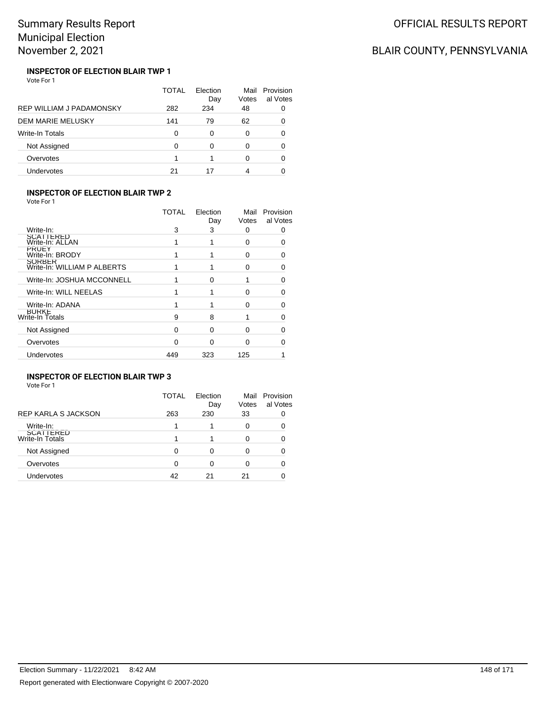# BLAIR COUNTY, PENNSYLVANIA

#### **INSPECTOR OF ELECTION BLAIR TWP 1** Vote For 1

|                                 | TOTAL | Election<br>Day | Mail<br>Votes | Provision<br>al Votes |
|---------------------------------|-------|-----------------|---------------|-----------------------|
| <b>REP WILLIAM J PADAMONSKY</b> | 282   | 234             | 48            |                       |
| DEM MARIE MELUSKY               | 141   | 79              | 62            | 0                     |
| <b>Write-In Totals</b>          | 0     | 0               | 0             | O                     |
| Not Assigned                    | O     | ∩               | 0             |                       |
| Overvotes                       |       |                 | 0             | O                     |
| <b>Undervotes</b>               | 21    | 17              | 4             |                       |

### **INSPECTOR OF ELECTION BLAIR TWP 2**

Vote For 1

|                                              | <b>TOTAL</b> | Election<br>Day | Mail<br>Votes | Provision<br>al Votes |
|----------------------------------------------|--------------|-----------------|---------------|-----------------------|
| Write-In:                                    | 3            | 3               | 0             |                       |
| <b>SCATTERED</b><br>Write-In: ALLAN          |              |                 | O             | 0                     |
| PRUEY<br>Write-In: BRODY                     |              |                 | O             | 0                     |
| <b>SORBER</b><br>Write-In: WILLIAM P ALBERTS |              |                 | n             | 0                     |
| Write-In: JOSHUA MCCONNELL                   |              | ∩               |               | O                     |
| Write-In: WILL NEELAS                        |              |                 | O             | Ω                     |
| Write-In: ADANA                              |              |                 | 0             | Ω                     |
| <b>BURKE</b><br>Write-In Totals              | 9            | 8               |               | O                     |
| Not Assigned                                 | O            | O               | O             |                       |
| Overvotes                                    | ∩            | ∩               | n             |                       |
| <b>Undervotes</b>                            | 449          | 323             | 125           |                       |
|                                              |              |                 |               |                       |

### **INSPECTOR OF ELECTION BLAIR TWP 3**

|                              | TOTAL | Election<br>Day | Mail<br>Votes | Provision<br>al Votes |
|------------------------------|-------|-----------------|---------------|-----------------------|
| <b>REP KARLA S JACKSON</b>   | 263   | 230             | 33            |                       |
| Write-In:                    |       |                 | 0             |                       |
| SCATTERED<br>Write-In Totals |       |                 |               |                       |
| Not Assigned                 | 0     | 0               |               |                       |
| Overvotes                    | 0     | 0               | O             |                       |
| Undervotes                   | 42    | 21              | 21            |                       |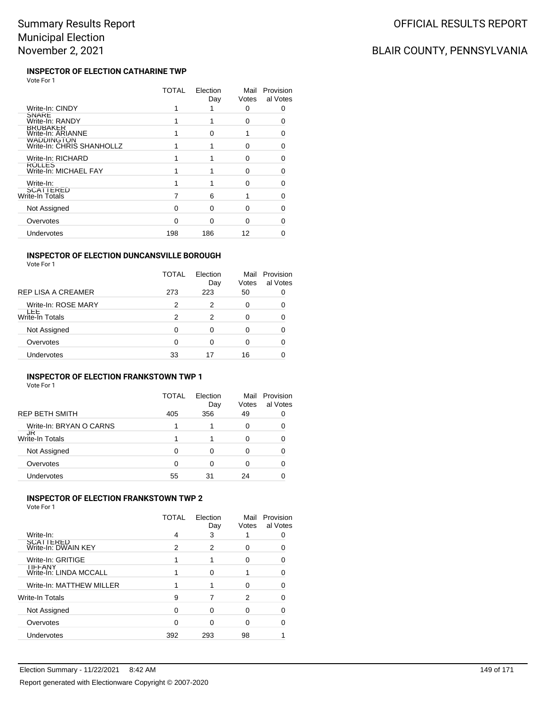#### **INSPECTOR OF ELECTION CATHARINE TWP** Vote For 1

|                                                | TOTAL | Election<br>Day | Mail<br>Votes | Provision<br>al Votes |
|------------------------------------------------|-------|-----------------|---------------|-----------------------|
| Write-In: CINDY                                |       |                 | 0             | Ω                     |
| <b>SNARE</b><br>Write-In: RANDY                |       |                 | 0             | n                     |
| <b>BRUBAKER</b><br>Write-In: ARIANNE           |       | n               |               | n                     |
| <b>WADDINGTON</b><br>Write-In: CHRIS SHANHOLLZ |       |                 | U             | O                     |
| Write-In: RICHARD                              |       |                 | U             | ∩                     |
| ROLLES<br>Write-In: MICHAEL FAY                |       |                 | U             | n                     |
| Write-In:                                      |       |                 | ∩             | ∩                     |
| SCATTERED<br>Write-In Totals                   |       | 6               |               | ∩                     |
| Not Assigned                                   | O     | n               | U             | ∩                     |
| Overvotes                                      | ∩     | ∩               | ∩             |                       |
| Undervotes                                     | 198   | 186             | 12            |                       |
|                                                |       |                 |               |                       |

### **INSPECTOR OF ELECTION DUNCANSVILLE BOROUGH**

|                      | TOTAL | Election<br>Day | Mail<br>Votes | Provision<br>al Votes |
|----------------------|-------|-----------------|---------------|-----------------------|
| REP LISA A CREAMER   | 273   | 223             | 50            |                       |
| Write-In: ROSE MARY  | 2     | 2               | 0             |                       |
| ᄔ<br>Write-In Totals | 2     | 2               | U             |                       |
| Not Assigned         | 0     | Ω               | O             |                       |
| Overvotes            | 0     | 0               | 0             |                       |
| Undervotes           | 33    | 17              | 16            |                       |

### **INSPECTOR OF ELECTION FRANKSTOWN TWP 1**

Vote For 1

|                         | TOTAL | Election<br>Day | Mail<br>Votes | Provision<br>al Votes |
|-------------------------|-------|-----------------|---------------|-----------------------|
| REP BETH SMITH          | 405   | 356             | 49            |                       |
| Write-In: BRYAN O CARNS |       |                 | U             |                       |
| JR<br>Write-In Totals   |       |                 | 0             |                       |
| Not Assigned            | 0     | Ω               | O             |                       |
| Overvotes               | 0     | 0               |               |                       |
| Undervotes              | 55    | 31              | 24            |                       |

#### **INSPECTOR OF ELECTION FRANKSTOWN TWP 2**

Vote For 1

|                                          | TOTAL | Election<br>Day | Mail<br>Votes | Provision<br>al Votes |
|------------------------------------------|-------|-----------------|---------------|-----------------------|
| Write-In:                                | 4     | 3               |               |                       |
| SCATTERED<br>Write-In: DWAIN KEY         | 2     | 2               | Ω             |                       |
| Write-In: GRITIGE                        |       |                 | O             | O                     |
| <b>IIFFANY</b><br>Write-In: LINDA MCCALL |       | ი               |               | O                     |
| Write-In: MATTHEW MILLER                 |       |                 | O             |                       |
| Write-In Totals                          | 9     |                 | 2             | n                     |
| Not Assigned                             | 0     | Ω               | O             |                       |
| Overvotes                                | 0     | O               | O             |                       |
| Undervotes                               | 392   | 293             | 98            |                       |

OFFICIAL RESULTS REPORT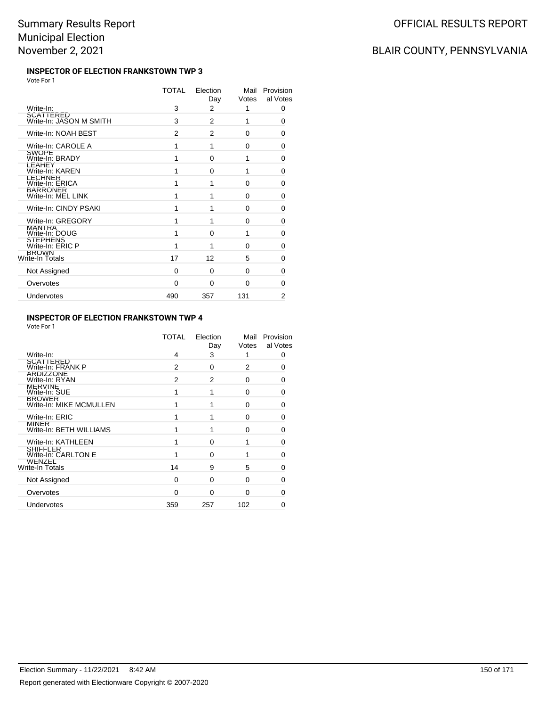#### **INSPECTOR OF ELECTION FRANKSTOWN TWP 3** Vote For 1

|                                  | TOTAL | Election | Mail     | Provision      |
|----------------------------------|-------|----------|----------|----------------|
|                                  |       | Day      | Votes    | al Votes       |
| Write-In:<br>SCATTERED           | 3     | 2        | 1        | 0              |
| Write-In: JASON M SMITH          | 3     | 2        | 1        | 0              |
| Write-In: NOAH BEST              | 2     | 2        | $\Omega$ | 0              |
| Write-In: CAROLE A               | 1     | 1        | $\Omega$ | 0              |
| <b>SWOPE</b><br>Write-In: BRADY  | 1     | 0        | 1        | $\Omega$       |
| <b>LEAHEY</b><br>Write-In: KAREN | 1     | $\Omega$ | 1        | $\Omega$       |
| LECHNER<br>Write-In: ERICA       | 1     | 1        | $\Omega$ | 0              |
| BARRONER<br>Write-In: MEL LINK   | 1     | 1        | $\Omega$ | 0              |
| Write-In: CINDY PSAKI            | 1     | 1        | $\Omega$ | $\Omega$       |
| Write-In: GREGORY                | 1     | 1        | 0        | 0              |
| MANTRA<br>Write-In: DOUG         | 1     | 0        | 1        | 0              |
| STEPHENS<br>Write-In: ERIC P     | 1     | 1        | 0        | 0              |
| <b>BROWN</b><br>Write-In Totals  | 17    | 12       | 5        | 0              |
| Not Assigned                     | 0     | $\Omega$ | 0        | 0              |
| Overvotes                        | 0     | $\Omega$ | $\Omega$ | 0              |
| Undervotes                       | 490   | 357      | 131      | $\overline{2}$ |
|                                  |       |          |          |                |

#### **INSPECTOR OF ELECTION FRANKSTOWN TWP 4**

Vote For 1

|                                          | <b>TOTAL</b> | Election<br>Day | Mail<br>Votes  | Provision<br>al Votes |
|------------------------------------------|--------------|-----------------|----------------|-----------------------|
| Write-In:                                | 4            | 3               |                | 0                     |
| SCATTERED<br>Write-In: FRANK P           | 2            | $\Omega$        | $\overline{2}$ | 0                     |
| ARDIZZONE<br>Write-In: RYAN              | 2            | 2               | 0              | 0                     |
| <b>MERVINE</b><br>Write-In: SUE          |              | 1               | $\Omega$       | 0                     |
| <b>BROWER</b><br>Write-In: MIKE MCMULLEN |              | 1               | $\Omega$       | 0                     |
| Write-In: ERIC                           |              |                 | 0              | 0                     |
| <b>MINER</b><br>Write-In: BETH WILLIAMS  |              | 1               | $\Omega$       | ი                     |
| Write-In: KATHLEEN                       |              | $\Omega$        |                | 0                     |
| <b>SHIFFLER</b><br>Write-In: CARLTON E   |              | O               |                | 0                     |
| WENZEL<br>Write-In Totals                | 14           | 9               | 5              | 0                     |
| Not Assigned                             | 0            | $\Omega$        | $\Omega$       | 0                     |
| Overvotes                                | $\Omega$     | $\Omega$        | $\Omega$       | n                     |
| Undervotes                               | 359          | 257             | 102            |                       |
|                                          |              |                 |                |                       |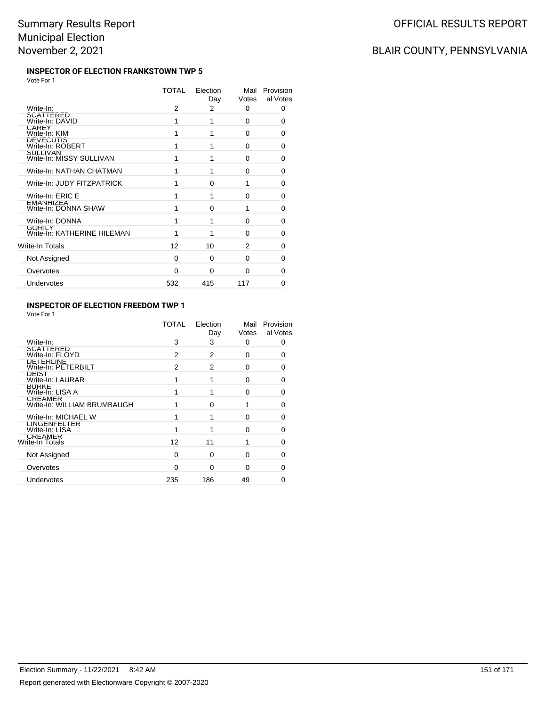#### **INSPECTOR OF ELECTION FRANKSTOWN TWP 5** Vote For 1

|                                              | TOTAL | Election<br>Day | Mail<br>Votes | Provision<br>al Votes |
|----------------------------------------------|-------|-----------------|---------------|-----------------------|
| Write-In:                                    | 2     | 2               | 0             | 0                     |
| SCATTERED<br>Write-In: DAVID                 | 1     | 1               | 0             | 0                     |
| <b>CAREY</b><br>Write-In: KIM                | 1     | 1               | 0             | 0                     |
| <b>DEVECUTIS</b><br>Write-In: ROBERT         | 1     | 1               | $\Omega$      | 0                     |
| <b>SULLIVAN</b><br>Write-In: MISSY SULLIVAN  | 1     | 1               | $\Omega$      | 0                     |
| Write-In: NATHAN CHATMAN                     | 1     | 1               | 0             | $\Omega$              |
| Write-In: JUDY FITZPATRICK                   | 1     | $\Omega$        | 1             | 0                     |
| Write-In: ERIC E                             | 1     | 1               | $\Omega$      | $\Omega$              |
| <b>LMANHIZLA</b><br>Write-In: DONNA SHAW     | 1     | O               | 1             | 0                     |
| Write-In: DONNA                              | 1     | 1               | $\Omega$      | 0                     |
| <b>GORILY</b><br>Write-In: KATHERINE HILEMAN | 1     | 1               | $\Omega$      | 0                     |
| Write-In Totals                              | 12    | 10              | 2             | 0                     |
| Not Assigned                                 | 0     | $\Omega$        | 0             | 0                     |
| Overvotes                                    | 0     | 0               | $\Omega$      | ŋ                     |
| Undervotes                                   | 532   | 415             | 117           | 0                     |
|                                              |       |                 |               |                       |

### **INSPECTOR OF ELECTION FREEDOM TWP 1**

Vote For 1

|                                               | TOTAL | Election<br>Day | Mail<br>Votes | Provision<br>al Votes |
|-----------------------------------------------|-------|-----------------|---------------|-----------------------|
| Write-In:                                     | 3     | 3               | 0             | 0                     |
| <b>SCATTERED</b><br>Write-In: FLOYD           | 2     | 2               | 0             | 0                     |
| <b>DETERLINE</b><br>Write-In: PETERBILT       | 2     | 2               | 0             | 0                     |
| DEIST<br>Write-In: LAURAR                     |       |                 | $\Omega$      | 0                     |
| <b>BURKE</b><br>Write-In: LISA A              |       |                 | ŋ             | 0                     |
| <b>CREAMER</b><br>Write-In: WILLIAM BRUMBAUGH |       | $\Omega$        |               | 0                     |
| Write-In: MICHAEL W                           |       |                 | 0             | 0                     |
| <b>LINGENFELTER</b><br>Write-In: LISA         |       |                 | ŋ             | U                     |
| <b>CREAMER</b><br>Write-In Totals             | 12    | 11              |               | 0                     |
| Not Assigned                                  | 0     | $\Omega$        | 0             | O                     |
| Overvotes                                     | 0     | $\Omega$        | O             | O                     |
| Undervotes                                    | 235   | 186             | 49            |                       |
|                                               |       |                 |               |                       |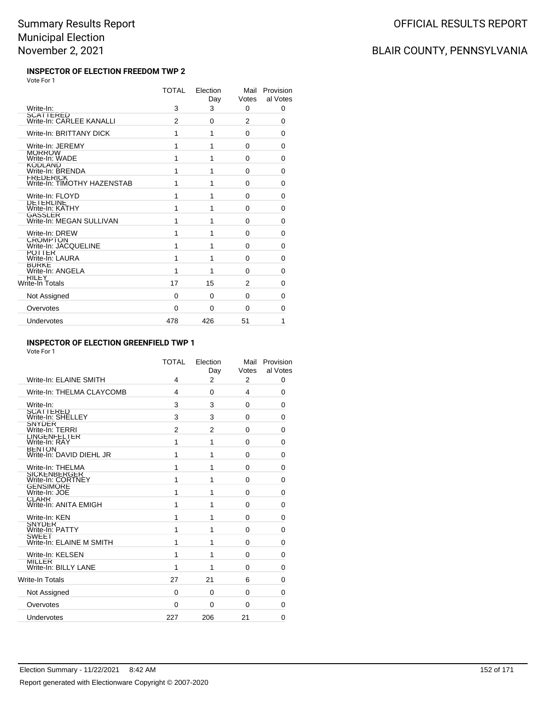#### **INSPECTOR OF ELECTION FREEDOM TWP 2** Vote For 1

|                                                 | <b>TOTAL</b>   | Election<br>Day | Mail<br>Votes | Provision<br>al Votes |
|-------------------------------------------------|----------------|-----------------|---------------|-----------------------|
| Write-In:                                       | 3              | 3               | 0             | 0                     |
| SCATTERED<br>Write-In: CARLEE KANALLI           | $\mathfrak{p}$ | 0               | 2             | 0                     |
| Write-In: BRITTANY DICK                         | 1              | 1               | $\Omega$      | 0                     |
| Write-In: JEREMY                                | 1              | 1               | $\Omega$      | 0                     |
| <b>MORROW</b><br>Write-In: WADE                 | 1              | 1               | 0             | 0                     |
| KODLAND<br>Write-In: BRENDA                     | 1              | 1               | $\Omega$      | $\Omega$              |
| <b>FREDERICK</b><br>Write-In: TIMOTHY HAZENSTAB | 1              | 1               | 0             | 0                     |
| Write-In: FLOYD                                 | 1              | 1               | 0             | 0                     |
| <b>DETERLINE</b><br>Write-In: KATHY             | 1              | 1               | 0             | 0                     |
| <b>GASSLER</b><br>Write-In: MEGAN SULLIVAN      | 1              | 1               | 0             | 0                     |
| Write-In: DREW                                  | 1              | 1               | $\Omega$      | 0                     |
| CROMP I ON<br>Write-In: JACQUELINE              | 1              | 1               | 0             | 0                     |
| <b>POTTER</b><br>Write-In: LAURA                | 1              | 1               | 0             | $\Omega$              |
| <b>BURKE</b><br>Write-In: ANGELA                | 1              | 1               | 0             | 0                     |
| RILEY<br>Write-In Totals                        | 17             | 15              | 2             | $\Omega$              |
| Not Assigned                                    | 0              | 0               | $\Omega$      | 0                     |
| Overvotes                                       | 0              | 0               | $\Omega$      | 0                     |
| Undervotes                                      | 478            | 426             | 51            | 1                     |

#### **INSPECTOR OF ELECTION GREENFIELD TWP 1**

Vote For 1

| Write-In: ELAINE SMITH                    | <b>TOTAL</b><br>4 | Election<br>Day<br>2 | Mail<br>Votes<br>$\overline{2}$ | Provision<br>al Votes<br>0 |
|-------------------------------------------|-------------------|----------------------|---------------------------------|----------------------------|
| Write-In: THELMA CLAYCOMB                 | 4                 | 0                    | 4                               | 0                          |
| Write-In:                                 | 3                 | 3                    | $\Omega$                        | 0                          |
| SCATTERED<br>Write-In: SHELLEY            | 3                 | 3                    | $\Omega$                        | 0                          |
| <b>SNYDER</b><br>Write-In: TERRI          | 2                 | 2                    | $\Omega$                        | 0                          |
| LINGENFELTER<br>Write-In: RAY             | 1                 | 1                    | $\Omega$                        | 0                          |
| <b>BENION</b><br>Write-In: DAVID DIEHL JR | 1                 | 1                    | $\Omega$                        | $\Omega$                   |
| Write-In: THELMA                          | 1                 | 1                    | $\mathbf{0}$                    | 0                          |
| SICKENBERGER<br>Write-In: CORTNEY         | 1                 | 1                    | $\Omega$                        | 0                          |
| <b>GENSIMORE</b><br>Write-In: JOE         | 1                 | 1                    | $\Omega$                        | 0                          |
| <b>CLARR</b><br>Write-In: ANITA EMIGH     | 1                 | 1                    | $\Omega$                        | 0                          |
| Write-In: KEN                             | 1                 | 1                    | $\Omega$                        | 0                          |
| SNYDER<br>Write-In: PATTY                 | 1                 | 1                    | $\Omega$                        | 0                          |
| <b>SWEET</b><br>Write-In: ELAINE M SMITH  | 1                 | 1                    | 0                               | 0                          |
| Write-In: KELSEN                          | 1                 | 1                    | 0                               | 0                          |
| MILLER<br>Write-In: BILLY LANE            | 1                 | 1                    | 0                               | 0                          |
| <b>Write-In Totals</b>                    | 27                | 21                   | 6                               | 0                          |
| Not Assigned                              | $\Omega$          | 0                    | $\Omega$                        | 0                          |
| Overvotes                                 | $\Omega$          | 0                    | $\Omega$                        | 0                          |
| Undervotes                                | 227               | 206                  | 21                              | $\mathbf{0}$               |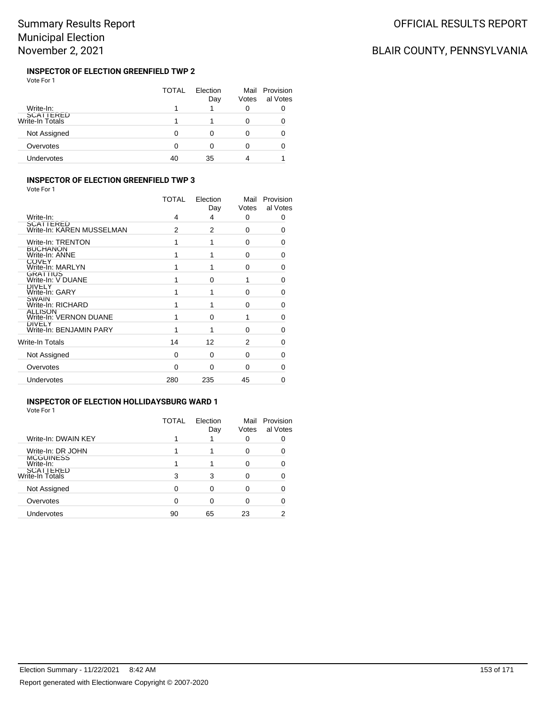#### **INSPECTOR OF ELECTION GREENFIELD TWP 2** Vote For 1

|                              | TOTAL | Election<br>Day | Votes | Mail Provision<br>al Votes |
|------------------------------|-------|-----------------|-------|----------------------------|
| Write-In:                    |       |                 | 0     |                            |
| SCATTERED<br>Write-In Totals |       |                 |       |                            |
| Not Assigned                 | O     | Ω               |       |                            |
| Overvotes                    | 0     | Ω               |       |                            |
| Undervotes                   | 40    | 35              |       |                            |

### **INSPECTOR OF ELECTION GREENFIELD TWP 3**

Vote For 1

|                                          | <b>TOTAL</b> | Election<br>Day | Mail<br>Votes | Provision<br>al Votes |
|------------------------------------------|--------------|-----------------|---------------|-----------------------|
| Write-In:                                | 4            | 4               | 0             | 0                     |
| SCATTERED<br>Write-In: KAREN MUSSELMAN   | 2            | 2               | $\Omega$      | 0                     |
| Write-In: TRENTON                        |              | 1               | $\Omega$      | 0                     |
| <b>BUCHANON</b><br>Write-In: ANNE        |              | 1               | $\Omega$      | 0                     |
| <b>COVEY</b><br>Write-In: MARLYN         |              | 1               | $\Omega$      | 0                     |
| <b>GRATTIUS</b><br>Write-In: V DUANE     |              | $\Omega$        | 1             | 0                     |
| <b>DIVELY</b><br>Write-In: GARY          |              | 1               | $\Omega$      | O                     |
| <b>SWAIN</b><br>Write-In: RICHARD        |              | 1               | $\Omega$      | 0                     |
| <b>ALLISON</b><br>Write-In: VERNON DUANE |              | $\Omega$        | 1             | 0                     |
| <b>DIVELY</b><br>Write-In: BENJAMIN PARY |              | 1               | $\Omega$      | 0                     |
| Write-In Totals                          | 14           | 12              | 2             | 0                     |
| Not Assigned                             | $\Omega$     | 0               | 0             | 0                     |
| Overvotes                                | 0            | 0               | $\Omega$      | 0                     |
| Undervotes                               | 280          | 235             | 45            | O                     |
|                                          |              |                 |               |                       |

#### **INSPECTOR OF ELECTION HOLLIDAYSBURG WARD 1** Vote For 1

|                               | TOTAL | Election<br>Day | Mail<br>Votes | Provision<br>al Votes |
|-------------------------------|-------|-----------------|---------------|-----------------------|
| Write-In: DWAIN KEY           |       |                 | 0             |                       |
| Write-In: DR JOHN             |       |                 | O             |                       |
| <b>MCGUINESS</b><br>Write-In: |       |                 |               |                       |
| SCATTERED<br>Write-In Totals  | 3     | 3               |               |                       |
| Not Assigned                  | ∩     | U               |               |                       |
| Overvotes                     |       |                 |               |                       |
| Undervotes                    | 90    | 65              | 23            |                       |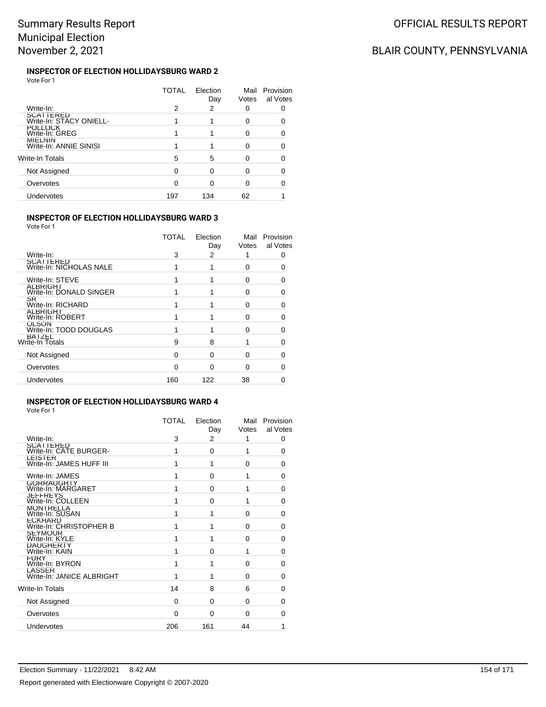#### **INSPECTOR OF ELECTION HOLLIDAYSBURG WARD 2** Vote For 1

|                                             | TOTAL | Election<br>Day | Mail<br>Votes | Provision<br>al Votes |
|---------------------------------------------|-------|-----------------|---------------|-----------------------|
| Write-In:                                   | 2     | 2               | ∩             |                       |
| <b>SCATTERED</b><br>Write-In: STACY ONIELL- |       |                 | O             |                       |
| <b>POLLOCK</b><br>Write-In: GREG            |       |                 | ∩             |                       |
| <b>MILLNIN</b><br>Write-In: ANNIE SINISI    |       |                 | ∩             |                       |
| Write-In Totals                             | 5     | 5               |               |                       |
| Not Assigned                                |       |                 |               |                       |
| Overvotes                                   |       |                 | n             |                       |
| Undervotes                                  | 197   | 134             | 62            |                       |
|                                             |       |                 |               |                       |

### **INSPECTOR OF ELECTION HOLLIDAYSBURG WARD 3**

Vote For 1

|                                        | TOTAL    | Election<br>Day | Mail<br>Votes | Provision<br>al Votes |
|----------------------------------------|----------|-----------------|---------------|-----------------------|
| Write-In:                              | 3        | 2               |               |                       |
| SCATTERED<br>Write-In: NICHOLAS NALE   |          |                 | 0             |                       |
| Write-In: STEVE                        |          |                 | 0             |                       |
| ALBRIGHT<br>Write-In: DONALD SINGER    |          |                 | 0             |                       |
| SR<br>Write-In: RICHARD                |          |                 | ŋ             |                       |
| <b>ALBRIGHT</b><br>Write-In: ROBERT    |          |                 | ŋ             |                       |
| <b>OLSON</b><br>Write-In: TODD DOUGLAS |          |                 | ŋ             |                       |
| BAIZEL<br>Write-In Totals              | 9        | 8               |               |                       |
| Not Assigned                           | $\Omega$ | 0               | O             | O                     |
| Overvotes                              | U        | 0               | 0             |                       |
| Undervotes                             | 160      | 122             | 38            |                       |
|                                        |          |                 |               |                       |

#### **INSPECTOR OF ELECTION HOLLIDAYSBURG WARD 4** Vote For 1

|                                            | TOTAL    | Election<br>Day | Mail<br>Votes | Provision<br>al Votes |
|--------------------------------------------|----------|-----------------|---------------|-----------------------|
| Write-In:                                  | 3        | 2               | 1             | 0                     |
| <b>SCATTERED</b><br>Write-In: CATE BURGER- | 1        | 0               | 1             | 0                     |
| LEISTER<br>Write-In: JAMES HUFF III        | 1        | 1               | $\Omega$      | 0                     |
| Write-In: JAMES                            | 1        | $\Omega$        | 1             | 0                     |
| <b>GORRAUGHTY</b><br>Write-In: MARGARET    | 1        | 0               | 1             | 0                     |
| JEFFREYS<br>Write-In: COLLEEN              | 1        | $\Omega$        | 1             | 0                     |
| MONTRELLA<br>Write-In: SUSAN               | 1        | 1               | 0             | 0                     |
| <b>ECKHARD</b><br>Write-In: CHRISTOPHER B  | 1        | 1               | $\Omega$      | 0                     |
| <b>SEYMOUR</b><br>Write-In: KYLE           | 1        | 1               | $\Omega$      | 0                     |
| DAUGHERTY<br>Write-In: KAIN                | 1        | $\Omega$        | 1             | 0                     |
| <b>FURY</b><br>Write-In: BYRON             | 1        | 1               | $\Omega$      | 0                     |
| LASSER<br>Write-In: JANICE ALBRIGHT        | 1        | 1               | $\Omega$      | 0                     |
| Write-In Totals                            | 14       | 8               | 6             | 0                     |
| Not Assigned                               | 0        | $\Omega$        | $\Omega$      | 0                     |
| Overvotes                                  | $\Omega$ | $\Omega$        | 0             | 0                     |
| Undervotes                                 | 206      | 161             | 44            | 1                     |
|                                            |          |                 |               |                       |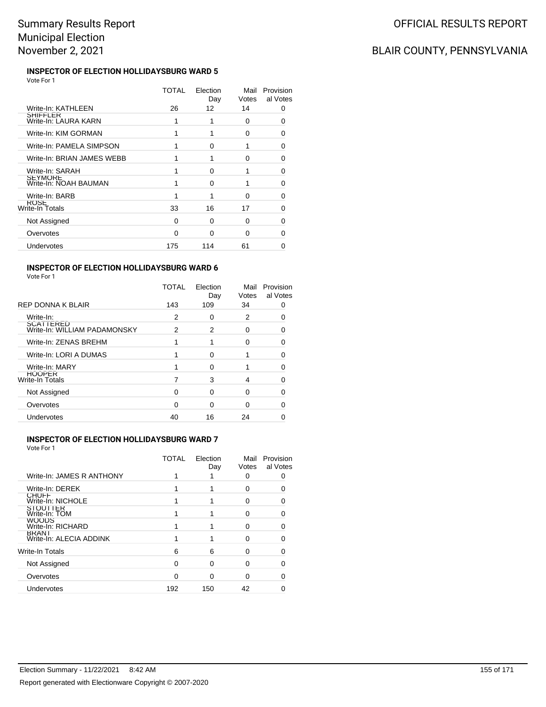# BLAIR COUNTY, PENNSYLVANIA

#### **INSPECTOR OF ELECTION HOLLIDAYSBURG WARD 5** Vote For 1

|                                         | TOTAL | Election<br>Day | Mail<br>Votes | Provision<br>al Votes |
|-----------------------------------------|-------|-----------------|---------------|-----------------------|
| Write-In: KATHLEEN                      | 26    | 12              | 14            | 0                     |
| SHIFFLER<br>Write-In: LAURA KARN        | 1     |                 | 0             |                       |
| Write-In: KIM GORMAN                    |       |                 | 0             | O                     |
| Write-In: PAMELA SIMPSON                |       | 0               | 1             | O                     |
| Write-In: BRIAN JAMES WEBB              |       |                 | 0             | 0                     |
| Write-In: SARAH                         |       | O               | 1             | O                     |
| <b>SEYMORE</b><br>Write-In: NOAH BAUMAN |       | O               |               | O                     |
| Write-In: BARB                          |       |                 | 0             | 0                     |
| <b>RUSE</b><br>Write-In Totals          | 33    | 16              | 17            | O                     |
| Not Assigned                            | 0     | O               | 0             | 0                     |
| Overvotes                               | 0     | U               | U             |                       |
| Undervotes                              | 175   | 114             | 61            |                       |

### **INSPECTOR OF ELECTION HOLLIDAYSBURG WARD 6**

| TOTAL<br>Election<br>Mail<br>Votes<br>Day<br>REP DONNA K BLAIR<br>109<br>143<br>34<br>0<br>Write-In:<br>2<br>2<br>0<br>0<br>SCATTERED<br>Write-In: WILLIAM PADAMONSKY<br>2<br>2<br>0<br>O<br>Write-In: ZENAS BREHM<br>1<br>O<br>n<br>Write-In: LORI A DUMAS<br>∩<br>o<br>Write-In: MARY<br>O<br>0<br><b>HOOPER</b><br>Write-In Totals<br>3<br>4<br>O<br>Not Assigned<br>O<br>0<br>0<br>0<br>Overvotes<br>U<br>O<br>∩<br>n<br>Undervotes<br>16<br>24<br>40 | Vote For 1 |  |                       |
|-----------------------------------------------------------------------------------------------------------------------------------------------------------------------------------------------------------------------------------------------------------------------------------------------------------------------------------------------------------------------------------------------------------------------------------------------------------|------------|--|-----------------------|
|                                                                                                                                                                                                                                                                                                                                                                                                                                                           |            |  | Provision<br>al Votes |
|                                                                                                                                                                                                                                                                                                                                                                                                                                                           |            |  |                       |
|                                                                                                                                                                                                                                                                                                                                                                                                                                                           |            |  |                       |
|                                                                                                                                                                                                                                                                                                                                                                                                                                                           |            |  |                       |
|                                                                                                                                                                                                                                                                                                                                                                                                                                                           |            |  |                       |
|                                                                                                                                                                                                                                                                                                                                                                                                                                                           |            |  |                       |
|                                                                                                                                                                                                                                                                                                                                                                                                                                                           |            |  |                       |
|                                                                                                                                                                                                                                                                                                                                                                                                                                                           |            |  |                       |
|                                                                                                                                                                                                                                                                                                                                                                                                                                                           |            |  |                       |
|                                                                                                                                                                                                                                                                                                                                                                                                                                                           |            |  |                       |
|                                                                                                                                                                                                                                                                                                                                                                                                                                                           |            |  |                       |

### **INSPECTOR OF ELECTION HOLLIDAYSBURG WARD 7**

|                                         | TOTAL | Election<br>Day | Mail<br>Votes | Provision<br>al Votes |
|-----------------------------------------|-------|-----------------|---------------|-----------------------|
| Write-In: JAMES R ANTHONY               |       |                 |               |                       |
| Write-In: DEREK                         |       |                 |               |                       |
| <b>CHUFF</b><br>Write-In: NICHOLE       |       |                 | O             |                       |
| STOUTTER<br>Write-In: TOM               |       |                 | 0             |                       |
| <b>WOODS</b><br>Write-In: RICHARD       |       |                 | 0             |                       |
| <b>BRANT</b><br>Write-In: ALECIA ADDINK |       |                 | U             |                       |
| Write-In Totals                         | 6     | 6               | 0             |                       |
| Not Assigned                            | ∩     | ∩               | O             |                       |
| Overvotes                               |       | ∩               | n             |                       |
| Undervotes                              | 192   | 150             | 42            |                       |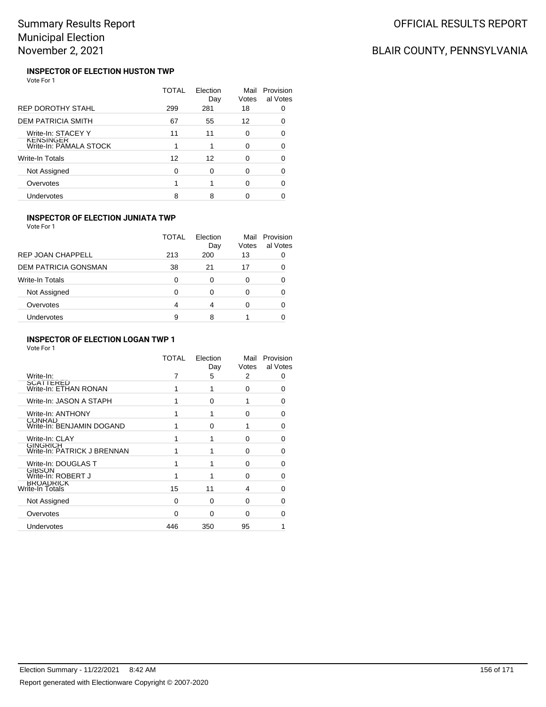# BLAIR COUNTY, PENNSYLVANIA

#### **INSPECTOR OF ELECTION HUSTON TWP** Vote For 1

|                                            | TOTAL | Election<br>Day | Mail<br>Votes | Provision<br>al Votes |
|--------------------------------------------|-------|-----------------|---------------|-----------------------|
| <b>REP DOROTHY STAHL</b>                   | 299   | 281             | 18            |                       |
| <b>DEM PATRICIA SMITH</b>                  | 67    | 55              | 12            |                       |
| Write-In: STACEY Y                         | 11    | 11              | 0             | ∩                     |
| <b>KENSINGER</b><br>Write-In: PAMALA STOCK |       |                 | 0             |                       |
| Write-In Totals                            | 12    | 12              | O             |                       |
| Not Assigned                               | U     | 0               | O             | n                     |
| Overvotes                                  |       |                 | 0             |                       |
| Undervotes                                 | 8     | 8               |               |                       |

### **INSPECTOR OF ELECTION JUNIATA TWP**

Vote For 1

|                             | TOTAL | Flection<br>Day | Mail<br>Votes | Provision<br>al Votes |
|-----------------------------|-------|-----------------|---------------|-----------------------|
| REP JOAN CHAPPELL           | 213   | 200             | 13            |                       |
| <b>DEM PATRICIA GONSMAN</b> | 38    | 21              | 17            |                       |
| <b>Write-In Totals</b>      | 0     | 0               | 0             |                       |
| Not Assigned                | 0     | 0               | 0             |                       |
| Overvotes                   | 4     | 4               | Ω             |                       |
| Undervotes                  | 9     | 8               |               |                       |

### **INSPECTOR OF ELECTION LOGAN TWP 1**

|                                                | TOTAL        | Election<br>Day | Mail<br>Votes | Provision<br>al Votes |
|------------------------------------------------|--------------|-----------------|---------------|-----------------------|
| Write-In:                                      |              | 5               | 2             | 0                     |
| SCATTERED<br>Write-In: ETHAN RONAN             |              | 1               | $\Omega$      | ∩                     |
| Write-In: JASON A STAPH                        |              | $\Omega$        | 1             | ŋ                     |
| Write-In: ANTHONY                              |              | 1               | $\Omega$      | O                     |
| <b>CONRAD</b><br>Write-In: BENJAMIN DOGAND     |              | $\Omega$        |               | U                     |
| Write-In: CLAY                                 |              |                 | U             | ∩                     |
| <b>GINGRICH</b><br>Write-In: PATRICK J BRENNAN |              | 1               | 0             | O                     |
| Write-In: DOUGLAS T                            |              | 1               | 0             | U                     |
| <b>GIBSON</b><br>Write-In: ROBERT J            |              | 1               | 0             |                       |
| <b>BROADRICK</b><br>Write-In Totals            | 15           | 11              | 4             |                       |
| Not Assigned                                   | <sup>0</sup> | $\Omega$        | $\Omega$      | ∩                     |
| Overvotes                                      | $\Omega$     | $\Omega$        | $\Omega$      |                       |
| Undervotes                                     | 446          | 350             | 95            |                       |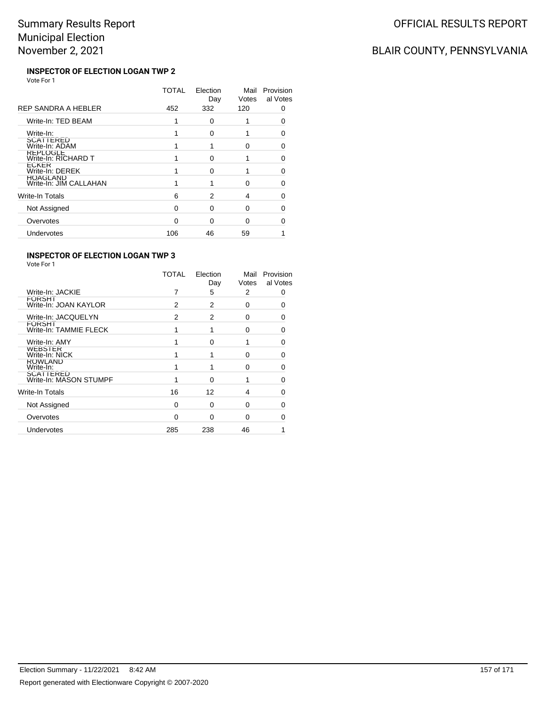# BLAIR COUNTY, PENNSYLVANIA

#### **INSPECTOR OF ELECTION LOGAN TWP 2** Vote For 1

|                                           | TOTAL | Election<br>Day | Mail<br>Votes | Provision<br>al Votes |
|-------------------------------------------|-------|-----------------|---------------|-----------------------|
| REP SANDRA A HEBLER                       | 452   | 332             | 120           | Ω                     |
| Write-In: TED BEAM                        |       | 0               |               |                       |
| Write-In:                                 |       | 0               |               |                       |
| <b>SCATTERED</b><br>Write-In: ADAM        |       |                 | U             | O                     |
| REPLOGLE<br>Write-In: RICHARD T           |       | O               |               | ∩                     |
| ECKER<br>Write-In: DEREK                  |       | n               |               |                       |
| <b>HOAGLAND</b><br>Write-In: JIM CALLAHAN |       |                 | U             | O                     |
| Write-In Totals                           | 6     | 2               | 4             | O                     |
| Not Assigned                              | O     | O               | 0             | ∩                     |
| Overvotes                                 | n     | n               | O             |                       |
| Undervotes                                | 106   | 46              | 59            |                       |
|                                           |       |                 |               |                       |

### **INSPECTOR OF ELECTION LOGAN TWP 3**

|                                         | TOTAL | Election<br>Day | Mail<br>Votes | Provision<br>al Votes |
|-----------------------------------------|-------|-----------------|---------------|-----------------------|
| Write-In: JACKIE                        |       | 5               | 2             | 0                     |
| <b>FORSHI</b><br>Write-In: JOAN KAYLOR  | 2     | 2               | $\Omega$      | 0                     |
| Write-In: JACQUELYN                     | 2     | 2               | O             | 0                     |
| <b>FORSHT</b><br>Write-In: TAMMIE FLECK | 1     | 1               | $\Omega$      | O                     |
| Write-In: AMY                           |       | $\Omega$        |               | O                     |
| <b>WEBSTER</b><br>Write-In: NICK        |       | 1               | $\Omega$      | O                     |
| <b>ROWLAND</b><br>Write-In:             | 1     | 1               | $\Omega$      | O                     |
| SCATTERED<br>Write-In: MASON STUMPF     |       | 0               |               | ∩                     |
| Write-In Totals                         | 16    | 12              | 4             | ∩                     |
| Not Assigned                            | 0     | 0               | $\Omega$      | 0                     |
| Overvotes                               | 0     | 0               | $\Omega$      |                       |
| Undervotes                              | 285   | 238             | 46            |                       |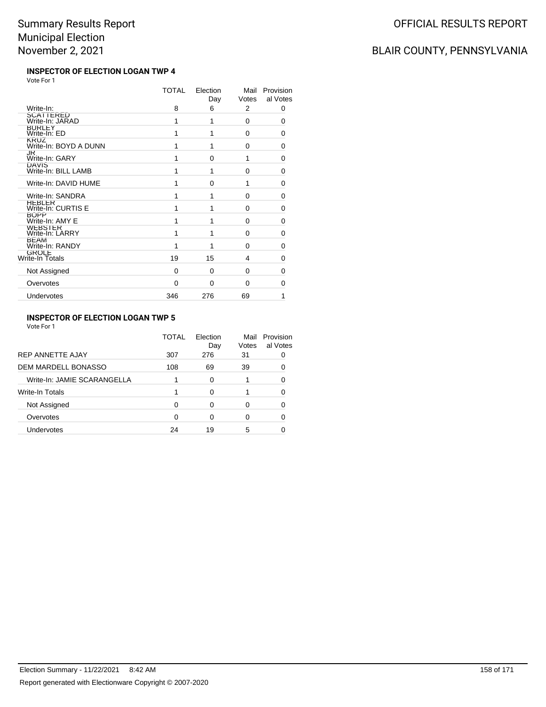#### **INSPECTOR OF ELECTION LOGAN TWP 4** Vote For 1

| TOTAL    | Election<br>Day | Mail<br>Votes | Provision<br>al Votes |
|----------|-----------------|---------------|-----------------------|
| 8        | 6               | 2             | 0                     |
| 1        | 1               | 0             | $\Omega$              |
| 1        | 1               | 0             | 0                     |
| 1        | 1               | 0             | 0                     |
| 1        | 0               | 1             | 0                     |
| 1        | 1               | 0             | $\Omega$              |
| 1        | $\Omega$        | 1             | 0                     |
| 1        | 1               | $\Omega$      | 0                     |
| 1        | 1               | $\Omega$      | $\Omega$              |
| 1        | 1               | 0             | 0                     |
| 1        | 1               | 0             | 0                     |
| 1        | 1               | 0             | 0                     |
| 19       | 15              | 4             | 0                     |
| 0        | 0               | $\Omega$      | 0                     |
| $\Omega$ | 0               | 0             | 0                     |
| 346      | 276             | 69            | 1                     |
|          |                 |               |                       |

### **INSPECTOR OF ELECTION LOGAN TWP 5**

Vote For 1

|                             | <b>TOTAL</b> | Election<br>Day | Mail<br>Votes | Provision<br>al Votes |
|-----------------------------|--------------|-----------------|---------------|-----------------------|
| <b>REP ANNETTE AJAY</b>     | 307          | 276             | 31            |                       |
| <b>DEM MARDELL BONASSO</b>  | 108          | 69              | 39            |                       |
| Write-In: JAMIE SCARANGELLA |              | $\Omega$        |               |                       |
| Write-In Totals             |              | $\Omega$        |               |                       |
| Not Assigned                | ∩            | ∩               | 0             |                       |
| Overvotes                   | 0            | ∩               | 0             |                       |
| Undervotes                  | 24           | 19              | 5             |                       |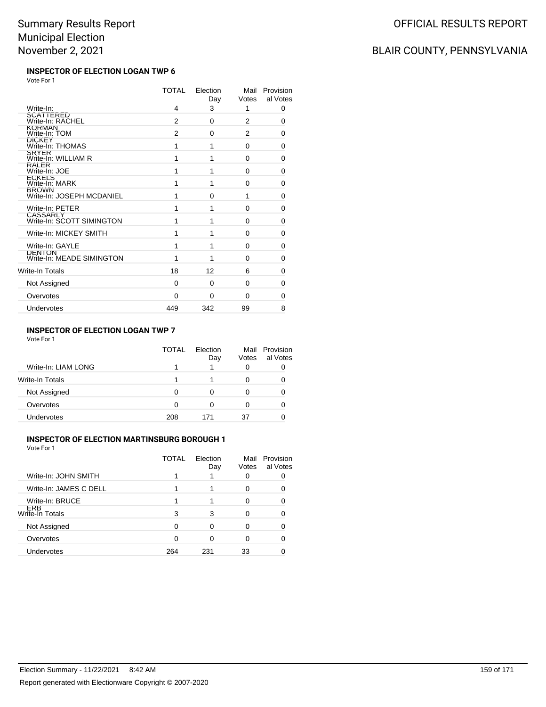#### **INSPECTOR OF ELECTION LOGAN TWP 6** Vote For 1

|                                              | <b>TOTAL</b> | Election<br>Day | Mail<br>Votes | Provision<br>al Votes |
|----------------------------------------------|--------------|-----------------|---------------|-----------------------|
| Write-In:                                    | 4            | 3               | 1             | 0                     |
| SCATTERED<br>Write-In: RACHEL                | 2            | 0               | 2             | $\Omega$              |
| <b>KORMAN</b><br>Write-In: TOM               | 2            | 0               | 2             | $\Omega$              |
| <b>DICKEY</b><br>Write-In: THOMAS            | 1            | 1               | 0             | 0                     |
| <b>SRYER</b><br>Write-In: WILLIAM R          | 1            | 1               | 0             | 0                     |
| RALER<br>Write-In: JOE                       | 1            | 1               | 0             | 0                     |
| <b>ECKELS</b><br>Write-In: MARK              | 1            | 1               | $\Omega$      | 0                     |
| <b>BROWN</b><br>Write-In: JOSEPH MCDANIEL    | 1            | 0               | 1             | 0                     |
| Write-In: PETER                              | 1            | 1               | 0             | 0                     |
| <b>CASSARLY</b><br>Write-In: SCOTT SIMINGTON | 1            | 1               | $\Omega$      | 0                     |
| Write-In: MICKEY SMITH                       | 1            | 1               | $\Omega$      | 0                     |
| Write-In: GAYLE                              | 1            | 1               | $\Omega$      | 0                     |
| <b>DENTON</b><br>Write-In: MEADE SIMINGTON   | 1            | 1               | 0             | 0                     |
| Write-In Totals                              | 18           | 12              | 6             | $\Omega$              |
| Not Assigned                                 | 0            | $\Omega$        | $\Omega$      | $\Omega$              |
| Overvotes                                    | 0            | 0               | 0             | 0                     |
| Undervotes                                   | 449          | 342             | 99            | 8                     |

### **INSPECTOR OF ELECTION LOGAN TWP 7**

Vote For 1

|                     | TOTAL | Flection<br>Day | Mail<br>Votes | Provision<br>al Votes |
|---------------------|-------|-----------------|---------------|-----------------------|
| Write-In: LIAM LONG |       |                 | O             |                       |
| Write-In Totals     |       |                 |               |                       |
| Not Assigned        |       | O               |               |                       |
| Overvotes           | O     | O               |               |                       |
| <b>Undervotes</b>   | 208   | 171             | 37            |                       |

### **INSPECTOR OF ELECTION MARTINSBURG BOROUGH 1**

Vote For 1

|                        | TOTAL | Election<br>Day | Mail<br>Votes | Provision<br>al Votes |
|------------------------|-------|-----------------|---------------|-----------------------|
| Write-In: JOHN SMITH   |       |                 |               |                       |
| Write-In: JAMES C DELL |       |                 |               |                       |
| Write-In: BRUCE        |       |                 |               |                       |
| ERB<br>Write-In Totals | 3     | 3               |               |                       |
| Not Assigned           | ∩     | ∩               |               |                       |
| Overvotes              | ∩     |                 |               |                       |
| Undervotes             | 264   | 231             | 33            |                       |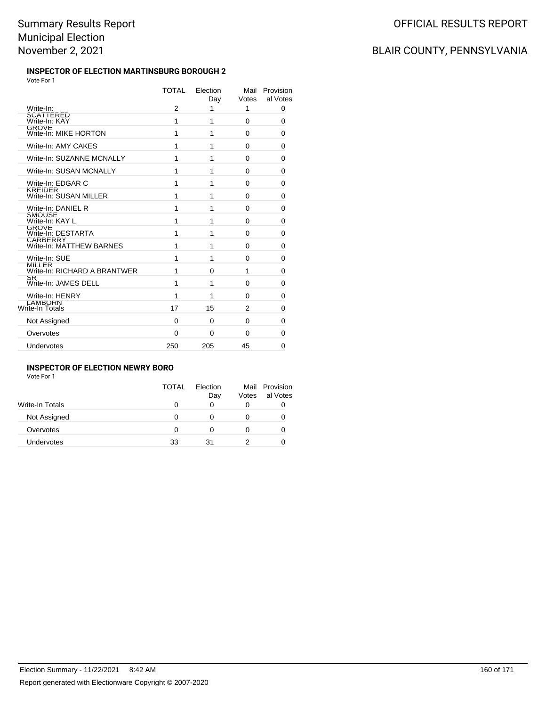#### **INSPECTOR OF ELECTION MARTINSBURG BOROUGH 2** Vote For 1

|                                          | <b>TOTAL</b>   | Election<br>Day | Mail<br>Votes  | Provision<br>al Votes |
|------------------------------------------|----------------|-----------------|----------------|-----------------------|
| Write-In:                                | $\overline{2}$ | 1               | 1              | 0                     |
| SCATTERED<br>Write-In: KAY               | 1              | 1               | 0              | 0                     |
| <b>GROVE</b><br>Write-In: MIKE HORTON    | 1              | 1               | 0              | 0                     |
| Write-In: AMY CAKES                      | 1              | 1               | $\Omega$       | 0                     |
| Write-In: SUZANNE MCNALLY                | 1              | 1               | $\Omega$       | 0                     |
| Write-In: SUSAN MCNALLY                  | 1              | 1               | $\Omega$       | 0                     |
| Write-In: EDGAR C                        | 1              | 1               | 0              | 0                     |
| <b>KREIDER</b><br>Write-In: SUSAN MILLER | 1              | 1               | $\Omega$       | 0                     |
| Write-In: DANIEL R                       | 1              | 1               | $\Omega$       | 0                     |
| <b>SMOUSE</b><br>Write-In: KAY L         | 1              | 1               | $\Omega$       | 0                     |
| <b>GROVE</b><br>Write-In: DESTARTA       | 1              | 1               | 0              | 0                     |
| CARBERRY<br>Write-In: MATTHEW BARNES     | 1              | 1               | $\Omega$       | 0                     |
| Write-In: SUE                            | 1              | 1               | $\Omega$       | 0                     |
| MILLER<br>Write-In: RICHARD A BRANTWER   | 1              | 0               | 1              | 0                     |
| SR<br>Write-In: JAMES DELL               | 1              | 1               | $\Omega$       | 0                     |
| Write-In: HENRY                          | 1              | 1               | $\Omega$       | 0                     |
| LAMBORN<br>Write-In Totals               | 17             | 15              | $\mathfrak{p}$ | 0                     |
| Not Assigned                             | 0              | 0               | 0              | 0                     |
| Overvotes                                | 0              | 0               | 0              | 0                     |
| Undervotes                               | 250            | 205             | 45             | $\Omega$              |

### **INSPECTOR OF ELECTION NEWRY BORO**

Vote For 1

| TOTAL | Flection | Votes | Mail Provision<br>al Votes |
|-------|----------|-------|----------------------------|
| O     | 0        | 0     |                            |
| 0     | 0        |       |                            |
| O     | 0        |       |                            |
| 33    | 31       |       |                            |
|       |          | Day   |                            |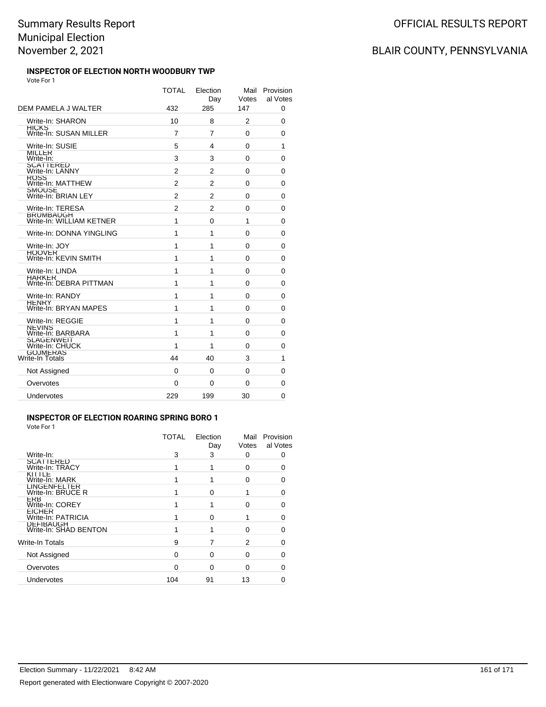#### **INSPECTOR OF ELECTION NORTH WOODBURY TWP** Vote For 1

| DEM PAMELA J WALTER                                 | <b>TOTAL</b><br>432 | Election<br>Dav<br>285 | Mail<br>Votes<br>147 | Provision<br>al Votes<br>0 |
|-----------------------------------------------------|---------------------|------------------------|----------------------|----------------------------|
|                                                     |                     |                        |                      |                            |
| Write-In: SHARON<br>HICKS<br>Write-In: SUSAN MILLER | 10                  | 8                      | 2                    | 0                          |
|                                                     | 7                   | 7                      | 0                    | 0                          |
| Write-In: SUSIE<br><b>MILLER</b>                    | 5                   | 4                      | 0                    | 1                          |
| Write-In:                                           | 3                   | 3                      | 0                    | 0                          |
| SCATTERED<br>Write-In: LANNY                        | 2                   | 2                      | 0                    | 0                          |
| <b>ROSS</b><br>Write-In: MATTHEW                    | 2                   | 2                      | 0                    | 0                          |
| SMOUSE<br>Write-In: BRIAN LEY                       | $\mathfrak{p}$      | $\overline{2}$         | 0                    | 0                          |
| Write-In: TERESA                                    | 2                   | $\overline{2}$         | 0                    | 0                          |
| <b>BRUMBAUGH</b><br>Write-In: WILLIAM KETNER        | 1                   | 0                      | 1                    | 0                          |
| Write-In: DONNA YINGLING                            | 1                   | 1                      | 0                    | 0                          |
| Write-In: JOY                                       | 1                   | 1                      | $\Omega$             | 0                          |
| <b>HOOVER</b><br>Write-In: KEVIN SMITH              | 1                   | 1                      | $\Omega$             | 0                          |
| Write-In: LINDA                                     | 1                   | 1                      | 0                    | 0                          |
| HARKER<br>Write-In: DEBRA PITTMAN                   | 1                   | 1                      | 0                    | $\Omega$                   |
| Write-In: RANDY                                     | 1                   | 1                      | $\Omega$             | 0                          |
| HENRY<br>Write-In: BRYAN MAPES                      | 1                   | 1                      | $\Omega$             | 0                          |
| Write-In: REGGIE                                    | 1                   | 1                      | 0                    | $\mathbf 0$                |
| <b>NEVINS</b><br>Write-In: BARBARA                  | 1                   | 1                      | 0                    | 0                          |
| SLAGENWEIT<br>Write-In: CHUCK                       | 1                   | 1                      | 0                    | 0                          |
| <b>GOJMERAS</b><br>Write-In Totals                  | 44                  | 40                     | 3                    | 1                          |
| Not Assigned                                        | 0                   | 0                      | 0                    | 0                          |
| Overvotes                                           | 0                   | 0                      | 0                    | 0                          |
| Undervotes                                          | 229                 | 199                    | 30                   | $\Omega$                   |
|                                                     |                     |                        |                      |                            |

### **INSPECTOR OF ELECTION ROARING SPRING BORO 1**

Vote For 1

|                                     | <b>TOTAL</b> | Election<br>Day | Mail<br>Votes | Provision<br>al Votes |
|-------------------------------------|--------------|-----------------|---------------|-----------------------|
| Write-In:                           | 3            | 3               | O             |                       |
| <b>SCATTERED</b><br>Write-In: TRACY |              |                 | 0             |                       |
| KITTLE<br>Write-In: MARK            |              |                 | 0             |                       |
| LINGENFELIER<br>Write-In: BRUCE R   |              | O               |               |                       |
| <b>EKB</b><br>Write-In: COREY       |              |                 | O             | n                     |
| <b>EICHER</b><br>Write-In: PATRICIA |              | O               |               |                       |
| DEFIBAUGH<br>Write-In: SHAD BENTON  |              |                 | O             |                       |
| Write-In Totals                     | 9            |                 | 2             |                       |
| Not Assigned                        | ∩            | 0               | ი             |                       |
| Overvotes                           | ∩            | $\Omega$        | O             |                       |
| Undervotes                          | 104          | 91              | 13            |                       |
|                                     |              |                 |               |                       |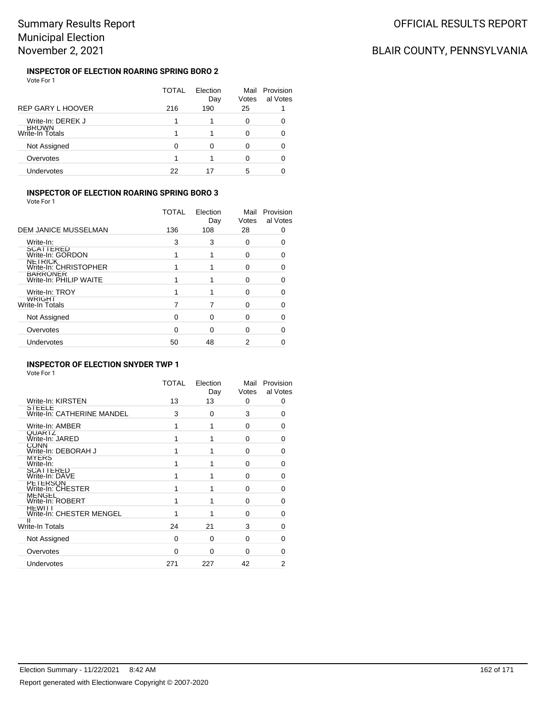#### **INSPECTOR OF ELECTION ROARING SPRING BORO 2** Vote For 1

|                                 | TOTAL | Election<br>Day | Mail<br>Votes | Provision<br>al Votes |
|---------------------------------|-------|-----------------|---------------|-----------------------|
| <b>REP GARY L HOOVER</b>        | 216   | 190             | 25            |                       |
| Write-In: DEREK J               |       |                 | 0             |                       |
| <b>BROWN</b><br>Write-In Totals |       |                 |               |                       |
| Not Assigned                    | O     | O               |               |                       |
| Overvotes                       |       |                 |               |                       |
| Undervotes                      | 22    |                 | 5             |                       |

### **INSPECTOR OF ELECTION ROARING SPRING BORO 3**

Vote For 1

|                                           | <b>TOTAL</b> | Election<br>Day | Mail<br>Votes | Provision<br>al Votes |
|-------------------------------------------|--------------|-----------------|---------------|-----------------------|
| DEM JANICE MUSSELMAN                      | 136          | 108             | 28            |                       |
| Write-In:                                 | 3            | 3               | 0             |                       |
| <b>SCATTERED</b><br>Write-In: GORDON      |              |                 | O             |                       |
| <b>NETRICK</b><br>Write-In: CHRISTOPHER   |              |                 | O             |                       |
| <b>BARRONER</b><br>Write-In: PHILIP WAITE |              |                 | 0             |                       |
| Write-In: TROY                            |              |                 | Ω             |                       |
| ا WRIGH<br>Write-In Totals                |              |                 | O             |                       |
| Not Assigned                              | ∩            | ∩               | 0             |                       |
| Overvotes                                 | ∩            | 0               | 0             |                       |
| <b>Undervotes</b>                         | 50           | 48              | 2             |                       |
|                                           |              |                 |               |                       |

### **INSPECTOR OF ELECTION SNYDER TWP 1**

|                                           | TOTAL    | Election<br>Day | Mail<br>Votes | Provision<br>al Votes |
|-------------------------------------------|----------|-----------------|---------------|-----------------------|
| Write-In: KIRSTEN                         | 13       | 13              | 0             | 0                     |
| SIEELE<br>Write-In: CATHERINE MANDEL      | 3        | 0               | 3             | 0                     |
| Write-In: AMBER                           |          | 1               | 0             | 0                     |
| <b>QUARIZ</b><br>Write-In: JARED          |          | 1               | 0             | 0                     |
| <b>CONN</b><br>Write-In: DEBORAH J        |          | 1               | $\Omega$      | 0                     |
| <b>MYERS</b><br>Write-In:                 |          | 1               | 0             | 0                     |
| SCATTERED<br>Write-In: DAVE               |          | 1               | $\Omega$      | 0                     |
| <b>PETERSON</b><br>Write-In: CHESTER      |          | 1               | 0             | 0                     |
| <b>MENGEL</b><br>Write-In: ROBERT         |          | 1               | $\Omega$      | 0                     |
| <b>HEWIII</b><br>Write-In: CHESTER MENGEL |          | 1               | $\Omega$      | 0                     |
| <b>Write-In Totals</b>                    | 24       | 21              | 3             | O                     |
| Not Assigned                              | $\Omega$ | $\Omega$        | $\Omega$      | ŋ                     |
| Overvotes                                 | $\Omega$ | 0               | 0             | 0                     |
| Undervotes                                | 271      | 227             | 42            | 2                     |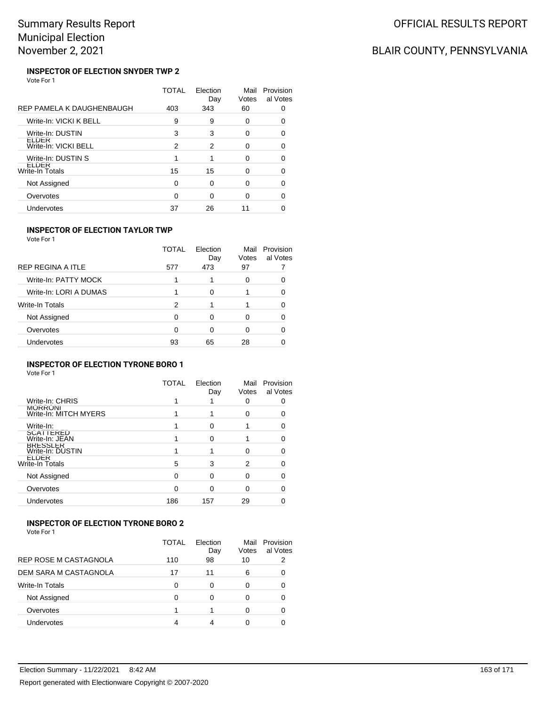# BLAIR COUNTY, PENNSYLVANIA

#### **INSPECTOR OF ELECTION SNYDER TWP 2** Vote For 1

|                                      | TOTAL | Election<br>Day | Mail<br>Votes | Provision<br>al Votes |
|--------------------------------------|-------|-----------------|---------------|-----------------------|
| REP PAMELA K DAUGHENBAUGH            | 403   | 343             | 60            |                       |
| Write-In: VICKI K BELL               | 9     | 9               | 0             | O                     |
| Write-In: DUSTIN                     | 3     | 3               | 0             | 0                     |
| <b>LLDER</b><br>Write-In: VICKI BELL | 2     | 2               | 0             |                       |
| Write-In: DUSTIN S                   |       |                 | O             | O                     |
| ELDER<br>Write-In Totals             | 15    | 15              | O             |                       |
| Not Assigned                         | 0     | $\Omega$        | ∩             | n                     |
| Overvotes                            | 0     | $\Omega$        | 0             | 0                     |
| Undervotes                           | 37    | 26              | 11            |                       |

### **INSPECTOR OF ELECTION TAYLOR TWP**

Vote For 1

|                        | TOTAL | Election<br>Day | Mail<br>Votes | Provision<br>al Votes |
|------------------------|-------|-----------------|---------------|-----------------------|
| REP REGINA A ITLE      | 577   | 473             | 97            |                       |
| Write-In: PATTY MOCK   |       |                 | Ω             |                       |
| Write-In: LORI A DUMAS |       | 0               |               |                       |
| <b>Write-In Totals</b> | 2     |                 |               |                       |
| Not Assigned           | 0     | 0               |               |                       |
| Overvotes              | ∩     | 0               |               |                       |
| <b>Undervotes</b>      | 93    | 65              | 28            |                       |
|                        |       |                 |               |                       |

### **INSPECTOR OF ELECTION TYRONE BORO 1**

Vote For 1

|                                         | TOTAL | Election<br>Day | Mail<br>Votes | Provision<br>al Votes |
|-----------------------------------------|-------|-----------------|---------------|-----------------------|
| Write-In: CHRIS                         |       |                 |               |                       |
| <b>MORRONI</b><br>Write-In: MITCH MYERS |       |                 |               |                       |
| Write-In:                               |       |                 |               |                       |
| <b>SCATTERED</b><br>Write-In: JEAN      |       | ი               |               |                       |
| <b>BRESSLER</b><br>Write-In: DUSTIN     |       |                 | O             |                       |
| <b>ELDER</b><br>Write-In Totals         | 5     | 3               | 2             |                       |
| Not Assigned                            | 0     | 0               |               |                       |
| Overvotes                               | 0     | ი               | ∩             |                       |
| Undervotes                              | 186   | 157             | 29            |                       |

### **INSPECTOR OF ELECTION TYRONE BORO 2**

|                        | TOTAL | Flection<br>Day | Mail<br>Votes | Provision<br>al Votes |
|------------------------|-------|-----------------|---------------|-----------------------|
| REP ROSE M CASTAGNOLA  | 110   | 98              | 10            | 2                     |
| DEM SARA M CASTAGNOLA  | 17    | 11              | 6             | 0                     |
| <b>Write-In Totals</b> | ∩     | ∩               | 0             | 0                     |
| Not Assigned           | ∩     | ∩               | Ω             |                       |
| Overvotes              |       |                 | Ω             | 0                     |
| Undervotes             |       | 4               | O             |                       |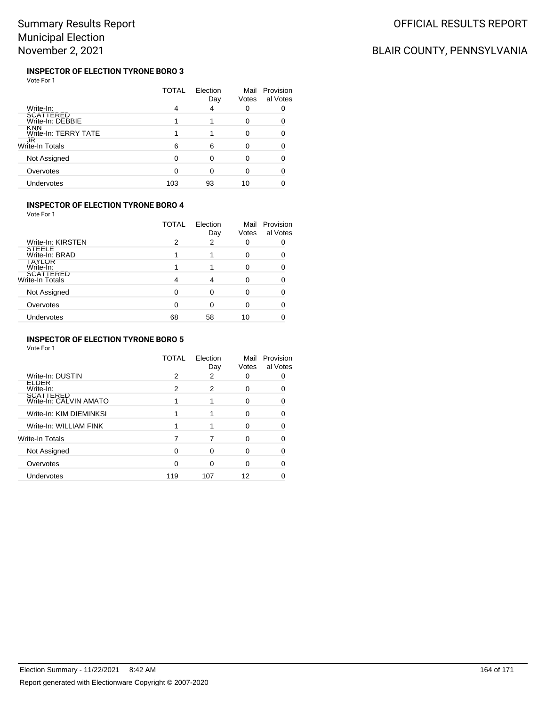#### **INSPECTOR OF ELECTION TYRONE BORO 3** Vote For 1

|                               | TOTAL | Election<br>Day | Mail<br>Votes | Provision<br>al Votes |
|-------------------------------|-------|-----------------|---------------|-----------------------|
| Write-In:                     | 4     | 4               | 0             |                       |
| SCATTERED<br>Write-In: DEBBIE |       |                 | 0             |                       |
| KNN<br>Write-In: TERRY TATE   |       |                 | 0             |                       |
| JK<br>Write-In Totals         | 6     | 6               | O             |                       |
| Not Assigned                  | ∩     |                 | O             |                       |
| Overvotes                     |       | ∩               | ი             |                       |
| Undervotes                    | 103   | 93              | 10            |                       |

### **INSPECTOR OF ELECTION TYRONE BORO 4**

Vote For 1

|                                     | <b>TOTAL</b> | Election<br>Day | Mail<br>Votes | Provision<br>al Votes |
|-------------------------------------|--------------|-----------------|---------------|-----------------------|
| Write-In: KIRSTEN                   | 2            | 2               | 0             |                       |
| STEELE<br>Write-In: BRAD            |              |                 |               |                       |
| <b>IAYLOR</b><br>Write-In:          |              |                 |               |                       |
| <b>SCATTERED</b><br>Write-In Totals |              |                 |               |                       |
| Not Assigned                        | ∩            | ∩               |               |                       |
| Overvotes                           | ∩            | O               |               |                       |
| Undervotes                          | 68           | 58              | 10            |                       |
|                                     |              |                 |               |                       |

### **INSPECTOR OF ELECTION TYRONE BORO 5**

|                                     | TOTAL | Election<br>Day | Mail<br>Votes | Provision<br>al Votes |
|-------------------------------------|-------|-----------------|---------------|-----------------------|
| Write-In: DUSTIN                    | 2     | 2               |               |                       |
| ELDER<br>Write-In:                  | 2     | 2               | ŋ             |                       |
| SCATTERED<br>Write-In: CALVIN AMATO |       |                 | n             | ∩                     |
| Write-In: KIM DIEMINKSI             | 1     |                 | O             |                       |
| Write-In: WILLIAM FINK              | 1     |                 | 0             |                       |
| Write-In Totals                     | 7     |                 | n             |                       |
| Not Assigned                        | 0     | ი               | O             |                       |
| Overvotes                           | 0     | ი               | O             |                       |
| Undervotes                          | 119   | 107             | 12            |                       |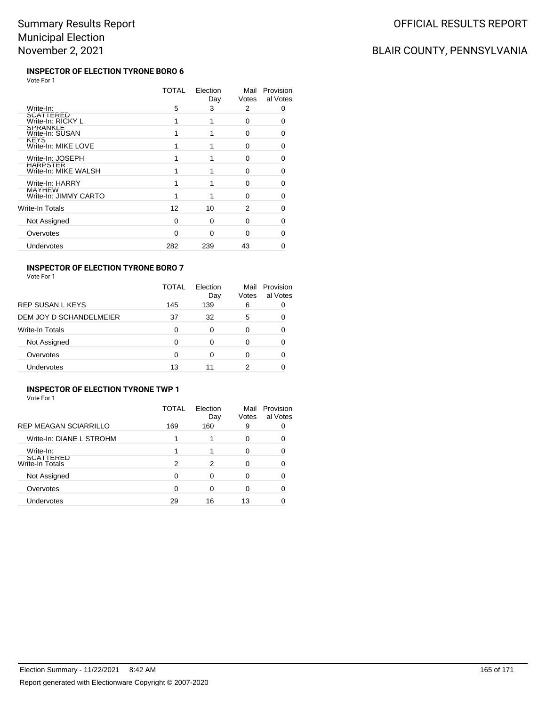# BLAIR COUNTY, PENNSYLVANIA

#### **INSPECTOR OF ELECTION TYRONE BORO 6** Vote For 1

|                                        | TOTAL | Election<br>Day | Mail<br>Votes | Provision<br>al Votes |
|----------------------------------------|-------|-----------------|---------------|-----------------------|
| Write-In:                              | 5     | 3               | 2             | 0                     |
| SCATTERED<br>Write-In: RICKY L         | 1     |                 | $\Omega$      |                       |
| <b>SPRANKLE</b><br>Write-In: SUSAN     |       |                 | 0             | 0                     |
| <b>KEYS</b><br>Write-In: MIKE LOVE     |       |                 | 0             | 0                     |
| Write-In: JOSEPH                       |       |                 | 0             | 0                     |
| HARPSIER<br>Write-In: MIKE WALSH       |       |                 | 0             | 0                     |
| Write-In: HARRY                        |       |                 | ŋ             | n                     |
| <b>MAYHEW</b><br>Write-In: JIMMY CARTO |       |                 | 0             | O                     |
| Write-In Totals                        | 12    | 10              | 2             | ∩                     |
| Not Assigned                           | 0     | 0               | 0             | 0                     |
| Overvotes                              | 0     | O               | 0             | 0                     |
| Undervotes                             | 282   | 239             | 43            |                       |

### **INSPECTOR OF ELECTION TYRONE BORO 7**

|  | Vote For 1 |  |
|--|------------|--|
|--|------------|--|

|                         | TOTAL | Flection<br>Day | Mail<br>Votes | Provision<br>al Votes |
|-------------------------|-------|-----------------|---------------|-----------------------|
| <b>REP SUSAN L KEYS</b> | 145   | 139             | 6             |                       |
| DEM JOY D SCHANDELMEIER | 37    | 32              | 5             |                       |
| <b>Write-In Totals</b>  | 0     | 0               | O             |                       |
| Not Assigned            | 0     | 0               | ∩             |                       |
| Overvotes               | 0     | 0               |               |                       |
| Undervotes              | 13    |                 | 2             |                       |

### **INSPECTOR OF ELECTION TYRONE TWP 1**

| Vote For 1 |  |
|------------|--|
|------------|--|

|                              | TOTAL | Election<br>Day | Mail<br>Votes | Provision<br>al Votes |
|------------------------------|-------|-----------------|---------------|-----------------------|
| <b>REP MEAGAN SCIARRILLO</b> | 169   | 160             | 9             |                       |
| Write-In: DIANE L STROHM     |       |                 | 0             |                       |
| Write-In:                    |       |                 | ი             |                       |
| SCATTERED<br>Write-In Totals | 2     | 2               | U             |                       |
| Not Assigned                 | O     | ∩               | U             |                       |
| Overvotes                    |       | O               | 0             |                       |
| <b>Undervotes</b>            | 29    | 16              | 13            |                       |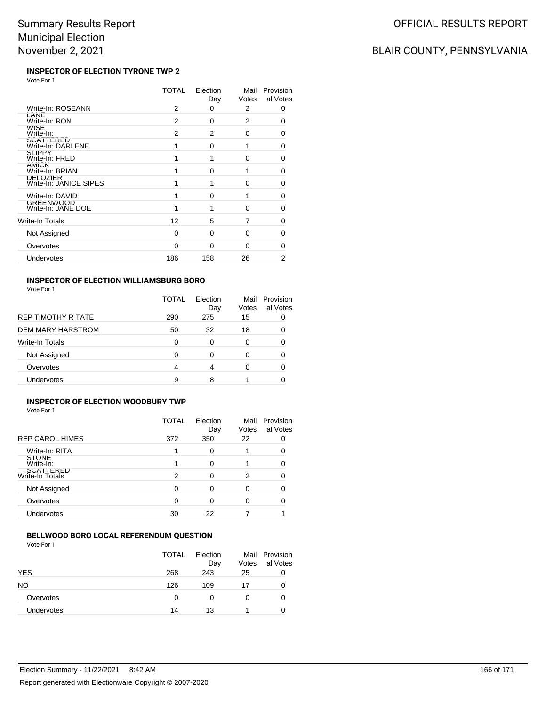## BLAIR COUNTY, PENNSYLVANIA

#### **INSPECTOR OF ELECTION TYRONE TWP 2** Vote For 1

|                                           | TOTAL    | Election<br>Day | Mail<br>Votes | Provision<br>al Votes |
|-------------------------------------------|----------|-----------------|---------------|-----------------------|
| Write-In: ROSEANN                         | 2        | 0               | 2             | 0                     |
| LANE<br>Write-In: RON                     | 2        | $\Omega$        | 2             | 0                     |
| <b>WISE</b><br>Write-In:                  | 2        | 2               | 0             | 0                     |
| <b>SCATTERED</b><br>Write-In: DARLENE     | 1        | 0               | 1             | 0                     |
| <b>SLIPPY</b><br>Write-In: FRED           | 1        | 1               | 0             | O                     |
| AMICK<br>Write-In: BRIAN                  | 1        | $\Omega$        | 1             | 0                     |
| <b>DELOZIER</b><br>Write-In: JANICE SIPES |          | 1               | 0             | 0                     |
| Write-In: DAVID                           | 1        | $\Omega$        | 1             | 0                     |
| GREENWOOD<br>Write-In: JANE DOE           |          | 1               | O             | 0                     |
| Write-In Totals                           | 12       | 5               | 7             | 0                     |
| Not Assigned                              | 0        | $\Omega$        | 0             | 0                     |
| Overvotes                                 | $\Omega$ | O               | O             | O                     |
| Undervotes                                | 186      | 158             | 26            | 2                     |
|                                           |          |                 |               |                       |

### **INSPECTOR OF ELECTION WILLIAMSBURG BORO**

Vote For 1

|                        | TOTAL | Election<br>Day | Mail<br>Votes | Provision<br>al Votes |
|------------------------|-------|-----------------|---------------|-----------------------|
| REP TIMOTHY R TATE     | 290   | 275             | 15            |                       |
| DEM MARY HARSTROM      | 50    | 32              | 18            | 0                     |
| <b>Write-In Totals</b> | 0     | 0               |               |                       |
| Not Assigned           | 0     | 0               |               |                       |
| Overvotes              | 4     | 4               |               |                       |
| Undervotes             | 9     | 8               |               |                       |

#### **INSPECTOR OF ELECTION WOODBURY TWP** Vote For 1

|                              | <b>TOTAL</b> | Election<br>Day | Mail<br>Votes | Provision<br>al Votes |
|------------------------------|--------------|-----------------|---------------|-----------------------|
| <b>REP CAROL HIMES</b>       | 372          | 350             | 22            |                       |
| Write-In: RITA               |              | 0               |               |                       |
| STONE<br>Write-In:           |              | 0               |               |                       |
| SCATTERED<br>Write-In Totals | 2            | 0               | 2             |                       |
| Not Assigned                 | ∩            | O               |               |                       |
| Overvotes                    | 0            | 0               |               |                       |
| <b>Undervotes</b>            | 30           | 22              |               |                       |

### **BELLWOOD BORO LOCAL REFERENDUM QUESTION**

|                   | <b>TOTAL</b> | Election<br>Day | Mail<br>Votes | Provision<br>al Votes |
|-------------------|--------------|-----------------|---------------|-----------------------|
| YES               | 268          | 243             | 25            | O                     |
| NO                | 126          | 109             | 17            | 0                     |
| Overvotes         | 0            |                 |               | 0                     |
| <b>Undervotes</b> | 14           | 13              |               |                       |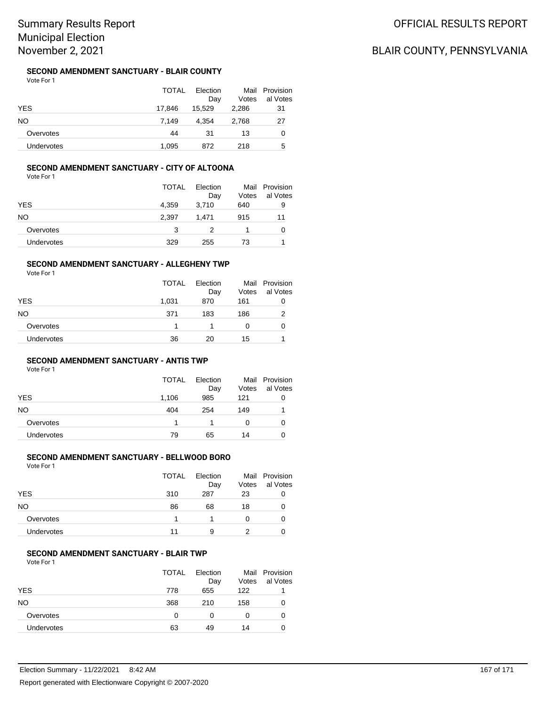### **SECOND AMENDMENT SANCTUARY - BLAIR COUNTY**

Vote For 1

|            | <b>TOTAL</b> | Election |       | Mail Provision |
|------------|--------------|----------|-------|----------------|
|            |              | Dav      | Votes | al Votes       |
| YES        | 17.846       | 15.529   | 2.286 | 31             |
| NΟ         | 7.149        | 4.354    | 2,768 | 27             |
| Overvotes  | 44           | 31       | 13    | 0              |
| Undervotes | 1.095        | 872      | 218   | 5              |

### **SECOND AMENDMENT SANCTUARY - CITY OF ALTOONA**

Vote For 1

|            | <b>TOTAL</b> | Election<br>Day | Mail<br>Votes | Provision<br>al Votes |
|------------|--------------|-----------------|---------------|-----------------------|
| <b>YES</b> | 4,359        | 3,710           | 640           | 9                     |
| NΟ         | 2,397        | 1,471           | 915           | 11                    |
| Overvotes  | 3            |                 |               | 0                     |
| Undervotes | 329          | 255             | 73            |                       |

#### **SECOND AMENDMENT SANCTUARY - ALLEGHENY TWP**

Vote For 1

|            | <b>TOTAL</b> | Election<br>Day | Votes | Mail Provision<br>al Votes |
|------------|--------------|-----------------|-------|----------------------------|
| <b>YES</b> | 1,031        | 870             | 161   | 0                          |
| NO         | 371          | 183             | 186   | 2                          |
| Overvotes  |              |                 | 0     | 0                          |
| Undervotes | 36           | 20              | 15    |                            |

### **SECOND AMENDMENT SANCTUARY - ANTIS TWP**

Vote For 1

|                   | TOTAL | Election<br>Day | Votes | Mail Provision<br>al Votes |
|-------------------|-------|-----------------|-------|----------------------------|
| <b>YES</b>        | 1,106 | 985             | 121   |                            |
| NO.               | 404   | 254             | 149   |                            |
| Overvotes         |       |                 | 0     |                            |
| <b>Undervotes</b> | 79    | 65              | 14    |                            |

### **SECOND AMENDMENT SANCTUARY - BELLWOOD BORO**

Vote For 1

| <b>TOTAL</b> | Election<br>Day | Votes | Mail Provision<br>al Votes |
|--------------|-----------------|-------|----------------------------|
| 310          | 287             | 23    | 0                          |
| 86           | 68              | 18    |                            |
|              |                 | 0     |                            |
| 11           | 9               |       |                            |
|              |                 |       |                            |

### **SECOND AMENDMENT SANCTUARY - BLAIR TWP**

| <b>TOTAL</b> | Election<br>Day | Votes | Mail Provision<br>al Votes |
|--------------|-----------------|-------|----------------------------|
| 778          | 655             | 122   |                            |
| 368          | 210             | 158   |                            |
| O            | 0               | 0     |                            |
| 63           | 49              | 14    |                            |
|              |                 |       |                            |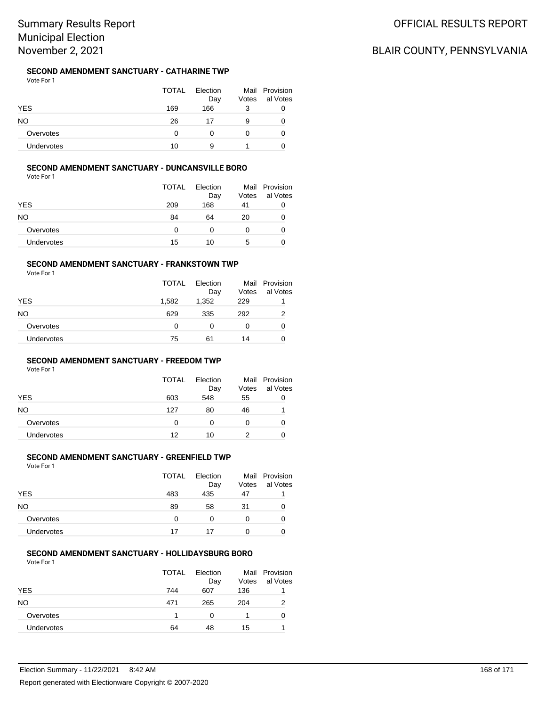### **SECOND AMENDMENT SANCTUARY - CATHARINE TWP**

Vote For 1

|                   | <b>TOTAL</b> | Election<br>Day | Votes | Mail Provision<br>al Votes |
|-------------------|--------------|-----------------|-------|----------------------------|
| <b>YES</b>        | 169          | 166             | 3     | O                          |
| NO                | 26           | 17              | 9     |                            |
| Overvotes         |              |                 |       | O                          |
| <b>Undervotes</b> | 10           | 9               |       |                            |

### **SECOND AMENDMENT SANCTUARY - DUNCANSVILLE BORO**

Vote For 1

|            | <b>TOTAL</b> | Election<br>Day | Votes | Mail Provision<br>al Votes |
|------------|--------------|-----------------|-------|----------------------------|
| <b>YES</b> | 209          | 168             | 41    | O                          |
| NO         | 84           | 64              | 20    |                            |
| Overvotes  | 0            | 0               | 0     |                            |
| Undervotes | 15           | 10              | 5     |                            |

#### **SECOND AMENDMENT SANCTUARY - FRANKSTOWN TWP**

Vote For 1

|            | <b>TOTAL</b> | Election<br>Day | Votes | Mail Provision<br>al Votes |
|------------|--------------|-----------------|-------|----------------------------|
| <b>YES</b> | 1,582        | 1,352           | 229   |                            |
| NΟ         | 629          | 335             | 292   | 2                          |
| Overvotes  | 0            | 0               |       | 0                          |
| Undervotes | 75           | 61              | 14    | 0                          |

### **SECOND AMENDMENT SANCTUARY - FREEDOM TWP**

Vote For 1

|            | <b>TOTAL</b> | Election<br>Day | Votes | Mail Provision<br>al Votes |
|------------|--------------|-----------------|-------|----------------------------|
| <b>YES</b> | 603          | 548             | 55    |                            |
| NO.        | 127          | 80              | 46    |                            |
| Overvotes  | 0            | 0               | 0     |                            |
| Undervotes | 12           | 10              |       |                            |

### **SECOND AMENDMENT SANCTUARY - GREENFIELD TWP**

Vote For 1

|            | <b>TOTAL</b> | Election<br>Day | Votes | Mail Provision<br>al Votes |
|------------|--------------|-----------------|-------|----------------------------|
| <b>YES</b> | 483          | 435             | 47    |                            |
| NΟ         | 89           | 58              | 31    | 0                          |
| Overvotes  | 0            | O               |       | 0                          |
| Undervotes | 17           | 17              |       | 0                          |

### **SECOND AMENDMENT SANCTUARY - HOLLIDAYSBURG BORO**

|                   | <b>TOTAL</b> | Election<br>Day | Votes | Mail Provision<br>al Votes |
|-------------------|--------------|-----------------|-------|----------------------------|
| <b>YES</b>        | 744          | 607             | 136   |                            |
| NO.               | 471          | 265             | 204   | 2                          |
| Overvotes         | 1            | 0               |       | 0                          |
| <b>Undervotes</b> | 64           | 48              | 15    |                            |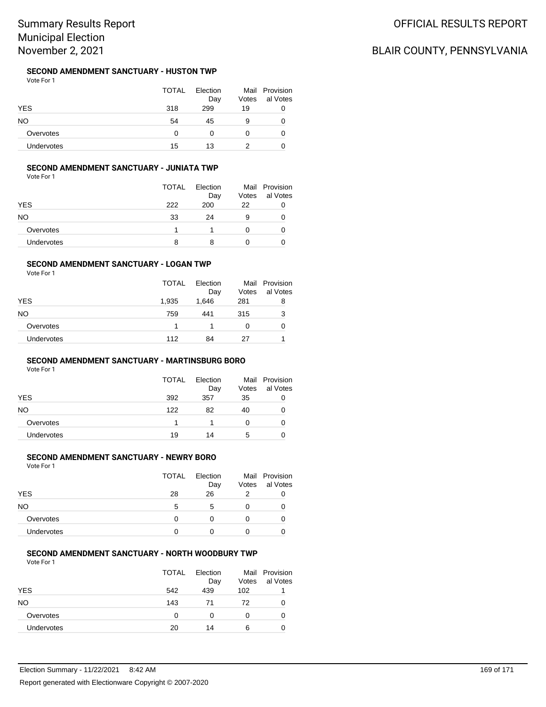### **SECOND AMENDMENT SANCTUARY - HUSTON TWP**

Vote For 1

|                   | <b>TOTAL</b> | Election |       | Mail Provision |  |
|-------------------|--------------|----------|-------|----------------|--|
|                   |              | Day      | Votes | al Votes       |  |
| <b>YES</b>        | 318          | 299      | 19    | 0              |  |
| NO                | 54           | 45       | 9     | O              |  |
| Overvotes         | 0            |          |       | O              |  |
| <b>Undervotes</b> | 15           | 13       | າ     |                |  |

### **SECOND AMENDMENT SANCTUARY - JUNIATA TWP**

Vote For 1

|                   | <b>TOTAL</b> | Election<br>Day | Votes | Mail Provision<br>al Votes |
|-------------------|--------------|-----------------|-------|----------------------------|
| <b>YES</b>        | 222          | 200             | 22    |                            |
| NΟ                | 33           | 24              | 9     |                            |
| Overvotes         |              |                 | 0     |                            |
| <b>Undervotes</b> | 8            | 8               |       |                            |

#### **SECOND AMENDMENT SANCTUARY - LOGAN TWP**

Vote For 1

|            | TOTAL | Election<br>Day | Votes | Mail Provision<br>al Votes |
|------------|-------|-----------------|-------|----------------------------|
| <b>YES</b> | 1,935 | 1,646           | 281   | 8                          |
| NΟ         | 759   | 441             | 315   | 3                          |
| Overvotes  |       |                 | 0     | 0                          |
| Undervotes | 112   | 84              | 27    |                            |

### **SECOND AMENDMENT SANCTUARY - MARTINSBURG BORO**

Vote For 1

|            | <b>TOTAL</b> | Election<br>Day | Votes | Mail Provision<br>al Votes |
|------------|--------------|-----------------|-------|----------------------------|
| <b>YES</b> | 392          | 357             | 35    | O                          |
| NO.        | 122          | 82              | 40    |                            |
| Overvotes  |              |                 |       |                            |
| Undervotes | 19           | 14              | 5     |                            |

### **SECOND AMENDMENT SANCTUARY - NEWRY BORO**

Vote For 1

|                   | <b>TOTAL</b> | Election<br>Day | Votes | Mail Provision<br>al Votes |
|-------------------|--------------|-----------------|-------|----------------------------|
| YES               | 28           | 26              |       |                            |
| NO                | 5            | 5               |       |                            |
| Overvotes         | O            | O               | 0     |                            |
| <b>Undervotes</b> | 0            |                 |       |                            |

### **SECOND AMENDMENT SANCTUARY - NORTH WOODBURY TWP**

|            | <b>TOTAL</b> | Election<br>Day | Votes | Mail Provision<br>al Votes |
|------------|--------------|-----------------|-------|----------------------------|
| <b>YES</b> | 542          | 439             | 102   |                            |
| <b>NO</b>  | 143          | 71              | 72    | O                          |
| Overvotes  | 0            | O               | 0     |                            |
| Undervotes | 20           | 14              | 6     |                            |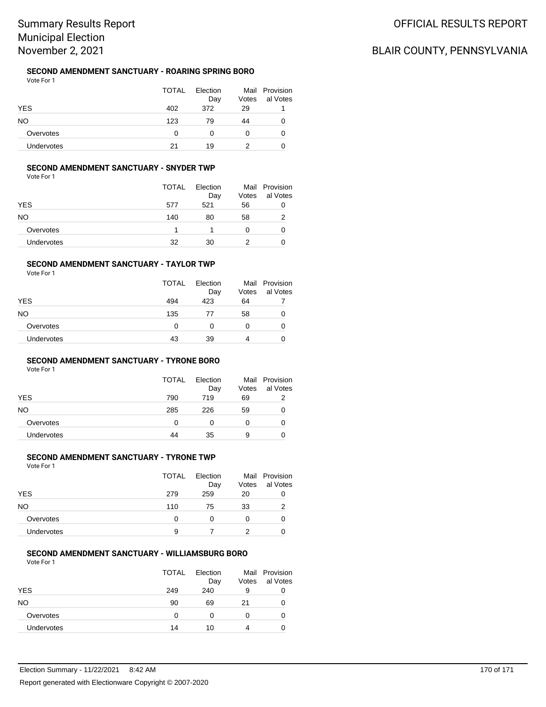# Summary Results Report Municipal Election November 2, 2021

#### **SECOND AMENDMENT SANCTUARY - ROARING SPRING BORO** Vote For 1

|            | <b>TOTAL</b> | Election<br>Day | Votes        | Mail Provision<br>al Votes |
|------------|--------------|-----------------|--------------|----------------------------|
| <b>YES</b> | 402          | 372             | 29           |                            |
| NO.        | 123          | 79              | 44           | 0                          |
| Overvotes  | 0            | 0               | $\mathbf{0}$ | 0                          |
| Undervotes | 21           | 19              | 2            | 0                          |

### **SECOND AMENDMENT SANCTUARY - SNYDER TWP**

Vote For 1

|            | <b>TOTAL</b> | Election<br>Day | Votes | Mail Provision<br>al Votes |
|------------|--------------|-----------------|-------|----------------------------|
| <b>YES</b> | 577          | 521             | 56    | 0                          |
| NΟ         | 140          | 80              | 58    |                            |
| Overvotes  |              |                 | 0     | O                          |
| Undervotes | 32           | 30              | 2     |                            |

#### **SECOND AMENDMENT SANCTUARY - TAYLOR TWP**

Vote For 1

|                   | <b>TOTAL</b> | Election<br>Day | Votes | Mail Provision<br>al Votes |
|-------------------|--------------|-----------------|-------|----------------------------|
| <b>YES</b>        | 494          | 423             | 64    |                            |
| NO                | 135          | 77              | 58    | 0                          |
| Overvotes         | 0            | 0               | 0     | 0                          |
| <b>Undervotes</b> | 43           | 39              | 4     | 0                          |

### **SECOND AMENDMENT SANCTUARY - TYRONE BORO**

Vote For 1

|            | <b>TOTAL</b> | Election<br>Day | Votes | Mail Provision<br>al Votes |
|------------|--------------|-----------------|-------|----------------------------|
| <b>YES</b> | 790          | 719             | 69    |                            |
| NO.        | 285          | 226             | 59    |                            |
| Overvotes  | 0            | 0               | 0     |                            |
| Undervotes | 44           | 35              | 9     |                            |

### **SECOND AMENDMENT SANCTUARY - TYRONE TWP**

Vote For 1

|                   | <b>TOTAL</b> | Election<br>Day | Votes | Mail Provision<br>al Votes |
|-------------------|--------------|-----------------|-------|----------------------------|
| <b>YES</b>        | 279          | 259             | 20    | 0                          |
| NΟ                | 110          | 75              | 33    | 2                          |
| Overvotes         | 0            | 0               | 0     | O                          |
| <b>Undervotes</b> | 9            |                 | 2     |                            |

#### **SECOND AMENDMENT SANCTUARY - WILLIAMSBURG BORO**

|            | <b>TOTAL</b> | Election<br>Day | Votes | Mail Provision<br>al Votes |
|------------|--------------|-----------------|-------|----------------------------|
| <b>YES</b> | 249          | 240             | 9     | 0                          |
| NO.        | 90           | 69              | 21    | O                          |
| Overvotes  | 0            | O               | 0     |                            |
| Undervotes | 14           | 10              | 4     |                            |